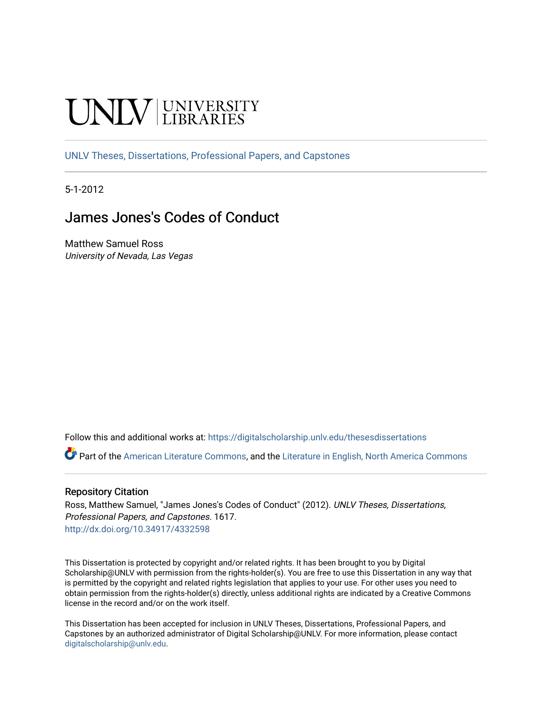# **INIVERSITY**

[UNLV Theses, Dissertations, Professional Papers, and Capstones](https://digitalscholarship.unlv.edu/thesesdissertations)

5-1-2012

## James Jones's Codes of Conduct

Matthew Samuel Ross University of Nevada, Las Vegas

Follow this and additional works at: [https://digitalscholarship.unlv.edu/thesesdissertations](https://digitalscholarship.unlv.edu/thesesdissertations?utm_source=digitalscholarship.unlv.edu%2Fthesesdissertations%2F1617&utm_medium=PDF&utm_campaign=PDFCoverPages)

Part of the [American Literature Commons](http://network.bepress.com/hgg/discipline/441?utm_source=digitalscholarship.unlv.edu%2Fthesesdissertations%2F1617&utm_medium=PDF&utm_campaign=PDFCoverPages), and the [Literature in English, North America Commons](http://network.bepress.com/hgg/discipline/458?utm_source=digitalscholarship.unlv.edu%2Fthesesdissertations%2F1617&utm_medium=PDF&utm_campaign=PDFCoverPages) 

#### Repository Citation

Ross, Matthew Samuel, "James Jones's Codes of Conduct" (2012). UNLV Theses, Dissertations, Professional Papers, and Capstones. 1617. <http://dx.doi.org/10.34917/4332598>

This Dissertation is protected by copyright and/or related rights. It has been brought to you by Digital Scholarship@UNLV with permission from the rights-holder(s). You are free to use this Dissertation in any way that is permitted by the copyright and related rights legislation that applies to your use. For other uses you need to obtain permission from the rights-holder(s) directly, unless additional rights are indicated by a Creative Commons license in the record and/or on the work itself.

This Dissertation has been accepted for inclusion in UNLV Theses, Dissertations, Professional Papers, and Capstones by an authorized administrator of Digital Scholarship@UNLV. For more information, please contact [digitalscholarship@unlv.edu](mailto:digitalscholarship@unlv.edu).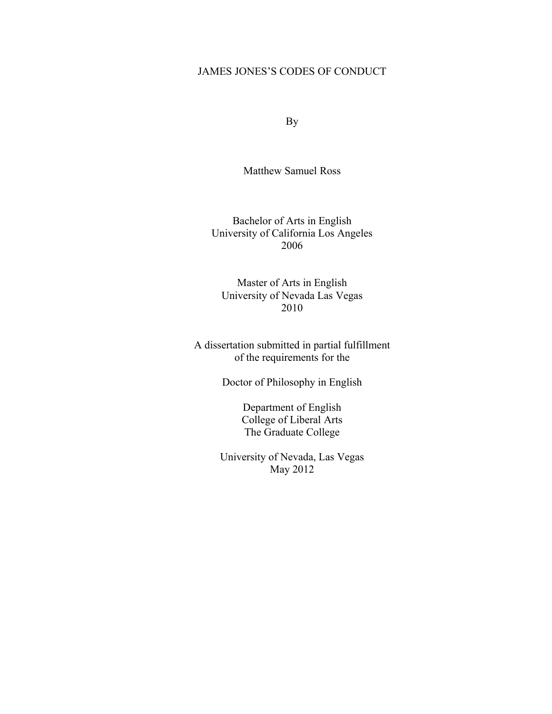## JAMES JONES'S CODES OF CONDUCT

By

Matthew Samuel Ross

Bachelor of Arts in English University of California Los Angeles 2006

Master of Arts in English University of Nevada Las Vegas 2010

A dissertation submitted in partial fulfillment of the requirements for the

Doctor of Philosophy in English

Department of English College of Liberal Arts The Graduate College

University of Nevada, Las Vegas May 2012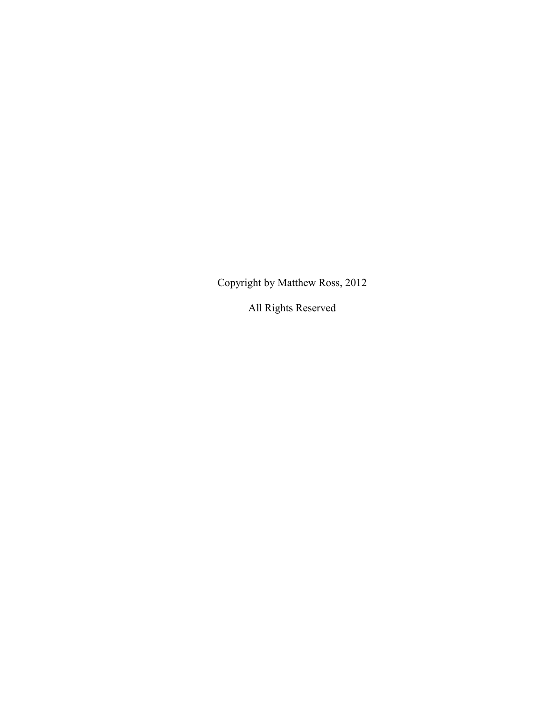Copyright by Matthew Ross, 2012

All Rights Reserved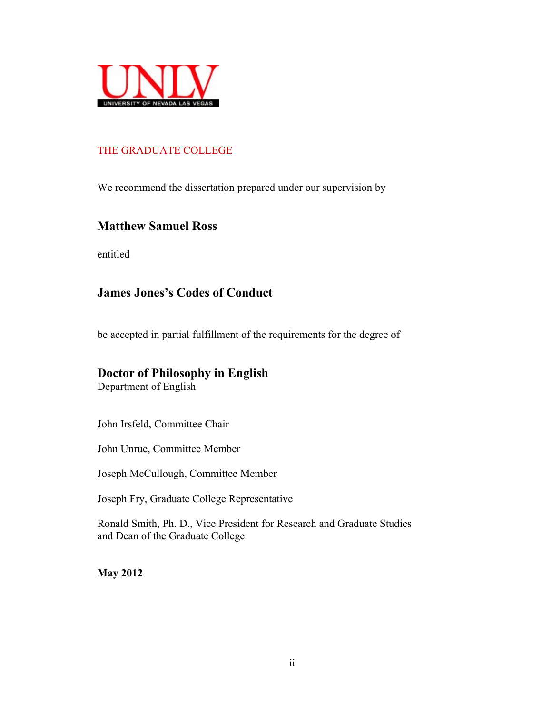

### THE GRADUATE COLLEGE

We recommend the dissertation prepared under our supervision by

## **Matthew Samuel Ross**

entitled

## **James Jones's Codes of Conduct**

be accepted in partial fulfillment of the requirements for the degree of

## **Doctor of Philosophy in English**

Department of English

John Irsfeld, Committee Chair

John Unrue, Committee Member

Joseph McCullough, Committee Member

Joseph Fry, Graduate College Representative

Ronald Smith, Ph. D., Vice President for Research and Graduate Studies and Dean of the Graduate College

**May 2012**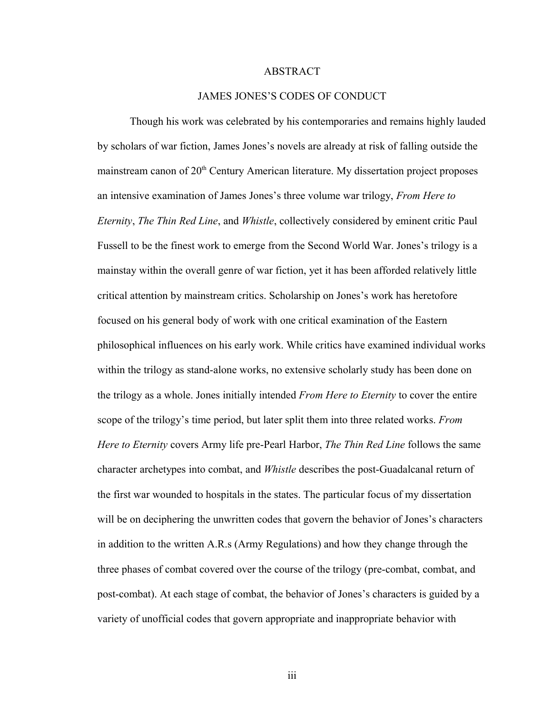#### ABSTRACT

#### JAMES JONES'S CODES OF CONDUCT

Though his work was celebrated by his contemporaries and remains highly lauded by scholars of war fiction, James Jones's novels are already at risk of falling outside the mainstream canon of 20<sup>th</sup> Century American literature. My dissertation project proposes an intensive examination of James Jones's three volume war trilogy, *From Here to Eternity*, *The Thin Red Line*, and *Whistle*, collectively considered by eminent critic Paul Fussell to be the finest work to emerge from the Second World War. Jones's trilogy is a mainstay within the overall genre of war fiction, yet it has been afforded relatively little critical attention by mainstream critics. Scholarship on Jones's work has heretofore focused on his general body of work with one critical examination of the Eastern philosophical influences on his early work. While critics have examined individual works within the trilogy as stand-alone works, no extensive scholarly study has been done on the trilogy as a whole. Jones initially intended *From Here to Eternity* to cover the entire scope of the trilogy's time period, but later split them into three related works. *From Here to Eternity* covers Army life pre-Pearl Harbor, *The Thin Red Line* follows the same character archetypes into combat, and *Whistle* describes the post-Guadalcanal return of the first war wounded to hospitals in the states. The particular focus of my dissertation will be on deciphering the unwritten codes that govern the behavior of Jones's characters in addition to the written A.R.s (Army Regulations) and how they change through the three phases of combat covered over the course of the trilogy (pre-combat, combat, and post-combat). At each stage of combat, the behavior of Jones's characters is guided by a variety of unofficial codes that govern appropriate and inappropriate behavior with

iii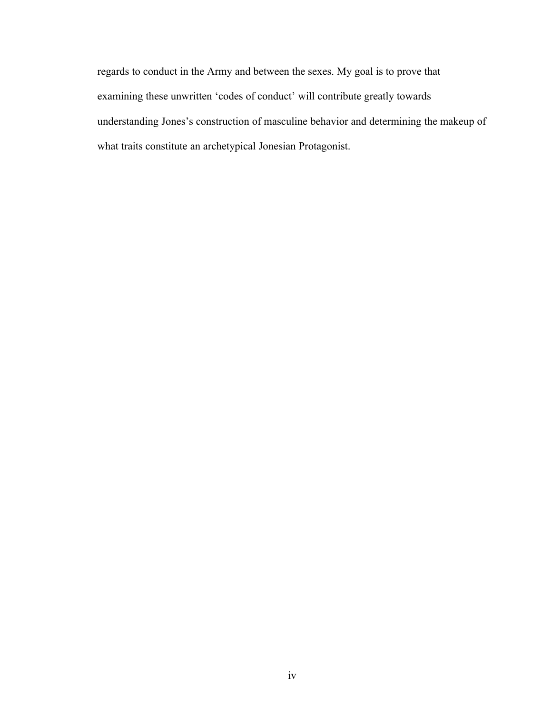regards to conduct in the Army and between the sexes. My goal is to prove that examining these unwritten 'codes of conduct' will contribute greatly towards understanding Jones's construction of masculine behavior and determining the makeup of what traits constitute an archetypical Jonesian Protagonist.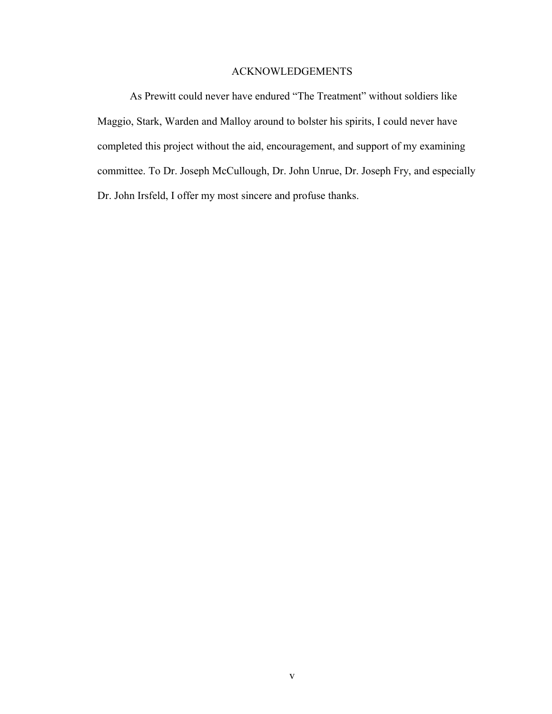## ACKNOWLEDGEMENTS

As Prewitt could never have endured "The Treatment" without soldiers like Maggio, Stark, Warden and Malloy around to bolster his spirits, I could never have completed this project without the aid, encouragement, and support of my examining committee. To Dr. Joseph McCullough, Dr. John Unrue, Dr. Joseph Fry, and especially Dr. John Irsfeld, I offer my most sincere and profuse thanks.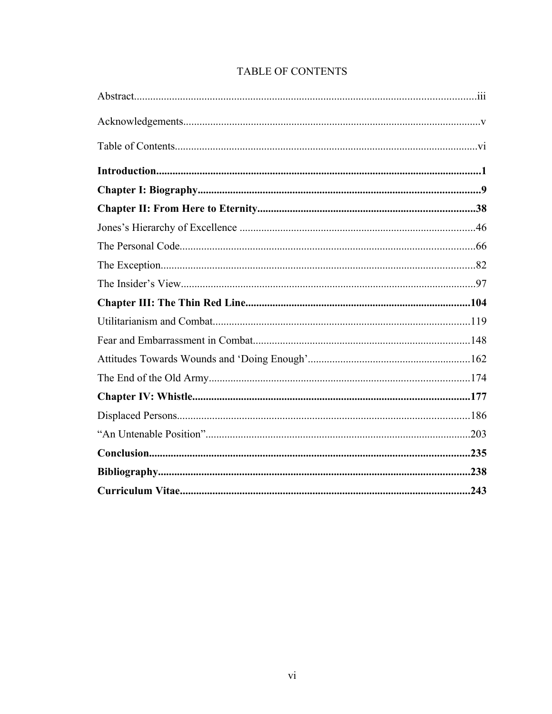## TABLE OF CONTENTS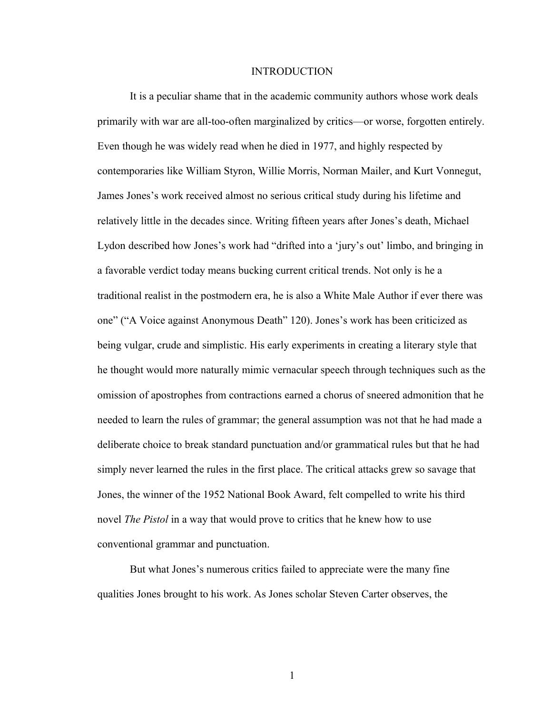#### INTRODUCTION

It is a peculiar shame that in the academic community authors whose work deals primarily with war are all-too-often marginalized by critics—or worse, forgotten entirely. Even though he was widely read when he died in 1977, and highly respected by contemporaries like William Styron, Willie Morris, Norman Mailer, and Kurt Vonnegut, James Jones's work received almost no serious critical study during his lifetime and relatively little in the decades since. Writing fifteen years after Jones's death, Michael Lydon described how Jones's work had "drifted into a 'jury's out' limbo, and bringing in a favorable verdict today means bucking current critical trends. Not only is he a traditional realist in the postmodern era, he is also a White Male Author if ever there was one" ("A Voice against Anonymous Death" 120). Jones's work has been criticized as being vulgar, crude and simplistic. His early experiments in creating a literary style that he thought would more naturally mimic vernacular speech through techniques such as the omission of apostrophes from contractions earned a chorus of sneered admonition that he needed to learn the rules of grammar; the general assumption was not that he had made a deliberate choice to break standard punctuation and/or grammatical rules but that he had simply never learned the rules in the first place. The critical attacks grew so savage that Jones, the winner of the 1952 National Book Award, felt compelled to write his third novel *The Pistol* in a way that would prove to critics that he knew how to use conventional grammar and punctuation.

But what Jones's numerous critics failed to appreciate were the many fine qualities Jones brought to his work. As Jones scholar Steven Carter observes, the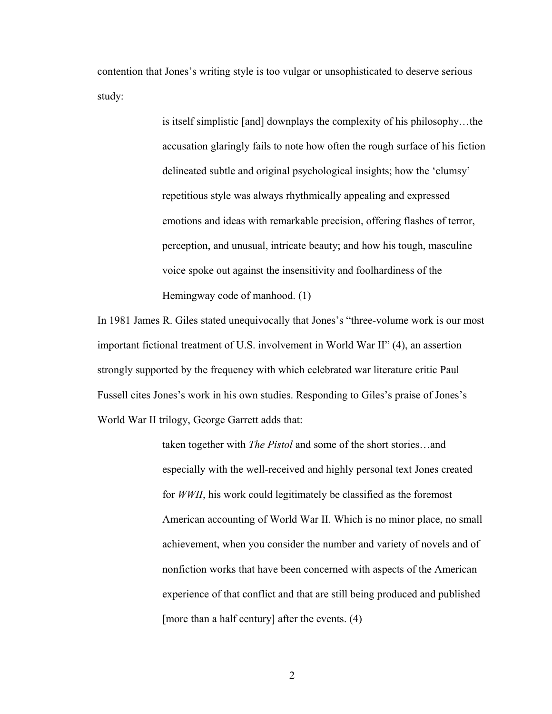contention that Jones's writing style is too vulgar or unsophisticated to deserve serious study:

> is itself simplistic [and] downplays the complexity of his philosophy…the accusation glaringly fails to note how often the rough surface of his fiction delineated subtle and original psychological insights; how the 'clumsy' repetitious style was always rhythmically appealing and expressed emotions and ideas with remarkable precision, offering flashes of terror, perception, and unusual, intricate beauty; and how his tough, masculine voice spoke out against the insensitivity and foolhardiness of the Hemingway code of manhood. (1)

In 1981 James R. Giles stated unequivocally that Jones's "three-volume work is our most important fictional treatment of U.S. involvement in World War II" (4), an assertion strongly supported by the frequency with which celebrated war literature critic Paul Fussell cites Jones's work in his own studies. Responding to Giles's praise of Jones's World War II trilogy, George Garrett adds that:

> taken together with *The Pistol* and some of the short stories…and especially with the well-received and highly personal text Jones created for *WWII*, his work could legitimately be classified as the foremost American accounting of World War II. Which is no minor place, no small achievement, when you consider the number and variety of novels and of nonfiction works that have been concerned with aspects of the American experience of that conflict and that are still being produced and published [more than a half century] after the events. (4)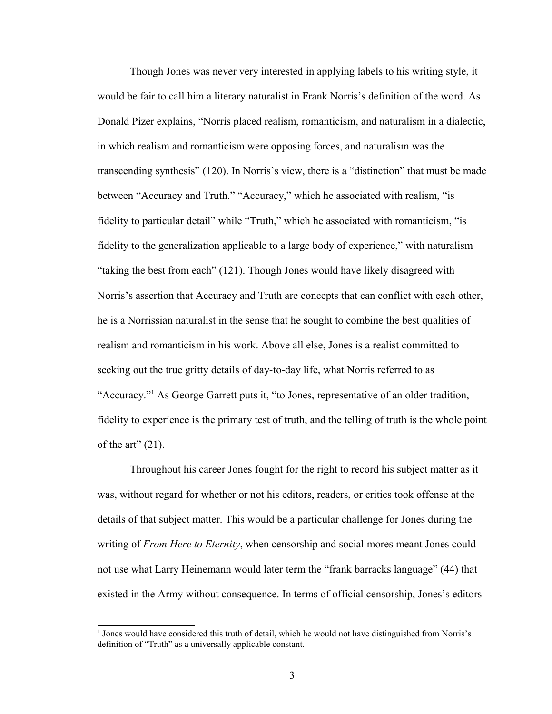Though Jones was never very interested in applying labels to his writing style, it would be fair to call him a literary naturalist in Frank Norris's definition of the word. As Donald Pizer explains, "Norris placed realism, romanticism, and naturalism in a dialectic, in which realism and romanticism were opposing forces, and naturalism was the transcending synthesis" (120). In Norris's view, there is a "distinction" that must be made between "Accuracy and Truth." "Accuracy," which he associated with realism, "is fidelity to particular detail" while "Truth," which he associated with romanticism, "is fidelity to the generalization applicable to a large body of experience," with naturalism "taking the best from each" (121). Though Jones would have likely disagreed with Norris's assertion that Accuracy and Truth are concepts that can conflict with each other, he is a Norrissian naturalist in the sense that he sought to combine the best qualities of realism and romanticism in his work. Above all else, Jones is a realist committed to seeking out the true gritty details of day-to-day life, what Norris referred to as "Accuracy."[1](#page-10-0) As George Garrett puts it, "to Jones, representative of an older tradition, fidelity to experience is the primary test of truth, and the telling of truth is the whole point of the art"  $(21)$ .

Throughout his career Jones fought for the right to record his subject matter as it was, without regard for whether or not his editors, readers, or critics took offense at the details of that subject matter. This would be a particular challenge for Jones during the writing of *From Here to Eternity*, when censorship and social mores meant Jones could not use what Larry Heinemann would later term the "frank barracks language" (44) that existed in the Army without consequence. In terms of official censorship, Jones's editors

<span id="page-10-0"></span><sup>&</sup>lt;sup>1</sup> Jones would have considered this truth of detail, which he would not have distinguished from Norris's definition of "Truth" as a universally applicable constant.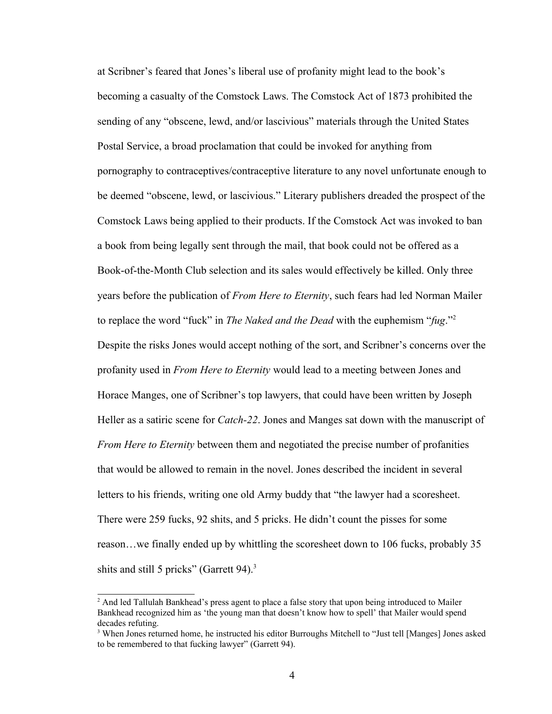at Scribner's feared that Jones's liberal use of profanity might lead to the book's becoming a casualty of the Comstock Laws. The Comstock Act of 1873 prohibited the sending of any "obscene, lewd, and/or lascivious" materials through the United States Postal Service, a broad proclamation that could be invoked for anything from pornography to contraceptives/contraceptive literature to any novel unfortunate enough to be deemed "obscene, lewd, or lascivious." Literary publishers dreaded the prospect of the Comstock Laws being applied to their products. If the Comstock Act was invoked to ban a book from being legally sent through the mail, that book could not be offered as a Book-of-the-Month Club selection and its sales would effectively be killed. Only three years before the publication of *From Here to Eternity*, such fears had led Norman Mailer to replace the word "fuck" in *The Naked and the Dead* with the euphemism "*fug*."[2](#page-11-0) Despite the risks Jones would accept nothing of the sort, and Scribner's concerns over the profanity used in *From Here to Eternity* would lead to a meeting between Jones and Horace Manges, one of Scribner's top lawyers, that could have been written by Joseph Heller as a satiric scene for *Catch-22*. Jones and Manges sat down with the manuscript of *From Here to Eternity* between them and negotiated the precise number of profanities that would be allowed to remain in the novel. Jones described the incident in several letters to his friends, writing one old Army buddy that "the lawyer had a scoresheet. There were 259 fucks, 92 shits, and 5 pricks. He didn't count the pisses for some reason…we finally ended up by whittling the scoresheet down to 106 fucks, probably 35 shits and still 5 pricks" (Garrett 94). $3$ 

<span id="page-11-0"></span><sup>&</sup>lt;sup>2</sup> And led Tallulah Bankhead's press agent to place a false story that upon being introduced to Mailer Bankhead recognized him as 'the young man that doesn't know how to spell' that Mailer would spend decades refuting.

<span id="page-11-1"></span><sup>&</sup>lt;sup>3</sup> When Jones returned home, he instructed his editor Burroughs Mitchell to "Just tell [Manges] Jones asked to be remembered to that fucking lawyer" (Garrett 94).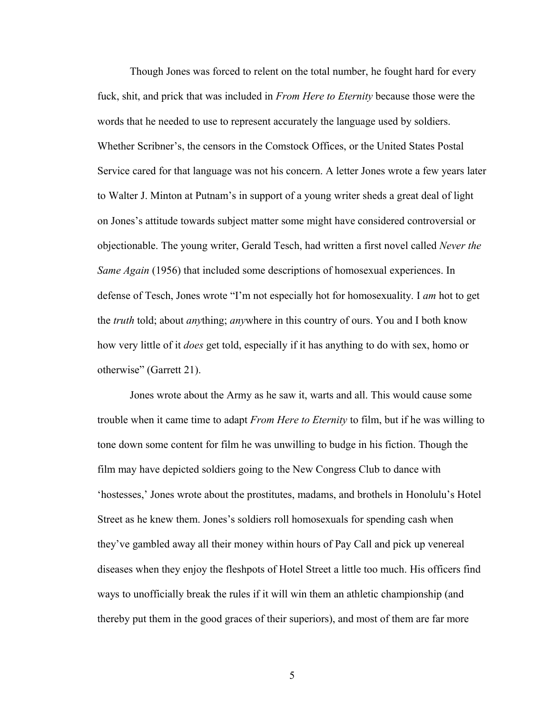Though Jones was forced to relent on the total number, he fought hard for every fuck, shit, and prick that was included in *From Here to Eternity* because those were the words that he needed to use to represent accurately the language used by soldiers. Whether Scribner's, the censors in the Comstock Offices, or the United States Postal Service cared for that language was not his concern. A letter Jones wrote a few years later to Walter J. Minton at Putnam's in support of a young writer sheds a great deal of light on Jones's attitude towards subject matter some might have considered controversial or objectionable. The young writer, Gerald Tesch, had written a first novel called *Never the Same Again* (1956) that included some descriptions of homosexual experiences. In defense of Tesch, Jones wrote "I'm not especially hot for homosexuality. I *am* hot to get the *truth* told; about *any*thing; *any*where in this country of ours. You and I both know how very little of it *does* get told, especially if it has anything to do with sex, homo or otherwise" (Garrett 21).

Jones wrote about the Army as he saw it, warts and all. This would cause some trouble when it came time to adapt *From Here to Eternity* to film, but if he was willing to tone down some content for film he was unwilling to budge in his fiction. Though the film may have depicted soldiers going to the New Congress Club to dance with 'hostesses,' Jones wrote about the prostitutes, madams, and brothels in Honolulu's Hotel Street as he knew them. Jones's soldiers roll homosexuals for spending cash when they've gambled away all their money within hours of Pay Call and pick up venereal diseases when they enjoy the fleshpots of Hotel Street a little too much. His officers find ways to unofficially break the rules if it will win them an athletic championship (and thereby put them in the good graces of their superiors), and most of them are far more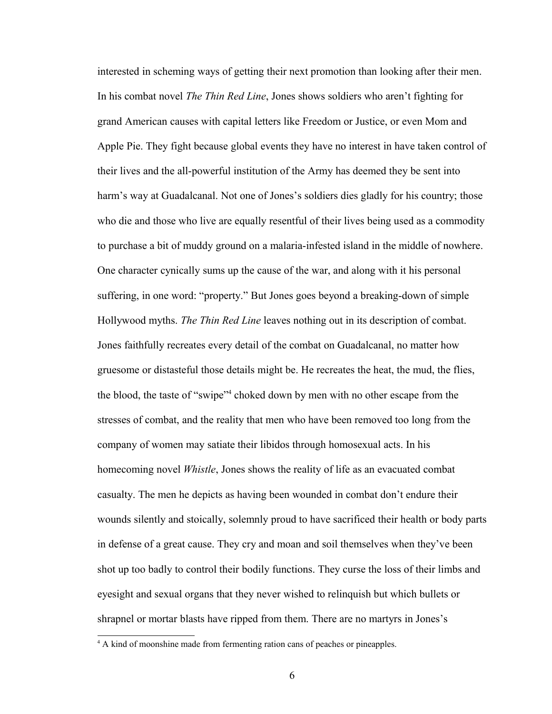interested in scheming ways of getting their next promotion than looking after their men. In his combat novel *The Thin Red Line*, Jones shows soldiers who aren't fighting for grand American causes with capital letters like Freedom or Justice, or even Mom and Apple Pie. They fight because global events they have no interest in have taken control of their lives and the all-powerful institution of the Army has deemed they be sent into harm's way at Guadalcanal. Not one of Jones's soldiers dies gladly for his country; those who die and those who live are equally resentful of their lives being used as a commodity to purchase a bit of muddy ground on a malaria-infested island in the middle of nowhere. One character cynically sums up the cause of the war, and along with it his personal suffering, in one word: "property." But Jones goes beyond a breaking-down of simple Hollywood myths. *The Thin Red Line* leaves nothing out in its description of combat. Jones faithfully recreates every detail of the combat on Guadalcanal, no matter how gruesome or distasteful those details might be. He recreates the heat, the mud, the flies, the blood, the taste of "swipe"<sup>[4](#page-13-0)</sup> choked down by men with no other escape from the stresses of combat, and the reality that men who have been removed too long from the company of women may satiate their libidos through homosexual acts. In his homecoming novel *Whistle*, Jones shows the reality of life as an evacuated combat casualty. The men he depicts as having been wounded in combat don't endure their wounds silently and stoically, solemnly proud to have sacrificed their health or body parts in defense of a great cause. They cry and moan and soil themselves when they've been shot up too badly to control their bodily functions. They curse the loss of their limbs and eyesight and sexual organs that they never wished to relinquish but which bullets or shrapnel or mortar blasts have ripped from them. There are no martyrs in Jones's

<span id="page-13-0"></span><sup>&</sup>lt;sup>4</sup> A kind of moonshine made from fermenting ration cans of peaches or pineapples.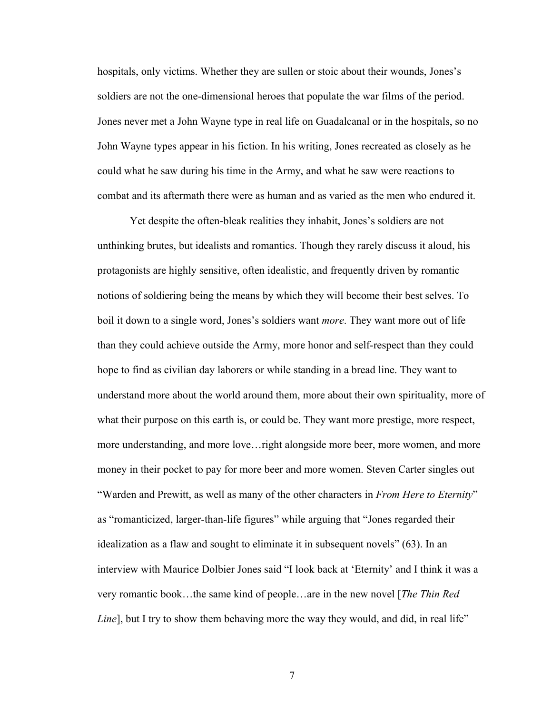hospitals, only victims. Whether they are sullen or stoic about their wounds, Jones's soldiers are not the one-dimensional heroes that populate the war films of the period. Jones never met a John Wayne type in real life on Guadalcanal or in the hospitals, so no John Wayne types appear in his fiction. In his writing, Jones recreated as closely as he could what he saw during his time in the Army, and what he saw were reactions to combat and its aftermath there were as human and as varied as the men who endured it.

Yet despite the often-bleak realities they inhabit, Jones's soldiers are not unthinking brutes, but idealists and romantics. Though they rarely discuss it aloud, his protagonists are highly sensitive, often idealistic, and frequently driven by romantic notions of soldiering being the means by which they will become their best selves. To boil it down to a single word, Jones's soldiers want *more*. They want more out of life than they could achieve outside the Army, more honor and self-respect than they could hope to find as civilian day laborers or while standing in a bread line. They want to understand more about the world around them, more about their own spirituality, more of what their purpose on this earth is, or could be. They want more prestige, more respect, more understanding, and more love…right alongside more beer, more women, and more money in their pocket to pay for more beer and more women. Steven Carter singles out "Warden and Prewitt, as well as many of the other characters in *From Here to Eternity*" as "romanticized, larger-than-life figures" while arguing that "Jones regarded their idealization as a flaw and sought to eliminate it in subsequent novels" (63). In an interview with Maurice Dolbier Jones said "I look back at 'Eternity' and I think it was a very romantic book…the same kind of people…are in the new novel [*The Thin Red Line*], but I try to show them behaving more the way they would, and did, in real life"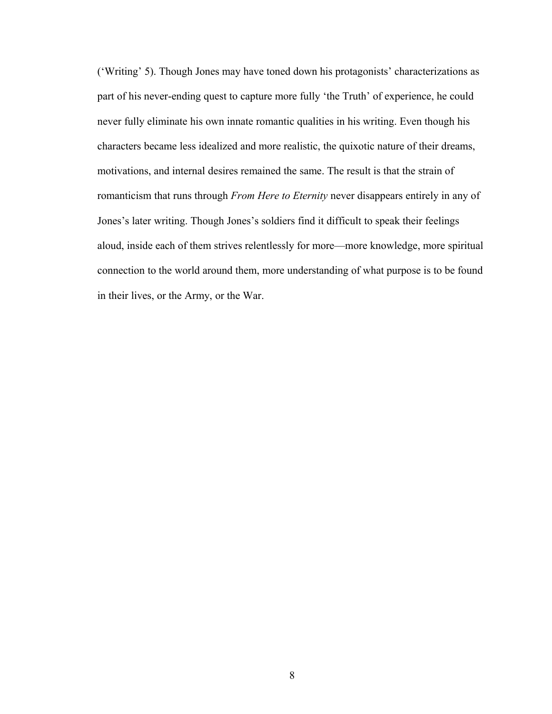('Writing' 5). Though Jones may have toned down his protagonists' characterizations as part of his never-ending quest to capture more fully 'the Truth' of experience, he could never fully eliminate his own innate romantic qualities in his writing. Even though his characters became less idealized and more realistic, the quixotic nature of their dreams, motivations, and internal desires remained the same. The result is that the strain of romanticism that runs through *From Here to Eternity* never disappears entirely in any of Jones's later writing. Though Jones's soldiers find it difficult to speak their feelings aloud, inside each of them strives relentlessly for more—more knowledge, more spiritual connection to the world around them, more understanding of what purpose is to be found in their lives, or the Army, or the War.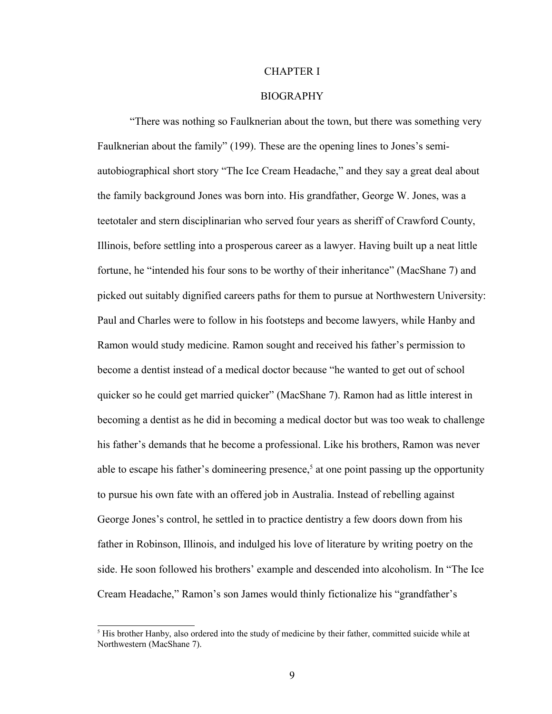#### CHAPTER I

#### BIOGRAPHY

"There was nothing so Faulknerian about the town, but there was something very Faulknerian about the family" (199). These are the opening lines to Jones's semiautobiographical short story "The Ice Cream Headache," and they say a great deal about the family background Jones was born into. His grandfather, George W. Jones, was a teetotaler and stern disciplinarian who served four years as sheriff of Crawford County, Illinois, before settling into a prosperous career as a lawyer. Having built up a neat little fortune, he "intended his four sons to be worthy of their inheritance" (MacShane 7) and picked out suitably dignified careers paths for them to pursue at Northwestern University: Paul and Charles were to follow in his footsteps and become lawyers, while Hanby and Ramon would study medicine. Ramon sought and received his father's permission to become a dentist instead of a medical doctor because "he wanted to get out of school quicker so he could get married quicker" (MacShane 7). Ramon had as little interest in becoming a dentist as he did in becoming a medical doctor but was too weak to challenge his father's demands that he become a professional. Like his brothers, Ramon was never able to escape his father's domineering presence,<sup>[5](#page-16-0)</sup> at one point passing up the opportunity to pursue his own fate with an offered job in Australia. Instead of rebelling against George Jones's control, he settled in to practice dentistry a few doors down from his father in Robinson, Illinois, and indulged his love of literature by writing poetry on the side. He soon followed his brothers' example and descended into alcoholism. In "The Ice Cream Headache," Ramon's son James would thinly fictionalize his "grandfather's

<span id="page-16-0"></span> $<sup>5</sup>$  His brother Hanby, also ordered into the study of medicine by their father, committed suicide while at</sup> Northwestern (MacShane 7).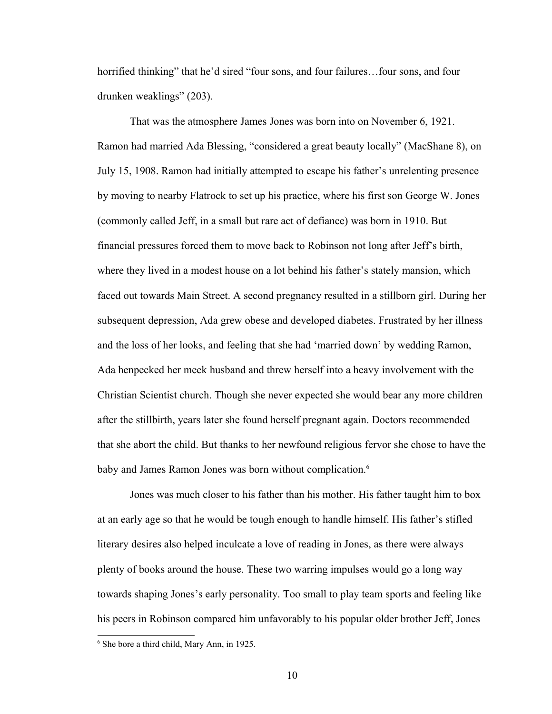horrified thinking" that he'd sired "four sons, and four failures...four sons, and four drunken weaklings" (203).

That was the atmosphere James Jones was born into on November 6, 1921. Ramon had married Ada Blessing, "considered a great beauty locally" (MacShane 8), on July 15, 1908. Ramon had initially attempted to escape his father's unrelenting presence by moving to nearby Flatrock to set up his practice, where his first son George W. Jones (commonly called Jeff, in a small but rare act of defiance) was born in 1910. But financial pressures forced them to move back to Robinson not long after Jeff's birth, where they lived in a modest house on a lot behind his father's stately mansion, which faced out towards Main Street. A second pregnancy resulted in a stillborn girl. During her subsequent depression, Ada grew obese and developed diabetes. Frustrated by her illness and the loss of her looks, and feeling that she had 'married down' by wedding Ramon, Ada henpecked her meek husband and threw herself into a heavy involvement with the Christian Scientist church. Though she never expected she would bear any more children after the stillbirth, years later she found herself pregnant again. Doctors recommended that she abort the child. But thanks to her newfound religious fervor she chose to have the baby and James Ramon Jones was born without complication.<sup>[6](#page-17-0)</sup>

Jones was much closer to his father than his mother. His father taught him to box at an early age so that he would be tough enough to handle himself. His father's stifled literary desires also helped inculcate a love of reading in Jones, as there were always plenty of books around the house. These two warring impulses would go a long way towards shaping Jones's early personality. Too small to play team sports and feeling like his peers in Robinson compared him unfavorably to his popular older brother Jeff, Jones

<span id="page-17-0"></span><sup>6</sup> She bore a third child, Mary Ann, in 1925.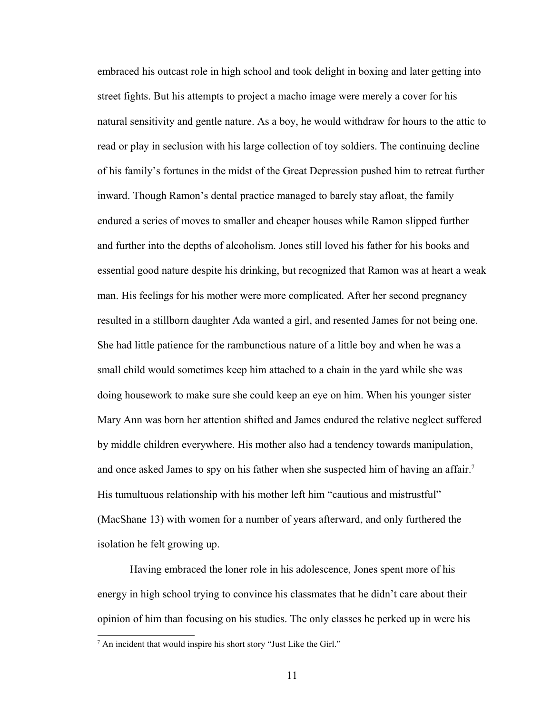embraced his outcast role in high school and took delight in boxing and later getting into street fights. But his attempts to project a macho image were merely a cover for his natural sensitivity and gentle nature. As a boy, he would withdraw for hours to the attic to read or play in seclusion with his large collection of toy soldiers. The continuing decline of his family's fortunes in the midst of the Great Depression pushed him to retreat further inward. Though Ramon's dental practice managed to barely stay afloat, the family endured a series of moves to smaller and cheaper houses while Ramon slipped further and further into the depths of alcoholism. Jones still loved his father for his books and essential good nature despite his drinking, but recognized that Ramon was at heart a weak man. His feelings for his mother were more complicated. After her second pregnancy resulted in a stillborn daughter Ada wanted a girl, and resented James for not being one. She had little patience for the rambunctious nature of a little boy and when he was a small child would sometimes keep him attached to a chain in the yard while she was doing housework to make sure she could keep an eye on him. When his younger sister Mary Ann was born her attention shifted and James endured the relative neglect suffered by middle children everywhere. His mother also had a tendency towards manipulation, and once asked James to spy on his father when she suspected him of having an affair.<sup>[7](#page-18-0)</sup> His tumultuous relationship with his mother left him "cautious and mistrustful" (MacShane 13) with women for a number of years afterward, and only furthered the isolation he felt growing up.

Having embraced the loner role in his adolescence, Jones spent more of his energy in high school trying to convince his classmates that he didn't care about their opinion of him than focusing on his studies. The only classes he perked up in were his

<span id="page-18-0"></span><sup>&</sup>lt;sup>7</sup> An incident that would inspire his short story "Just Like the Girl."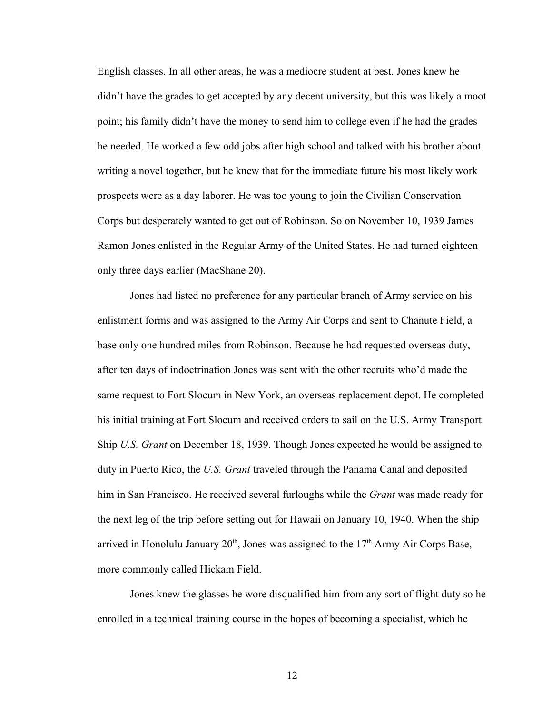English classes. In all other areas, he was a mediocre student at best. Jones knew he didn't have the grades to get accepted by any decent university, but this was likely a moot point; his family didn't have the money to send him to college even if he had the grades he needed. He worked a few odd jobs after high school and talked with his brother about writing a novel together, but he knew that for the immediate future his most likely work prospects were as a day laborer. He was too young to join the Civilian Conservation Corps but desperately wanted to get out of Robinson. So on November 10, 1939 James Ramon Jones enlisted in the Regular Army of the United States. He had turned eighteen only three days earlier (MacShane 20).

Jones had listed no preference for any particular branch of Army service on his enlistment forms and was assigned to the Army Air Corps and sent to Chanute Field, a base only one hundred miles from Robinson. Because he had requested overseas duty, after ten days of indoctrination Jones was sent with the other recruits who'd made the same request to Fort Slocum in New York, an overseas replacement depot. He completed his initial training at Fort Slocum and received orders to sail on the U.S. Army Transport Ship *U.S. Grant* on December 18, 1939. Though Jones expected he would be assigned to duty in Puerto Rico, the *U.S. Grant* traveled through the Panama Canal and deposited him in San Francisco. He received several furloughs while the *Grant* was made ready for the next leg of the trip before setting out for Hawaii on January 10, 1940. When the ship arrived in Honolulu January  $20<sup>th</sup>$ , Jones was assigned to the  $17<sup>th</sup>$  Army Air Corps Base, more commonly called Hickam Field.

Jones knew the glasses he wore disqualified him from any sort of flight duty so he enrolled in a technical training course in the hopes of becoming a specialist, which he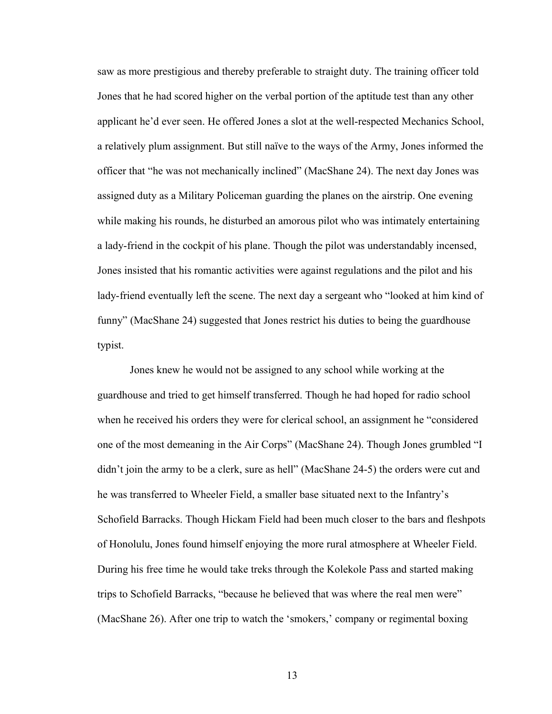saw as more prestigious and thereby preferable to straight duty. The training officer told Jones that he had scored higher on the verbal portion of the aptitude test than any other applicant he'd ever seen. He offered Jones a slot at the well-respected Mechanics School, a relatively plum assignment. But still naïve to the ways of the Army, Jones informed the officer that "he was not mechanically inclined" (MacShane 24). The next day Jones was assigned duty as a Military Policeman guarding the planes on the airstrip. One evening while making his rounds, he disturbed an amorous pilot who was intimately entertaining a lady-friend in the cockpit of his plane. Though the pilot was understandably incensed, Jones insisted that his romantic activities were against regulations and the pilot and his lady-friend eventually left the scene. The next day a sergeant who "looked at him kind of funny" (MacShane 24) suggested that Jones restrict his duties to being the guardhouse typist.

Jones knew he would not be assigned to any school while working at the guardhouse and tried to get himself transferred. Though he had hoped for radio school when he received his orders they were for clerical school, an assignment he "considered one of the most demeaning in the Air Corps" (MacShane 24). Though Jones grumbled "I didn't join the army to be a clerk, sure as hell" (MacShane 24-5) the orders were cut and he was transferred to Wheeler Field, a smaller base situated next to the Infantry's Schofield Barracks. Though Hickam Field had been much closer to the bars and fleshpots of Honolulu, Jones found himself enjoying the more rural atmosphere at Wheeler Field. During his free time he would take treks through the Kolekole Pass and started making trips to Schofield Barracks, "because he believed that was where the real men were" (MacShane 26). After one trip to watch the 'smokers,' company or regimental boxing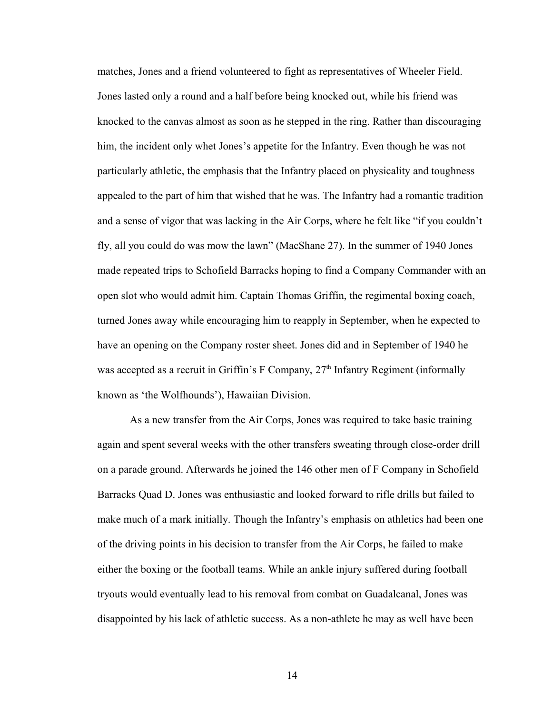matches, Jones and a friend volunteered to fight as representatives of Wheeler Field. Jones lasted only a round and a half before being knocked out, while his friend was knocked to the canvas almost as soon as he stepped in the ring. Rather than discouraging him, the incident only whet Jones's appetite for the Infantry. Even though he was not particularly athletic, the emphasis that the Infantry placed on physicality and toughness appealed to the part of him that wished that he was. The Infantry had a romantic tradition and a sense of vigor that was lacking in the Air Corps, where he felt like "if you couldn't fly, all you could do was mow the lawn" (MacShane 27). In the summer of 1940 Jones made repeated trips to Schofield Barracks hoping to find a Company Commander with an open slot who would admit him. Captain Thomas Griffin, the regimental boxing coach, turned Jones away while encouraging him to reapply in September, when he expected to have an opening on the Company roster sheet. Jones did and in September of 1940 he was accepted as a recruit in Griffin's F Company,  $27<sup>th</sup>$  Infantry Regiment (informally known as 'the Wolfhounds'), Hawaiian Division.

As a new transfer from the Air Corps, Jones was required to take basic training again and spent several weeks with the other transfers sweating through close-order drill on a parade ground. Afterwards he joined the 146 other men of F Company in Schofield Barracks Quad D. Jones was enthusiastic and looked forward to rifle drills but failed to make much of a mark initially. Though the Infantry's emphasis on athletics had been one of the driving points in his decision to transfer from the Air Corps, he failed to make either the boxing or the football teams. While an ankle injury suffered during football tryouts would eventually lead to his removal from combat on Guadalcanal, Jones was disappointed by his lack of athletic success. As a non-athlete he may as well have been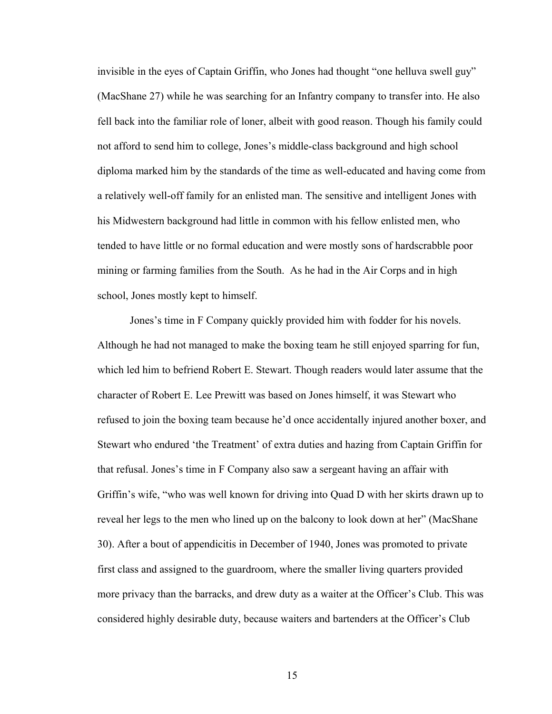invisible in the eyes of Captain Griffin, who Jones had thought "one helluva swell guy" (MacShane 27) while he was searching for an Infantry company to transfer into. He also fell back into the familiar role of loner, albeit with good reason. Though his family could not afford to send him to college, Jones's middle-class background and high school diploma marked him by the standards of the time as well-educated and having come from a relatively well-off family for an enlisted man. The sensitive and intelligent Jones with his Midwestern background had little in common with his fellow enlisted men, who tended to have little or no formal education and were mostly sons of hardscrabble poor mining or farming families from the South. As he had in the Air Corps and in high school, Jones mostly kept to himself.

Jones's time in F Company quickly provided him with fodder for his novels. Although he had not managed to make the boxing team he still enjoyed sparring for fun, which led him to befriend Robert E. Stewart. Though readers would later assume that the character of Robert E. Lee Prewitt was based on Jones himself, it was Stewart who refused to join the boxing team because he'd once accidentally injured another boxer, and Stewart who endured 'the Treatment' of extra duties and hazing from Captain Griffin for that refusal. Jones's time in F Company also saw a sergeant having an affair with Griffin's wife, "who was well known for driving into Quad D with her skirts drawn up to reveal her legs to the men who lined up on the balcony to look down at her" (MacShane 30). After a bout of appendicitis in December of 1940, Jones was promoted to private first class and assigned to the guardroom, where the smaller living quarters provided more privacy than the barracks, and drew duty as a waiter at the Officer's Club. This was considered highly desirable duty, because waiters and bartenders at the Officer's Club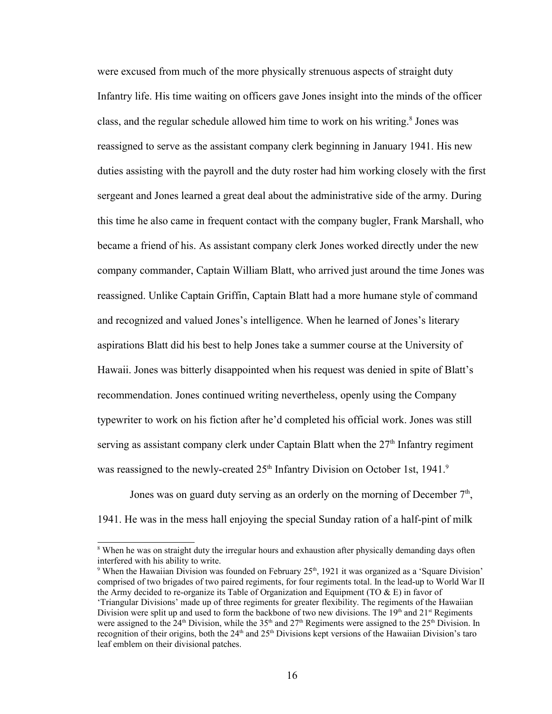were excused from much of the more physically strenuous aspects of straight duty Infantry life. His time waiting on officers gave Jones insight into the minds of the officer class, and the regular schedule allowed him time to work on his writing.<sup>[8](#page-23-0)</sup> Jones was reassigned to serve as the assistant company clerk beginning in January 1941. His new duties assisting with the payroll and the duty roster had him working closely with the first sergeant and Jones learned a great deal about the administrative side of the army. During this time he also came in frequent contact with the company bugler, Frank Marshall, who became a friend of his. As assistant company clerk Jones worked directly under the new company commander, Captain William Blatt, who arrived just around the time Jones was reassigned. Unlike Captain Griffin, Captain Blatt had a more humane style of command and recognized and valued Jones's intelligence. When he learned of Jones's literary aspirations Blatt did his best to help Jones take a summer course at the University of Hawaii. Jones was bitterly disappointed when his request was denied in spite of Blatt's recommendation. Jones continued writing nevertheless, openly using the Company typewriter to work on his fiction after he'd completed his official work. Jones was still serving as assistant company clerk under Captain Blatt when the  $27<sup>th</sup>$  Infantry regiment was reassigned to the newly-created  $25<sup>th</sup>$  Infantry Division on October 1st, 1[9](#page-23-1)41.<sup>9</sup>

Jones was on guard duty serving as an orderly on the morning of December  $7<sup>th</sup>$ , 1941. He was in the mess hall enjoying the special Sunday ration of a half-pint of milk

<span id="page-23-0"></span><sup>&</sup>lt;sup>8</sup> When he was on straight duty the irregular hours and exhaustion after physically demanding days often interfered with his ability to write.

<span id="page-23-1"></span>When the Hawaiian Division was founded on February  $25<sup>th</sup>$ , 1921 it was organized as a 'Square Division' comprised of two brigades of two paired regiments, for four regiments total. In the lead-up to World War II the Army decided to re-organize its Table of Organization and Equipment (TO  $\&$  E) in favor of 'Triangular Divisions' made up of three regiments for greater flexibility. The regiments of the Hawaiian Division were split up and used to form the backbone of two new divisions. The  $19<sup>th</sup>$  and  $21<sup>st</sup>$  Regiments were assigned to the  $24<sup>th</sup>$  Division, while the  $35<sup>th</sup>$  and  $27<sup>th</sup>$  Regiments were assigned to the  $25<sup>th</sup>$  Division. In recognition of their origins, both the 24<sup>th</sup> and 25<sup>th</sup> Divisions kept versions of the Hawaiian Division's taro leaf emblem on their divisional patches.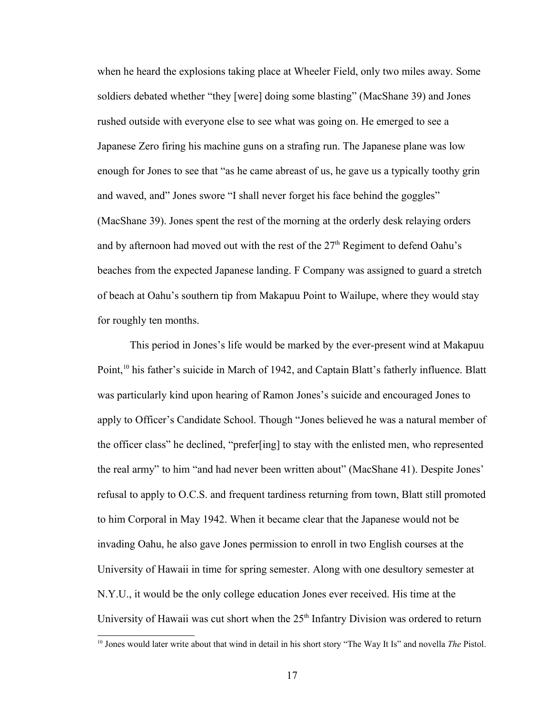when he heard the explosions taking place at Wheeler Field, only two miles away. Some soldiers debated whether "they [were] doing some blasting" (MacShane 39) and Jones rushed outside with everyone else to see what was going on. He emerged to see a Japanese Zero firing his machine guns on a strafing run. The Japanese plane was low enough for Jones to see that "as he came abreast of us, he gave us a typically toothy grin and waved, and" Jones swore "I shall never forget his face behind the goggles" (MacShane 39). Jones spent the rest of the morning at the orderly desk relaying orders and by afternoon had moved out with the rest of the  $27<sup>th</sup>$  Regiment to defend Oahu's beaches from the expected Japanese landing. F Company was assigned to guard a stretch of beach at Oahu's southern tip from Makapuu Point to Wailupe, where they would stay for roughly ten months.

This period in Jones's life would be marked by the ever-present wind at Makapuu Point,<sup>[10](#page-24-0)</sup> his father's suicide in March of 1942, and Captain Blatt's fatherly influence. Blatt was particularly kind upon hearing of Ramon Jones's suicide and encouraged Jones to apply to Officer's Candidate School. Though "Jones believed he was a natural member of the officer class" he declined, "prefer[ing] to stay with the enlisted men, who represented the real army" to him "and had never been written about" (MacShane 41). Despite Jones' refusal to apply to O.C.S. and frequent tardiness returning from town, Blatt still promoted to him Corporal in May 1942. When it became clear that the Japanese would not be invading Oahu, he also gave Jones permission to enroll in two English courses at the University of Hawaii in time for spring semester. Along with one desultory semester at N.Y.U., it would be the only college education Jones ever received. His time at the University of Hawaii was cut short when the 25<sup>th</sup> Infantry Division was ordered to return

<span id="page-24-0"></span><sup>10</sup> Jones would later write about that wind in detail in his short story "The Way It Is" and novella *The* Pistol.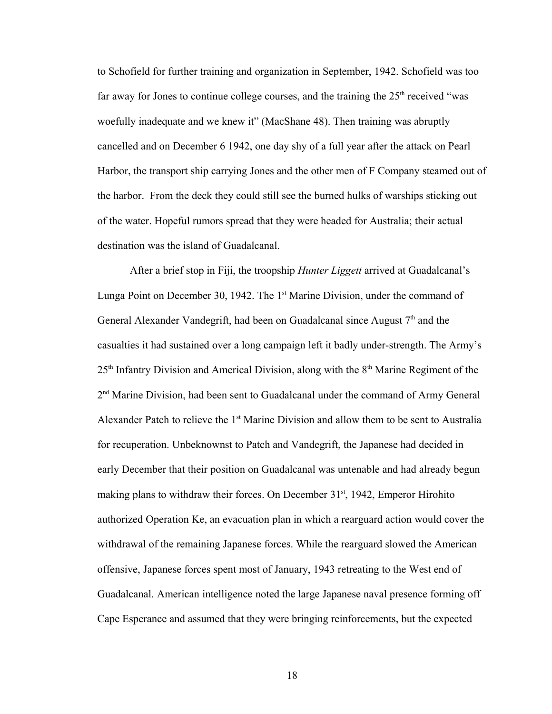to Schofield for further training and organization in September, 1942. Schofield was too far away for Jones to continue college courses, and the training the  $25<sup>th</sup>$  received "was woefully inadequate and we knew it" (MacShane 48). Then training was abruptly cancelled and on December 6 1942, one day shy of a full year after the attack on Pearl Harbor, the transport ship carrying Jones and the other men of F Company steamed out of the harbor. From the deck they could still see the burned hulks of warships sticking out of the water. Hopeful rumors spread that they were headed for Australia; their actual destination was the island of Guadalcanal.

After a brief stop in Fiji, the troopship *Hunter Liggett* arrived at Guadalcanal's Lunga Point on December 30, 1942. The 1<sup>st</sup> Marine Division, under the command of General Alexander Vandegrift, had been on Guadalcanal since August  $7<sup>th</sup>$  and the casualties it had sustained over a long campaign left it badly under-strength. The Army's  $25<sup>th</sup>$  Infantry Division and Americal Division, along with the  $8<sup>th</sup>$  Marine Regiment of the 2<sup>nd</sup> Marine Division, had been sent to Guadalcanal under the command of Army General Alexander Patch to relieve the  $1<sup>st</sup>$  Marine Division and allow them to be sent to Australia for recuperation. Unbeknownst to Patch and Vandegrift, the Japanese had decided in early December that their position on Guadalcanal was untenable and had already begun making plans to withdraw their forces. On December 31<sup>st</sup>, 1942, Emperor Hirohito authorized Operation Ke, an evacuation plan in which a rearguard action would cover the withdrawal of the remaining Japanese forces. While the rearguard slowed the American offensive, Japanese forces spent most of January, 1943 retreating to the West end of Guadalcanal. American intelligence noted the large Japanese naval presence forming off Cape Esperance and assumed that they were bringing reinforcements, but the expected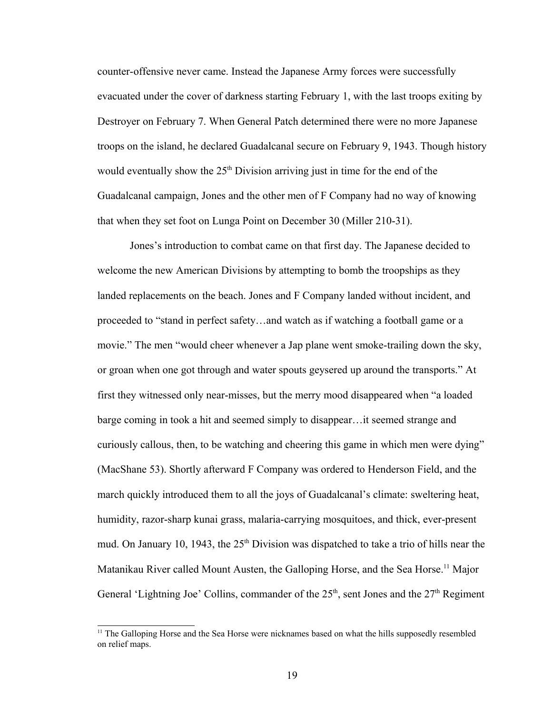counter-offensive never came. Instead the Japanese Army forces were successfully evacuated under the cover of darkness starting February 1, with the last troops exiting by Destroyer on February 7. When General Patch determined there were no more Japanese troops on the island, he declared Guadalcanal secure on February 9, 1943. Though history would eventually show the  $25<sup>th</sup>$  Division arriving just in time for the end of the Guadalcanal campaign, Jones and the other men of F Company had no way of knowing that when they set foot on Lunga Point on December 30 (Miller 210-31).

Jones's introduction to combat came on that first day. The Japanese decided to welcome the new American Divisions by attempting to bomb the troopships as they landed replacements on the beach. Jones and F Company landed without incident, and proceeded to "stand in perfect safety…and watch as if watching a football game or a movie." The men "would cheer whenever a Jap plane went smoke-trailing down the sky, or groan when one got through and water spouts geysered up around the transports." At first they witnessed only near-misses, but the merry mood disappeared when "a loaded barge coming in took a hit and seemed simply to disappear…it seemed strange and curiously callous, then, to be watching and cheering this game in which men were dying" (MacShane 53). Shortly afterward F Company was ordered to Henderson Field, and the march quickly introduced them to all the joys of Guadalcanal's climate: sweltering heat, humidity, razor-sharp kunai grass, malaria-carrying mosquitoes, and thick, ever-present mud. On January 10, 1943, the  $25<sup>th</sup>$  Division was dispatched to take a trio of hills near the Matanikau River called Mount Austen, the Galloping Horse, and the Sea Horse.<sup>[11](#page-26-0)</sup> Major General 'Lightning Joe' Collins, commander of the  $25<sup>th</sup>$ , sent Jones and the  $27<sup>th</sup>$  Regiment

<span id="page-26-0"></span><sup>&</sup>lt;sup>11</sup> The Galloping Horse and the Sea Horse were nicknames based on what the hills supposedly resembled on relief maps.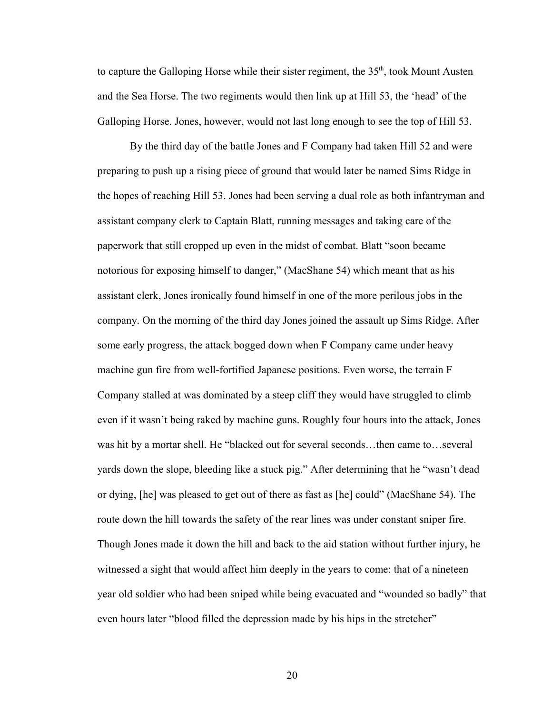to capture the Galloping Horse while their sister regiment, the  $35<sup>th</sup>$ , took Mount Austen and the Sea Horse. The two regiments would then link up at Hill 53, the 'head' of the Galloping Horse. Jones, however, would not last long enough to see the top of Hill 53.

By the third day of the battle Jones and F Company had taken Hill 52 and were preparing to push up a rising piece of ground that would later be named Sims Ridge in the hopes of reaching Hill 53. Jones had been serving a dual role as both infantryman and assistant company clerk to Captain Blatt, running messages and taking care of the paperwork that still cropped up even in the midst of combat. Blatt "soon became notorious for exposing himself to danger," (MacShane 54) which meant that as his assistant clerk, Jones ironically found himself in one of the more perilous jobs in the company. On the morning of the third day Jones joined the assault up Sims Ridge. After some early progress, the attack bogged down when F Company came under heavy machine gun fire from well-fortified Japanese positions. Even worse, the terrain F Company stalled at was dominated by a steep cliff they would have struggled to climb even if it wasn't being raked by machine guns. Roughly four hours into the attack, Jones was hit by a mortar shell. He "blacked out for several seconds…then came to…several yards down the slope, bleeding like a stuck pig." After determining that he "wasn't dead or dying, [he] was pleased to get out of there as fast as [he] could" (MacShane 54). The route down the hill towards the safety of the rear lines was under constant sniper fire. Though Jones made it down the hill and back to the aid station without further injury, he witnessed a sight that would affect him deeply in the years to come: that of a nineteen year old soldier who had been sniped while being evacuated and "wounded so badly" that even hours later "blood filled the depression made by his hips in the stretcher"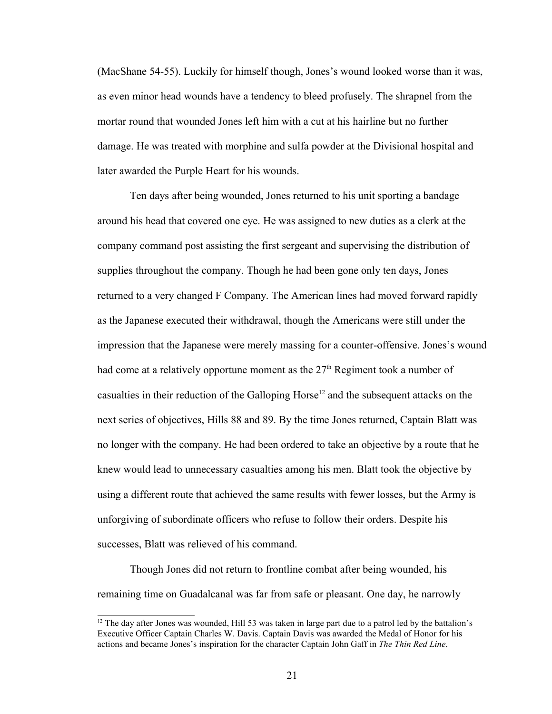(MacShane 54-55). Luckily for himself though, Jones's wound looked worse than it was, as even minor head wounds have a tendency to bleed profusely. The shrapnel from the mortar round that wounded Jones left him with a cut at his hairline but no further damage. He was treated with morphine and sulfa powder at the Divisional hospital and later awarded the Purple Heart for his wounds.

Ten days after being wounded, Jones returned to his unit sporting a bandage around his head that covered one eye. He was assigned to new duties as a clerk at the company command post assisting the first sergeant and supervising the distribution of supplies throughout the company. Though he had been gone only ten days, Jones returned to a very changed F Company. The American lines had moved forward rapidly as the Japanese executed their withdrawal, though the Americans were still under the impression that the Japanese were merely massing for a counter-offensive. Jones's wound had come at a relatively opportune moment as the  $27<sup>th</sup>$  Regiment took a number of casualties in their reduction of the Galloping Horse<sup>[12](#page-28-0)</sup> and the subsequent attacks on the next series of objectives, Hills 88 and 89. By the time Jones returned, Captain Blatt was no longer with the company. He had been ordered to take an objective by a route that he knew would lead to unnecessary casualties among his men. Blatt took the objective by using a different route that achieved the same results with fewer losses, but the Army is unforgiving of subordinate officers who refuse to follow their orders. Despite his successes, Blatt was relieved of his command.

Though Jones did not return to frontline combat after being wounded, his remaining time on Guadalcanal was far from safe or pleasant. One day, he narrowly

<span id="page-28-0"></span> $12$  The day after Jones was wounded, Hill 53 was taken in large part due to a patrol led by the battalion's Executive Officer Captain Charles W. Davis. Captain Davis was awarded the Medal of Honor for his actions and became Jones's inspiration for the character Captain John Gaff in *The Thin Red Line*.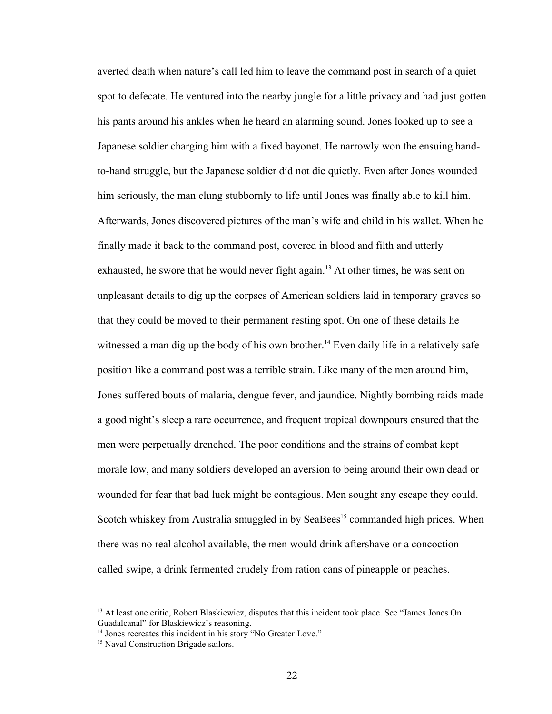averted death when nature's call led him to leave the command post in search of a quiet spot to defecate. He ventured into the nearby jungle for a little privacy and had just gotten his pants around his ankles when he heard an alarming sound. Jones looked up to see a Japanese soldier charging him with a fixed bayonet. He narrowly won the ensuing handto-hand struggle, but the Japanese soldier did not die quietly. Even after Jones wounded him seriously, the man clung stubbornly to life until Jones was finally able to kill him. Afterwards, Jones discovered pictures of the man's wife and child in his wallet. When he finally made it back to the command post, covered in blood and filth and utterly exhausted, he swore that he would never fight again.<sup>[13](#page-29-0)</sup> At other times, he was sent on unpleasant details to dig up the corpses of American soldiers laid in temporary graves so that they could be moved to their permanent resting spot. On one of these details he witnessed a man dig up the body of his own brother.<sup>[14](#page-29-1)</sup> Even daily life in a relatively safe position like a command post was a terrible strain. Like many of the men around him, Jones suffered bouts of malaria, dengue fever, and jaundice. Nightly bombing raids made a good night's sleep a rare occurrence, and frequent tropical downpours ensured that the men were perpetually drenched. The poor conditions and the strains of combat kept morale low, and many soldiers developed an aversion to being around their own dead or wounded for fear that bad luck might be contagious. Men sought any escape they could. Scotch whiskey from Australia smuggled in by SeaBees<sup>[15](#page-29-2)</sup> commanded high prices. When there was no real alcohol available, the men would drink aftershave or a concoction called swipe, a drink fermented crudely from ration cans of pineapple or peaches.

<span id="page-29-0"></span><sup>&</sup>lt;sup>13</sup> At least one critic, Robert Blaskiewicz, disputes that this incident took place. See "James Jones On Guadalcanal" for Blaskiewicz's reasoning.

<span id="page-29-1"></span><sup>&</sup>lt;sup>14</sup> Jones recreates this incident in his story "No Greater Love."

<span id="page-29-2"></span><sup>&</sup>lt;sup>15</sup> Naval Construction Brigade sailors.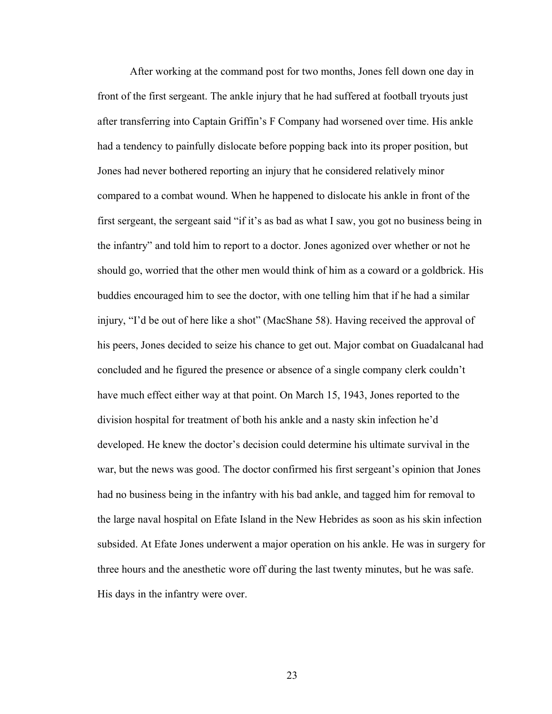After working at the command post for two months, Jones fell down one day in front of the first sergeant. The ankle injury that he had suffered at football tryouts just after transferring into Captain Griffin's F Company had worsened over time. His ankle had a tendency to painfully dislocate before popping back into its proper position, but Jones had never bothered reporting an injury that he considered relatively minor compared to a combat wound. When he happened to dislocate his ankle in front of the first sergeant, the sergeant said "if it's as bad as what I saw, you got no business being in the infantry" and told him to report to a doctor. Jones agonized over whether or not he should go, worried that the other men would think of him as a coward or a goldbrick. His buddies encouraged him to see the doctor, with one telling him that if he had a similar injury, "I'd be out of here like a shot" (MacShane 58). Having received the approval of his peers, Jones decided to seize his chance to get out. Major combat on Guadalcanal had concluded and he figured the presence or absence of a single company clerk couldn't have much effect either way at that point. On March 15, 1943, Jones reported to the division hospital for treatment of both his ankle and a nasty skin infection he'd developed. He knew the doctor's decision could determine his ultimate survival in the war, but the news was good. The doctor confirmed his first sergeant's opinion that Jones had no business being in the infantry with his bad ankle, and tagged him for removal to the large naval hospital on Efate Island in the New Hebrides as soon as his skin infection subsided. At Efate Jones underwent a major operation on his ankle. He was in surgery for three hours and the anesthetic wore off during the last twenty minutes, but he was safe. His days in the infantry were over.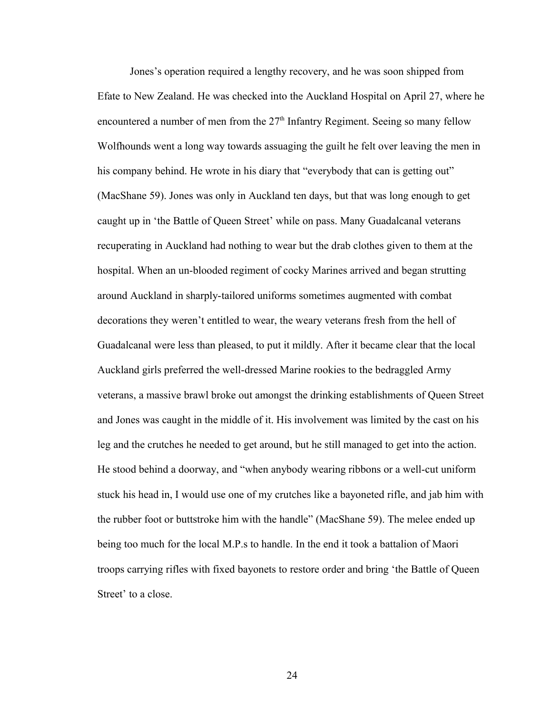Jones's operation required a lengthy recovery, and he was soon shipped from Efate to New Zealand. He was checked into the Auckland Hospital on April 27, where he encountered a number of men from the 27<sup>th</sup> Infantry Regiment. Seeing so many fellow Wolfhounds went a long way towards assuaging the guilt he felt over leaving the men in his company behind. He wrote in his diary that "everybody that can is getting out" (MacShane 59). Jones was only in Auckland ten days, but that was long enough to get caught up in 'the Battle of Queen Street' while on pass. Many Guadalcanal veterans recuperating in Auckland had nothing to wear but the drab clothes given to them at the hospital. When an un-blooded regiment of cocky Marines arrived and began strutting around Auckland in sharply-tailored uniforms sometimes augmented with combat decorations they weren't entitled to wear, the weary veterans fresh from the hell of Guadalcanal were less than pleased, to put it mildly. After it became clear that the local Auckland girls preferred the well-dressed Marine rookies to the bedraggled Army veterans, a massive brawl broke out amongst the drinking establishments of Queen Street and Jones was caught in the middle of it. His involvement was limited by the cast on his leg and the crutches he needed to get around, but he still managed to get into the action. He stood behind a doorway, and "when anybody wearing ribbons or a well-cut uniform stuck his head in, I would use one of my crutches like a bayoneted rifle, and jab him with the rubber foot or buttstroke him with the handle" (MacShane 59). The melee ended up being too much for the local M.P.s to handle. In the end it took a battalion of Maori troops carrying rifles with fixed bayonets to restore order and bring 'the Battle of Queen Street' to a close.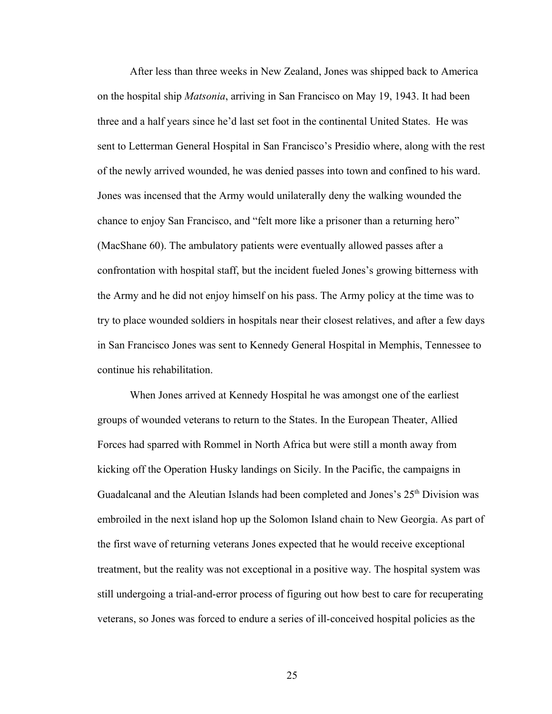After less than three weeks in New Zealand, Jones was shipped back to America on the hospital ship *Matsonia*, arriving in San Francisco on May 19, 1943. It had been three and a half years since he'd last set foot in the continental United States. He was sent to Letterman General Hospital in San Francisco's Presidio where, along with the rest of the newly arrived wounded, he was denied passes into town and confined to his ward. Jones was incensed that the Army would unilaterally deny the walking wounded the chance to enjoy San Francisco, and "felt more like a prisoner than a returning hero" (MacShane 60). The ambulatory patients were eventually allowed passes after a confrontation with hospital staff, but the incident fueled Jones's growing bitterness with the Army and he did not enjoy himself on his pass. The Army policy at the time was to try to place wounded soldiers in hospitals near their closest relatives, and after a few days in San Francisco Jones was sent to Kennedy General Hospital in Memphis, Tennessee to continue his rehabilitation.

When Jones arrived at Kennedy Hospital he was amongst one of the earliest groups of wounded veterans to return to the States. In the European Theater, Allied Forces had sparred with Rommel in North Africa but were still a month away from kicking off the Operation Husky landings on Sicily. In the Pacific, the campaigns in Guadalcanal and the Aleutian Islands had been completed and Jones's 25<sup>th</sup> Division was embroiled in the next island hop up the Solomon Island chain to New Georgia. As part of the first wave of returning veterans Jones expected that he would receive exceptional treatment, but the reality was not exceptional in a positive way. The hospital system was still undergoing a trial-and-error process of figuring out how best to care for recuperating veterans, so Jones was forced to endure a series of ill-conceived hospital policies as the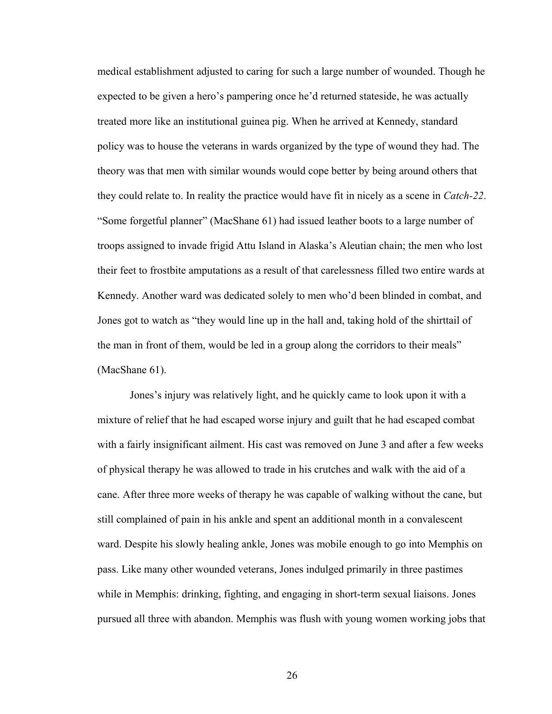medical establishment adjusted to caring for such a large number of wounded. Though he expected to be given a hero's pampering once he'd returned stateside, he was actually treated more like an institutional guinea pig. When he arrived at Kennedy, standard policy was to house the veterans in wards organized by the type of wound they had. The theory was that men with similar wounds would cope better by being around others that they could relate to. In reality the practice would have fit in nicely as a scene in *Catch-22*. "Some forgetful planner" (MacShane 61) had issued leather boots to a large number of troops assigned to invade frigid Attu Island in Alaska's Aleutian chain; the men who lost their feet to frostbite amputations as a result of that carelessness filled two entire wards at Kennedy. Another ward was dedicated solely to men who'd been blinded in combat, and Jones got to watch as "they would line up in the hall and, taking hold of the shirttail of the man in front of them, would be led in a group along the corridors to their meals" (MacShane 61).

Jones's injury was relatively light, and he quickly came to look upon it with a mixture of relief that he had escaped worse injury and guilt that he had escaped combat with a fairly insignificant ailment. His cast was removed on June 3 and after a few weeks of physical therapy he was allowed to trade in his crutches and walk with the aid of a cane. After three more weeks of therapy he was capable of walking without the cane, but still complained of pain in his ankle and spent an additional month in a convalescent ward. Despite his slowly healing ankle, Jones was mobile enough to go into Memphis on pass. Like many other wounded veterans, Jones indulged primarily in three pastimes while in Memphis: drinking, fighting, and engaging in short-term sexual liaisons. Jones pursued all three with abandon. Memphis was flush with young women working jobs that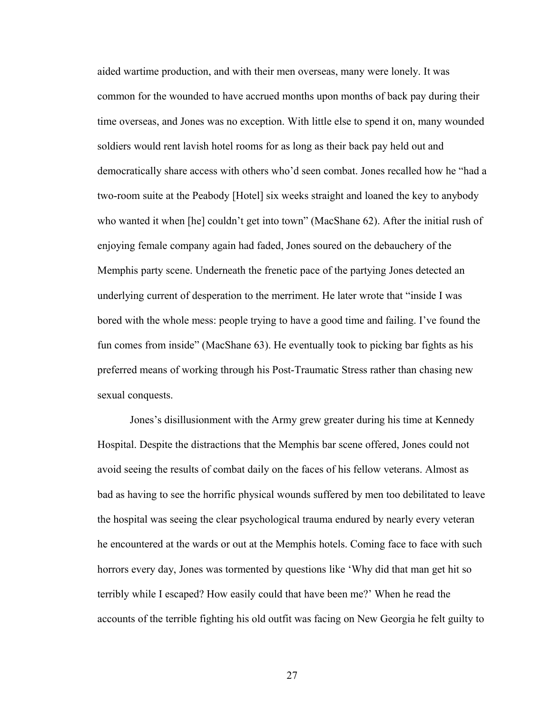aided wartime production, and with their men overseas, many were lonely. It was common for the wounded to have accrued months upon months of back pay during their time overseas, and Jones was no exception. With little else to spend it on, many wounded soldiers would rent lavish hotel rooms for as long as their back pay held out and democratically share access with others who'd seen combat. Jones recalled how he "had a two-room suite at the Peabody [Hotel] six weeks straight and loaned the key to anybody who wanted it when [he] couldn't get into town" (MacShane 62). After the initial rush of enjoying female company again had faded, Jones soured on the debauchery of the Memphis party scene. Underneath the frenetic pace of the partying Jones detected an underlying current of desperation to the merriment. He later wrote that "inside I was bored with the whole mess: people trying to have a good time and failing. I've found the fun comes from inside" (MacShane 63). He eventually took to picking bar fights as his preferred means of working through his Post-Traumatic Stress rather than chasing new sexual conquests.

Jones's disillusionment with the Army grew greater during his time at Kennedy Hospital. Despite the distractions that the Memphis bar scene offered, Jones could not avoid seeing the results of combat daily on the faces of his fellow veterans. Almost as bad as having to see the horrific physical wounds suffered by men too debilitated to leave the hospital was seeing the clear psychological trauma endured by nearly every veteran he encountered at the wards or out at the Memphis hotels. Coming face to face with such horrors every day, Jones was tormented by questions like 'Why did that man get hit so terribly while I escaped? How easily could that have been me?' When he read the accounts of the terrible fighting his old outfit was facing on New Georgia he felt guilty to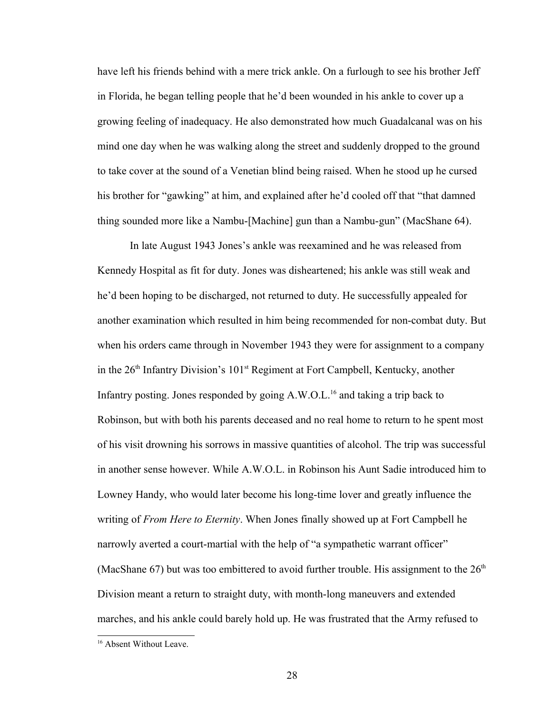have left his friends behind with a mere trick ankle. On a furlough to see his brother Jeff in Florida, he began telling people that he'd been wounded in his ankle to cover up a growing feeling of inadequacy. He also demonstrated how much Guadalcanal was on his mind one day when he was walking along the street and suddenly dropped to the ground to take cover at the sound of a Venetian blind being raised. When he stood up he cursed his brother for "gawking" at him, and explained after he'd cooled off that "that damned thing sounded more like a Nambu-[Machine] gun than a Nambu-gun" (MacShane 64).

In late August 1943 Jones's ankle was reexamined and he was released from Kennedy Hospital as fit for duty. Jones was disheartened; his ankle was still weak and he'd been hoping to be discharged, not returned to duty. He successfully appealed for another examination which resulted in him being recommended for non-combat duty. But when his orders came through in November 1943 they were for assignment to a company in the  $26<sup>th</sup>$  Infantry Division's 101<sup>st</sup> Regiment at Fort Campbell, Kentucky, another Infantry posting. Jones responded by going  $A.W.O.L.<sup>16</sup>$  $A.W.O.L.<sup>16</sup>$  $A.W.O.L.<sup>16</sup>$  and taking a trip back to Robinson, but with both his parents deceased and no real home to return to he spent most of his visit drowning his sorrows in massive quantities of alcohol. The trip was successful in another sense however. While A.W.O.L. in Robinson his Aunt Sadie introduced him to Lowney Handy, who would later become his long-time lover and greatly influence the writing of *From Here to Eternity*. When Jones finally showed up at Fort Campbell he narrowly averted a court-martial with the help of "a sympathetic warrant officer" (MacShane 67) but was too embittered to avoid further trouble. His assignment to the  $26<sup>th</sup>$ Division meant a return to straight duty, with month-long maneuvers and extended marches, and his ankle could barely hold up. He was frustrated that the Army refused to

<span id="page-35-0"></span><sup>&</sup>lt;sup>16</sup> Absent Without Leave.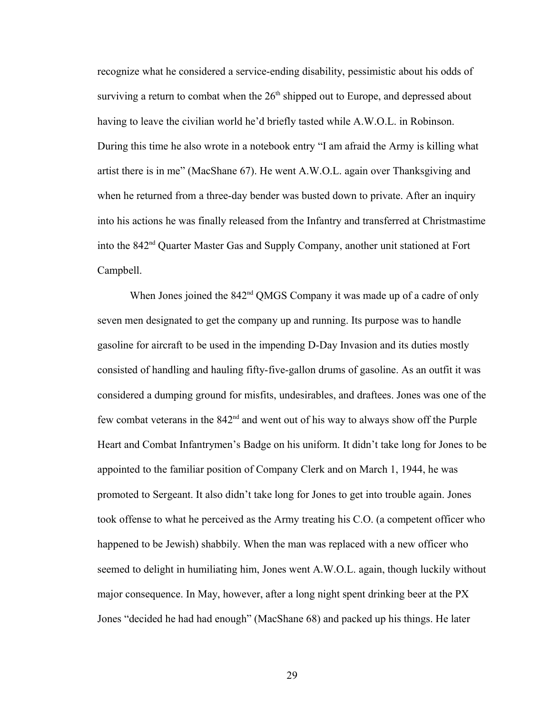recognize what he considered a service-ending disability, pessimistic about his odds of surviving a return to combat when the  $26<sup>th</sup>$  shipped out to Europe, and depressed about having to leave the civilian world he'd briefly tasted while A.W.O.L. in Robinson. During this time he also wrote in a notebook entry "I am afraid the Army is killing what artist there is in me" (MacShane 67). He went A.W.O.L. again over Thanksgiving and when he returned from a three-day bender was busted down to private. After an inquiry into his actions he was finally released from the Infantry and transferred at Christmastime into the 842nd Quarter Master Gas and Supply Company, another unit stationed at Fort Campbell.

When Jones joined the 842<sup>nd</sup> QMGS Company it was made up of a cadre of only seven men designated to get the company up and running. Its purpose was to handle gasoline for aircraft to be used in the impending D-Day Invasion and its duties mostly consisted of handling and hauling fifty-five-gallon drums of gasoline. As an outfit it was considered a dumping ground for misfits, undesirables, and draftees. Jones was one of the few combat veterans in the  $842<sup>nd</sup>$  and went out of his way to always show off the Purple Heart and Combat Infantrymen's Badge on his uniform. It didn't take long for Jones to be appointed to the familiar position of Company Clerk and on March 1, 1944, he was promoted to Sergeant. It also didn't take long for Jones to get into trouble again. Jones took offense to what he perceived as the Army treating his C.O. (a competent officer who happened to be Jewish) shabbily. When the man was replaced with a new officer who seemed to delight in humiliating him, Jones went A.W.O.L. again, though luckily without major consequence. In May, however, after a long night spent drinking beer at the PX Jones "decided he had had enough" (MacShane 68) and packed up his things. He later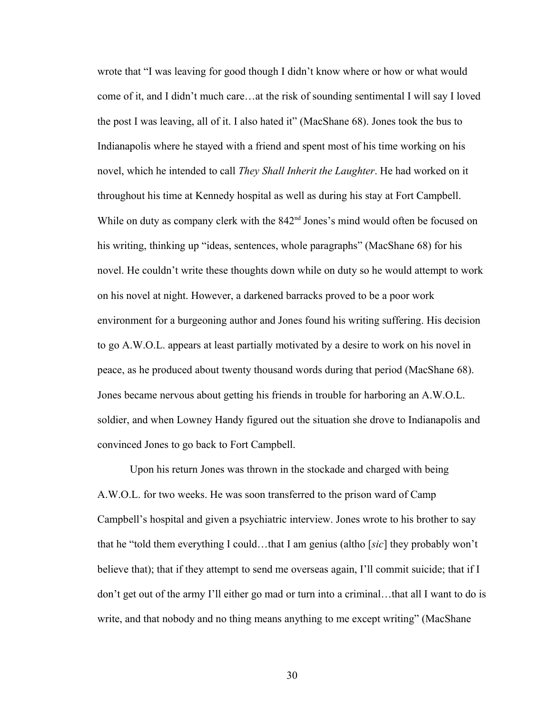wrote that "I was leaving for good though I didn't know where or how or what would come of it, and I didn't much care…at the risk of sounding sentimental I will say I loved the post I was leaving, all of it. I also hated it" (MacShane 68). Jones took the bus to Indianapolis where he stayed with a friend and spent most of his time working on his novel, which he intended to call *They Shall Inherit the Laughter*. He had worked on it throughout his time at Kennedy hospital as well as during his stay at Fort Campbell. While on duty as company clerk with the 842<sup>nd</sup> Jones's mind would often be focused on his writing, thinking up "ideas, sentences, whole paragraphs" (MacShane 68) for his novel. He couldn't write these thoughts down while on duty so he would attempt to work on his novel at night. However, a darkened barracks proved to be a poor work environment for a burgeoning author and Jones found his writing suffering. His decision to go A.W.O.L. appears at least partially motivated by a desire to work on his novel in peace, as he produced about twenty thousand words during that period (MacShane 68). Jones became nervous about getting his friends in trouble for harboring an A.W.O.L. soldier, and when Lowney Handy figured out the situation she drove to Indianapolis and convinced Jones to go back to Fort Campbell.

Upon his return Jones was thrown in the stockade and charged with being A.W.O.L. for two weeks. He was soon transferred to the prison ward of Camp Campbell's hospital and given a psychiatric interview. Jones wrote to his brother to say that he "told them everything I could…that I am genius (altho [*sic*] they probably won't believe that); that if they attempt to send me overseas again, I'll commit suicide; that if I don't get out of the army I'll either go mad or turn into a criminal…that all I want to do is write, and that nobody and no thing means anything to me except writing" (MacShane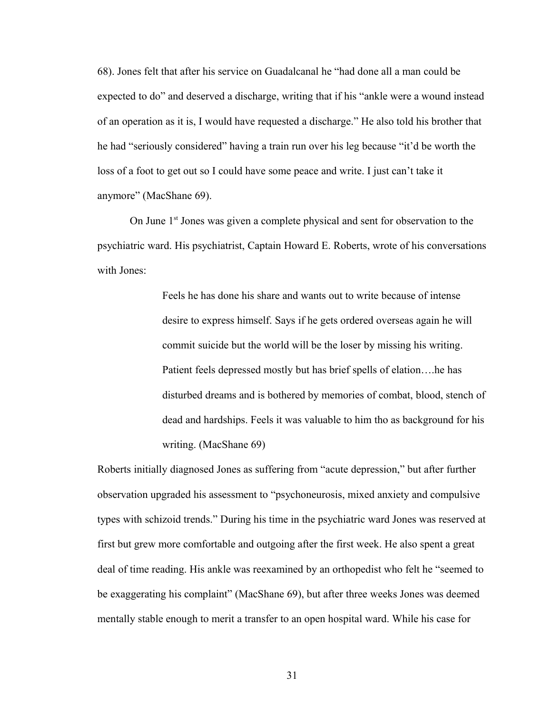68). Jones felt that after his service on Guadalcanal he "had done all a man could be expected to do" and deserved a discharge, writing that if his "ankle were a wound instead of an operation as it is, I would have requested a discharge." He also told his brother that he had "seriously considered" having a train run over his leg because "it'd be worth the loss of a foot to get out so I could have some peace and write. I just can't take it anymore" (MacShane 69).

On June 1<sup>st</sup> Jones was given a complete physical and sent for observation to the psychiatric ward. His psychiatrist, Captain Howard E. Roberts, wrote of his conversations with Jones:

> Feels he has done his share and wants out to write because of intense desire to express himself. Says if he gets ordered overseas again he will commit suicide but the world will be the loser by missing his writing. Patient feels depressed mostly but has brief spells of elation….he has disturbed dreams and is bothered by memories of combat, blood, stench of dead and hardships. Feels it was valuable to him tho as background for his writing. (MacShane 69)

Roberts initially diagnosed Jones as suffering from "acute depression," but after further observation upgraded his assessment to "psychoneurosis, mixed anxiety and compulsive types with schizoid trends." During his time in the psychiatric ward Jones was reserved at first but grew more comfortable and outgoing after the first week. He also spent a great deal of time reading. His ankle was reexamined by an orthopedist who felt he "seemed to be exaggerating his complaint" (MacShane 69), but after three weeks Jones was deemed mentally stable enough to merit a transfer to an open hospital ward. While his case for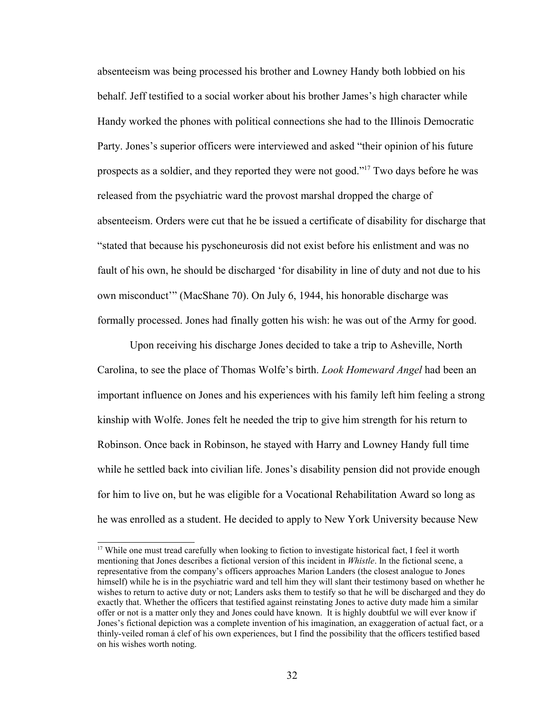absenteeism was being processed his brother and Lowney Handy both lobbied on his behalf. Jeff testified to a social worker about his brother James's high character while Handy worked the phones with political connections she had to the Illinois Democratic Party. Jones's superior officers were interviewed and asked "their opinion of his future prospects as a soldier, and they reported they were not good."[17](#page-39-0) Two days before he was released from the psychiatric ward the provost marshal dropped the charge of absenteeism. Orders were cut that he be issued a certificate of disability for discharge that "stated that because his pyschoneurosis did not exist before his enlistment and was no fault of his own, he should be discharged 'for disability in line of duty and not due to his own misconduct'" (MacShane 70). On July 6, 1944, his honorable discharge was formally processed. Jones had finally gotten his wish: he was out of the Army for good.

Upon receiving his discharge Jones decided to take a trip to Asheville, North Carolina, to see the place of Thomas Wolfe's birth. *Look Homeward Angel* had been an important influence on Jones and his experiences with his family left him feeling a strong kinship with Wolfe. Jones felt he needed the trip to give him strength for his return to Robinson. Once back in Robinson, he stayed with Harry and Lowney Handy full time while he settled back into civilian life. Jones's disability pension did not provide enough for him to live on, but he was eligible for a Vocational Rehabilitation Award so long as he was enrolled as a student. He decided to apply to New York University because New

<span id="page-39-0"></span><sup>&</sup>lt;sup>17</sup> While one must tread carefully when looking to fiction to investigate historical fact, I feel it worth mentioning that Jones describes a fictional version of this incident in *Whistle*. In the fictional scene, a representative from the company's officers approaches Marion Landers (the closest analogue to Jones himself) while he is in the psychiatric ward and tell him they will slant their testimony based on whether he wishes to return to active duty or not; Landers asks them to testify so that he will be discharged and they do exactly that. Whether the officers that testified against reinstating Jones to active duty made him a similar offer or not is a matter only they and Jones could have known. It is highly doubtful we will ever know if Jones's fictional depiction was a complete invention of his imagination, an exaggeration of actual fact, or a thinly-veiled roman á clef of his own experiences, but I find the possibility that the officers testified based on his wishes worth noting.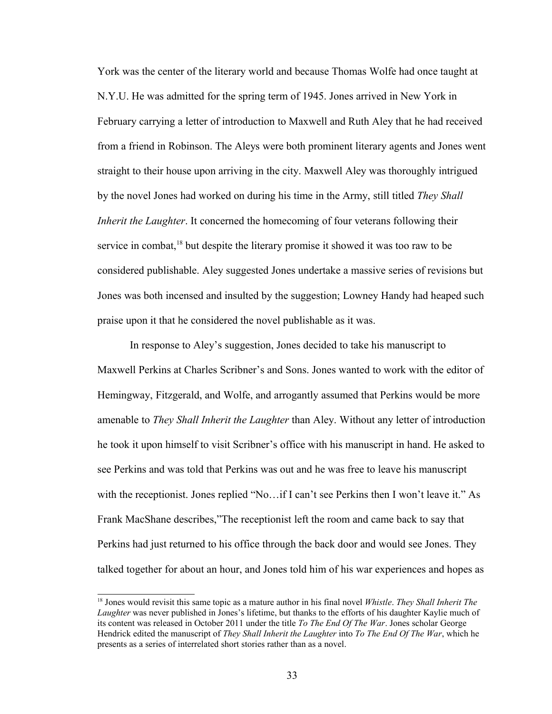York was the center of the literary world and because Thomas Wolfe had once taught at N.Y.U. He was admitted for the spring term of 1945. Jones arrived in New York in February carrying a letter of introduction to Maxwell and Ruth Aley that he had received from a friend in Robinson. The Aleys were both prominent literary agents and Jones went straight to their house upon arriving in the city. Maxwell Aley was thoroughly intrigued by the novel Jones had worked on during his time in the Army, still titled *They Shall Inherit the Laughter*. It concerned the homecoming of four veterans following their service in combat,<sup>[18](#page-40-0)</sup> but despite the literary promise it showed it was too raw to be considered publishable. Aley suggested Jones undertake a massive series of revisions but Jones was both incensed and insulted by the suggestion; Lowney Handy had heaped such praise upon it that he considered the novel publishable as it was.

In response to Aley's suggestion, Jones decided to take his manuscript to Maxwell Perkins at Charles Scribner's and Sons. Jones wanted to work with the editor of Hemingway, Fitzgerald, and Wolfe, and arrogantly assumed that Perkins would be more amenable to *They Shall Inherit the Laughter* than Aley. Without any letter of introduction he took it upon himself to visit Scribner's office with his manuscript in hand. He asked to see Perkins and was told that Perkins was out and he was free to leave his manuscript with the receptionist. Jones replied "No...if I can't see Perkins then I won't leave it." As Frank MacShane describes,"The receptionist left the room and came back to say that Perkins had just returned to his office through the back door and would see Jones. They talked together for about an hour, and Jones told him of his war experiences and hopes as

<span id="page-40-0"></span><sup>18</sup> Jones would revisit this same topic as a mature author in his final novel *Whistle*. *They Shall Inherit The Laughter* was never published in Jones's lifetime, but thanks to the efforts of his daughter Kaylie much of its content was released in October 2011 under the title *To The End Of The War*. Jones scholar George Hendrick edited the manuscript of *They Shall Inherit the Laughter* into *To The End Of The War*, which he presents as a series of interrelated short stories rather than as a novel.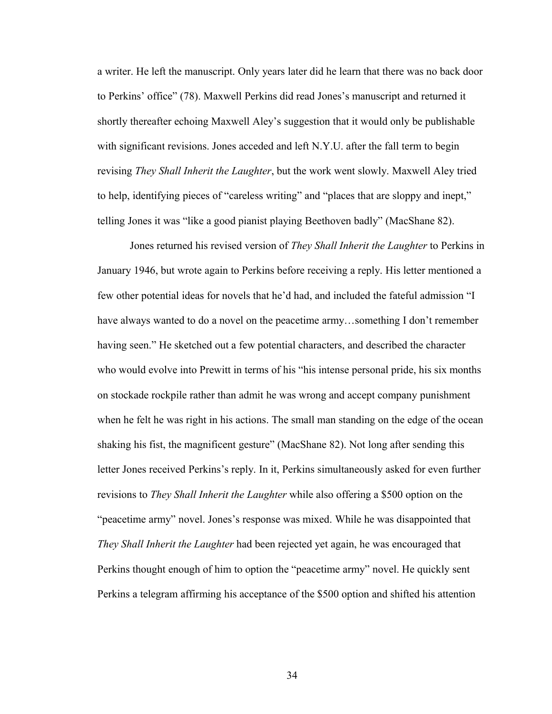a writer. He left the manuscript. Only years later did he learn that there was no back door to Perkins' office" (78). Maxwell Perkins did read Jones's manuscript and returned it shortly thereafter echoing Maxwell Aley's suggestion that it would only be publishable with significant revisions. Jones acceded and left N.Y.U. after the fall term to begin revising *They Shall Inherit the Laughter*, but the work went slowly. Maxwell Aley tried to help, identifying pieces of "careless writing" and "places that are sloppy and inept," telling Jones it was "like a good pianist playing Beethoven badly" (MacShane 82).

Jones returned his revised version of *They Shall Inherit the Laughter* to Perkins in January 1946, but wrote again to Perkins before receiving a reply. His letter mentioned a few other potential ideas for novels that he'd had, and included the fateful admission "I have always wanted to do a novel on the peacetime army...something I don't remember having seen." He sketched out a few potential characters, and described the character who would evolve into Prewitt in terms of his "his intense personal pride, his six months" on stockade rockpile rather than admit he was wrong and accept company punishment when he felt he was right in his actions. The small man standing on the edge of the ocean shaking his fist, the magnificent gesture" (MacShane 82). Not long after sending this letter Jones received Perkins's reply. In it, Perkins simultaneously asked for even further revisions to *They Shall Inherit the Laughter* while also offering a \$500 option on the "peacetime army" novel. Jones's response was mixed. While he was disappointed that *They Shall Inherit the Laughter* had been rejected yet again, he was encouraged that Perkins thought enough of him to option the "peacetime army" novel. He quickly sent Perkins a telegram affirming his acceptance of the \$500 option and shifted his attention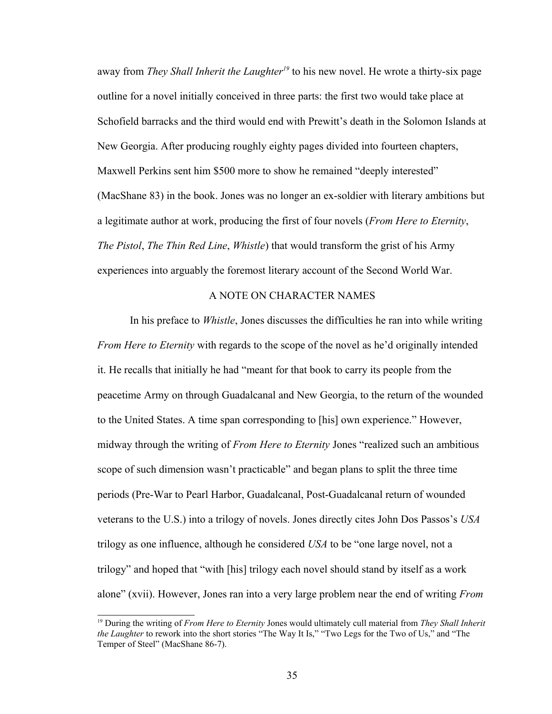away from *They Shall Inherit the Laughter[19](#page-42-0)* to his new novel. He wrote a thirty-six page outline for a novel initially conceived in three parts: the first two would take place at Schofield barracks and the third would end with Prewitt's death in the Solomon Islands at New Georgia. After producing roughly eighty pages divided into fourteen chapters, Maxwell Perkins sent him \$500 more to show he remained "deeply interested" (MacShane 83) in the book. Jones was no longer an ex-soldier with literary ambitions but a legitimate author at work, producing the first of four novels (*From Here to Eternity*, *The Pistol*, *The Thin Red Line*, *Whistle*) that would transform the grist of his Army experiences into arguably the foremost literary account of the Second World War.

## A NOTE ON CHARACTER NAMES

In his preface to *Whistle*, Jones discusses the difficulties he ran into while writing *From Here to Eternity* with regards to the scope of the novel as he'd originally intended it. He recalls that initially he had "meant for that book to carry its people from the peacetime Army on through Guadalcanal and New Georgia, to the return of the wounded to the United States. A time span corresponding to [his] own experience." However, midway through the writing of *From Here to Eternity* Jones "realized such an ambitious scope of such dimension wasn't practicable" and began plans to split the three time periods (Pre-War to Pearl Harbor, Guadalcanal, Post-Guadalcanal return of wounded veterans to the U.S.) into a trilogy of novels. Jones directly cites John Dos Passos's *USA* trilogy as one influence, although he considered *USA* to be "one large novel, not a trilogy" and hoped that "with [his] trilogy each novel should stand by itself as a work alone" (xvii). However, Jones ran into a very large problem near the end of writing *From*

<span id="page-42-0"></span><sup>19</sup> During the writing of *From Here to Eternity* Jones would ultimately cull material from *They Shall Inherit the Laughter* to rework into the short stories "The Way It Is," "Two Legs for the Two of Us," and "The Temper of Steel" (MacShane 86-7).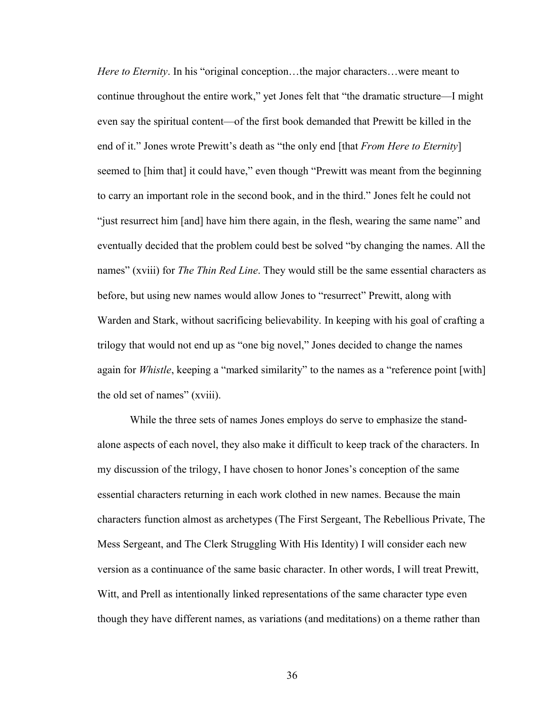*Here to Eternity*. In his "original conception...the major characters...were meant to continue throughout the entire work," yet Jones felt that "the dramatic structure—I might even say the spiritual content—of the first book demanded that Prewitt be killed in the end of it." Jones wrote Prewitt's death as "the only end [that *From Here to Eternity*] seemed to [him that] it could have," even though "Prewitt was meant from the beginning to carry an important role in the second book, and in the third." Jones felt he could not "just resurrect him [and] have him there again, in the flesh, wearing the same name" and eventually decided that the problem could best be solved "by changing the names. All the names" (xviii) for *The Thin Red Line*. They would still be the same essential characters as before, but using new names would allow Jones to "resurrect" Prewitt, along with Warden and Stark, without sacrificing believability. In keeping with his goal of crafting a trilogy that would not end up as "one big novel," Jones decided to change the names again for *Whistle*, keeping a "marked similarity" to the names as a "reference point [with] the old set of names" (xviii).

While the three sets of names Jones employs do serve to emphasize the standalone aspects of each novel, they also make it difficult to keep track of the characters. In my discussion of the trilogy, I have chosen to honor Jones's conception of the same essential characters returning in each work clothed in new names. Because the main characters function almost as archetypes (The First Sergeant, The Rebellious Private, The Mess Sergeant, and The Clerk Struggling With His Identity) I will consider each new version as a continuance of the same basic character. In other words, I will treat Prewitt, Witt, and Prell as intentionally linked representations of the same character type even though they have different names, as variations (and meditations) on a theme rather than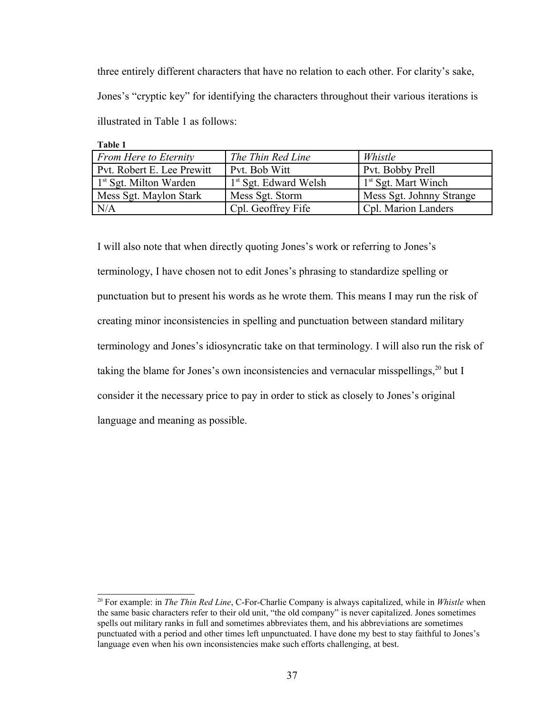three entirely different characters that have no relation to each other. For clarity's sake, Jones's "cryptic key" for identifying the characters throughout their various iterations is illustrated in Table 1 as follows:

**Table 1** 

| l able T                          |                         |                          |
|-----------------------------------|-------------------------|--------------------------|
| <b>From Here to Eternity</b>      | The Thin Red Line       | Whistle                  |
| Pvt. Robert E. Lee Prewitt        | Pvt. Bob Witt           | Pvt. Bobby Prell         |
| <sup>1st</sup> Sgt. Milton Warden | $1st$ Sgt. Edward Welsh | $1st$ Sgt. Mart Winch    |
| Mess Sgt. Maylon Stark            | Mess Sgt. Storm         | Mess Sgt. Johnny Strange |
| N/A                               | Cpl. Geoffrey Fife      | Cpl. Marion Landers      |

I will also note that when directly quoting Jones's work or referring to Jones's terminology, I have chosen not to edit Jones's phrasing to standardize spelling or punctuation but to present his words as he wrote them. This means I may run the risk of creating minor inconsistencies in spelling and punctuation between standard military terminology and Jones's idiosyncratic take on that terminology. I will also run the risk of taking the blame for Jones's own inconsistencies and vernacular misspellings, $20$  but I consider it the necessary price to pay in order to stick as closely to Jones's original language and meaning as possible.

<span id="page-44-0"></span><sup>20</sup> For example: in *The Thin Red Line*, C-For-Charlie Company is always capitalized, while in *Whistle* when the same basic characters refer to their old unit, "the old company" is never capitalized. Jones sometimes spells out military ranks in full and sometimes abbreviates them, and his abbreviations are sometimes punctuated with a period and other times left unpunctuated. I have done my best to stay faithful to Jones's language even when his own inconsistencies make such efforts challenging, at best.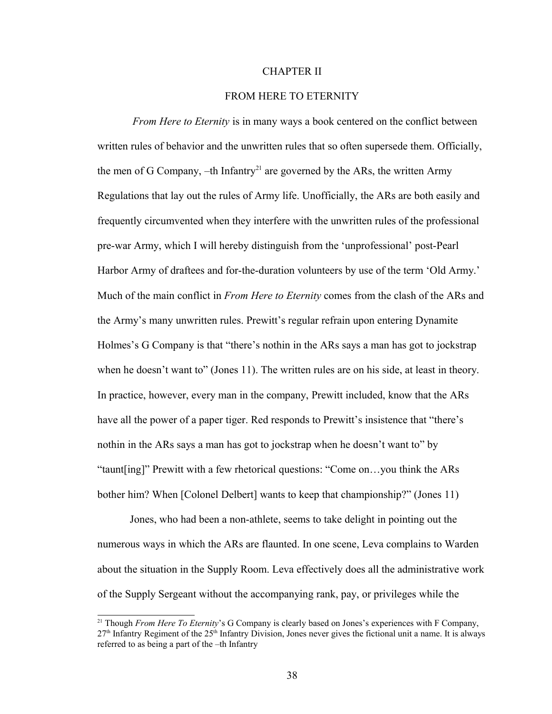## CHAPTER II

## FROM HERE TO ETERNITY

*From Here to Eternity* is in many ways a book centered on the conflict between written rules of behavior and the unwritten rules that so often supersede them. Officially, the men of G Company,  $-th$  Infantry<sup>[21](#page-45-0)</sup> are governed by the ARs, the written Army Regulations that lay out the rules of Army life. Unofficially, the ARs are both easily and frequently circumvented when they interfere with the unwritten rules of the professional pre-war Army, which I will hereby distinguish from the 'unprofessional' post-Pearl Harbor Army of draftees and for-the-duration volunteers by use of the term 'Old Army.' Much of the main conflict in *From Here to Eternity* comes from the clash of the ARs and the Army's many unwritten rules. Prewitt's regular refrain upon entering Dynamite Holmes's G Company is that "there's nothin in the ARs says a man has got to jockstrap when he doesn't want to" (Jones 11). The written rules are on his side, at least in theory. In practice, however, every man in the company, Prewitt included, know that the ARs have all the power of a paper tiger. Red responds to Prewitt's insistence that "there's nothin in the ARs says a man has got to jockstrap when he doesn't want to" by "taunt[ing]" Prewitt with a few rhetorical questions: "Come on…you think the ARs bother him? When [Colonel Delbert] wants to keep that championship?" (Jones 11)

Jones, who had been a non-athlete, seems to take delight in pointing out the numerous ways in which the ARs are flaunted. In one scene, Leva complains to Warden about the situation in the Supply Room. Leva effectively does all the administrative work of the Supply Sergeant without the accompanying rank, pay, or privileges while the

<span id="page-45-0"></span><sup>&</sup>lt;sup>21</sup> Though *From Here To Eternity*'s G Company is clearly based on Jones's experiences with F Company,  $27<sup>th</sup>$  Infantry Regiment of the  $25<sup>th</sup>$  Infantry Division, Jones never gives the fictional unit a name. It is always referred to as being a part of the –th Infantry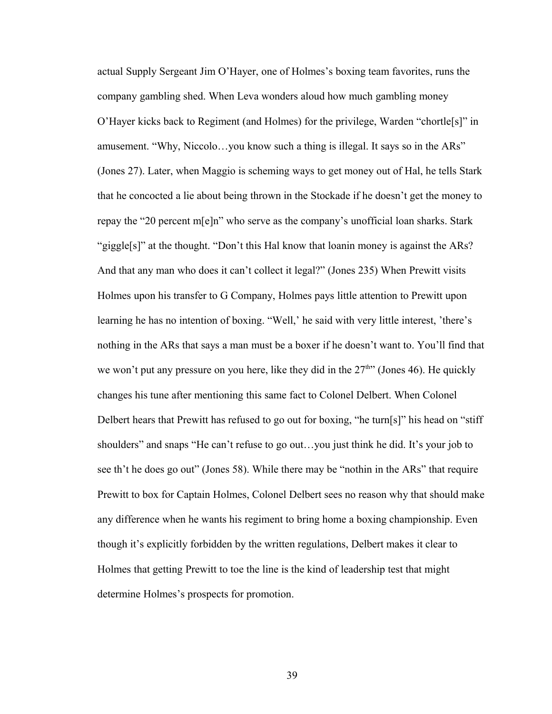actual Supply Sergeant Jim O'Hayer, one of Holmes's boxing team favorites, runs the company gambling shed. When Leva wonders aloud how much gambling money O'Hayer kicks back to Regiment (and Holmes) for the privilege, Warden "chortle[s]" in amusement. "Why, Niccolo…you know such a thing is illegal. It says so in the ARs" (Jones 27). Later, when Maggio is scheming ways to get money out of Hal, he tells Stark that he concocted a lie about being thrown in the Stockade if he doesn't get the money to repay the "20 percent m[e]n" who serve as the company's unofficial loan sharks. Stark "giggle[s]" at the thought. "Don't this Hal know that loanin money is against the ARs? And that any man who does it can't collect it legal?" (Jones 235) When Prewitt visits Holmes upon his transfer to G Company, Holmes pays little attention to Prewitt upon learning he has no intention of boxing. "Well,' he said with very little interest, 'there's nothing in the ARs that says a man must be a boxer if he doesn't want to. You'll find that we won't put any pressure on you here, like they did in the  $27<sup>th</sup>$  (Jones 46). He quickly changes his tune after mentioning this same fact to Colonel Delbert. When Colonel Delbert hears that Prewitt has refused to go out for boxing, "he turn[s]" his head on "stiff shoulders" and snaps "He can't refuse to go out…you just think he did. It's your job to see th't he does go out" (Jones 58). While there may be "nothin in the ARs" that require Prewitt to box for Captain Holmes, Colonel Delbert sees no reason why that should make any difference when he wants his regiment to bring home a boxing championship. Even though it's explicitly forbidden by the written regulations, Delbert makes it clear to Holmes that getting Prewitt to toe the line is the kind of leadership test that might determine Holmes's prospects for promotion.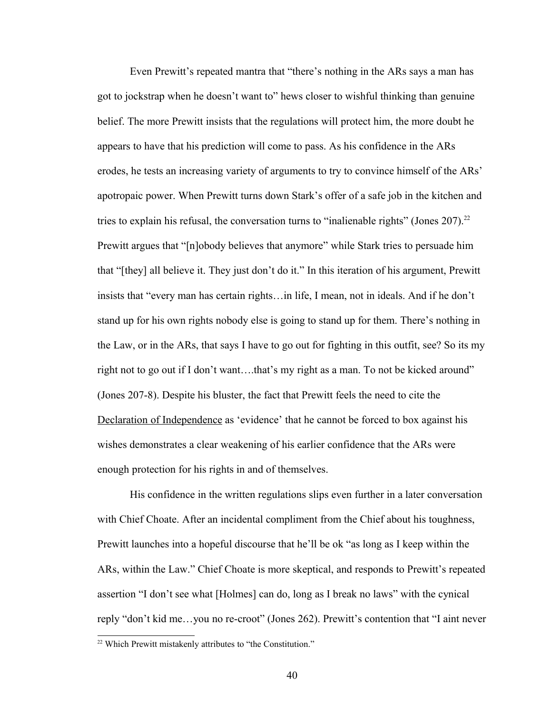Even Prewitt's repeated mantra that "there's nothing in the ARs says a man has got to jockstrap when he doesn't want to" hews closer to wishful thinking than genuine belief. The more Prewitt insists that the regulations will protect him, the more doubt he appears to have that his prediction will come to pass. As his confidence in the ARs erodes, he tests an increasing variety of arguments to try to convince himself of the ARs' apotropaic power. When Prewitt turns down Stark's offer of a safe job in the kitchen and tries to explain his refusal, the conversation turns to "inalienable rights" (Jones  $207$ ).<sup>[22](#page-47-0)</sup> Prewitt argues that "[n]obody believes that anymore" while Stark tries to persuade him that "[they] all believe it. They just don't do it." In this iteration of his argument, Prewitt insists that "every man has certain rights…in life, I mean, not in ideals. And if he don't stand up for his own rights nobody else is going to stand up for them. There's nothing in the Law, or in the ARs, that says I have to go out for fighting in this outfit, see? So its my right not to go out if I don't want….that's my right as a man. To not be kicked around" (Jones 207-8). Despite his bluster, the fact that Prewitt feels the need to cite the Declaration of Independence as 'evidence' that he cannot be forced to box against his wishes demonstrates a clear weakening of his earlier confidence that the ARs were enough protection for his rights in and of themselves.

His confidence in the written regulations slips even further in a later conversation with Chief Choate. After an incidental compliment from the Chief about his toughness, Prewitt launches into a hopeful discourse that he'll be ok "as long as I keep within the ARs, within the Law." Chief Choate is more skeptical, and responds to Prewitt's repeated assertion "I don't see what [Holmes] can do, long as I break no laws" with the cynical reply "don't kid me…you no re-croot" (Jones 262). Prewitt's contention that "I aint never

<span id="page-47-0"></span><sup>&</sup>lt;sup>22</sup> Which Prewitt mistakenly attributes to "the Constitution."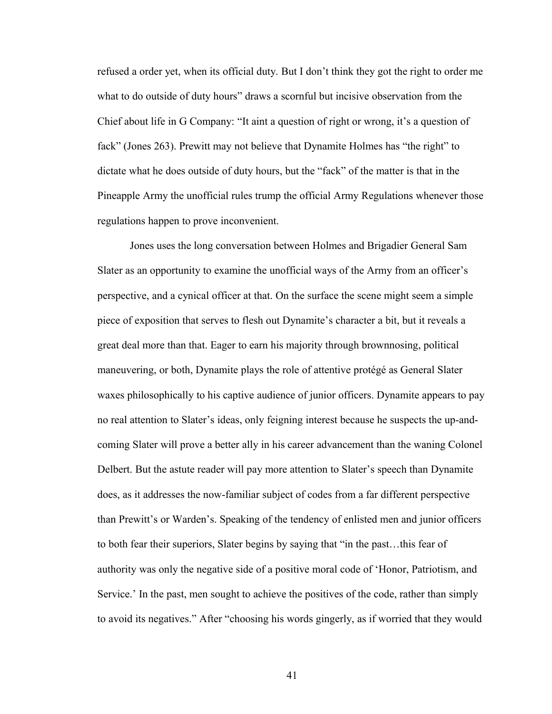refused a order yet, when its official duty. But I don't think they got the right to order me what to do outside of duty hours" draws a scornful but incisive observation from the Chief about life in G Company: "It aint a question of right or wrong, it's a question of fack" (Jones 263). Prewitt may not believe that Dynamite Holmes has "the right" to dictate what he does outside of duty hours, but the "fack" of the matter is that in the Pineapple Army the unofficial rules trump the official Army Regulations whenever those regulations happen to prove inconvenient.

Jones uses the long conversation between Holmes and Brigadier General Sam Slater as an opportunity to examine the unofficial ways of the Army from an officer's perspective, and a cynical officer at that. On the surface the scene might seem a simple piece of exposition that serves to flesh out Dynamite's character a bit, but it reveals a great deal more than that. Eager to earn his majority through brownnosing, political maneuvering, or both, Dynamite plays the role of attentive protégé as General Slater waxes philosophically to his captive audience of junior officers. Dynamite appears to pay no real attention to Slater's ideas, only feigning interest because he suspects the up-andcoming Slater will prove a better ally in his career advancement than the waning Colonel Delbert. But the astute reader will pay more attention to Slater's speech than Dynamite does, as it addresses the now-familiar subject of codes from a far different perspective than Prewitt's or Warden's. Speaking of the tendency of enlisted men and junior officers to both fear their superiors, Slater begins by saying that "in the past…this fear of authority was only the negative side of a positive moral code of 'Honor, Patriotism, and Service.' In the past, men sought to achieve the positives of the code, rather than simply to avoid its negatives." After "choosing his words gingerly, as if worried that they would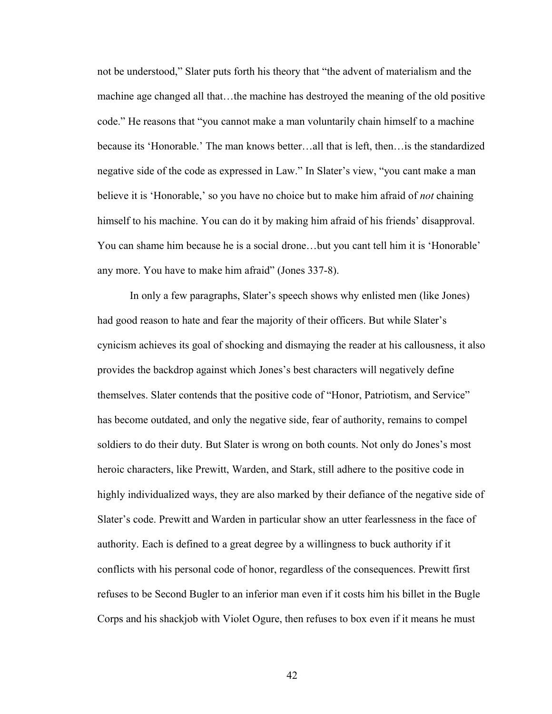not be understood," Slater puts forth his theory that "the advent of materialism and the machine age changed all that…the machine has destroyed the meaning of the old positive code." He reasons that "you cannot make a man voluntarily chain himself to a machine because its 'Honorable.' The man knows better…all that is left, then…is the standardized negative side of the code as expressed in Law." In Slater's view, "you cant make a man believe it is 'Honorable,' so you have no choice but to make him afraid of *not* chaining himself to his machine. You can do it by making him afraid of his friends' disapproval. You can shame him because he is a social drone…but you cant tell him it is 'Honorable' any more. You have to make him afraid" (Jones 337-8).

In only a few paragraphs, Slater's speech shows why enlisted men (like Jones) had good reason to hate and fear the majority of their officers. But while Slater's cynicism achieves its goal of shocking and dismaying the reader at his callousness, it also provides the backdrop against which Jones's best characters will negatively define themselves. Slater contends that the positive code of "Honor, Patriotism, and Service" has become outdated, and only the negative side, fear of authority, remains to compel soldiers to do their duty. But Slater is wrong on both counts. Not only do Jones's most heroic characters, like Prewitt, Warden, and Stark, still adhere to the positive code in highly individualized ways, they are also marked by their defiance of the negative side of Slater's code. Prewitt and Warden in particular show an utter fearlessness in the face of authority. Each is defined to a great degree by a willingness to buck authority if it conflicts with his personal code of honor, regardless of the consequences. Prewitt first refuses to be Second Bugler to an inferior man even if it costs him his billet in the Bugle Corps and his shackjob with Violet Ogure, then refuses to box even if it means he must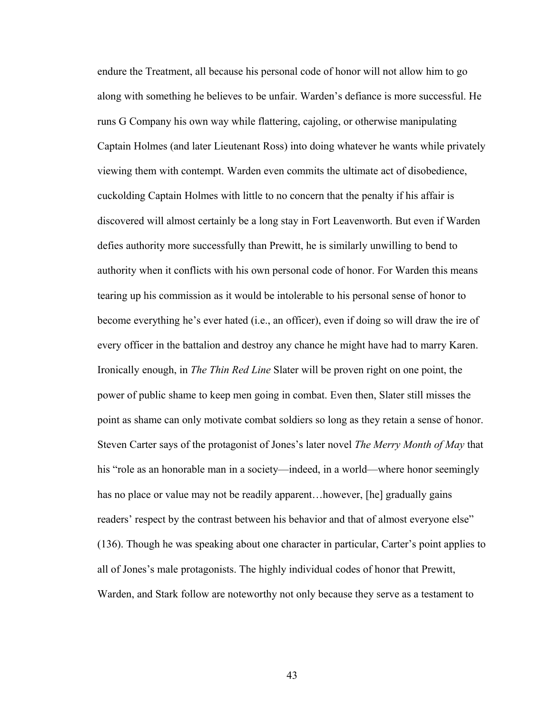endure the Treatment, all because his personal code of honor will not allow him to go along with something he believes to be unfair. Warden's defiance is more successful. He runs G Company his own way while flattering, cajoling, or otherwise manipulating Captain Holmes (and later Lieutenant Ross) into doing whatever he wants while privately viewing them with contempt. Warden even commits the ultimate act of disobedience, cuckolding Captain Holmes with little to no concern that the penalty if his affair is discovered will almost certainly be a long stay in Fort Leavenworth. But even if Warden defies authority more successfully than Prewitt, he is similarly unwilling to bend to authority when it conflicts with his own personal code of honor. For Warden this means tearing up his commission as it would be intolerable to his personal sense of honor to become everything he's ever hated (i.e., an officer), even if doing so will draw the ire of every officer in the battalion and destroy any chance he might have had to marry Karen. Ironically enough, in *The Thin Red Line* Slater will be proven right on one point, the power of public shame to keep men going in combat. Even then, Slater still misses the point as shame can only motivate combat soldiers so long as they retain a sense of honor. Steven Carter says of the protagonist of Jones's later novel *The Merry Month of May* that his "role as an honorable man in a society—indeed, in a world—where honor seemingly has no place or value may not be readily apparent... however, [he] gradually gains readers' respect by the contrast between his behavior and that of almost everyone else" (136). Though he was speaking about one character in particular, Carter's point applies to all of Jones's male protagonists. The highly individual codes of honor that Prewitt, Warden, and Stark follow are noteworthy not only because they serve as a testament to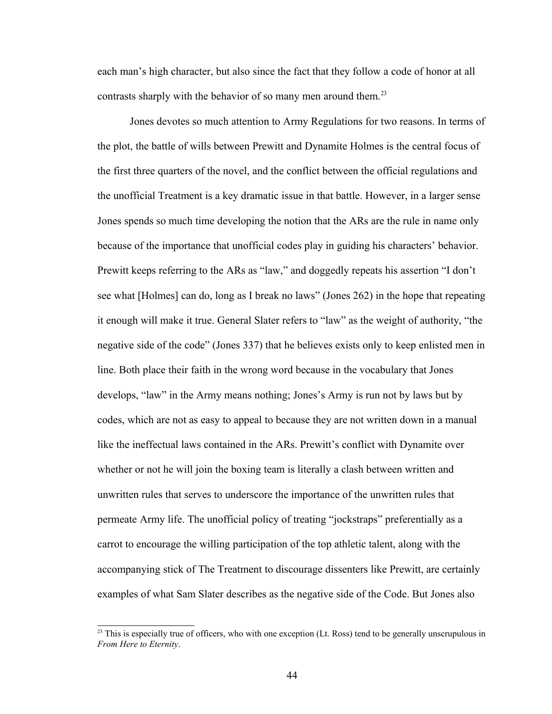each man's high character, but also since the fact that they follow a code of honor at all contrasts sharply with the behavior of so many men around them.<sup>[23](#page-51-0)</sup>

Jones devotes so much attention to Army Regulations for two reasons. In terms of the plot, the battle of wills between Prewitt and Dynamite Holmes is the central focus of the first three quarters of the novel, and the conflict between the official regulations and the unofficial Treatment is a key dramatic issue in that battle. However, in a larger sense Jones spends so much time developing the notion that the ARs are the rule in name only because of the importance that unofficial codes play in guiding his characters' behavior. Prewitt keeps referring to the ARs as "law," and doggedly repeats his assertion "I don't see what [Holmes] can do, long as I break no laws" (Jones 262) in the hope that repeating it enough will make it true. General Slater refers to "law" as the weight of authority, "the negative side of the code" (Jones 337) that he believes exists only to keep enlisted men in line. Both place their faith in the wrong word because in the vocabulary that Jones develops, "law" in the Army means nothing; Jones's Army is run not by laws but by codes, which are not as easy to appeal to because they are not written down in a manual like the ineffectual laws contained in the ARs. Prewitt's conflict with Dynamite over whether or not he will join the boxing team is literally a clash between written and unwritten rules that serves to underscore the importance of the unwritten rules that permeate Army life. The unofficial policy of treating "jockstraps" preferentially as a carrot to encourage the willing participation of the top athletic talent, along with the accompanying stick of The Treatment to discourage dissenters like Prewitt, are certainly examples of what Sam Slater describes as the negative side of the Code. But Jones also

<span id="page-51-0"></span><sup>&</sup>lt;sup>23</sup> This is especially true of officers, who with one exception (Lt. Ross) tend to be generally unscrupulous in *From Here to Eternity*.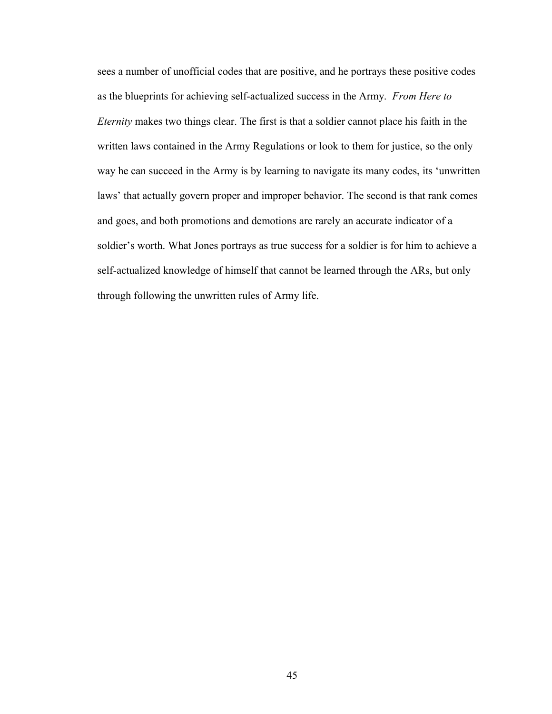sees a number of unofficial codes that are positive, and he portrays these positive codes as the blueprints for achieving self-actualized success in the Army. *From Here to Eternity* makes two things clear. The first is that a soldier cannot place his faith in the written laws contained in the Army Regulations or look to them for justice, so the only way he can succeed in the Army is by learning to navigate its many codes, its 'unwritten laws' that actually govern proper and improper behavior. The second is that rank comes and goes, and both promotions and demotions are rarely an accurate indicator of a soldier's worth. What Jones portrays as true success for a soldier is for him to achieve a self-actualized knowledge of himself that cannot be learned through the ARs, but only through following the unwritten rules of Army life.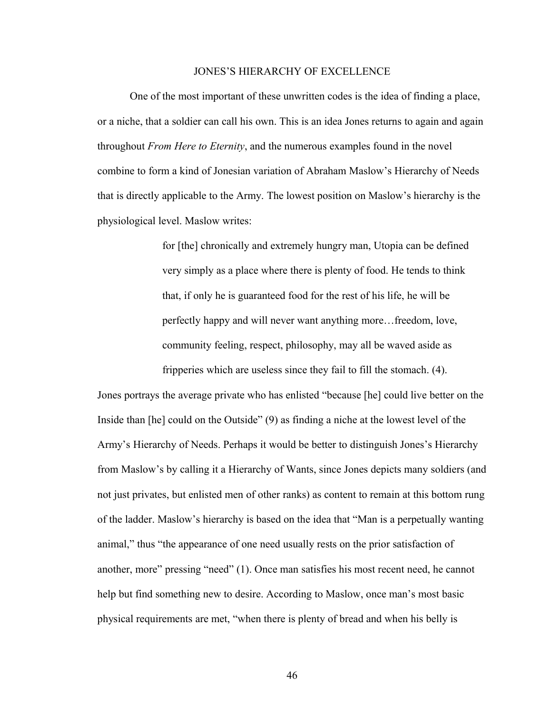## JONES'S HIERARCHY OF EXCELLENCE

One of the most important of these unwritten codes is the idea of finding a place, or a niche, that a soldier can call his own. This is an idea Jones returns to again and again throughout *From Here to Eternity*, and the numerous examples found in the novel combine to form a kind of Jonesian variation of Abraham Maslow's Hierarchy of Needs that is directly applicable to the Army. The lowest position on Maslow's hierarchy is the physiological level. Maslow writes:

> for [the] chronically and extremely hungry man, Utopia can be defined very simply as a place where there is plenty of food. He tends to think that, if only he is guaranteed food for the rest of his life, he will be perfectly happy and will never want anything more…freedom, love, community feeling, respect, philosophy, may all be waved aside as fripperies which are useless since they fail to fill the stomach. (4).

Jones portrays the average private who has enlisted "because [he] could live better on the Inside than [he] could on the Outside" (9) as finding a niche at the lowest level of the Army's Hierarchy of Needs. Perhaps it would be better to distinguish Jones's Hierarchy from Maslow's by calling it a Hierarchy of Wants, since Jones depicts many soldiers (and not just privates, but enlisted men of other ranks) as content to remain at this bottom rung of the ladder. Maslow's hierarchy is based on the idea that "Man is a perpetually wanting animal," thus "the appearance of one need usually rests on the prior satisfaction of another, more" pressing "need" (1). Once man satisfies his most recent need, he cannot help but find something new to desire. According to Maslow, once man's most basic physical requirements are met, "when there is plenty of bread and when his belly is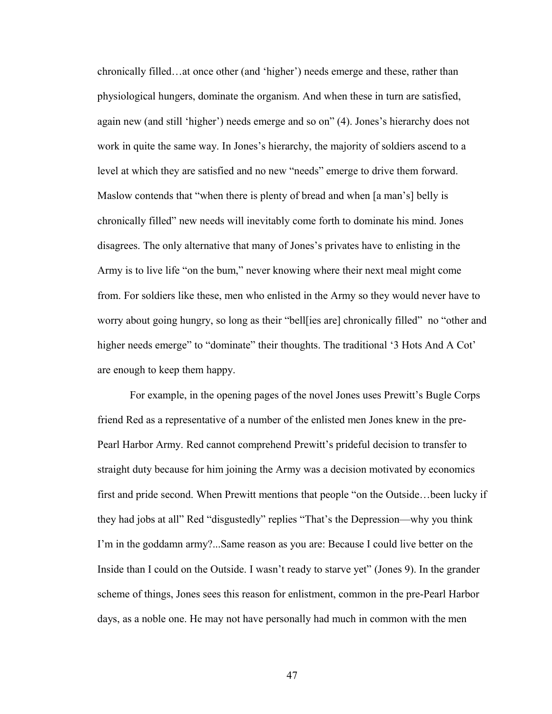chronically filled…at once other (and 'higher') needs emerge and these, rather than physiological hungers, dominate the organism. And when these in turn are satisfied, again new (and still 'higher') needs emerge and so on" (4). Jones's hierarchy does not work in quite the same way. In Jones's hierarchy, the majority of soldiers ascend to a level at which they are satisfied and no new "needs" emerge to drive them forward. Maslow contends that "when there is plenty of bread and when [a man's] belly is chronically filled" new needs will inevitably come forth to dominate his mind. Jones disagrees. The only alternative that many of Jones's privates have to enlisting in the Army is to live life "on the bum," never knowing where their next meal might come from. For soldiers like these, men who enlisted in the Army so they would never have to worry about going hungry, so long as their "bell[ies are] chronically filled" no "other and higher needs emerge" to "dominate" their thoughts. The traditional '3 Hots And A Cot' are enough to keep them happy.

For example, in the opening pages of the novel Jones uses Prewitt's Bugle Corps friend Red as a representative of a number of the enlisted men Jones knew in the pre-Pearl Harbor Army. Red cannot comprehend Prewitt's prideful decision to transfer to straight duty because for him joining the Army was a decision motivated by economics first and pride second. When Prewitt mentions that people "on the Outside…been lucky if they had jobs at all" Red "disgustedly" replies "That's the Depression—why you think I'm in the goddamn army?...Same reason as you are: Because I could live better on the Inside than I could on the Outside. I wasn't ready to starve yet" (Jones 9). In the grander scheme of things, Jones sees this reason for enlistment, common in the pre-Pearl Harbor days, as a noble one. He may not have personally had much in common with the men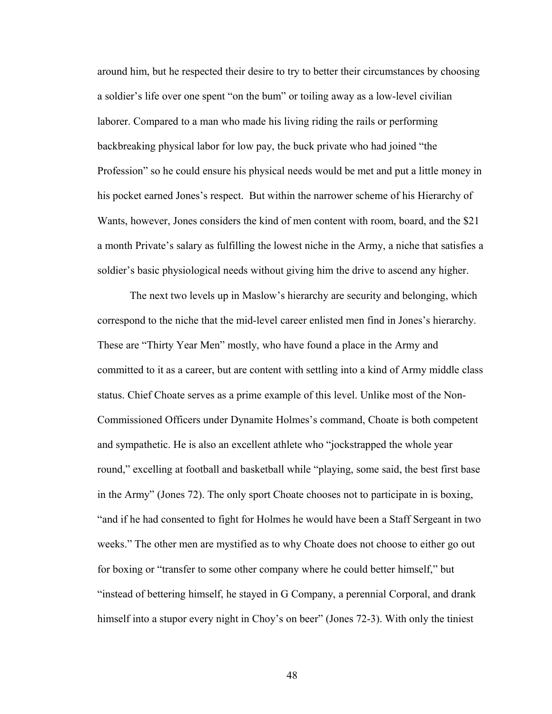around him, but he respected their desire to try to better their circumstances by choosing a soldier's life over one spent "on the bum" or toiling away as a low-level civilian laborer. Compared to a man who made his living riding the rails or performing backbreaking physical labor for low pay, the buck private who had joined "the Profession" so he could ensure his physical needs would be met and put a little money in his pocket earned Jones's respect. But within the narrower scheme of his Hierarchy of Wants, however, Jones considers the kind of men content with room, board, and the \$21 a month Private's salary as fulfilling the lowest niche in the Army, a niche that satisfies a soldier's basic physiological needs without giving him the drive to ascend any higher.

The next two levels up in Maslow's hierarchy are security and belonging, which correspond to the niche that the mid-level career enlisted men find in Jones's hierarchy. These are "Thirty Year Men" mostly, who have found a place in the Army and committed to it as a career, but are content with settling into a kind of Army middle class status. Chief Choate serves as a prime example of this level. Unlike most of the Non-Commissioned Officers under Dynamite Holmes's command, Choate is both competent and sympathetic. He is also an excellent athlete who "jockstrapped the whole year round," excelling at football and basketball while "playing, some said, the best first base in the Army" (Jones 72). The only sport Choate chooses not to participate in is boxing, "and if he had consented to fight for Holmes he would have been a Staff Sergeant in two weeks." The other men are mystified as to why Choate does not choose to either go out for boxing or "transfer to some other company where he could better himself," but "instead of bettering himself, he stayed in G Company, a perennial Corporal, and drank himself into a stupor every night in Choy's on beer" (Jones 72-3). With only the tiniest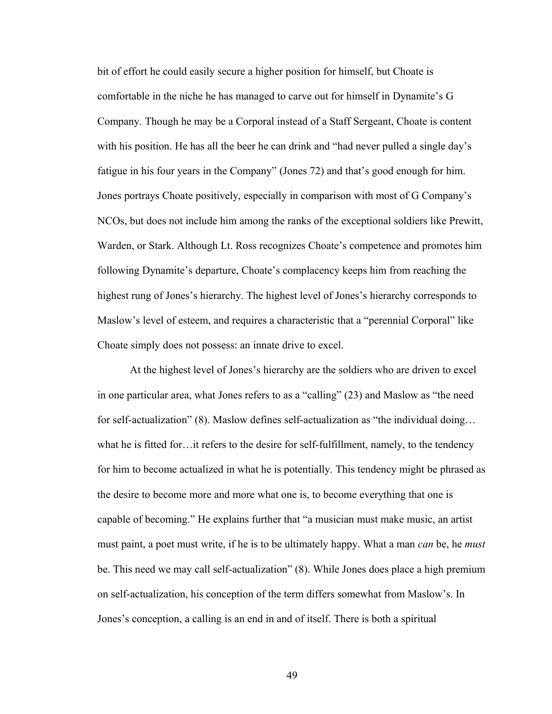bit of effort he could easily secure a higher position for himself, but Choate is comfortable in the niche he has managed to carve out for himself in Dynamite's G Company. Though he may be a Corporal instead of a Staff Sergeant, Choate is content with his position. He has all the beer he can drink and "had never pulled a single day's fatigue in his four years in the Company" (Jones 72) and that's good enough for him. Jones portrays Choate positively, especially in comparison with most of G Company's NCOs, but does not include him among the ranks of the exceptional soldiers like Prewitt, Warden, or Stark. Although Lt. Ross recognizes Choate's competence and promotes him following Dynamite's departure, Choate's complacency keeps him from reaching the highest rung of Jones's hierarchy. The highest level of Jones's hierarchy corresponds to Maslow's level of esteem, and requires a characteristic that a "perennial Corporal" like Choate simply does not possess: an innate drive to excel.

At the highest level of Jones's hierarchy are the soldiers who are driven to excel in one particular area, what Jones refers to as a "calling" (23) and Maslow as "the need for self-actualization" (8). Maslow defines self-actualization as "the individual doing… what he is fitted for…it refers to the desire for self-fulfillment, namely, to the tendency for him to become actualized in what he is potentially. This tendency might be phrased as the desire to become more and more what one is, to become everything that one is capable of becoming." He explains further that "a musician must make music, an artist must paint, a poet must write, if he is to be ultimately happy. What a man *can* be, he *must* be. This need we may call self-actualization" (8). While Jones does place a high premium on self-actualization, his conception of the term differs somewhat from Maslow's. In Jones's conception, a calling is an end in and of itself. There is both a spiritual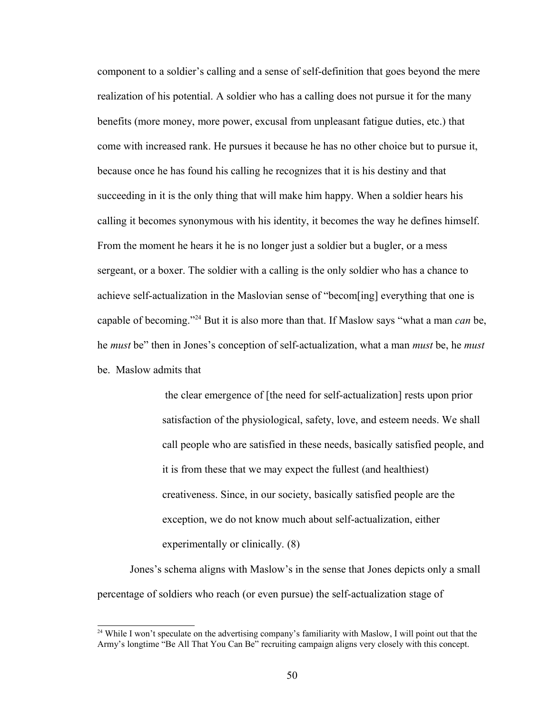component to a soldier's calling and a sense of self-definition that goes beyond the mere realization of his potential. A soldier who has a calling does not pursue it for the many benefits (more money, more power, excusal from unpleasant fatigue duties, etc.) that come with increased rank. He pursues it because he has no other choice but to pursue it, because once he has found his calling he recognizes that it is his destiny and that succeeding in it is the only thing that will make him happy. When a soldier hears his calling it becomes synonymous with his identity, it becomes the way he defines himself. From the moment he hears it he is no longer just a soldier but a bugler, or a mess sergeant, or a boxer. The soldier with a calling is the only soldier who has a chance to achieve self-actualization in the Maslovian sense of "becom[ing] everything that one is capable of becoming."[24](#page-57-0) But it is also more than that. If Maslow says "what a man *can* be, he *must* be" then in Jones's conception of self-actualization, what a man *must* be, he *must* be. Maslow admits that

> the clear emergence of [the need for self-actualization] rests upon prior satisfaction of the physiological, safety, love, and esteem needs. We shall call people who are satisfied in these needs, basically satisfied people, and it is from these that we may expect the fullest (and healthiest) creativeness. Since, in our society, basically satisfied people are the exception, we do not know much about self-actualization, either experimentally or clinically. (8)

Jones's schema aligns with Maslow's in the sense that Jones depicts only a small percentage of soldiers who reach (or even pursue) the self-actualization stage of

<span id="page-57-0"></span><sup>&</sup>lt;sup>24</sup> While I won't speculate on the advertising company's familiarity with Maslow, I will point out that the Army's longtime "Be All That You Can Be" recruiting campaign aligns very closely with this concept.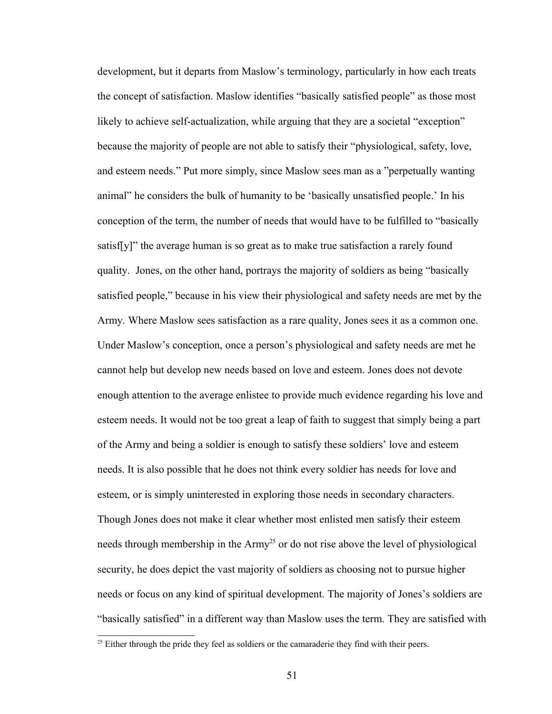development, but it departs from Maslow's terminology, particularly in how each treats the concept of satisfaction. Maslow identifies "basically satisfied people" as those most likely to achieve self-actualization, while arguing that they are a societal "exception" because the majority of people are not able to satisfy their "physiological, safety, love, and esteem needs." Put more simply, since Maslow sees man as a "perpetually wanting animal" he considers the bulk of humanity to be 'basically unsatisfied people.' In his conception of the term, the number of needs that would have to be fulfilled to "basically satisf[y]" the average human is so great as to make true satisfaction a rarely found quality. Jones, on the other hand, portrays the majority of soldiers as being "basically satisfied people," because in his view their physiological and safety needs are met by the Army. Where Maslow sees satisfaction as a rare quality, Jones sees it as a common one. Under Maslow's conception, once a person's physiological and safety needs are met he cannot help but develop new needs based on love and esteem. Jones does not devote enough attention to the average enlistee to provide much evidence regarding his love and esteem needs. It would not be too great a leap of faith to suggest that simply being a part of the Army and being a soldier is enough to satisfy these soldiers' love and esteem needs. It is also possible that he does not think every soldier has needs for love and esteem, or is simply uninterested in exploring those needs in secondary characters. Though Jones does not make it clear whether most enlisted men satisfy their esteem needs through membership in the  $Army^{25}$  $Army^{25}$  $Army^{25}$  or do not rise above the level of physiological security, he does depict the vast majority of soldiers as choosing not to pursue higher needs or focus on any kind of spiritual development. The majority of Jones's soldiers are "basically satisfied" in a different way than Maslow uses the term. They are satisfied with

<span id="page-58-0"></span><sup>&</sup>lt;sup>25</sup> Either through the pride they feel as soldiers or the camaraderie they find with their peers.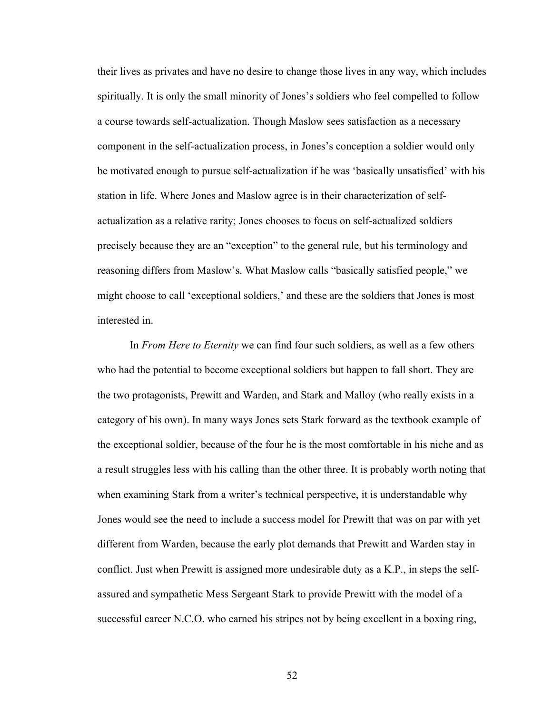their lives as privates and have no desire to change those lives in any way, which includes spiritually. It is only the small minority of Jones's soldiers who feel compelled to follow a course towards self-actualization. Though Maslow sees satisfaction as a necessary component in the self-actualization process, in Jones's conception a soldier would only be motivated enough to pursue self-actualization if he was 'basically unsatisfied' with his station in life. Where Jones and Maslow agree is in their characterization of selfactualization as a relative rarity; Jones chooses to focus on self-actualized soldiers precisely because they are an "exception" to the general rule, but his terminology and reasoning differs from Maslow's. What Maslow calls "basically satisfied people," we might choose to call 'exceptional soldiers,' and these are the soldiers that Jones is most interested in.

In *From Here to Eternity* we can find four such soldiers, as well as a few others who had the potential to become exceptional soldiers but happen to fall short. They are the two protagonists, Prewitt and Warden, and Stark and Malloy (who really exists in a category of his own). In many ways Jones sets Stark forward as the textbook example of the exceptional soldier, because of the four he is the most comfortable in his niche and as a result struggles less with his calling than the other three. It is probably worth noting that when examining Stark from a writer's technical perspective, it is understandable why Jones would see the need to include a success model for Prewitt that was on par with yet different from Warden, because the early plot demands that Prewitt and Warden stay in conflict. Just when Prewitt is assigned more undesirable duty as a K.P., in steps the selfassured and sympathetic Mess Sergeant Stark to provide Prewitt with the model of a successful career N.C.O. who earned his stripes not by being excellent in a boxing ring,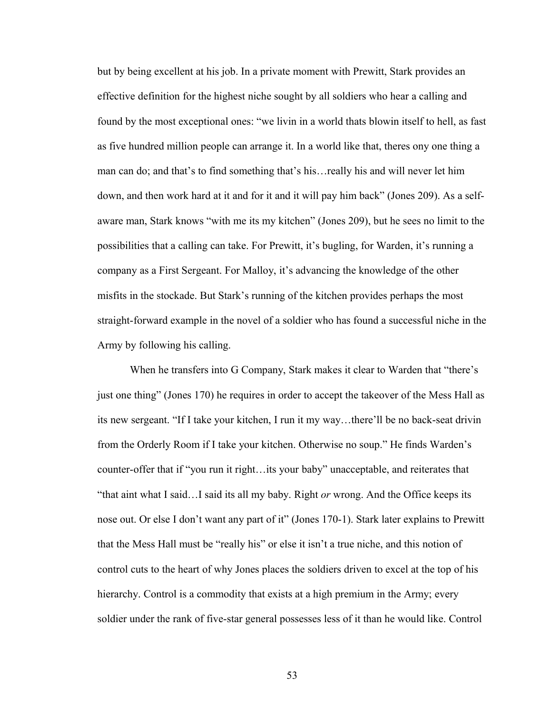but by being excellent at his job. In a private moment with Prewitt, Stark provides an effective definition for the highest niche sought by all soldiers who hear a calling and found by the most exceptional ones: "we livin in a world thats blowin itself to hell, as fast as five hundred million people can arrange it. In a world like that, theres ony one thing a man can do; and that's to find something that's his…really his and will never let him down, and then work hard at it and for it and it will pay him back" (Jones 209). As a selfaware man, Stark knows "with me its my kitchen" (Jones 209), but he sees no limit to the possibilities that a calling can take. For Prewitt, it's bugling, for Warden, it's running a company as a First Sergeant. For Malloy, it's advancing the knowledge of the other misfits in the stockade. But Stark's running of the kitchen provides perhaps the most straight-forward example in the novel of a soldier who has found a successful niche in the Army by following his calling.

When he transfers into G Company, Stark makes it clear to Warden that "there's just one thing" (Jones 170) he requires in order to accept the takeover of the Mess Hall as its new sergeant. "If I take your kitchen, I run it my way…there'll be no back-seat drivin from the Orderly Room if I take your kitchen. Otherwise no soup." He finds Warden's counter-offer that if "you run it right…its your baby" unacceptable, and reiterates that "that aint what I said…I said its all my baby. Right *or* wrong. And the Office keeps its nose out. Or else I don't want any part of it" (Jones 170-1). Stark later explains to Prewitt that the Mess Hall must be "really his" or else it isn't a true niche, and this notion of control cuts to the heart of why Jones places the soldiers driven to excel at the top of his hierarchy. Control is a commodity that exists at a high premium in the Army; every soldier under the rank of five-star general possesses less of it than he would like. Control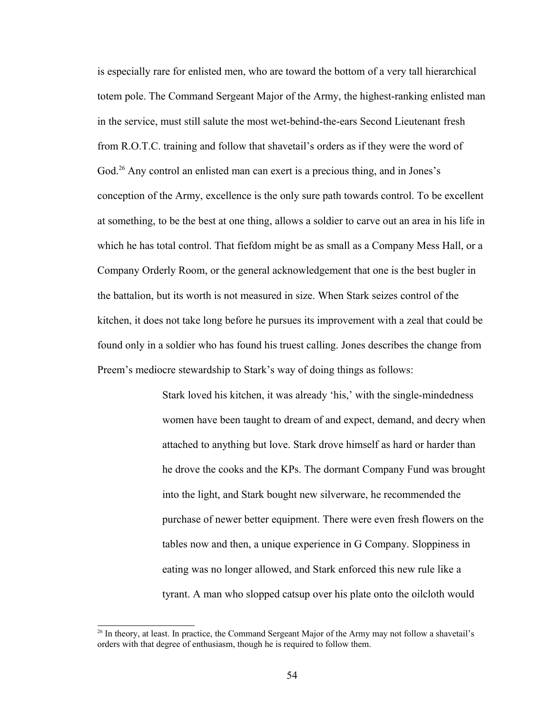is especially rare for enlisted men, who are toward the bottom of a very tall hierarchical totem pole. The Command Sergeant Major of the Army, the highest-ranking enlisted man in the service, must still salute the most wet-behind-the-ears Second Lieutenant fresh from R.O.T.C. training and follow that shavetail's orders as if they were the word of God.<sup>[26](#page-61-0)</sup> Any control an enlisted man can exert is a precious thing, and in Jones's conception of the Army, excellence is the only sure path towards control. To be excellent at something, to be the best at one thing, allows a soldier to carve out an area in his life in which he has total control. That fiefdom might be as small as a Company Mess Hall, or a Company Orderly Room, or the general acknowledgement that one is the best bugler in the battalion, but its worth is not measured in size. When Stark seizes control of the kitchen, it does not take long before he pursues its improvement with a zeal that could be found only in a soldier who has found his truest calling. Jones describes the change from Preem's mediocre stewardship to Stark's way of doing things as follows:

> Stark loved his kitchen, it was already 'his,' with the single-mindedness women have been taught to dream of and expect, demand, and decry when attached to anything but love. Stark drove himself as hard or harder than he drove the cooks and the KPs. The dormant Company Fund was brought into the light, and Stark bought new silverware, he recommended the purchase of newer better equipment. There were even fresh flowers on the tables now and then, a unique experience in G Company. Sloppiness in eating was no longer allowed, and Stark enforced this new rule like a tyrant. A man who slopped catsup over his plate onto the oilcloth would

<span id="page-61-0"></span><sup>&</sup>lt;sup>26</sup> In theory, at least. In practice, the Command Sergeant Major of the Army may not follow a shavetail's orders with that degree of enthusiasm, though he is required to follow them.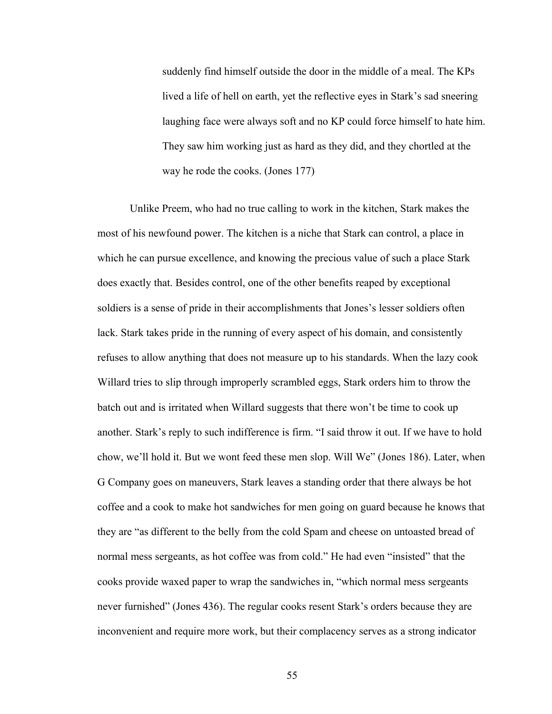suddenly find himself outside the door in the middle of a meal. The KPs lived a life of hell on earth, yet the reflective eyes in Stark's sad sneering laughing face were always soft and no KP could force himself to hate him. They saw him working just as hard as they did, and they chortled at the way he rode the cooks. (Jones 177)

Unlike Preem, who had no true calling to work in the kitchen, Stark makes the most of his newfound power. The kitchen is a niche that Stark can control, a place in which he can pursue excellence, and knowing the precious value of such a place Stark does exactly that. Besides control, one of the other benefits reaped by exceptional soldiers is a sense of pride in their accomplishments that Jones's lesser soldiers often lack. Stark takes pride in the running of every aspect of his domain, and consistently refuses to allow anything that does not measure up to his standards. When the lazy cook Willard tries to slip through improperly scrambled eggs, Stark orders him to throw the batch out and is irritated when Willard suggests that there won't be time to cook up another. Stark's reply to such indifference is firm. "I said throw it out. If we have to hold chow, we'll hold it. But we wont feed these men slop. Will We" (Jones 186). Later, when G Company goes on maneuvers, Stark leaves a standing order that there always be hot coffee and a cook to make hot sandwiches for men going on guard because he knows that they are "as different to the belly from the cold Spam and cheese on untoasted bread of normal mess sergeants, as hot coffee was from cold." He had even "insisted" that the cooks provide waxed paper to wrap the sandwiches in, "which normal mess sergeants never furnished" (Jones 436). The regular cooks resent Stark's orders because they are inconvenient and require more work, but their complacency serves as a strong indicator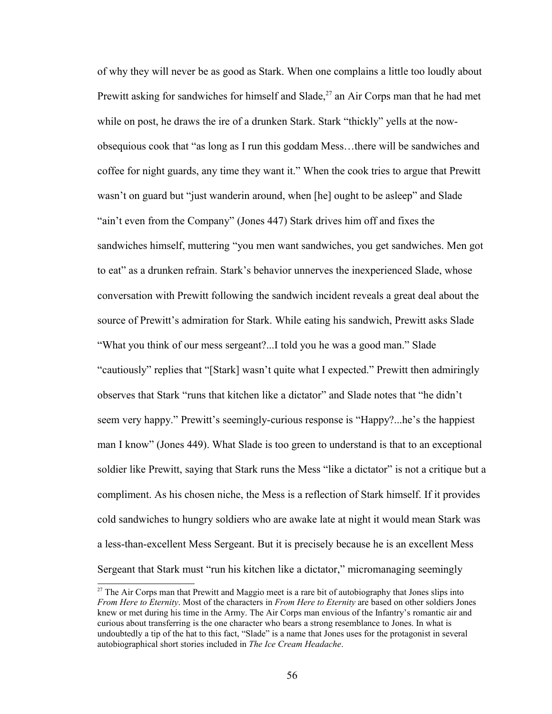of why they will never be as good as Stark. When one complains a little too loudly about Prewitt asking for sandwiches for himself and Slade,<sup>[27](#page-63-0)</sup> an Air Corps man that he had met while on post, he draws the ire of a drunken Stark. Stark "thickly" yells at the nowobsequious cook that "as long as I run this goddam Mess…there will be sandwiches and coffee for night guards, any time they want it." When the cook tries to argue that Prewitt wasn't on guard but "just wanderin around, when [he] ought to be asleep" and Slade "ain't even from the Company" (Jones 447) Stark drives him off and fixes the sandwiches himself, muttering "you men want sandwiches, you get sandwiches. Men got to eat" as a drunken refrain. Stark's behavior unnerves the inexperienced Slade, whose conversation with Prewitt following the sandwich incident reveals a great deal about the source of Prewitt's admiration for Stark. While eating his sandwich, Prewitt asks Slade "What you think of our mess sergeant?...I told you he was a good man." Slade "cautiously" replies that "[Stark] wasn't quite what I expected." Prewitt then admiringly observes that Stark "runs that kitchen like a dictator" and Slade notes that "he didn't seem very happy." Prewitt's seemingly-curious response is "Happy?...he's the happiest man I know" (Jones 449). What Slade is too green to understand is that to an exceptional soldier like Prewitt, saying that Stark runs the Mess "like a dictator" is not a critique but a compliment. As his chosen niche, the Mess is a reflection of Stark himself. If it provides cold sandwiches to hungry soldiers who are awake late at night it would mean Stark was a less-than-excellent Mess Sergeant. But it is precisely because he is an excellent Mess Sergeant that Stark must "run his kitchen like a dictator," micromanaging seemingly

<span id="page-63-0"></span><sup>&</sup>lt;sup>27</sup> The Air Corps man that Prewitt and Maggio meet is a rare bit of autobiography that Jones slips into *From Here to Eternity*. Most of the characters in *From Here to Eternity* are based on other soldiers Jones knew or met during his time in the Army. The Air Corps man envious of the Infantry's romantic air and curious about transferring is the one character who bears a strong resemblance to Jones. In what is undoubtedly a tip of the hat to this fact, "Slade" is a name that Jones uses for the protagonist in several autobiographical short stories included in *The Ice Cream Headache*.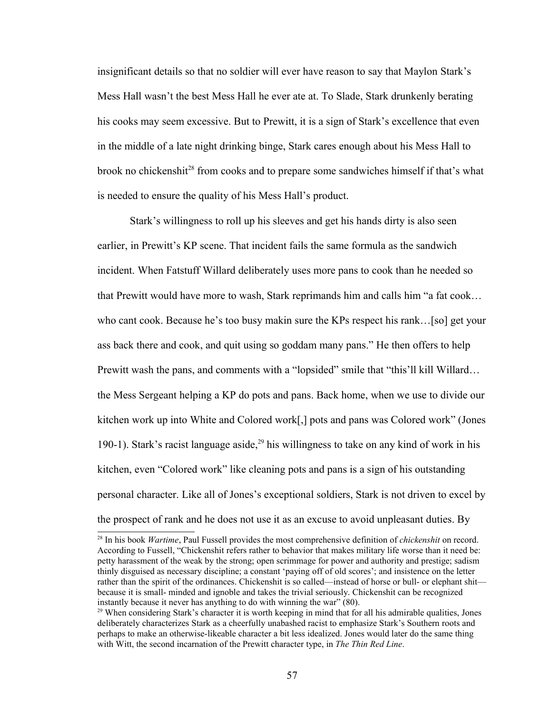insignificant details so that no soldier will ever have reason to say that Maylon Stark's Mess Hall wasn't the best Mess Hall he ever ate at. To Slade, Stark drunkenly berating his cooks may seem excessive. But to Prewitt, it is a sign of Stark's excellence that even in the middle of a late night drinking binge, Stark cares enough about his Mess Hall to brook no chickenshit<sup>[28](#page-64-0)</sup> from cooks and to prepare some sandwiches himself if that's what is needed to ensure the quality of his Mess Hall's product.

Stark's willingness to roll up his sleeves and get his hands dirty is also seen earlier, in Prewitt's KP scene. That incident fails the same formula as the sandwich incident. When Fatstuff Willard deliberately uses more pans to cook than he needed so that Prewitt would have more to wash, Stark reprimands him and calls him "a fat cook… who cant cook. Because he's too busy makin sure the KPs respect his rank...[so] get your ass back there and cook, and quit using so goddam many pans." He then offers to help Prewitt wash the pans, and comments with a "lopsided" smile that "this'll kill Willard... the Mess Sergeant helping a KP do pots and pans. Back home, when we use to divide our kitchen work up into White and Colored work[,] pots and pans was Colored work" (Jones 190-1). Stark's racist language aside,<sup>[29](#page-64-1)</sup> his willingness to take on any kind of work in his kitchen, even "Colored work" like cleaning pots and pans is a sign of his outstanding personal character. Like all of Jones's exceptional soldiers, Stark is not driven to excel by the prospect of rank and he does not use it as an excuse to avoid unpleasant duties. By

<span id="page-64-0"></span><sup>28</sup> In his book *Wartime*, Paul Fussell provides the most comprehensive definition of *chickenshit* on record. According to Fussell, "Chickenshit refers rather to behavior that makes military life worse than it need be: petty harassment of the weak by the strong; open scrimmage for power and authority and prestige; sadism thinly disguised as necessary discipline; a constant 'paying off of old scores'; and insistence on the letter rather than the spirit of the ordinances. Chickenshit is so called—instead of horse or bull- or elephant shit because it is small- minded and ignoble and takes the trivial seriously. Chickenshit can be recognized instantly because it never has anything to do with winning the war" (80).

<span id="page-64-1"></span><sup>&</sup>lt;sup>29</sup> When considering Stark's character it is worth keeping in mind that for all his admirable qualities, Jones deliberately characterizes Stark as a cheerfully unabashed racist to emphasize Stark's Southern roots and perhaps to make an otherwise-likeable character a bit less idealized. Jones would later do the same thing with Witt, the second incarnation of the Prewitt character type, in *The Thin Red Line*.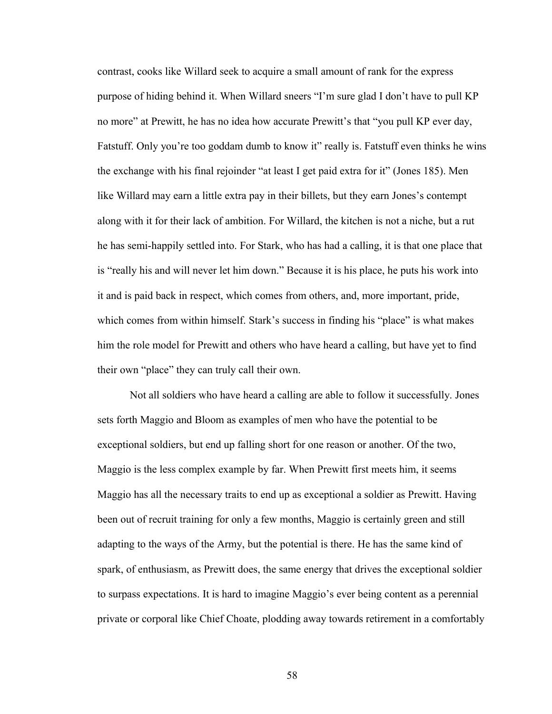contrast, cooks like Willard seek to acquire a small amount of rank for the express purpose of hiding behind it. When Willard sneers "I'm sure glad I don't have to pull KP no more" at Prewitt, he has no idea how accurate Prewitt's that "you pull KP ever day, Fatstuff. Only you're too goddam dumb to know it" really is. Fatstuff even thinks he wins the exchange with his final rejoinder "at least I get paid extra for it" (Jones 185). Men like Willard may earn a little extra pay in their billets, but they earn Jones's contempt along with it for their lack of ambition. For Willard, the kitchen is not a niche, but a rut he has semi-happily settled into. For Stark, who has had a calling, it is that one place that is "really his and will never let him down." Because it is his place, he puts his work into it and is paid back in respect, which comes from others, and, more important, pride, which comes from within himself. Stark's success in finding his "place" is what makes him the role model for Prewitt and others who have heard a calling, but have yet to find their own "place" they can truly call their own.

Not all soldiers who have heard a calling are able to follow it successfully. Jones sets forth Maggio and Bloom as examples of men who have the potential to be exceptional soldiers, but end up falling short for one reason or another. Of the two, Maggio is the less complex example by far. When Prewitt first meets him, it seems Maggio has all the necessary traits to end up as exceptional a soldier as Prewitt. Having been out of recruit training for only a few months, Maggio is certainly green and still adapting to the ways of the Army, but the potential is there. He has the same kind of spark, of enthusiasm, as Prewitt does, the same energy that drives the exceptional soldier to surpass expectations. It is hard to imagine Maggio's ever being content as a perennial private or corporal like Chief Choate, plodding away towards retirement in a comfortably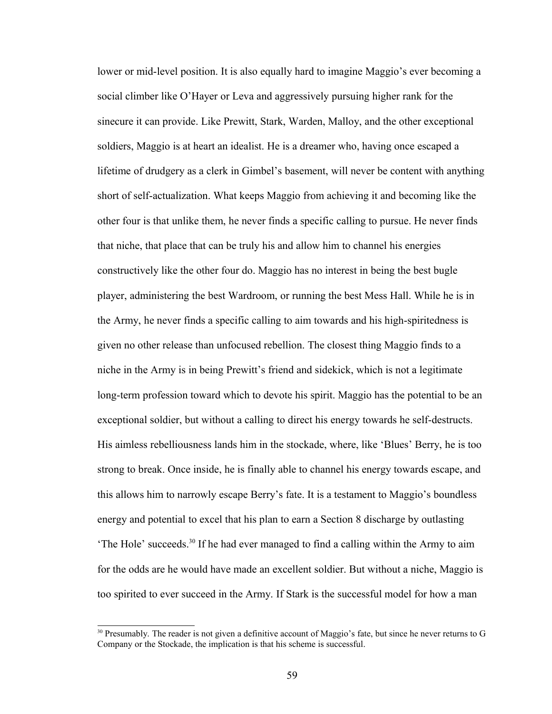lower or mid-level position. It is also equally hard to imagine Maggio's ever becoming a social climber like O'Hayer or Leva and aggressively pursuing higher rank for the sinecure it can provide. Like Prewitt, Stark, Warden, Malloy, and the other exceptional soldiers, Maggio is at heart an idealist. He is a dreamer who, having once escaped a lifetime of drudgery as a clerk in Gimbel's basement, will never be content with anything short of self-actualization. What keeps Maggio from achieving it and becoming like the other four is that unlike them, he never finds a specific calling to pursue. He never finds that niche, that place that can be truly his and allow him to channel his energies constructively like the other four do. Maggio has no interest in being the best bugle player, administering the best Wardroom, or running the best Mess Hall. While he is in the Army, he never finds a specific calling to aim towards and his high-spiritedness is given no other release than unfocused rebellion. The closest thing Maggio finds to a niche in the Army is in being Prewitt's friend and sidekick, which is not a legitimate long-term profession toward which to devote his spirit. Maggio has the potential to be an exceptional soldier, but without a calling to direct his energy towards he self-destructs. His aimless rebelliousness lands him in the stockade, where, like 'Blues' Berry, he is too strong to break. Once inside, he is finally able to channel his energy towards escape, and this allows him to narrowly escape Berry's fate. It is a testament to Maggio's boundless energy and potential to excel that his plan to earn a Section 8 discharge by outlasting 'The Hole' succeeds.[30](#page-66-0) If he had ever managed to find a calling within the Army to aim for the odds are he would have made an excellent soldier. But without a niche, Maggio is too spirited to ever succeed in the Army. If Stark is the successful model for how a man

<span id="page-66-0"></span><sup>&</sup>lt;sup>30</sup> Presumably. The reader is not given a definitive account of Maggio's fate, but since he never returns to G Company or the Stockade, the implication is that his scheme is successful.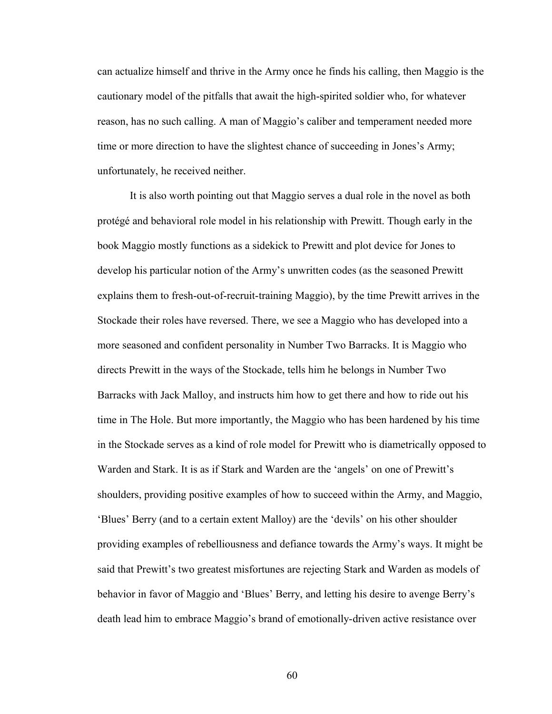can actualize himself and thrive in the Army once he finds his calling, then Maggio is the cautionary model of the pitfalls that await the high-spirited soldier who, for whatever reason, has no such calling. A man of Maggio's caliber and temperament needed more time or more direction to have the slightest chance of succeeding in Jones's Army; unfortunately, he received neither.

It is also worth pointing out that Maggio serves a dual role in the novel as both protégé and behavioral role model in his relationship with Prewitt. Though early in the book Maggio mostly functions as a sidekick to Prewitt and plot device for Jones to develop his particular notion of the Army's unwritten codes (as the seasoned Prewitt explains them to fresh-out-of-recruit-training Maggio), by the time Prewitt arrives in the Stockade their roles have reversed. There, we see a Maggio who has developed into a more seasoned and confident personality in Number Two Barracks. It is Maggio who directs Prewitt in the ways of the Stockade, tells him he belongs in Number Two Barracks with Jack Malloy, and instructs him how to get there and how to ride out his time in The Hole. But more importantly, the Maggio who has been hardened by his time in the Stockade serves as a kind of role model for Prewitt who is diametrically opposed to Warden and Stark. It is as if Stark and Warden are the 'angels' on one of Prewitt's shoulders, providing positive examples of how to succeed within the Army, and Maggio, 'Blues' Berry (and to a certain extent Malloy) are the 'devils' on his other shoulder providing examples of rebelliousness and defiance towards the Army's ways. It might be said that Prewitt's two greatest misfortunes are rejecting Stark and Warden as models of behavior in favor of Maggio and 'Blues' Berry, and letting his desire to avenge Berry's death lead him to embrace Maggio's brand of emotionally-driven active resistance over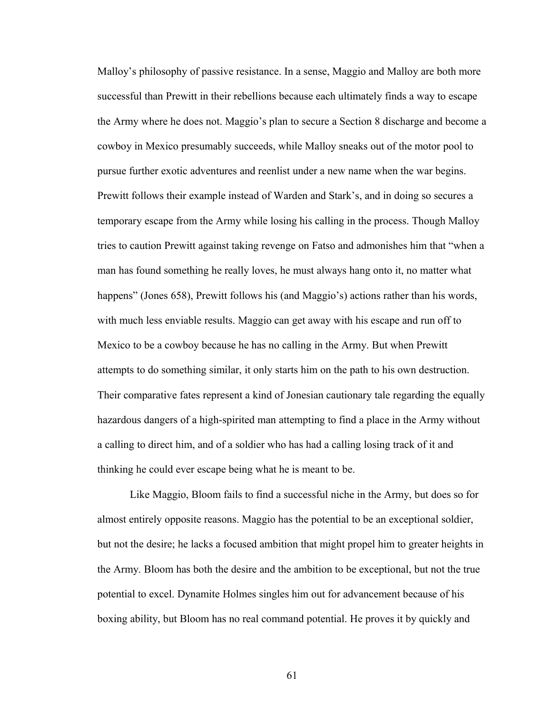Malloy's philosophy of passive resistance. In a sense, Maggio and Malloy are both more successful than Prewitt in their rebellions because each ultimately finds a way to escape the Army where he does not. Maggio's plan to secure a Section 8 discharge and become a cowboy in Mexico presumably succeeds, while Malloy sneaks out of the motor pool to pursue further exotic adventures and reenlist under a new name when the war begins. Prewitt follows their example instead of Warden and Stark's, and in doing so secures a temporary escape from the Army while losing his calling in the process. Though Malloy tries to caution Prewitt against taking revenge on Fatso and admonishes him that "when a man has found something he really loves, he must always hang onto it, no matter what happens" (Jones 658), Prewitt follows his (and Maggio's) actions rather than his words, with much less enviable results. Maggio can get away with his escape and run off to Mexico to be a cowboy because he has no calling in the Army. But when Prewitt attempts to do something similar, it only starts him on the path to his own destruction. Their comparative fates represent a kind of Jonesian cautionary tale regarding the equally hazardous dangers of a high-spirited man attempting to find a place in the Army without a calling to direct him, and of a soldier who has had a calling losing track of it and thinking he could ever escape being what he is meant to be.

Like Maggio, Bloom fails to find a successful niche in the Army, but does so for almost entirely opposite reasons. Maggio has the potential to be an exceptional soldier, but not the desire; he lacks a focused ambition that might propel him to greater heights in the Army. Bloom has both the desire and the ambition to be exceptional, but not the true potential to excel. Dynamite Holmes singles him out for advancement because of his boxing ability, but Bloom has no real command potential. He proves it by quickly and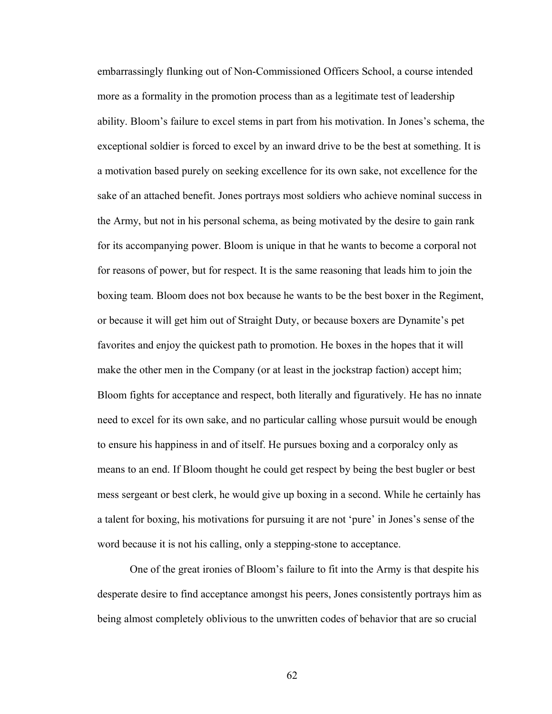embarrassingly flunking out of Non-Commissioned Officers School, a course intended more as a formality in the promotion process than as a legitimate test of leadership ability. Bloom's failure to excel stems in part from his motivation. In Jones's schema, the exceptional soldier is forced to excel by an inward drive to be the best at something. It is a motivation based purely on seeking excellence for its own sake, not excellence for the sake of an attached benefit. Jones portrays most soldiers who achieve nominal success in the Army, but not in his personal schema, as being motivated by the desire to gain rank for its accompanying power. Bloom is unique in that he wants to become a corporal not for reasons of power, but for respect. It is the same reasoning that leads him to join the boxing team. Bloom does not box because he wants to be the best boxer in the Regiment, or because it will get him out of Straight Duty, or because boxers are Dynamite's pet favorites and enjoy the quickest path to promotion. He boxes in the hopes that it will make the other men in the Company (or at least in the jockstrap faction) accept him; Bloom fights for acceptance and respect, both literally and figuratively. He has no innate need to excel for its own sake, and no particular calling whose pursuit would be enough to ensure his happiness in and of itself. He pursues boxing and a corporalcy only as means to an end. If Bloom thought he could get respect by being the best bugler or best mess sergeant or best clerk, he would give up boxing in a second. While he certainly has a talent for boxing, his motivations for pursuing it are not 'pure' in Jones's sense of the word because it is not his calling, only a stepping-stone to acceptance.

One of the great ironies of Bloom's failure to fit into the Army is that despite his desperate desire to find acceptance amongst his peers, Jones consistently portrays him as being almost completely oblivious to the unwritten codes of behavior that are so crucial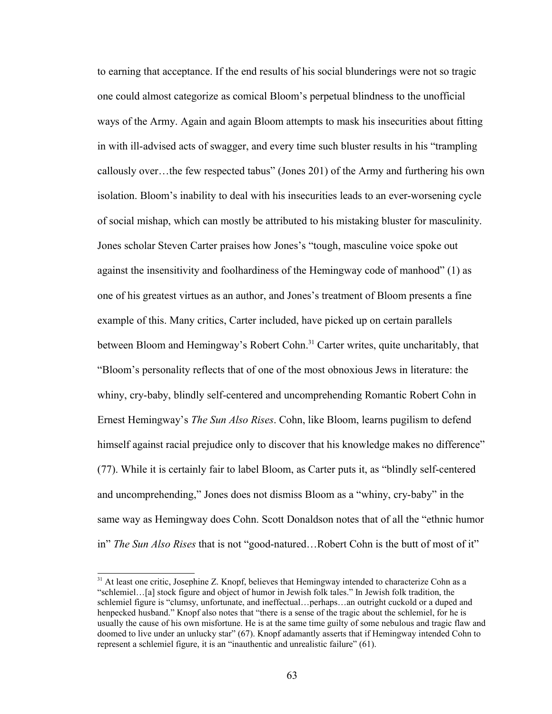to earning that acceptance. If the end results of his social blunderings were not so tragic one could almost categorize as comical Bloom's perpetual blindness to the unofficial ways of the Army. Again and again Bloom attempts to mask his insecurities about fitting in with ill-advised acts of swagger, and every time such bluster results in his "trampling callously over…the few respected tabus" (Jones 201) of the Army and furthering his own isolation. Bloom's inability to deal with his insecurities leads to an ever-worsening cycle of social mishap, which can mostly be attributed to his mistaking bluster for masculinity. Jones scholar Steven Carter praises how Jones's "tough, masculine voice spoke out against the insensitivity and foolhardiness of the Hemingway code of manhood" (1) as one of his greatest virtues as an author, and Jones's treatment of Bloom presents a fine example of this. Many critics, Carter included, have picked up on certain parallels between Bloom and Hemingway's Robert Cohn.<sup>[31](#page-70-0)</sup> Carter writes, quite uncharitably, that "Bloom's personality reflects that of one of the most obnoxious Jews in literature: the whiny, cry-baby, blindly self-centered and uncomprehending Romantic Robert Cohn in Ernest Hemingway's *The Sun Also Rises*. Cohn, like Bloom, learns pugilism to defend himself against racial prejudice only to discover that his knowledge makes no difference" (77). While it is certainly fair to label Bloom, as Carter puts it, as "blindly self-centered and uncomprehending," Jones does not dismiss Bloom as a "whiny, cry-baby" in the same way as Hemingway does Cohn. Scott Donaldson notes that of all the "ethnic humor in" *The Sun Also Rises* that is not "good-natured…Robert Cohn is the butt of most of it"

<span id="page-70-0"></span><sup>&</sup>lt;sup>31</sup> At least one critic, Josephine Z. Knopf, believes that Hemingway intended to characterize Cohn as a "schlemiel…[a] stock figure and object of humor in Jewish folk tales." In Jewish folk tradition, the schlemiel figure is "clumsy, unfortunate, and ineffectual…perhaps…an outright cuckold or a duped and henpecked husband." Knopf also notes that "there is a sense of the tragic about the schlemiel, for he is usually the cause of his own misfortune. He is at the same time guilty of some nebulous and tragic flaw and doomed to live under an unlucky star" (67). Knopf adamantly asserts that if Hemingway intended Cohn to represent a schlemiel figure, it is an "inauthentic and unrealistic failure" (61).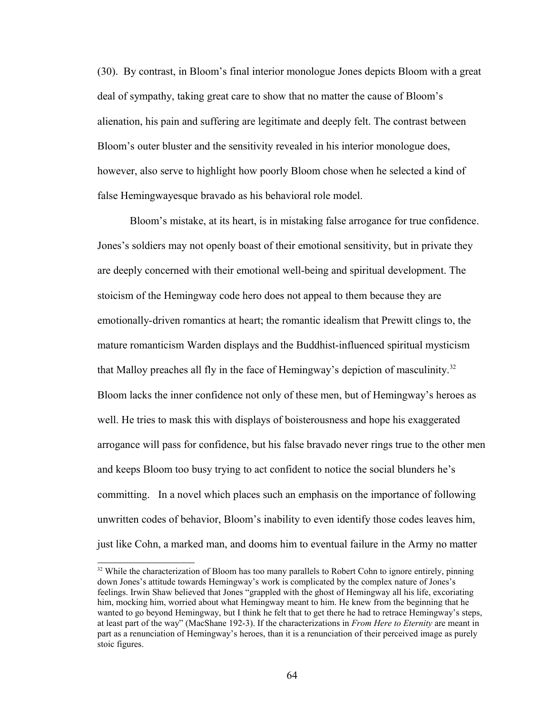(30). By contrast, in Bloom's final interior monologue Jones depicts Bloom with a great deal of sympathy, taking great care to show that no matter the cause of Bloom's alienation, his pain and suffering are legitimate and deeply felt. The contrast between Bloom's outer bluster and the sensitivity revealed in his interior monologue does, however, also serve to highlight how poorly Bloom chose when he selected a kind of false Hemingwayesque bravado as his behavioral role model.

Bloom's mistake, at its heart, is in mistaking false arrogance for true confidence. Jones's soldiers may not openly boast of their emotional sensitivity, but in private they are deeply concerned with their emotional well-being and spiritual development. The stoicism of the Hemingway code hero does not appeal to them because they are emotionally-driven romantics at heart; the romantic idealism that Prewitt clings to, the mature romanticism Warden displays and the Buddhist-influenced spiritual mysticism that Malloy preaches all fly in the face of Hemingway's depiction of masculinity.<sup>[32](#page-71-0)</sup> Bloom lacks the inner confidence not only of these men, but of Hemingway's heroes as well. He tries to mask this with displays of boisterousness and hope his exaggerated arrogance will pass for confidence, but his false bravado never rings true to the other men and keeps Bloom too busy trying to act confident to notice the social blunders he's committing. In a novel which places such an emphasis on the importance of following unwritten codes of behavior, Bloom's inability to even identify those codes leaves him, just like Cohn, a marked man, and dooms him to eventual failure in the Army no matter

<span id="page-71-0"></span><sup>&</sup>lt;sup>32</sup> While the characterization of Bloom has too many parallels to Robert Cohn to ignore entirely, pinning down Jones's attitude towards Hemingway's work is complicated by the complex nature of Jones's feelings. Irwin Shaw believed that Jones "grappled with the ghost of Hemingway all his life, excoriating him, mocking him, worried about what Hemingway meant to him. He knew from the beginning that he wanted to go beyond Hemingway, but I think he felt that to get there he had to retrace Hemingway's steps, at least part of the way" (MacShane 192-3). If the characterizations in *From Here to Eternity* are meant in part as a renunciation of Hemingway's heroes, than it is a renunciation of their perceived image as purely stoic figures.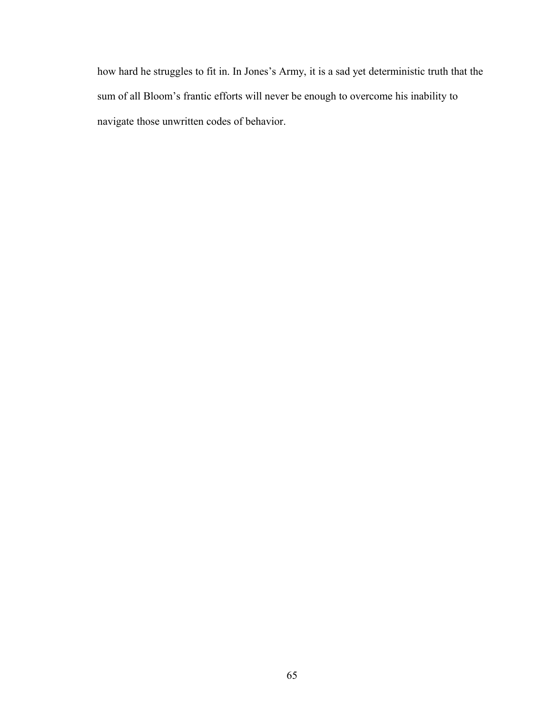how hard he struggles to fit in. In Jones's Army, it is a sad yet deterministic truth that the sum of all Bloom's frantic efforts will never be enough to overcome his inability to navigate those unwritten codes of behavior.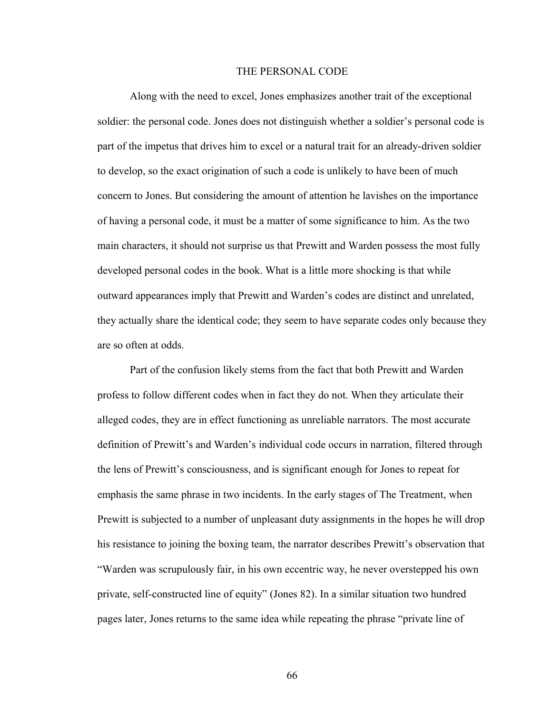## THE PERSONAL CODE

Along with the need to excel, Jones emphasizes another trait of the exceptional soldier: the personal code. Jones does not distinguish whether a soldier's personal code is part of the impetus that drives him to excel or a natural trait for an already-driven soldier to develop, so the exact origination of such a code is unlikely to have been of much concern to Jones. But considering the amount of attention he lavishes on the importance of having a personal code, it must be a matter of some significance to him. As the two main characters, it should not surprise us that Prewitt and Warden possess the most fully developed personal codes in the book. What is a little more shocking is that while outward appearances imply that Prewitt and Warden's codes are distinct and unrelated, they actually share the identical code; they seem to have separate codes only because they are so often at odds.

Part of the confusion likely stems from the fact that both Prewitt and Warden profess to follow different codes when in fact they do not. When they articulate their alleged codes, they are in effect functioning as unreliable narrators. The most accurate definition of Prewitt's and Warden's individual code occurs in narration, filtered through the lens of Prewitt's consciousness, and is significant enough for Jones to repeat for emphasis the same phrase in two incidents. In the early stages of The Treatment, when Prewitt is subjected to a number of unpleasant duty assignments in the hopes he will drop his resistance to joining the boxing team, the narrator describes Prewitt's observation that "Warden was scrupulously fair, in his own eccentric way, he never overstepped his own private, self-constructed line of equity" (Jones 82). In a similar situation two hundred pages later, Jones returns to the same idea while repeating the phrase "private line of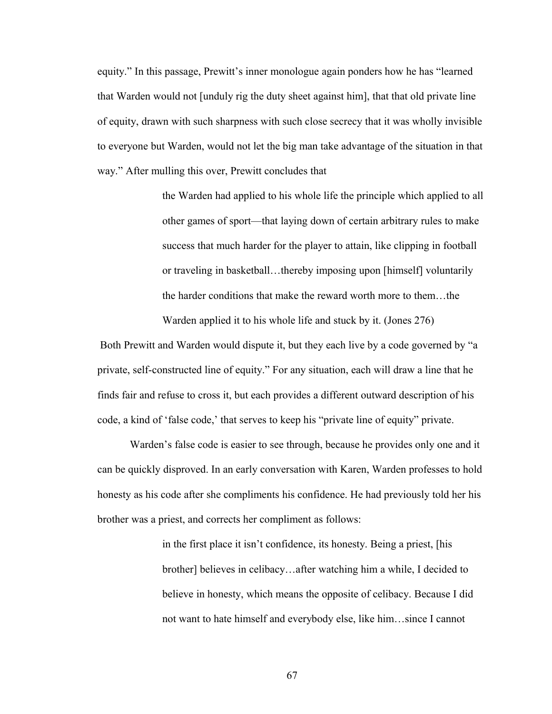equity." In this passage, Prewitt's inner monologue again ponders how he has "learned that Warden would not [unduly rig the duty sheet against him], that that old private line of equity, drawn with such sharpness with such close secrecy that it was wholly invisible to everyone but Warden, would not let the big man take advantage of the situation in that way." After mulling this over, Prewitt concludes that

> the Warden had applied to his whole life the principle which applied to all other games of sport—that laying down of certain arbitrary rules to make success that much harder for the player to attain, like clipping in football or traveling in basketball…thereby imposing upon [himself] voluntarily the harder conditions that make the reward worth more to them…the Warden applied it to his whole life and stuck by it. (Jones 276)

 Both Prewitt and Warden would dispute it, but they each live by a code governed by "a private, self-constructed line of equity." For any situation, each will draw a line that he finds fair and refuse to cross it, but each provides a different outward description of his code, a kind of 'false code,' that serves to keep his "private line of equity" private.

Warden's false code is easier to see through, because he provides only one and it can be quickly disproved. In an early conversation with Karen, Warden professes to hold honesty as his code after she compliments his confidence. He had previously told her his brother was a priest, and corrects her compliment as follows:

> in the first place it isn't confidence, its honesty. Being a priest, [his brother] believes in celibacy…after watching him a while, I decided to believe in honesty, which means the opposite of celibacy. Because I did not want to hate himself and everybody else, like him…since I cannot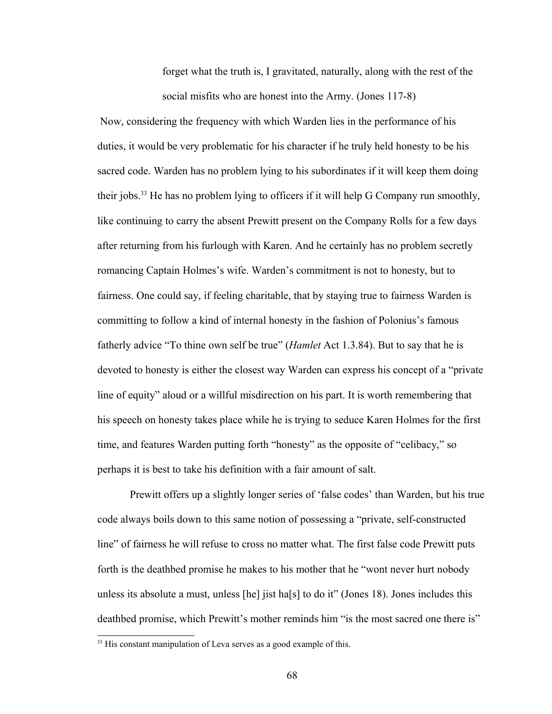forget what the truth is, I gravitated, naturally, along with the rest of the social misfits who are honest into the Army. (Jones 117-8)

 Now, considering the frequency with which Warden lies in the performance of his duties, it would be very problematic for his character if he truly held honesty to be his sacred code. Warden has no problem lying to his subordinates if it will keep them doing their jobs.[33](#page-75-0) He has no problem lying to officers if it will help G Company run smoothly, like continuing to carry the absent Prewitt present on the Company Rolls for a few days after returning from his furlough with Karen. And he certainly has no problem secretly romancing Captain Holmes's wife. Warden's commitment is not to honesty, but to fairness. One could say, if feeling charitable, that by staying true to fairness Warden is committing to follow a kind of internal honesty in the fashion of Polonius's famous fatherly advice "To thine own self be true" (*Hamlet* Act 1.3.84). But to say that he is devoted to honesty is either the closest way Warden can express his concept of a "private line of equity" aloud or a willful misdirection on his part. It is worth remembering that his speech on honesty takes place while he is trying to seduce Karen Holmes for the first time, and features Warden putting forth "honesty" as the opposite of "celibacy," so perhaps it is best to take his definition with a fair amount of salt.

Prewitt offers up a slightly longer series of 'false codes' than Warden, but his true code always boils down to this same notion of possessing a "private, self-constructed line" of fairness he will refuse to cross no matter what. The first false code Prewitt puts forth is the deathbed promise he makes to his mother that he "wont never hurt nobody unless its absolute a must, unless [he] jist ha[s] to do it" (Jones 18). Jones includes this deathbed promise, which Prewitt's mother reminds him "is the most sacred one there is"

<span id="page-75-0"></span><sup>&</sup>lt;sup>33</sup> His constant manipulation of Leva serves as a good example of this.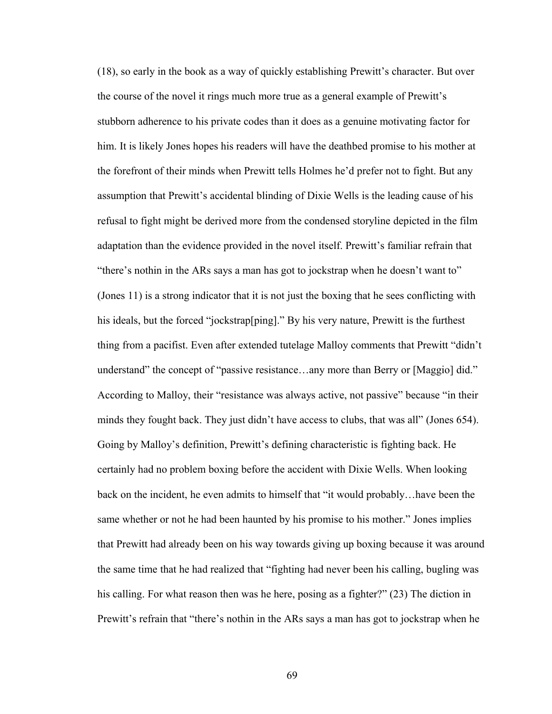(18), so early in the book as a way of quickly establishing Prewitt's character. But over the course of the novel it rings much more true as a general example of Prewitt's stubborn adherence to his private codes than it does as a genuine motivating factor for him. It is likely Jones hopes his readers will have the deathbed promise to his mother at the forefront of their minds when Prewitt tells Holmes he'd prefer not to fight. But any assumption that Prewitt's accidental blinding of Dixie Wells is the leading cause of his refusal to fight might be derived more from the condensed storyline depicted in the film adaptation than the evidence provided in the novel itself. Prewitt's familiar refrain that "there's nothin in the ARs says a man has got to jockstrap when he doesn't want to" (Jones 11) is a strong indicator that it is not just the boxing that he sees conflicting with his ideals, but the forced "jockstrap[ping]." By his very nature, Prewitt is the furthest thing from a pacifist. Even after extended tutelage Malloy comments that Prewitt "didn't understand" the concept of "passive resistance...any more than Berry or [Maggio] did." According to Malloy, their "resistance was always active, not passive" because "in their minds they fought back. They just didn't have access to clubs, that was all" (Jones 654). Going by Malloy's definition, Prewitt's defining characteristic is fighting back. He certainly had no problem boxing before the accident with Dixie Wells. When looking back on the incident, he even admits to himself that "it would probably…have been the same whether or not he had been haunted by his promise to his mother." Jones implies that Prewitt had already been on his way towards giving up boxing because it was around the same time that he had realized that "fighting had never been his calling, bugling was his calling. For what reason then was he here, posing as a fighter?" (23) The diction in Prewitt's refrain that "there's nothin in the ARs says a man has got to jockstrap when he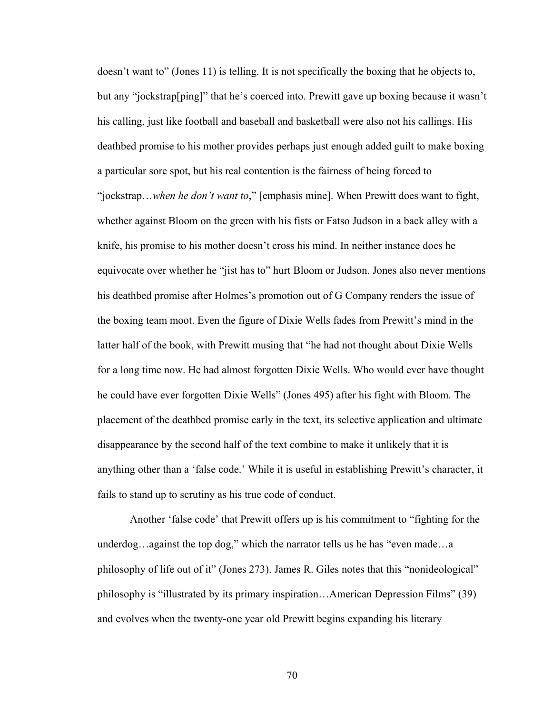doesn't want to" (Jones 11) is telling. It is not specifically the boxing that he objects to, but any "jockstrap[ping]" that he's coerced into. Prewitt gave up boxing because it wasn't his calling, just like football and baseball and basketball were also not his callings. His deathbed promise to his mother provides perhaps just enough added guilt to make boxing a particular sore spot, but his real contention is the fairness of being forced to "jockstrap…*when he don't want to*," [emphasis mine]. When Prewitt does want to fight, whether against Bloom on the green with his fists or Fatso Judson in a back alley with a knife, his promise to his mother doesn't cross his mind. In neither instance does he equivocate over whether he "jist has to" hurt Bloom or Judson. Jones also never mentions his deathbed promise after Holmes's promotion out of G Company renders the issue of the boxing team moot. Even the figure of Dixie Wells fades from Prewitt's mind in the latter half of the book, with Prewitt musing that "he had not thought about Dixie Wells for a long time now. He had almost forgotten Dixie Wells. Who would ever have thought he could have ever forgotten Dixie Wells" (Jones 495) after his fight with Bloom. The placement of the deathbed promise early in the text, its selective application and ultimate disappearance by the second half of the text combine to make it unlikely that it is anything other than a 'false code.' While it is useful in establishing Prewitt's character, it fails to stand up to scrutiny as his true code of conduct.

Another 'false code' that Prewitt offers up is his commitment to "fighting for the underdog…against the top dog," which the narrator tells us he has "even made…a philosophy of life out of it" (Jones 273). James R. Giles notes that this "nonideological" philosophy is "illustrated by its primary inspiration…American Depression Films" (39) and evolves when the twenty-one year old Prewitt begins expanding his literary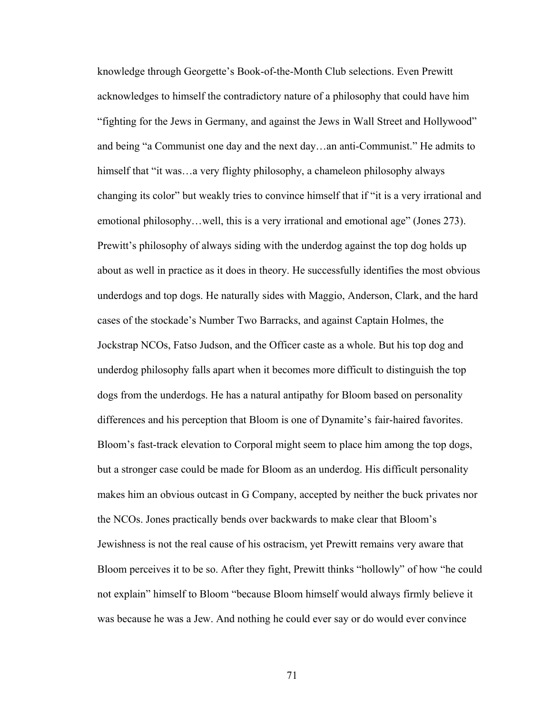knowledge through Georgette's Book-of-the-Month Club selections. Even Prewitt acknowledges to himself the contradictory nature of a philosophy that could have him "fighting for the Jews in Germany, and against the Jews in Wall Street and Hollywood" and being "a Communist one day and the next day…an anti-Communist." He admits to himself that "it was…a very flighty philosophy, a chameleon philosophy always changing its color" but weakly tries to convince himself that if "it is a very irrational and emotional philosophy…well, this is a very irrational and emotional age" (Jones 273). Prewitt's philosophy of always siding with the underdog against the top dog holds up about as well in practice as it does in theory. He successfully identifies the most obvious underdogs and top dogs. He naturally sides with Maggio, Anderson, Clark, and the hard cases of the stockade's Number Two Barracks, and against Captain Holmes, the Jockstrap NCOs, Fatso Judson, and the Officer caste as a whole. But his top dog and underdog philosophy falls apart when it becomes more difficult to distinguish the top dogs from the underdogs. He has a natural antipathy for Bloom based on personality differences and his perception that Bloom is one of Dynamite's fair-haired favorites. Bloom's fast-track elevation to Corporal might seem to place him among the top dogs, but a stronger case could be made for Bloom as an underdog. His difficult personality makes him an obvious outcast in G Company, accepted by neither the buck privates nor the NCOs. Jones practically bends over backwards to make clear that Bloom's Jewishness is not the real cause of his ostracism, yet Prewitt remains very aware that Bloom perceives it to be so. After they fight, Prewitt thinks "hollowly" of how "he could not explain" himself to Bloom "because Bloom himself would always firmly believe it was because he was a Jew. And nothing he could ever say or do would ever convince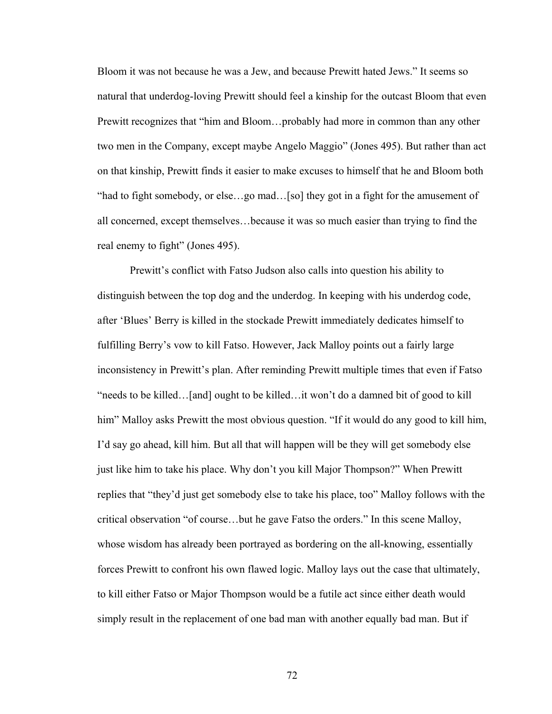Bloom it was not because he was a Jew, and because Prewitt hated Jews." It seems so natural that underdog-loving Prewitt should feel a kinship for the outcast Bloom that even Prewitt recognizes that "him and Bloom…probably had more in common than any other two men in the Company, except maybe Angelo Maggio" (Jones 495). But rather than act on that kinship, Prewitt finds it easier to make excuses to himself that he and Bloom both "had to fight somebody, or else…go mad…[so] they got in a fight for the amusement of all concerned, except themselves…because it was so much easier than trying to find the real enemy to fight" (Jones 495).

Prewitt's conflict with Fatso Judson also calls into question his ability to distinguish between the top dog and the underdog. In keeping with his underdog code, after 'Blues' Berry is killed in the stockade Prewitt immediately dedicates himself to fulfilling Berry's vow to kill Fatso. However, Jack Malloy points out a fairly large inconsistency in Prewitt's plan. After reminding Prewitt multiple times that even if Fatso "needs to be killed…[and] ought to be killed…it won't do a damned bit of good to kill him" Malloy asks Prewitt the most obvious question. "If it would do any good to kill him, I'd say go ahead, kill him. But all that will happen will be they will get somebody else just like him to take his place. Why don't you kill Major Thompson?" When Prewitt replies that "they'd just get somebody else to take his place, too" Malloy follows with the critical observation "of course…but he gave Fatso the orders." In this scene Malloy, whose wisdom has already been portrayed as bordering on the all-knowing, essentially forces Prewitt to confront his own flawed logic. Malloy lays out the case that ultimately, to kill either Fatso or Major Thompson would be a futile act since either death would simply result in the replacement of one bad man with another equally bad man. But if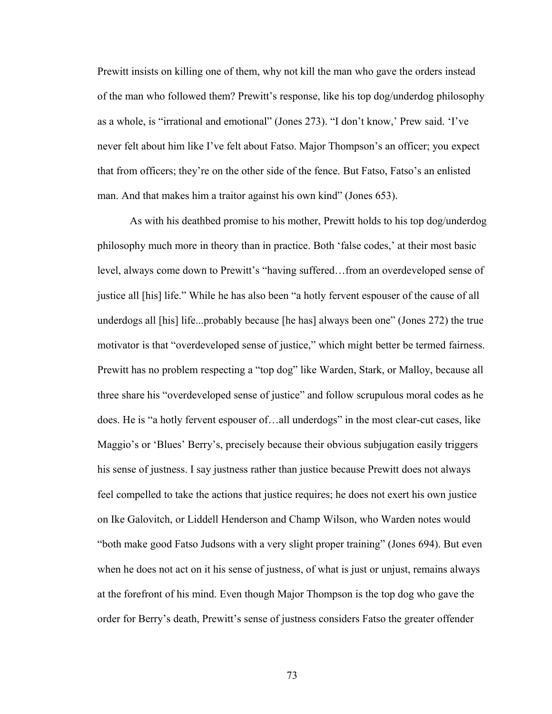Prewitt insists on killing one of them, why not kill the man who gave the orders instead of the man who followed them? Prewitt's response, like his top dog/underdog philosophy as a whole, is "irrational and emotional" (Jones 273). "I don't know,' Prew said. 'I've never felt about him like I've felt about Fatso. Major Thompson's an officer; you expect that from officers; they're on the other side of the fence. But Fatso, Fatso's an enlisted man. And that makes him a traitor against his own kind" (Jones 653).

As with his deathbed promise to his mother, Prewitt holds to his top dog/underdog philosophy much more in theory than in practice. Both 'false codes,' at their most basic level, always come down to Prewitt's "having suffered…from an overdeveloped sense of justice all [his] life." While he has also been "a hotly fervent espouser of the cause of all underdogs all [his] life...probably because [he has] always been one" (Jones 272) the true motivator is that "overdeveloped sense of justice," which might better be termed fairness. Prewitt has no problem respecting a "top dog" like Warden, Stark, or Malloy, because all three share his "overdeveloped sense of justice" and follow scrupulous moral codes as he does. He is "a hotly fervent espouser of…all underdogs" in the most clear-cut cases, like Maggio's or 'Blues' Berry's, precisely because their obvious subjugation easily triggers his sense of justness. I say justness rather than justice because Prewitt does not always feel compelled to take the actions that justice requires; he does not exert his own justice on Ike Galovitch, or Liddell Henderson and Champ Wilson, who Warden notes would "both make good Fatso Judsons with a very slight proper training" (Jones 694). But even when he does not act on it his sense of justness, of what is just or unjust, remains always at the forefront of his mind. Even though Major Thompson is the top dog who gave the order for Berry's death, Prewitt's sense of justness considers Fatso the greater offender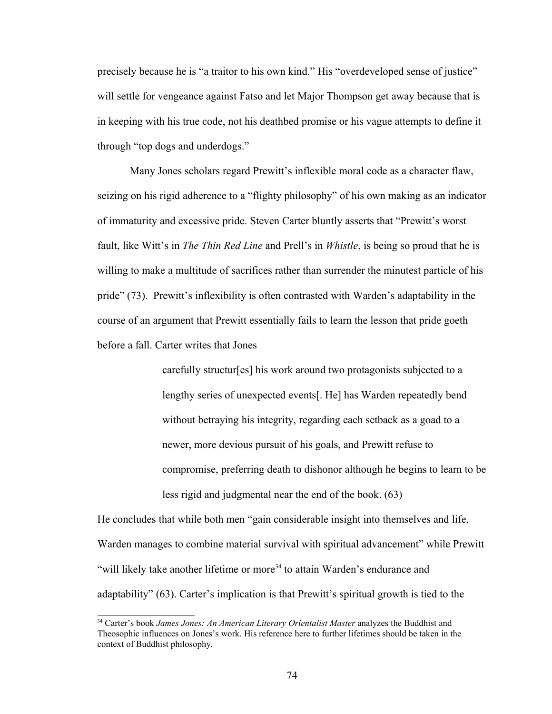precisely because he is "a traitor to his own kind." His "overdeveloped sense of justice" will settle for vengeance against Fatso and let Major Thompson get away because that is in keeping with his true code, not his deathbed promise or his vague attempts to define it through "top dogs and underdogs."

Many Jones scholars regard Prewitt's inflexible moral code as a character flaw, seizing on his rigid adherence to a "flighty philosophy" of his own making as an indicator of immaturity and excessive pride. Steven Carter bluntly asserts that "Prewitt's worst fault, like Witt's in *The Thin Red Line* and Prell's in *Whistle*, is being so proud that he is willing to make a multitude of sacrifices rather than surrender the minutest particle of his pride" (73). Prewitt's inflexibility is often contrasted with Warden's adaptability in the course of an argument that Prewitt essentially fails to learn the lesson that pride goeth before a fall. Carter writes that Jones

> carefully structur[es] his work around two protagonists subjected to a lengthy series of unexpected events[. He] has Warden repeatedly bend without betraying his integrity, regarding each setback as a goad to a newer, more devious pursuit of his goals, and Prewitt refuse to compromise, preferring death to dishonor although he begins to learn to be less rigid and judgmental near the end of the book. (63)

He concludes that while both men "gain considerable insight into themselves and life, Warden manages to combine material survival with spiritual advancement" while Prewitt "will likely take another lifetime or more<sup>[34](#page-81-0)</sup> to attain Warden's endurance and adaptability" (63). Carter's implication is that Prewitt's spiritual growth is tied to the

<span id="page-81-0"></span><sup>34</sup> Carter's book *James Jones: An American Literary Orientalist Master* analyzes the Buddhist and Theosophic influences on Jones's work. His reference here to further lifetimes should be taken in the context of Buddhist philosophy.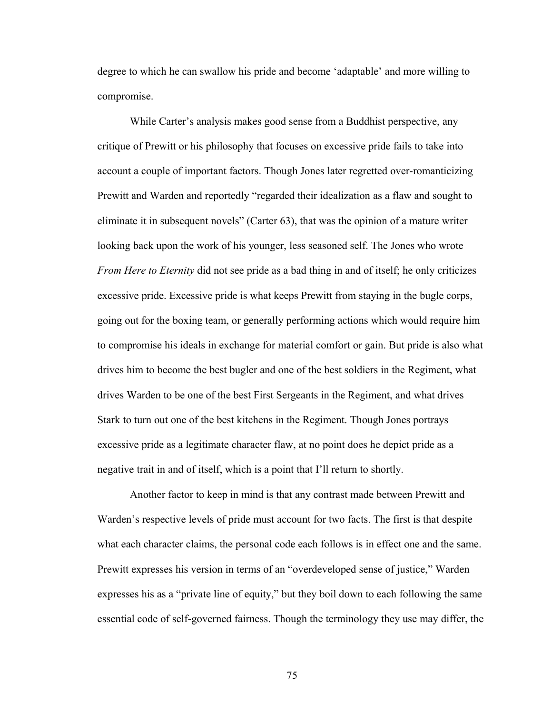degree to which he can swallow his pride and become 'adaptable' and more willing to compromise.

While Carter's analysis makes good sense from a Buddhist perspective, any critique of Prewitt or his philosophy that focuses on excessive pride fails to take into account a couple of important factors. Though Jones later regretted over-romanticizing Prewitt and Warden and reportedly "regarded their idealization as a flaw and sought to eliminate it in subsequent novels" (Carter 63), that was the opinion of a mature writer looking back upon the work of his younger, less seasoned self. The Jones who wrote *From Here to Eternity* did not see pride as a bad thing in and of itself; he only criticizes excessive pride. Excessive pride is what keeps Prewitt from staying in the bugle corps, going out for the boxing team, or generally performing actions which would require him to compromise his ideals in exchange for material comfort or gain. But pride is also what drives him to become the best bugler and one of the best soldiers in the Regiment, what drives Warden to be one of the best First Sergeants in the Regiment, and what drives Stark to turn out one of the best kitchens in the Regiment. Though Jones portrays excessive pride as a legitimate character flaw, at no point does he depict pride as a negative trait in and of itself, which is a point that I'll return to shortly.

Another factor to keep in mind is that any contrast made between Prewitt and Warden's respective levels of pride must account for two facts. The first is that despite what each character claims, the personal code each follows is in effect one and the same. Prewitt expresses his version in terms of an "overdeveloped sense of justice," Warden expresses his as a "private line of equity," but they boil down to each following the same essential code of self-governed fairness. Though the terminology they use may differ, the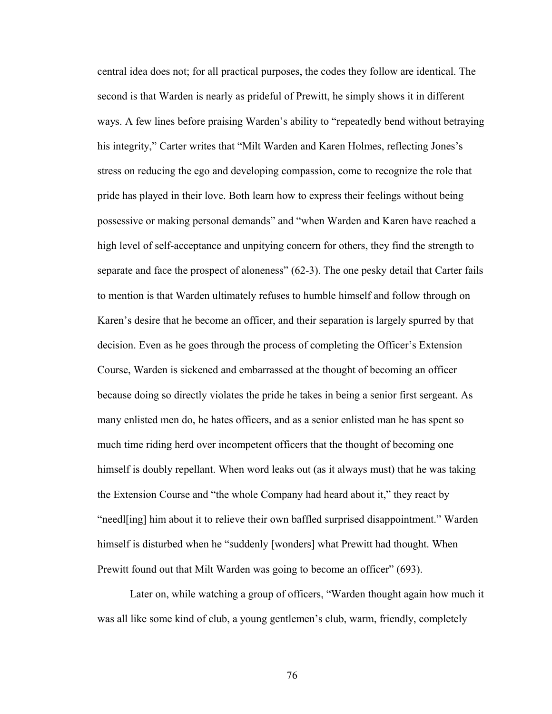central idea does not; for all practical purposes, the codes they follow are identical. The second is that Warden is nearly as prideful of Prewitt, he simply shows it in different ways. A few lines before praising Warden's ability to "repeatedly bend without betraying his integrity," Carter writes that "Milt Warden and Karen Holmes, reflecting Jones's stress on reducing the ego and developing compassion, come to recognize the role that pride has played in their love. Both learn how to express their feelings without being possessive or making personal demands" and "when Warden and Karen have reached a high level of self-acceptance and unpitying concern for others, they find the strength to separate and face the prospect of aloneness" (62-3). The one pesky detail that Carter fails to mention is that Warden ultimately refuses to humble himself and follow through on Karen's desire that he become an officer, and their separation is largely spurred by that decision. Even as he goes through the process of completing the Officer's Extension Course, Warden is sickened and embarrassed at the thought of becoming an officer because doing so directly violates the pride he takes in being a senior first sergeant. As many enlisted men do, he hates officers, and as a senior enlisted man he has spent so much time riding herd over incompetent officers that the thought of becoming one himself is doubly repellant. When word leaks out (as it always must) that he was taking the Extension Course and "the whole Company had heard about it," they react by "needl[ing] him about it to relieve their own baffled surprised disappointment." Warden himself is disturbed when he "suddenly [wonders] what Prewitt had thought. When Prewitt found out that Milt Warden was going to become an officer" (693).

Later on, while watching a group of officers, "Warden thought again how much it was all like some kind of club, a young gentlemen's club, warm, friendly, completely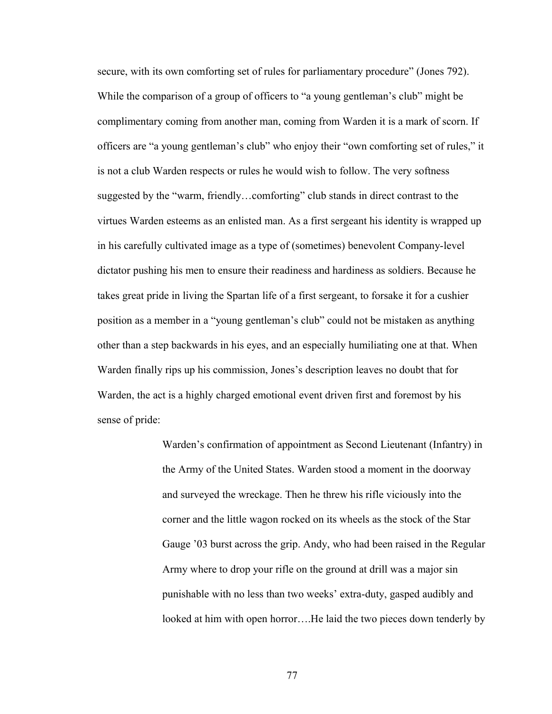secure, with its own comforting set of rules for parliamentary procedure" (Jones 792). While the comparison of a group of officers to "a young gentleman's club" might be complimentary coming from another man, coming from Warden it is a mark of scorn. If officers are "a young gentleman's club" who enjoy their "own comforting set of rules," it is not a club Warden respects or rules he would wish to follow. The very softness suggested by the "warm, friendly…comforting" club stands in direct contrast to the virtues Warden esteems as an enlisted man. As a first sergeant his identity is wrapped up in his carefully cultivated image as a type of (sometimes) benevolent Company-level dictator pushing his men to ensure their readiness and hardiness as soldiers. Because he takes great pride in living the Spartan life of a first sergeant, to forsake it for a cushier position as a member in a "young gentleman's club" could not be mistaken as anything other than a step backwards in his eyes, and an especially humiliating one at that. When Warden finally rips up his commission, Jones's description leaves no doubt that for Warden, the act is a highly charged emotional event driven first and foremost by his sense of pride:

> Warden's confirmation of appointment as Second Lieutenant (Infantry) in the Army of the United States. Warden stood a moment in the doorway and surveyed the wreckage. Then he threw his rifle viciously into the corner and the little wagon rocked on its wheels as the stock of the Star Gauge '03 burst across the grip. Andy, who had been raised in the Regular Army where to drop your rifle on the ground at drill was a major sin punishable with no less than two weeks' extra-duty, gasped audibly and looked at him with open horror….He laid the two pieces down tenderly by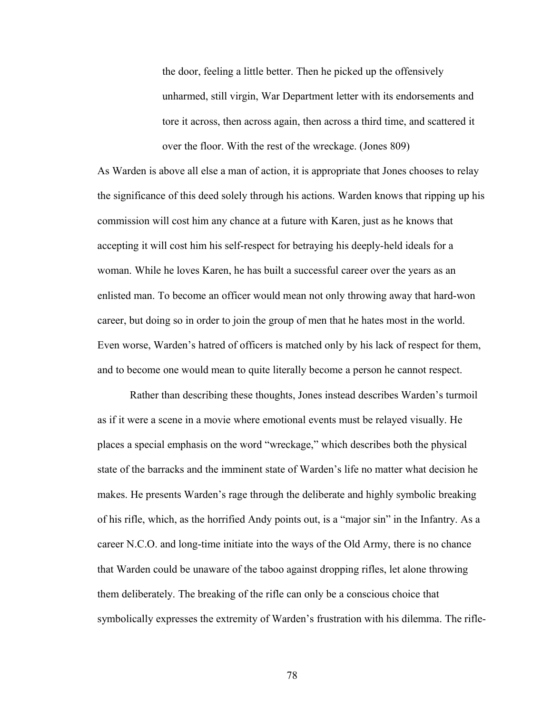the door, feeling a little better. Then he picked up the offensively unharmed, still virgin, War Department letter with its endorsements and tore it across, then across again, then across a third time, and scattered it over the floor. With the rest of the wreckage. (Jones 809)

As Warden is above all else a man of action, it is appropriate that Jones chooses to relay the significance of this deed solely through his actions. Warden knows that ripping up his commission will cost him any chance at a future with Karen, just as he knows that accepting it will cost him his self-respect for betraying his deeply-held ideals for a woman. While he loves Karen, he has built a successful career over the years as an enlisted man. To become an officer would mean not only throwing away that hard-won career, but doing so in order to join the group of men that he hates most in the world. Even worse, Warden's hatred of officers is matched only by his lack of respect for them, and to become one would mean to quite literally become a person he cannot respect.

Rather than describing these thoughts, Jones instead describes Warden's turmoil as if it were a scene in a movie where emotional events must be relayed visually. He places a special emphasis on the word "wreckage," which describes both the physical state of the barracks and the imminent state of Warden's life no matter what decision he makes. He presents Warden's rage through the deliberate and highly symbolic breaking of his rifle, which, as the horrified Andy points out, is a "major sin" in the Infantry. As a career N.C.O. and long-time initiate into the ways of the Old Army, there is no chance that Warden could be unaware of the taboo against dropping rifles, let alone throwing them deliberately. The breaking of the rifle can only be a conscious choice that symbolically expresses the extremity of Warden's frustration with his dilemma. The rifle-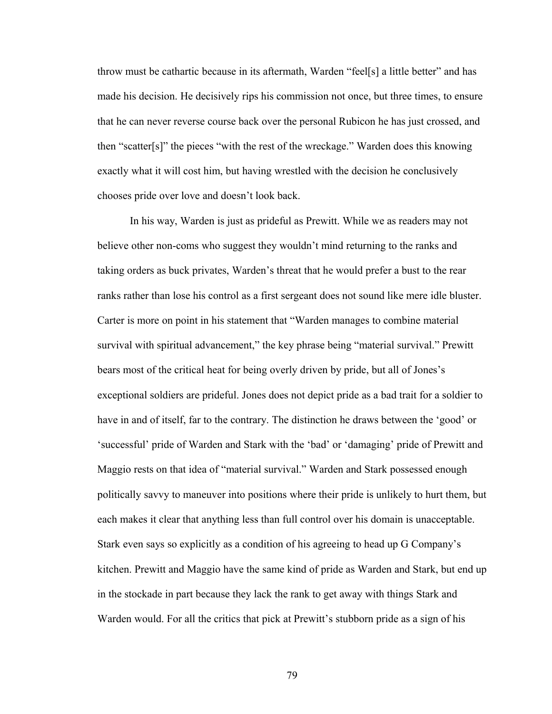throw must be cathartic because in its aftermath, Warden "feel[s] a little better" and has made his decision. He decisively rips his commission not once, but three times, to ensure that he can never reverse course back over the personal Rubicon he has just crossed, and then "scatter[s]" the pieces "with the rest of the wreckage." Warden does this knowing exactly what it will cost him, but having wrestled with the decision he conclusively chooses pride over love and doesn't look back.

In his way, Warden is just as prideful as Prewitt. While we as readers may not believe other non-coms who suggest they wouldn't mind returning to the ranks and taking orders as buck privates, Warden's threat that he would prefer a bust to the rear ranks rather than lose his control as a first sergeant does not sound like mere idle bluster. Carter is more on point in his statement that "Warden manages to combine material survival with spiritual advancement," the key phrase being "material survival." Prewitt bears most of the critical heat for being overly driven by pride, but all of Jones's exceptional soldiers are prideful. Jones does not depict pride as a bad trait for a soldier to have in and of itself, far to the contrary. The distinction he draws between the 'good' or 'successful' pride of Warden and Stark with the 'bad' or 'damaging' pride of Prewitt and Maggio rests on that idea of "material survival." Warden and Stark possessed enough politically savvy to maneuver into positions where their pride is unlikely to hurt them, but each makes it clear that anything less than full control over his domain is unacceptable. Stark even says so explicitly as a condition of his agreeing to head up G Company's kitchen. Prewitt and Maggio have the same kind of pride as Warden and Stark, but end up in the stockade in part because they lack the rank to get away with things Stark and Warden would. For all the critics that pick at Prewitt's stubborn pride as a sign of his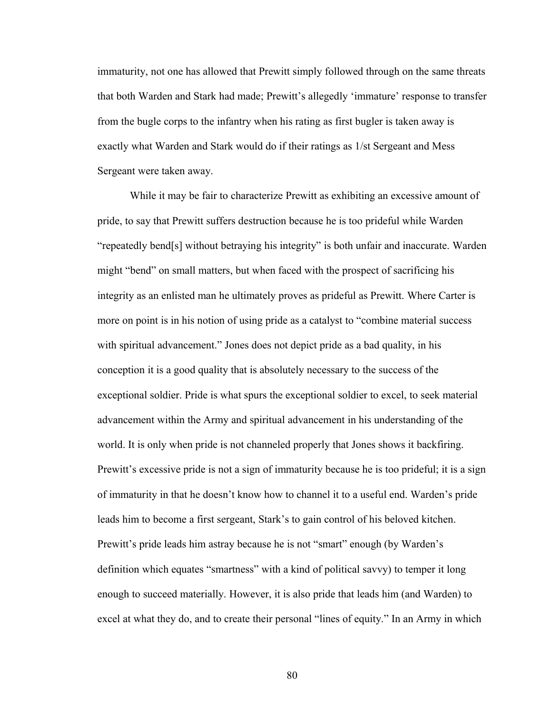immaturity, not one has allowed that Prewitt simply followed through on the same threats that both Warden and Stark had made; Prewitt's allegedly 'immature' response to transfer from the bugle corps to the infantry when his rating as first bugler is taken away is exactly what Warden and Stark would do if their ratings as 1/st Sergeant and Mess Sergeant were taken away.

While it may be fair to characterize Prewitt as exhibiting an excessive amount of pride, to say that Prewitt suffers destruction because he is too prideful while Warden "repeatedly bend[s] without betraying his integrity" is both unfair and inaccurate. Warden might "bend" on small matters, but when faced with the prospect of sacrificing his integrity as an enlisted man he ultimately proves as prideful as Prewitt. Where Carter is more on point is in his notion of using pride as a catalyst to "combine material success with spiritual advancement." Jones does not depict pride as a bad quality, in his conception it is a good quality that is absolutely necessary to the success of the exceptional soldier. Pride is what spurs the exceptional soldier to excel, to seek material advancement within the Army and spiritual advancement in his understanding of the world. It is only when pride is not channeled properly that Jones shows it backfiring. Prewitt's excessive pride is not a sign of immaturity because he is too prideful; it is a sign of immaturity in that he doesn't know how to channel it to a useful end. Warden's pride leads him to become a first sergeant, Stark's to gain control of his beloved kitchen. Prewitt's pride leads him astray because he is not "smart" enough (by Warden's definition which equates "smartness" with a kind of political savvy) to temper it long enough to succeed materially. However, it is also pride that leads him (and Warden) to excel at what they do, and to create their personal "lines of equity." In an Army in which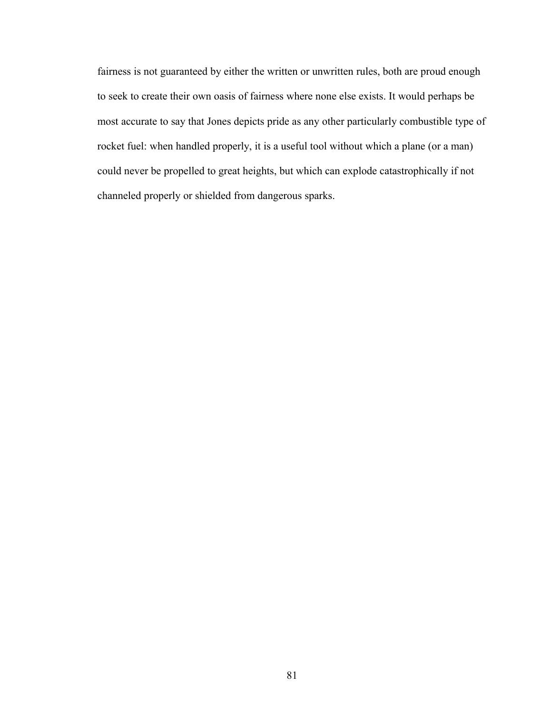fairness is not guaranteed by either the written or unwritten rules, both are proud enough to seek to create their own oasis of fairness where none else exists. It would perhaps be most accurate to say that Jones depicts pride as any other particularly combustible type of rocket fuel: when handled properly, it is a useful tool without which a plane (or a man) could never be propelled to great heights, but which can explode catastrophically if not channeled properly or shielded from dangerous sparks.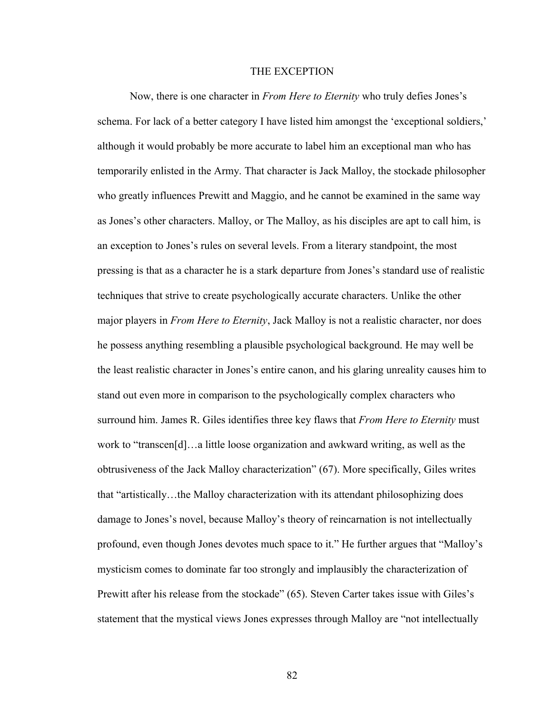## THE EXCEPTION

Now, there is one character in *From Here to Eternity* who truly defies Jones's schema. For lack of a better category I have listed him amongst the 'exceptional soldiers,' although it would probably be more accurate to label him an exceptional man who has temporarily enlisted in the Army. That character is Jack Malloy, the stockade philosopher who greatly influences Prewitt and Maggio, and he cannot be examined in the same way as Jones's other characters. Malloy, or The Malloy, as his disciples are apt to call him, is an exception to Jones's rules on several levels. From a literary standpoint, the most pressing is that as a character he is a stark departure from Jones's standard use of realistic techniques that strive to create psychologically accurate characters. Unlike the other major players in *From Here to Eternity*, Jack Malloy is not a realistic character, nor does he possess anything resembling a plausible psychological background. He may well be the least realistic character in Jones's entire canon, and his glaring unreality causes him to stand out even more in comparison to the psychologically complex characters who surround him. James R. Giles identifies three key flaws that *From Here to Eternity* must work to "transcen[d]…a little loose organization and awkward writing, as well as the obtrusiveness of the Jack Malloy characterization" (67). More specifically, Giles writes that "artistically…the Malloy characterization with its attendant philosophizing does damage to Jones's novel, because Malloy's theory of reincarnation is not intellectually profound, even though Jones devotes much space to it." He further argues that "Malloy's mysticism comes to dominate far too strongly and implausibly the characterization of Prewitt after his release from the stockade" (65). Steven Carter takes issue with Giles's statement that the mystical views Jones expresses through Malloy are "not intellectually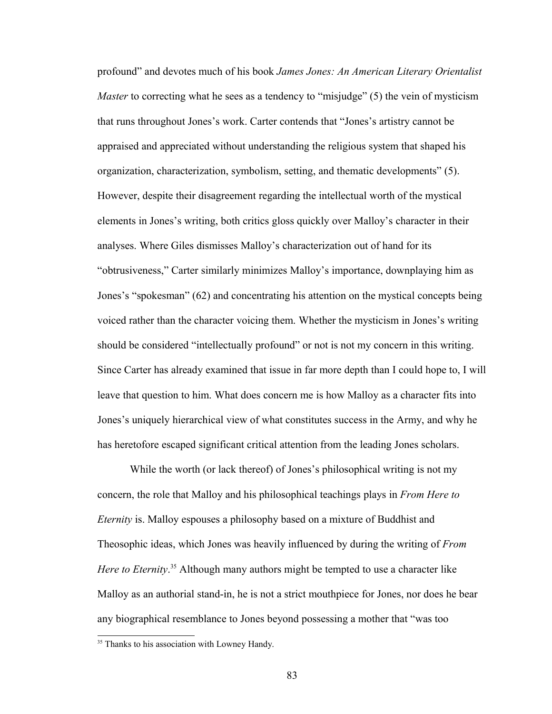profound" and devotes much of his book *James Jones: An American Literary Orientalist Master* to correcting what he sees as a tendency to "misjudge" (5) the vein of mysticism that runs throughout Jones's work. Carter contends that "Jones's artistry cannot be appraised and appreciated without understanding the religious system that shaped his organization, characterization, symbolism, setting, and thematic developments" (5). However, despite their disagreement regarding the intellectual worth of the mystical elements in Jones's writing, both critics gloss quickly over Malloy's character in their analyses. Where Giles dismisses Malloy's characterization out of hand for its "obtrusiveness," Carter similarly minimizes Malloy's importance, downplaying him as Jones's "spokesman" (62) and concentrating his attention on the mystical concepts being voiced rather than the character voicing them. Whether the mysticism in Jones's writing should be considered "intellectually profound" or not is not my concern in this writing. Since Carter has already examined that issue in far more depth than I could hope to, I will leave that question to him. What does concern me is how Malloy as a character fits into Jones's uniquely hierarchical view of what constitutes success in the Army, and why he has heretofore escaped significant critical attention from the leading Jones scholars.

While the worth (or lack thereof) of Jones's philosophical writing is not my concern, the role that Malloy and his philosophical teachings plays in *From Here to Eternity* is. Malloy espouses a philosophy based on a mixture of Buddhist and Theosophic ideas, which Jones was heavily influenced by during the writing of *From Here to Eternity*. [35](#page-90-0) Although many authors might be tempted to use a character like Malloy as an authorial stand-in, he is not a strict mouthpiece for Jones, nor does he bear any biographical resemblance to Jones beyond possessing a mother that "was too

<span id="page-90-0"></span><sup>&</sup>lt;sup>35</sup> Thanks to his association with Lowney Handy.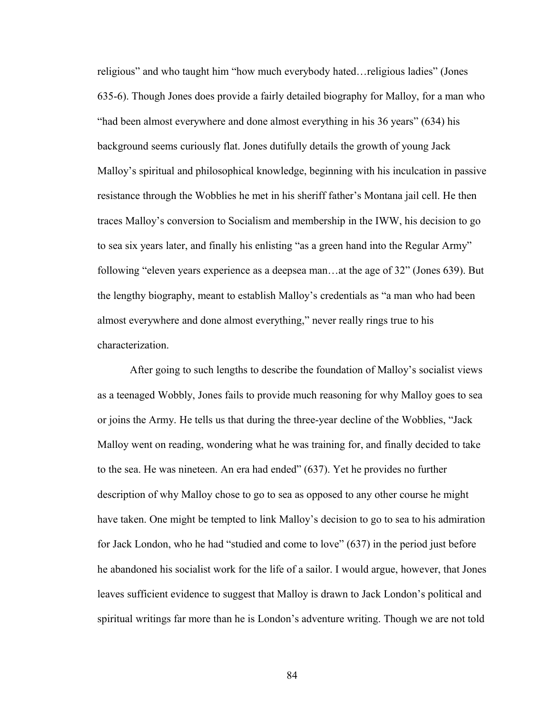religious" and who taught him "how much everybody hated…religious ladies" (Jones 635-6). Though Jones does provide a fairly detailed biography for Malloy, for a man who "had been almost everywhere and done almost everything in his 36 years" (634) his background seems curiously flat. Jones dutifully details the growth of young Jack Malloy's spiritual and philosophical knowledge, beginning with his inculcation in passive resistance through the Wobblies he met in his sheriff father's Montana jail cell. He then traces Malloy's conversion to Socialism and membership in the IWW, his decision to go to sea six years later, and finally his enlisting "as a green hand into the Regular Army" following "eleven years experience as a deepsea man…at the age of 32" (Jones 639). But the lengthy biography, meant to establish Malloy's credentials as "a man who had been almost everywhere and done almost everything," never really rings true to his characterization.

After going to such lengths to describe the foundation of Malloy's socialist views as a teenaged Wobbly, Jones fails to provide much reasoning for why Malloy goes to sea or joins the Army. He tells us that during the three-year decline of the Wobblies, "Jack Malloy went on reading, wondering what he was training for, and finally decided to take to the sea. He was nineteen. An era had ended" (637). Yet he provides no further description of why Malloy chose to go to sea as opposed to any other course he might have taken. One might be tempted to link Malloy's decision to go to sea to his admiration for Jack London, who he had "studied and come to love" (637) in the period just before he abandoned his socialist work for the life of a sailor. I would argue, however, that Jones leaves sufficient evidence to suggest that Malloy is drawn to Jack London's political and spiritual writings far more than he is London's adventure writing. Though we are not told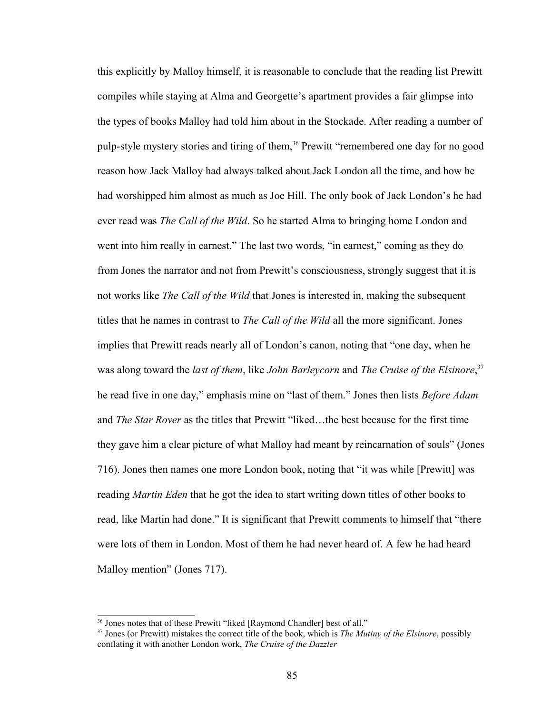this explicitly by Malloy himself, it is reasonable to conclude that the reading list Prewitt compiles while staying at Alma and Georgette's apartment provides a fair glimpse into the types of books Malloy had told him about in the Stockade. After reading a number of pulp-style mystery stories and tiring of them,<sup>[36](#page-92-0)</sup> Prewitt "remembered one day for no good reason how Jack Malloy had always talked about Jack London all the time, and how he had worshipped him almost as much as Joe Hill. The only book of Jack London's he had ever read was *The Call of the Wild*. So he started Alma to bringing home London and went into him really in earnest." The last two words, "in earnest," coming as they do from Jones the narrator and not from Prewitt's consciousness, strongly suggest that it is not works like *The Call of the Wild* that Jones is interested in, making the subsequent titles that he names in contrast to *The Call of the Wild* all the more significant. Jones implies that Prewitt reads nearly all of London's canon, noting that "one day, when he was along toward the *last of them*, like *John Barleycorn* and *The Cruise of the Elsinore*, [37](#page-92-1) he read five in one day," emphasis mine on "last of them." Jones then lists *Before Adam* and *The Star Rover* as the titles that Prewitt "liked…the best because for the first time they gave him a clear picture of what Malloy had meant by reincarnation of souls" (Jones 716). Jones then names one more London book, noting that "it was while [Prewitt] was reading *Martin Eden* that he got the idea to start writing down titles of other books to read, like Martin had done." It is significant that Prewitt comments to himself that "there were lots of them in London. Most of them he had never heard of. A few he had heard Malloy mention" (Jones 717).

<span id="page-92-0"></span><sup>&</sup>lt;sup>36</sup> Jones notes that of these Prewitt "liked [Raymond Chandler] best of all."

<span id="page-92-1"></span><sup>37</sup> Jones (or Prewitt) mistakes the correct title of the book, which is *The Mutiny of the Elsinore*, possibly conflating it with another London work, *The Cruise of the Dazzler*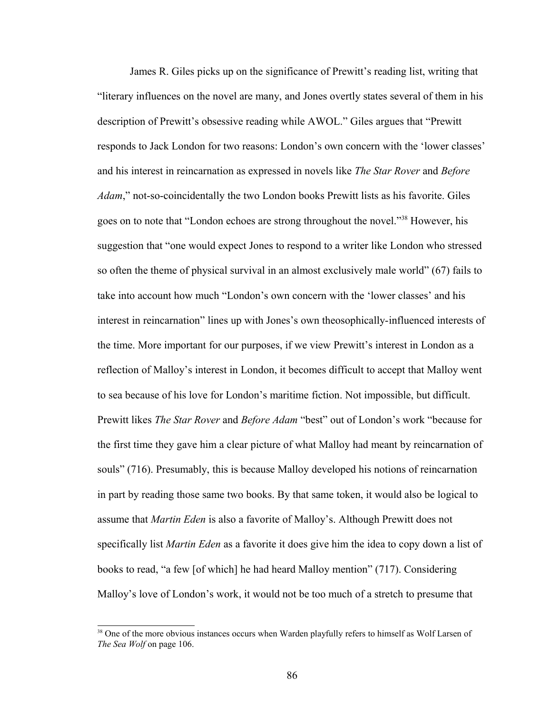James R. Giles picks up on the significance of Prewitt's reading list, writing that "literary influences on the novel are many, and Jones overtly states several of them in his description of Prewitt's obsessive reading while AWOL." Giles argues that "Prewitt responds to Jack London for two reasons: London's own concern with the 'lower classes' and his interest in reincarnation as expressed in novels like *The Star Rover* and *Before Adam*," not-so-coincidentally the two London books Prewitt lists as his favorite. Giles goes on to note that "London echoes are strong throughout the novel."[38](#page-93-0) However, his suggestion that "one would expect Jones to respond to a writer like London who stressed so often the theme of physical survival in an almost exclusively male world" (67) fails to take into account how much "London's own concern with the 'lower classes' and his interest in reincarnation" lines up with Jones's own theosophically-influenced interests of the time. More important for our purposes, if we view Prewitt's interest in London as a reflection of Malloy's interest in London, it becomes difficult to accept that Malloy went to sea because of his love for London's maritime fiction. Not impossible, but difficult. Prewitt likes *The Star Rover* and *Before Adam* "best" out of London's work "because for the first time they gave him a clear picture of what Malloy had meant by reincarnation of souls" (716). Presumably, this is because Malloy developed his notions of reincarnation in part by reading those same two books. By that same token, it would also be logical to assume that *Martin Eden* is also a favorite of Malloy's. Although Prewitt does not specifically list *Martin Eden* as a favorite it does give him the idea to copy down a list of books to read, "a few [of which] he had heard Malloy mention" (717). Considering Malloy's love of London's work, it would not be too much of a stretch to presume that

<span id="page-93-0"></span><sup>&</sup>lt;sup>38</sup> One of the more obvious instances occurs when Warden playfully refers to himself as Wolf Larsen of *The Sea Wolf* on page 106.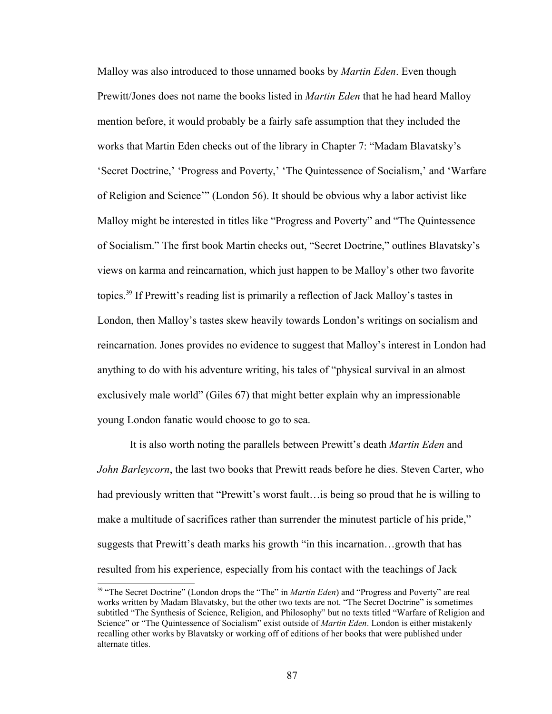Malloy was also introduced to those unnamed books by *Martin Eden*. Even though Prewitt/Jones does not name the books listed in *Martin Eden* that he had heard Malloy mention before, it would probably be a fairly safe assumption that they included the works that Martin Eden checks out of the library in Chapter 7: "Madam Blavatsky's 'Secret Doctrine,' 'Progress and Poverty,' 'The Quintessence of Socialism,' and 'Warfare of Religion and Science'" (London 56). It should be obvious why a labor activist like Malloy might be interested in titles like "Progress and Poverty" and "The Quintessence of Socialism." The first book Martin checks out, "Secret Doctrine," outlines Blavatsky's views on karma and reincarnation, which just happen to be Malloy's other two favorite topics.[39](#page-94-0) If Prewitt's reading list is primarily a reflection of Jack Malloy's tastes in London, then Malloy's tastes skew heavily towards London's writings on socialism and reincarnation. Jones provides no evidence to suggest that Malloy's interest in London had anything to do with his adventure writing, his tales of "physical survival in an almost exclusively male world" (Giles 67) that might better explain why an impressionable young London fanatic would choose to go to sea.

It is also worth noting the parallels between Prewitt's death *Martin Eden* and *John Barleycorn*, the last two books that Prewitt reads before he dies. Steven Carter, who had previously written that "Prewitt's worst fault... is being so proud that he is willing to make a multitude of sacrifices rather than surrender the minutest particle of his pride," suggests that Prewitt's death marks his growth "in this incarnation…growth that has resulted from his experience, especially from his contact with the teachings of Jack

<span id="page-94-0"></span><sup>39</sup> "The Secret Doctrine" (London drops the "The" in *Martin Eden*) and "Progress and Poverty" are real works written by Madam Blavatsky, but the other two texts are not. "The Secret Doctrine" is sometimes subtitled "The Synthesis of Science, Religion, and Philosophy" but no texts titled "Warfare of Religion and Science" or "The Quintessence of Socialism" exist outside of *Martin Eden*. London is either mistakenly recalling other works by Blavatsky or working off of editions of her books that were published under alternate titles.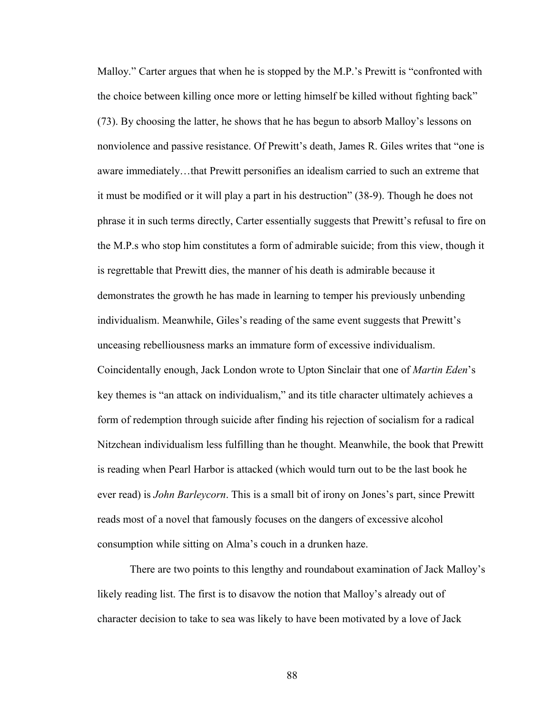Malloy." Carter argues that when he is stopped by the M.P.'s Prewitt is "confronted with the choice between killing once more or letting himself be killed without fighting back" (73). By choosing the latter, he shows that he has begun to absorb Malloy's lessons on nonviolence and passive resistance. Of Prewitt's death, James R. Giles writes that "one is aware immediately…that Prewitt personifies an idealism carried to such an extreme that it must be modified or it will play a part in his destruction" (38-9). Though he does not phrase it in such terms directly, Carter essentially suggests that Prewitt's refusal to fire on the M.P.s who stop him constitutes a form of admirable suicide; from this view, though it is regrettable that Prewitt dies, the manner of his death is admirable because it demonstrates the growth he has made in learning to temper his previously unbending individualism. Meanwhile, Giles's reading of the same event suggests that Prewitt's unceasing rebelliousness marks an immature form of excessive individualism. Coincidentally enough, Jack London wrote to Upton Sinclair that one of *Martin Eden*'s key themes is "an attack on individualism," and its title character ultimately achieves a form of redemption through suicide after finding his rejection of socialism for a radical Nitzchean individualism less fulfilling than he thought. Meanwhile, the book that Prewitt is reading when Pearl Harbor is attacked (which would turn out to be the last book he ever read) is *John Barleycorn*. This is a small bit of irony on Jones's part, since Prewitt reads most of a novel that famously focuses on the dangers of excessive alcohol consumption while sitting on Alma's couch in a drunken haze.

There are two points to this lengthy and roundabout examination of Jack Malloy's likely reading list. The first is to disavow the notion that Malloy's already out of character decision to take to sea was likely to have been motivated by a love of Jack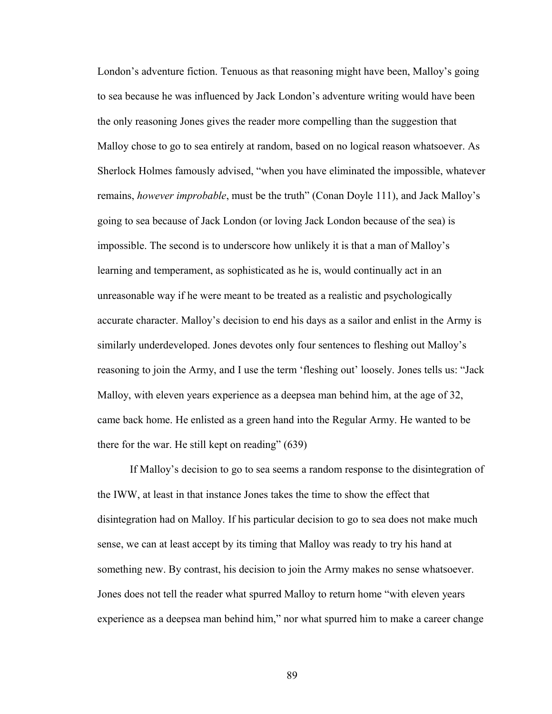London's adventure fiction. Tenuous as that reasoning might have been, Malloy's going to sea because he was influenced by Jack London's adventure writing would have been the only reasoning Jones gives the reader more compelling than the suggestion that Malloy chose to go to sea entirely at random, based on no logical reason whatsoever. As Sherlock Holmes famously advised, "when you have eliminated the impossible, whatever remains, *however improbable*, must be the truth" (Conan Doyle 111), and Jack Malloy's going to sea because of Jack London (or loving Jack London because of the sea) is impossible. The second is to underscore how unlikely it is that a man of Malloy's learning and temperament, as sophisticated as he is, would continually act in an unreasonable way if he were meant to be treated as a realistic and psychologically accurate character. Malloy's decision to end his days as a sailor and enlist in the Army is similarly underdeveloped. Jones devotes only four sentences to fleshing out Malloy's reasoning to join the Army, and I use the term 'fleshing out' loosely. Jones tells us: "Jack Malloy, with eleven years experience as a deepsea man behind him, at the age of 32, came back home. He enlisted as a green hand into the Regular Army. He wanted to be there for the war. He still kept on reading" (639)

If Malloy's decision to go to sea seems a random response to the disintegration of the IWW, at least in that instance Jones takes the time to show the effect that disintegration had on Malloy. If his particular decision to go to sea does not make much sense, we can at least accept by its timing that Malloy was ready to try his hand at something new. By contrast, his decision to join the Army makes no sense whatsoever. Jones does not tell the reader what spurred Malloy to return home "with eleven years experience as a deepsea man behind him," nor what spurred him to make a career change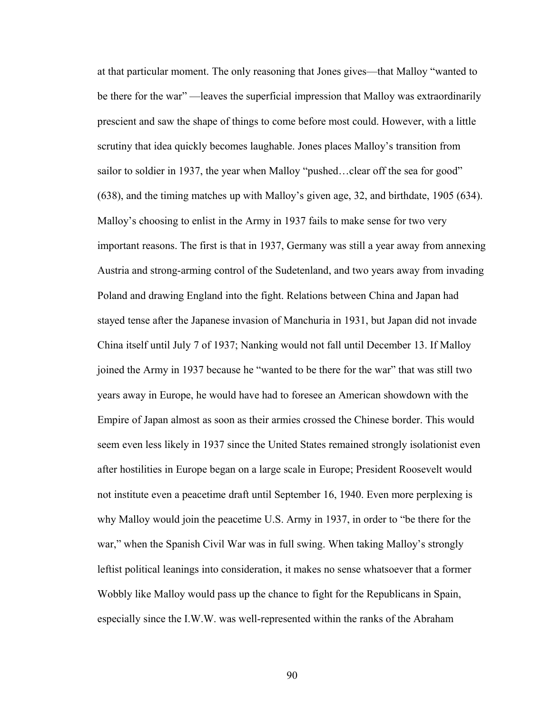at that particular moment. The only reasoning that Jones gives—that Malloy "wanted to be there for the war" —leaves the superficial impression that Malloy was extraordinarily prescient and saw the shape of things to come before most could. However, with a little scrutiny that idea quickly becomes laughable. Jones places Malloy's transition from sailor to soldier in 1937, the year when Malloy "pushed...clear off the sea for good" (638), and the timing matches up with Malloy's given age, 32, and birthdate, 1905 (634). Malloy's choosing to enlist in the Army in 1937 fails to make sense for two very important reasons. The first is that in 1937, Germany was still a year away from annexing Austria and strong-arming control of the Sudetenland, and two years away from invading Poland and drawing England into the fight. Relations between China and Japan had stayed tense after the Japanese invasion of Manchuria in 1931, but Japan did not invade China itself until July 7 of 1937; Nanking would not fall until December 13. If Malloy joined the Army in 1937 because he "wanted to be there for the war" that was still two years away in Europe, he would have had to foresee an American showdown with the Empire of Japan almost as soon as their armies crossed the Chinese border. This would seem even less likely in 1937 since the United States remained strongly isolationist even after hostilities in Europe began on a large scale in Europe; President Roosevelt would not institute even a peacetime draft until September 16, 1940. Even more perplexing is why Malloy would join the peacetime U.S. Army in 1937, in order to "be there for the war," when the Spanish Civil War was in full swing. When taking Malloy's strongly leftist political leanings into consideration, it makes no sense whatsoever that a former Wobbly like Malloy would pass up the chance to fight for the Republicans in Spain, especially since the I.W.W. was well-represented within the ranks of the Abraham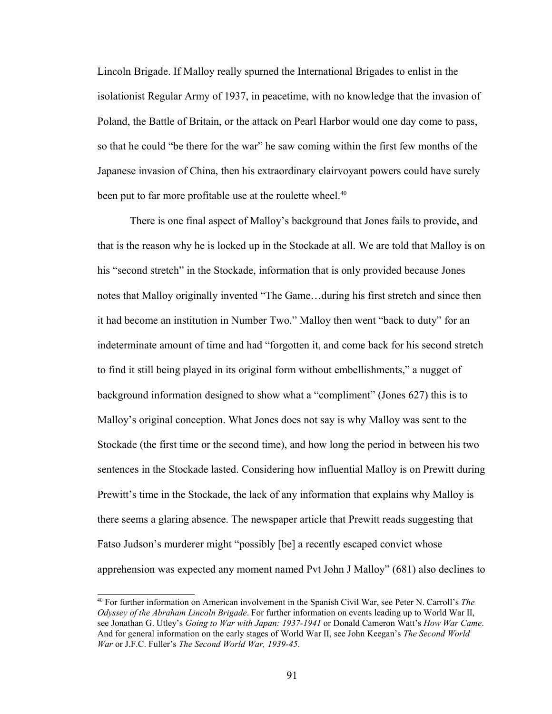Lincoln Brigade. If Malloy really spurned the International Brigades to enlist in the isolationist Regular Army of 1937, in peacetime, with no knowledge that the invasion of Poland, the Battle of Britain, or the attack on Pearl Harbor would one day come to pass, so that he could "be there for the war" he saw coming within the first few months of the Japanese invasion of China, then his extraordinary clairvoyant powers could have surely been put to far more profitable use at the roulette wheel.<sup>[40](#page-98-0)</sup>

There is one final aspect of Malloy's background that Jones fails to provide, and that is the reason why he is locked up in the Stockade at all. We are told that Malloy is on his "second stretch" in the Stockade, information that is only provided because Jones notes that Malloy originally invented "The Game…during his first stretch and since then it had become an institution in Number Two." Malloy then went "back to duty" for an indeterminate amount of time and had "forgotten it, and come back for his second stretch to find it still being played in its original form without embellishments," a nugget of background information designed to show what a "compliment" (Jones 627) this is to Malloy's original conception. What Jones does not say is why Malloy was sent to the Stockade (the first time or the second time), and how long the period in between his two sentences in the Stockade lasted. Considering how influential Malloy is on Prewitt during Prewitt's time in the Stockade, the lack of any information that explains why Malloy is there seems a glaring absence. The newspaper article that Prewitt reads suggesting that Fatso Judson's murderer might "possibly [be] a recently escaped convict whose apprehension was expected any moment named Pvt John J Malloy" (681) also declines to

<span id="page-98-0"></span><sup>40</sup> For further information on American involvement in the Spanish Civil War, see Peter N. Carroll's *The Odyssey of the Abraham Lincoln Brigade*. For further information on events leading up to World War II, see Jonathan G. Utley's *Going to War with Japan: 1937-1941* or Donald Cameron Watt's *How War Came*. And for general information on the early stages of World War II, see John Keegan's *The Second World War* or J.F.C. Fuller's *The Second World War, 1939-45*.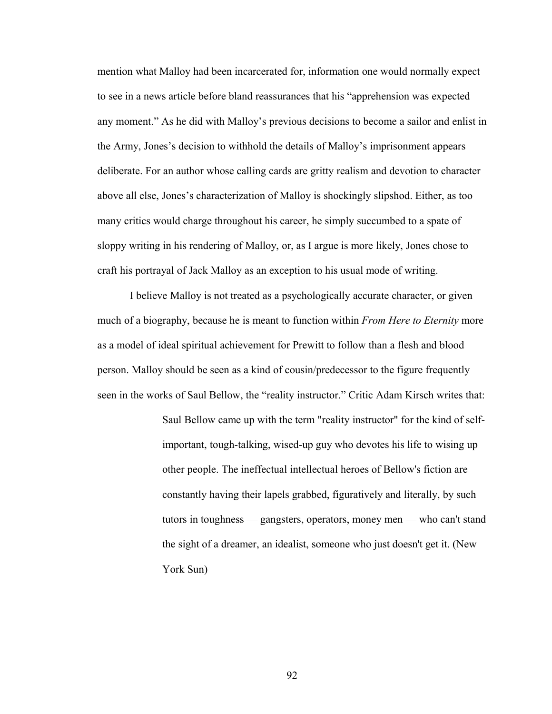mention what Malloy had been incarcerated for, information one would normally expect to see in a news article before bland reassurances that his "apprehension was expected any moment." As he did with Malloy's previous decisions to become a sailor and enlist in the Army, Jones's decision to withhold the details of Malloy's imprisonment appears deliberate. For an author whose calling cards are gritty realism and devotion to character above all else, Jones's characterization of Malloy is shockingly slipshod. Either, as too many critics would charge throughout his career, he simply succumbed to a spate of sloppy writing in his rendering of Malloy, or, as I argue is more likely, Jones chose to craft his portrayal of Jack Malloy as an exception to his usual mode of writing.

I believe Malloy is not treated as a psychologically accurate character, or given much of a biography, because he is meant to function within *From Here to Eternity* more as a model of ideal spiritual achievement for Prewitt to follow than a flesh and blood person. Malloy should be seen as a kind of cousin/predecessor to the figure frequently seen in the works of Saul Bellow, the "reality instructor." Critic Adam Kirsch writes that:

> Saul Bellow came up with the term "reality instructor" for the kind of selfimportant, tough-talking, wised-up guy who devotes his life to wising up other people. The ineffectual intellectual heroes of Bellow's fiction are constantly having their lapels grabbed, figuratively and literally, by such tutors in toughness — gangsters, operators, money men — who can't stand the sight of a dreamer, an idealist, someone who just doesn't get it. (New York Sun)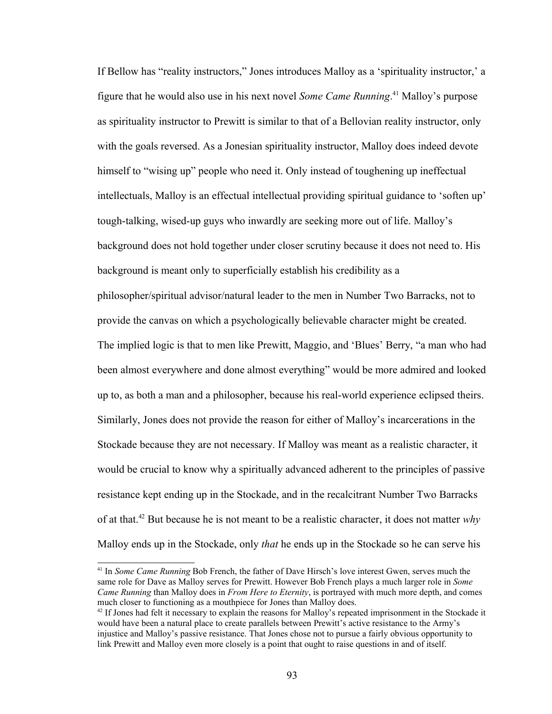If Bellow has "reality instructors," Jones introduces Malloy as a 'spirituality instructor,' a figure that he would also use in his next novel *Some Came Running*. [41](#page-100-0) Malloy's purpose as spirituality instructor to Prewitt is similar to that of a Bellovian reality instructor, only with the goals reversed. As a Jonesian spirituality instructor, Malloy does indeed devote himself to "wising up" people who need it. Only instead of toughening up ineffectual intellectuals, Malloy is an effectual intellectual providing spiritual guidance to 'soften up' tough-talking, wised-up guys who inwardly are seeking more out of life. Malloy's background does not hold together under closer scrutiny because it does not need to. His background is meant only to superficially establish his credibility as a philosopher/spiritual advisor/natural leader to the men in Number Two Barracks, not to provide the canvas on which a psychologically believable character might be created. The implied logic is that to men like Prewitt, Maggio, and 'Blues' Berry, "a man who had been almost everywhere and done almost everything" would be more admired and looked up to, as both a man and a philosopher, because his real-world experience eclipsed theirs. Similarly, Jones does not provide the reason for either of Malloy's incarcerations in the Stockade because they are not necessary. If Malloy was meant as a realistic character, it would be crucial to know why a spiritually advanced adherent to the principles of passive resistance kept ending up in the Stockade, and in the recalcitrant Number Two Barracks of at that.[42](#page-100-1) But because he is not meant to be a realistic character, it does not matter *why* Malloy ends up in the Stockade, only *that* he ends up in the Stockade so he can serve his

<span id="page-100-0"></span><sup>41</sup> In *Some Came Running* Bob French, the father of Dave Hirsch's love interest Gwen, serves much the same role for Dave as Malloy serves for Prewitt. However Bob French plays a much larger role in *Some Came Running* than Malloy does in *From Here to Eternity*, is portrayed with much more depth, and comes much closer to functioning as a mouthpiece for Jones than Malloy does.

<span id="page-100-1"></span> $42$  If Jones had felt it necessary to explain the reasons for Malloy's repeated imprisonment in the Stockade it would have been a natural place to create parallels between Prewitt's active resistance to the Army's injustice and Malloy's passive resistance. That Jones chose not to pursue a fairly obvious opportunity to link Prewitt and Malloy even more closely is a point that ought to raise questions in and of itself.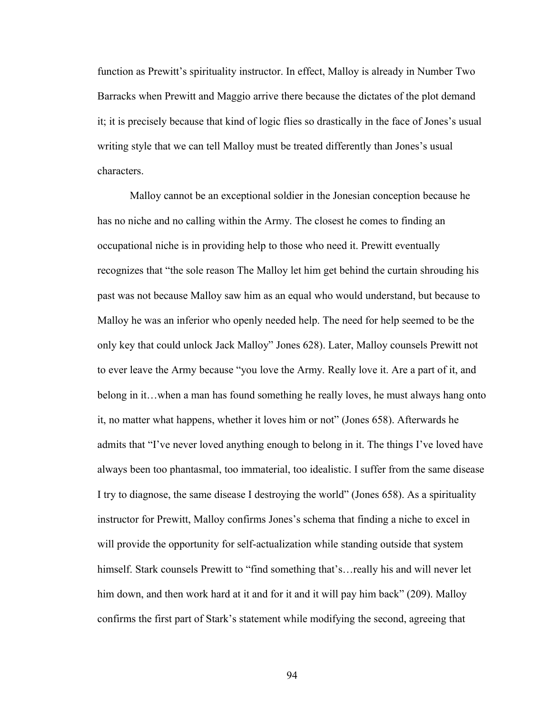function as Prewitt's spirituality instructor. In effect, Malloy is already in Number Two Barracks when Prewitt and Maggio arrive there because the dictates of the plot demand it; it is precisely because that kind of logic flies so drastically in the face of Jones's usual writing style that we can tell Malloy must be treated differently than Jones's usual characters.

Malloy cannot be an exceptional soldier in the Jonesian conception because he has no niche and no calling within the Army. The closest he comes to finding an occupational niche is in providing help to those who need it. Prewitt eventually recognizes that "the sole reason The Malloy let him get behind the curtain shrouding his past was not because Malloy saw him as an equal who would understand, but because to Malloy he was an inferior who openly needed help. The need for help seemed to be the only key that could unlock Jack Malloy" Jones 628). Later, Malloy counsels Prewitt not to ever leave the Army because "you love the Army. Really love it. Are a part of it, and belong in it…when a man has found something he really loves, he must always hang onto it, no matter what happens, whether it loves him or not" (Jones 658). Afterwards he admits that "I've never loved anything enough to belong in it. The things I've loved have always been too phantasmal, too immaterial, too idealistic. I suffer from the same disease I try to diagnose, the same disease I destroying the world" (Jones 658). As a spirituality instructor for Prewitt, Malloy confirms Jones's schema that finding a niche to excel in will provide the opportunity for self-actualization while standing outside that system himself. Stark counsels Prewitt to "find something that's... really his and will never let him down, and then work hard at it and for it and it will pay him back" (209). Malloy confirms the first part of Stark's statement while modifying the second, agreeing that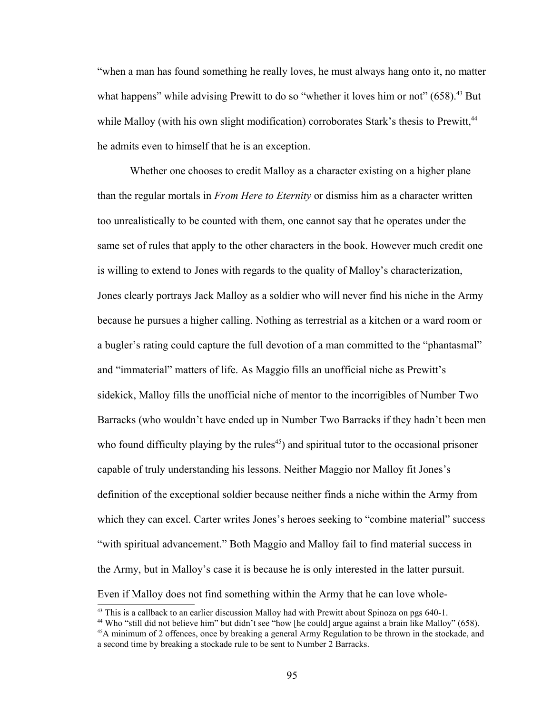"when a man has found something he really loves, he must always hang onto it, no matter what happens" while advising Prewitt to do so "whether it loves him or not"  $(658)$ <sup>[43](#page-102-0)</sup> But while Malloy (with his own slight modification) corroborates Stark's thesis to Prewitt,<sup>[44](#page-102-1)</sup> he admits even to himself that he is an exception.

Whether one chooses to credit Malloy as a character existing on a higher plane than the regular mortals in *From Here to Eternity* or dismiss him as a character written too unrealistically to be counted with them, one cannot say that he operates under the same set of rules that apply to the other characters in the book. However much credit one is willing to extend to Jones with regards to the quality of Malloy's characterization, Jones clearly portrays Jack Malloy as a soldier who will never find his niche in the Army because he pursues a higher calling. Nothing as terrestrial as a kitchen or a ward room or a bugler's rating could capture the full devotion of a man committed to the "phantasmal" and "immaterial" matters of life. As Maggio fills an unofficial niche as Prewitt's sidekick, Malloy fills the unofficial niche of mentor to the incorrigibles of Number Two Barracks (who wouldn't have ended up in Number Two Barracks if they hadn't been men who found difficulty playing by the rules<sup> $45$ </sup>) and spiritual tutor to the occasional prisoner capable of truly understanding his lessons. Neither Maggio nor Malloy fit Jones's definition of the exceptional soldier because neither finds a niche within the Army from which they can excel. Carter writes Jones's heroes seeking to "combine material" success "with spiritual advancement." Both Maggio and Malloy fail to find material success in the Army, but in Malloy's case it is because he is only interested in the latter pursuit. Even if Malloy does not find something within the Army that he can love whole-

<span id="page-102-0"></span><sup>&</sup>lt;sup>43</sup> This is a callback to an earlier discussion Malloy had with Prewitt about Spinoza on pgs 640-1.

<span id="page-102-1"></span><sup>44</sup> Who "still did not believe him" but didn't see "how [he could] argue against a brain like Malloy" (658).

<span id="page-102-2"></span><sup>45</sup>A minimum of 2 offences, once by breaking a general Army Regulation to be thrown in the stockade, and a second time by breaking a stockade rule to be sent to Number 2 Barracks.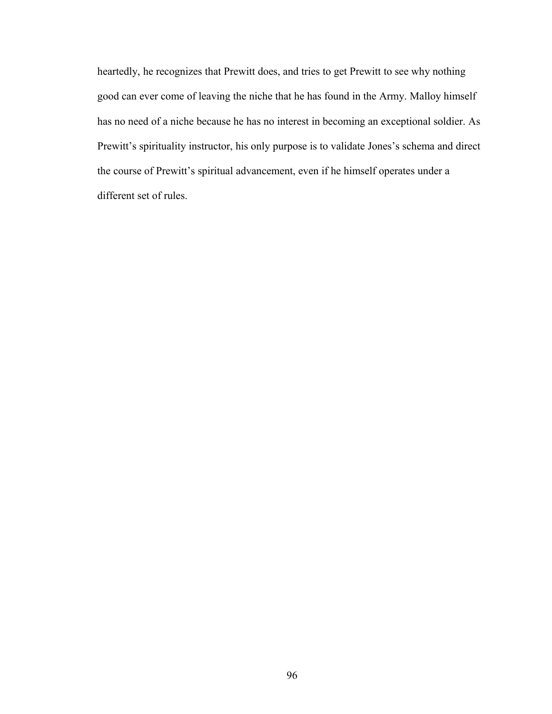heartedly, he recognizes that Prewitt does, and tries to get Prewitt to see why nothing good can ever come of leaving the niche that he has found in the Army. Malloy himself has no need of a niche because he has no interest in becoming an exceptional soldier. As Prewitt's spirituality instructor, his only purpose is to validate Jones's schema and direct the course of Prewitt's spiritual advancement, even if he himself operates under a different set of rules.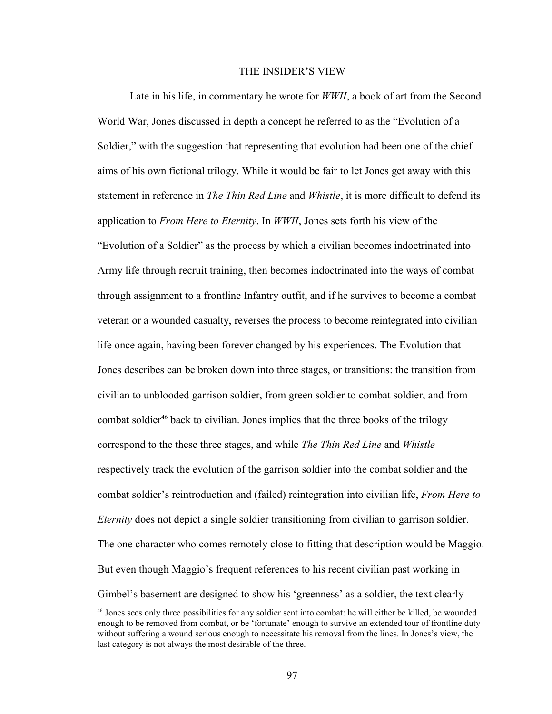## THE INSIDER'S VIEW

Late in his life, in commentary he wrote for *WWII*, a book of art from the Second World War, Jones discussed in depth a concept he referred to as the "Evolution of a Soldier," with the suggestion that representing that evolution had been one of the chief aims of his own fictional trilogy. While it would be fair to let Jones get away with this statement in reference in *The Thin Red Line* and *Whistle*, it is more difficult to defend its application to *From Here to Eternity*. In *WWII*, Jones sets forth his view of the "Evolution of a Soldier" as the process by which a civilian becomes indoctrinated into Army life through recruit training, then becomes indoctrinated into the ways of combat through assignment to a frontline Infantry outfit, and if he survives to become a combat veteran or a wounded casualty, reverses the process to become reintegrated into civilian life once again, having been forever changed by his experiences. The Evolution that Jones describes can be broken down into three stages, or transitions: the transition from civilian to unblooded garrison soldier, from green soldier to combat soldier, and from combat soldier<sup>[46](#page-104-0)</sup> back to civilian. Jones implies that the three books of the trilogy correspond to the these three stages, and while *The Thin Red Line* and *Whistle* respectively track the evolution of the garrison soldier into the combat soldier and the combat soldier's reintroduction and (failed) reintegration into civilian life, *From Here to Eternity* does not depict a single soldier transitioning from civilian to garrison soldier. The one character who comes remotely close to fitting that description would be Maggio. But even though Maggio's frequent references to his recent civilian past working in Gimbel's basement are designed to show his 'greenness' as a soldier, the text clearly

<span id="page-104-0"></span><sup>46</sup> Jones sees only three possibilities for any soldier sent into combat: he will either be killed, be wounded enough to be removed from combat, or be 'fortunate' enough to survive an extended tour of frontline duty without suffering a wound serious enough to necessitate his removal from the lines. In Jones's view, the last category is not always the most desirable of the three.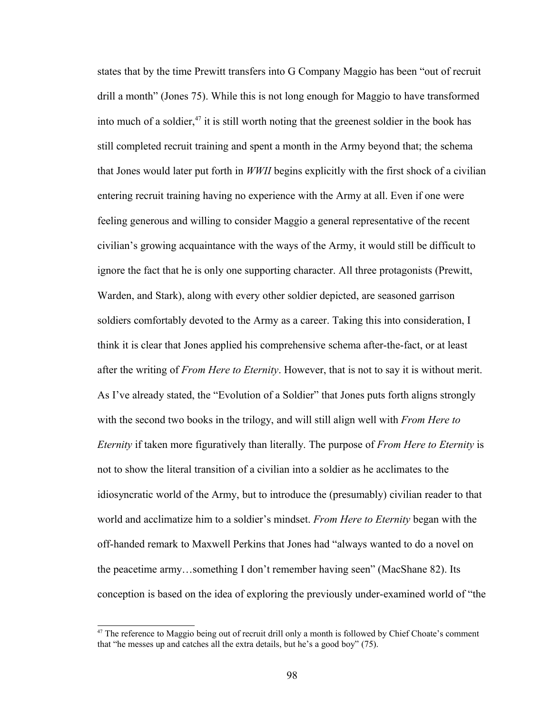states that by the time Prewitt transfers into G Company Maggio has been "out of recruit drill a month" (Jones 75). While this is not long enough for Maggio to have transformed into much of a soldier,  $47$  it is still worth noting that the greenest soldier in the book has still completed recruit training and spent a month in the Army beyond that; the schema that Jones would later put forth in *WWII* begins explicitly with the first shock of a civilian entering recruit training having no experience with the Army at all. Even if one were feeling generous and willing to consider Maggio a general representative of the recent civilian's growing acquaintance with the ways of the Army, it would still be difficult to ignore the fact that he is only one supporting character. All three protagonists (Prewitt, Warden, and Stark), along with every other soldier depicted, are seasoned garrison soldiers comfortably devoted to the Army as a career. Taking this into consideration, I think it is clear that Jones applied his comprehensive schema after-the-fact, or at least after the writing of *From Here to Eternity*. However, that is not to say it is without merit. As I've already stated, the "Evolution of a Soldier" that Jones puts forth aligns strongly with the second two books in the trilogy, and will still align well with *From Here to Eternity* if taken more figuratively than literally. The purpose of *From Here to Eternity* is not to show the literal transition of a civilian into a soldier as he acclimates to the idiosyncratic world of the Army, but to introduce the (presumably) civilian reader to that world and acclimatize him to a soldier's mindset. *From Here to Eternity* began with the off-handed remark to Maxwell Perkins that Jones had "always wanted to do a novel on the peacetime army…something I don't remember having seen" (MacShane 82). Its conception is based on the idea of exploring the previously under-examined world of "the

<span id="page-105-0"></span><sup>&</sup>lt;sup>47</sup> The reference to Maggio being out of recruit drill only a month is followed by Chief Choate's comment that "he messes up and catches all the extra details, but he's a good boy" (75).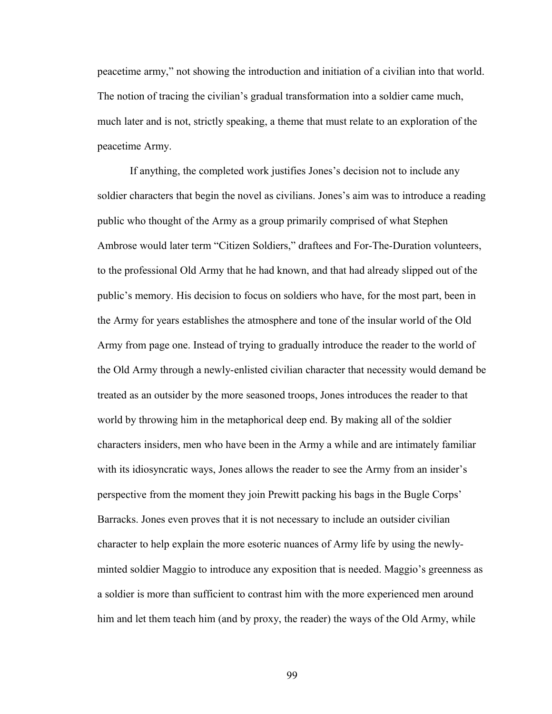peacetime army," not showing the introduction and initiation of a civilian into that world. The notion of tracing the civilian's gradual transformation into a soldier came much, much later and is not, strictly speaking, a theme that must relate to an exploration of the peacetime Army.

If anything, the completed work justifies Jones's decision not to include any soldier characters that begin the novel as civilians. Jones's aim was to introduce a reading public who thought of the Army as a group primarily comprised of what Stephen Ambrose would later term "Citizen Soldiers," draftees and For-The-Duration volunteers, to the professional Old Army that he had known, and that had already slipped out of the public's memory. His decision to focus on soldiers who have, for the most part, been in the Army for years establishes the atmosphere and tone of the insular world of the Old Army from page one. Instead of trying to gradually introduce the reader to the world of the Old Army through a newly-enlisted civilian character that necessity would demand be treated as an outsider by the more seasoned troops, Jones introduces the reader to that world by throwing him in the metaphorical deep end. By making all of the soldier characters insiders, men who have been in the Army a while and are intimately familiar with its idiosyncratic ways, Jones allows the reader to see the Army from an insider's perspective from the moment they join Prewitt packing his bags in the Bugle Corps' Barracks. Jones even proves that it is not necessary to include an outsider civilian character to help explain the more esoteric nuances of Army life by using the newlyminted soldier Maggio to introduce any exposition that is needed. Maggio's greenness as a soldier is more than sufficient to contrast him with the more experienced men around him and let them teach him (and by proxy, the reader) the ways of the Old Army, while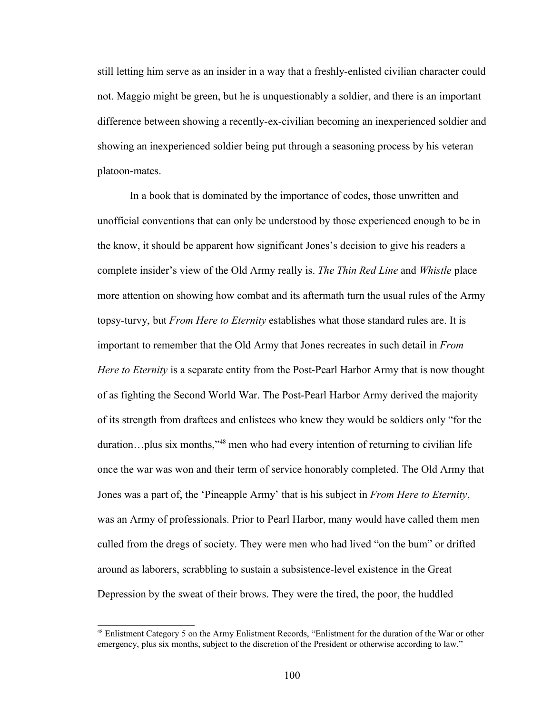still letting him serve as an insider in a way that a freshly-enlisted civilian character could not. Maggio might be green, but he is unquestionably a soldier, and there is an important difference between showing a recently-ex-civilian becoming an inexperienced soldier and showing an inexperienced soldier being put through a seasoning process by his veteran platoon-mates.

In a book that is dominated by the importance of codes, those unwritten and unofficial conventions that can only be understood by those experienced enough to be in the know, it should be apparent how significant Jones's decision to give his readers a complete insider's view of the Old Army really is. *The Thin Red Line* and *Whistle* place more attention on showing how combat and its aftermath turn the usual rules of the Army topsy-turvy, but *From Here to Eternity* establishes what those standard rules are. It is important to remember that the Old Army that Jones recreates in such detail in *From Here to Eternity* is a separate entity from the Post-Pearl Harbor Army that is now thought of as fighting the Second World War. The Post-Pearl Harbor Army derived the majority of its strength from draftees and enlistees who knew they would be soldiers only "for the duration…plus six months,"[48](#page-107-0) men who had every intention of returning to civilian life once the war was won and their term of service honorably completed. The Old Army that Jones was a part of, the 'Pineapple Army' that is his subject in *From Here to Eternity*, was an Army of professionals. Prior to Pearl Harbor, many would have called them men culled from the dregs of society. They were men who had lived "on the bum" or drifted around as laborers, scrabbling to sustain a subsistence-level existence in the Great Depression by the sweat of their brows. They were the tired, the poor, the huddled

<span id="page-107-0"></span><sup>48</sup> Enlistment Category 5 on the Army Enlistment Records, "Enlistment for the duration of the War or other emergency, plus six months, subject to the discretion of the President or otherwise according to law."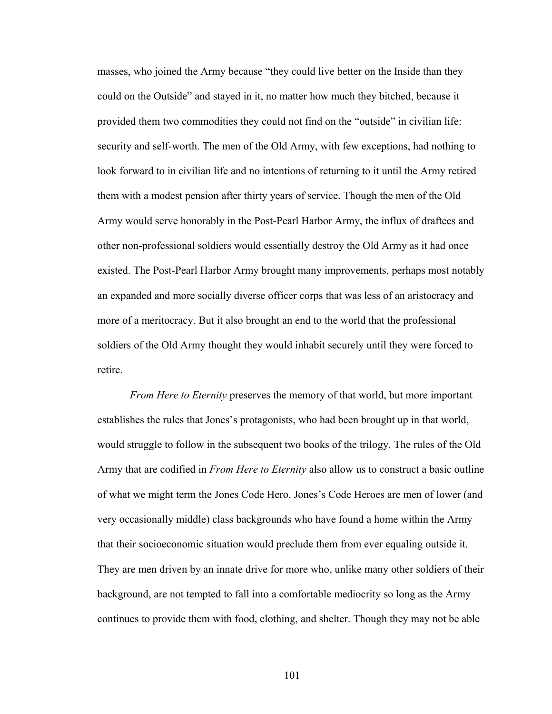masses, who joined the Army because "they could live better on the Inside than they could on the Outside" and stayed in it, no matter how much they bitched, because it provided them two commodities they could not find on the "outside" in civilian life: security and self-worth. The men of the Old Army, with few exceptions, had nothing to look forward to in civilian life and no intentions of returning to it until the Army retired them with a modest pension after thirty years of service. Though the men of the Old Army would serve honorably in the Post-Pearl Harbor Army, the influx of draftees and other non-professional soldiers would essentially destroy the Old Army as it had once existed. The Post-Pearl Harbor Army brought many improvements, perhaps most notably an expanded and more socially diverse officer corps that was less of an aristocracy and more of a meritocracy. But it also brought an end to the world that the professional soldiers of the Old Army thought they would inhabit securely until they were forced to retire.

*From Here to Eternity* preserves the memory of that world, but more important establishes the rules that Jones's protagonists, who had been brought up in that world, would struggle to follow in the subsequent two books of the trilogy. The rules of the Old Army that are codified in *From Here to Eternity* also allow us to construct a basic outline of what we might term the Jones Code Hero. Jones's Code Heroes are men of lower (and very occasionally middle) class backgrounds who have found a home within the Army that their socioeconomic situation would preclude them from ever equaling outside it. They are men driven by an innate drive for more who, unlike many other soldiers of their background, are not tempted to fall into a comfortable mediocrity so long as the Army continues to provide them with food, clothing, and shelter. Though they may not be able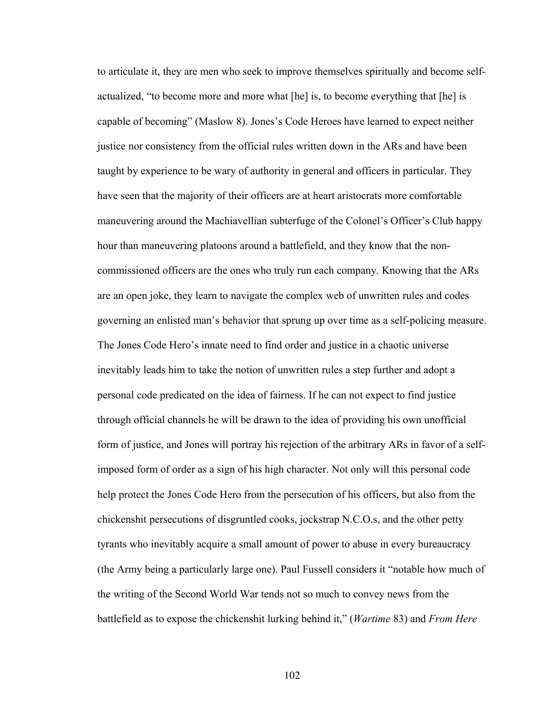to articulate it, they are men who seek to improve themselves spiritually and become selfactualized, "to become more and more what [he] is, to become everything that [he] is capable of becoming" (Maslow 8). Jones's Code Heroes have learned to expect neither justice nor consistency from the official rules written down in the ARs and have been taught by experience to be wary of authority in general and officers in particular. They have seen that the majority of their officers are at heart aristocrats more comfortable maneuvering around the Machiavellian subterfuge of the Colonel's Officer's Club happy hour than maneuvering platoons around a battlefield, and they know that the noncommissioned officers are the ones who truly run each company. Knowing that the ARs are an open joke, they learn to navigate the complex web of unwritten rules and codes governing an enlisted man's behavior that sprung up over time as a self-policing measure. The Jones Code Hero's innate need to find order and justice in a chaotic universe inevitably leads him to take the notion of unwritten rules a step further and adopt a personal code predicated on the idea of fairness. If he can not expect to find justice through official channels he will be drawn to the idea of providing his own unofficial form of justice, and Jones will portray his rejection of the arbitrary ARs in favor of a selfimposed form of order as a sign of his high character. Not only will this personal code help protect the Jones Code Hero from the persecution of his officers, but also from the chickenshit persecutions of disgruntled cooks, jockstrap N.C.O.s, and the other petty tyrants who inevitably acquire a small amount of power to abuse in every bureaucracy (the Army being a particularly large one). Paul Fussell considers it "notable how much of the writing of the Second World War tends not so much to convey news from the battlefield as to expose the chickenshit lurking behind it," (*Wartime* 83) and *From Here*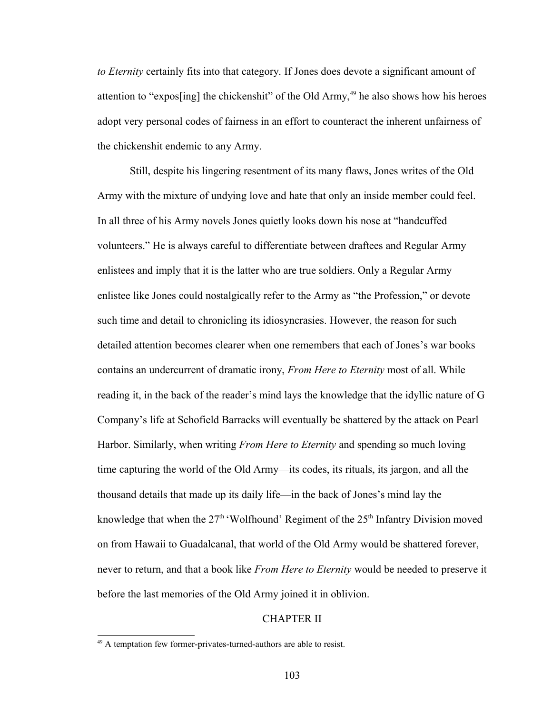*to Eternity* certainly fits into that category. If Jones does devote a significant amount of attention to "expos[ing] the chickenshit" of the Old Army,<sup> $49$ </sup> he also shows how his heroes adopt very personal codes of fairness in an effort to counteract the inherent unfairness of the chickenshit endemic to any Army.

Still, despite his lingering resentment of its many flaws, Jones writes of the Old Army with the mixture of undying love and hate that only an inside member could feel. In all three of his Army novels Jones quietly looks down his nose at "handcuffed volunteers." He is always careful to differentiate between draftees and Regular Army enlistees and imply that it is the latter who are true soldiers. Only a Regular Army enlistee like Jones could nostalgically refer to the Army as "the Profession," or devote such time and detail to chronicling its idiosyncrasies. However, the reason for such detailed attention becomes clearer when one remembers that each of Jones's war books contains an undercurrent of dramatic irony, *From Here to Eternity* most of all. While reading it, in the back of the reader's mind lays the knowledge that the idyllic nature of G Company's life at Schofield Barracks will eventually be shattered by the attack on Pearl Harbor. Similarly, when writing *From Here to Eternity* and spending so much loving time capturing the world of the Old Army—its codes, its rituals, its jargon, and all the thousand details that made up its daily life—in the back of Jones's mind lay the knowledge that when the  $27<sup>th</sup>$  'Wolfhound' Regiment of the  $25<sup>th</sup>$  Infantry Division moved on from Hawaii to Guadalcanal, that world of the Old Army would be shattered forever, never to return, and that a book like *From Here to Eternity* would be needed to preserve it before the last memories of the Old Army joined it in oblivion.

## CHAPTER II

<span id="page-110-0"></span><sup>&</sup>lt;sup>49</sup> A temptation few former-privates-turned-authors are able to resist.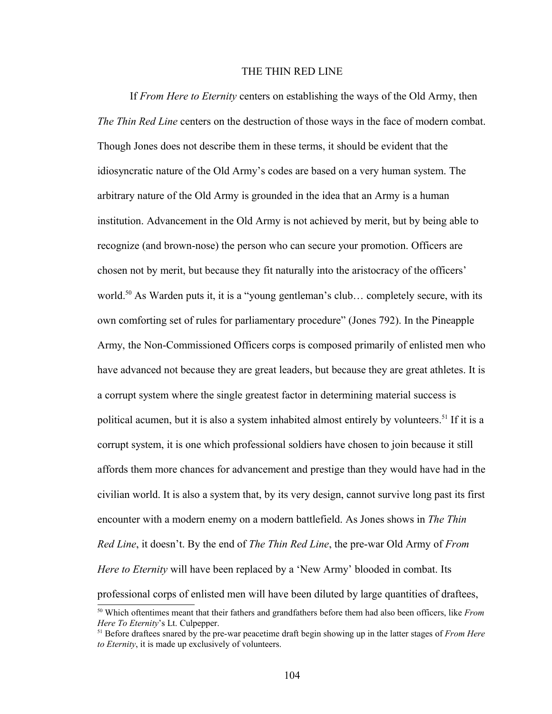## THE THIN RED LINE

If *From Here to Eternity* centers on establishing the ways of the Old Army, then *The Thin Red Line* centers on the destruction of those ways in the face of modern combat. Though Jones does not describe them in these terms, it should be evident that the idiosyncratic nature of the Old Army's codes are based on a very human system. The arbitrary nature of the Old Army is grounded in the idea that an Army is a human institution. Advancement in the Old Army is not achieved by merit, but by being able to recognize (and brown-nose) the person who can secure your promotion. Officers are chosen not by merit, but because they fit naturally into the aristocracy of the officers' world.<sup>[50](#page-111-0)</sup> As Warden puts it, it is a "young gentleman's club... completely secure, with its own comforting set of rules for parliamentary procedure" (Jones 792). In the Pineapple Army, the Non-Commissioned Officers corps is composed primarily of enlisted men who have advanced not because they are great leaders, but because they are great athletes. It is a corrupt system where the single greatest factor in determining material success is political acumen, but it is also a system inhabited almost entirely by volunteers.<sup>[51](#page-111-1)</sup> If it is a corrupt system, it is one which professional soldiers have chosen to join because it still affords them more chances for advancement and prestige than they would have had in the civilian world. It is also a system that, by its very design, cannot survive long past its first encounter with a modern enemy on a modern battlefield. As Jones shows in *The Thin Red Line*, it doesn't. By the end of *The Thin Red Line*, the pre-war Old Army of *From Here to Eternity* will have been replaced by a 'New Army' blooded in combat. Its professional corps of enlisted men will have been diluted by large quantities of draftees,

<span id="page-111-0"></span><sup>50</sup> Which oftentimes meant that their fathers and grandfathers before them had also been officers, like *From Here To Eternity*'s Lt. Culpepper.

<span id="page-111-1"></span><sup>51</sup> Before draftees snared by the pre-war peacetime draft begin showing up in the latter stages of *From Here to Eternity*, it is made up exclusively of volunteers.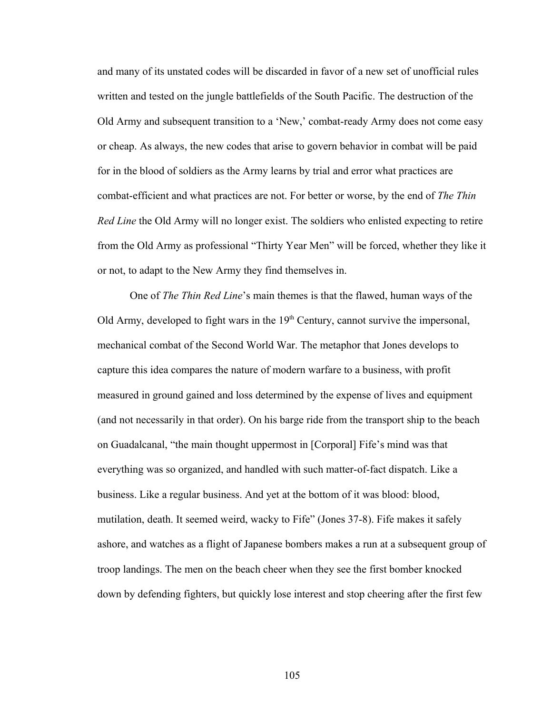and many of its unstated codes will be discarded in favor of a new set of unofficial rules written and tested on the jungle battlefields of the South Pacific. The destruction of the Old Army and subsequent transition to a 'New,' combat-ready Army does not come easy or cheap. As always, the new codes that arise to govern behavior in combat will be paid for in the blood of soldiers as the Army learns by trial and error what practices are combat-efficient and what practices are not. For better or worse, by the end of *The Thin Red Line* the Old Army will no longer exist. The soldiers who enlisted expecting to retire from the Old Army as professional "Thirty Year Men" will be forced, whether they like it or not, to adapt to the New Army they find themselves in.

One of *The Thin Red Line*'s main themes is that the flawed, human ways of the Old Army, developed to fight wars in the  $19<sup>th</sup>$  Century, cannot survive the impersonal, mechanical combat of the Second World War. The metaphor that Jones develops to capture this idea compares the nature of modern warfare to a business, with profit measured in ground gained and loss determined by the expense of lives and equipment (and not necessarily in that order). On his barge ride from the transport ship to the beach on Guadalcanal, "the main thought uppermost in [Corporal] Fife's mind was that everything was so organized, and handled with such matter-of-fact dispatch. Like a business. Like a regular business. And yet at the bottom of it was blood: blood, mutilation, death. It seemed weird, wacky to Fife" (Jones 37-8). Fife makes it safely ashore, and watches as a flight of Japanese bombers makes a run at a subsequent group of troop landings. The men on the beach cheer when they see the first bomber knocked down by defending fighters, but quickly lose interest and stop cheering after the first few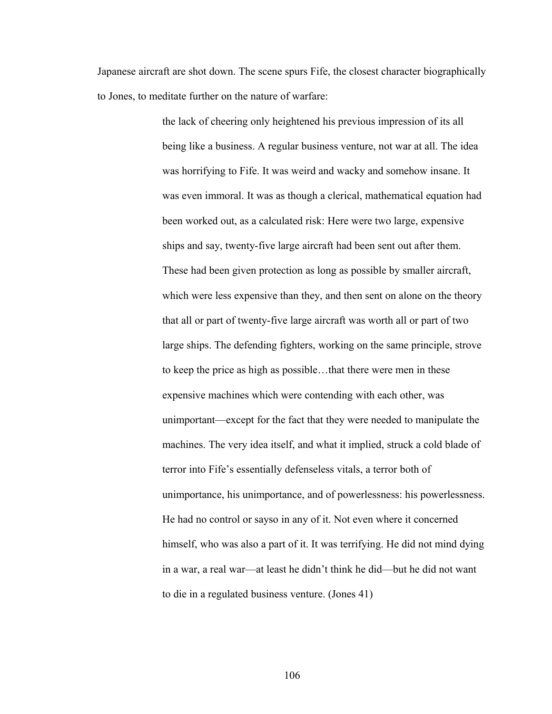Japanese aircraft are shot down. The scene spurs Fife, the closest character biographically to Jones, to meditate further on the nature of warfare:

> the lack of cheering only heightened his previous impression of its all being like a business. A regular business venture, not war at all. The idea was horrifying to Fife. It was weird and wacky and somehow insane. It was even immoral. It was as though a clerical, mathematical equation had been worked out, as a calculated risk: Here were two large, expensive ships and say, twenty-five large aircraft had been sent out after them. These had been given protection as long as possible by smaller aircraft, which were less expensive than they, and then sent on alone on the theory that all or part of twenty-five large aircraft was worth all or part of two large ships. The defending fighters, working on the same principle, strove to keep the price as high as possible…that there were men in these expensive machines which were contending with each other, was unimportant—except for the fact that they were needed to manipulate the machines. The very idea itself, and what it implied, struck a cold blade of terror into Fife's essentially defenseless vitals, a terror both of unimportance, his unimportance, and of powerlessness: his powerlessness. He had no control or sayso in any of it. Not even where it concerned himself, who was also a part of it. It was terrifying. He did not mind dying in a war, a real war—at least he didn't think he did—but he did not want to die in a regulated business venture. (Jones 41)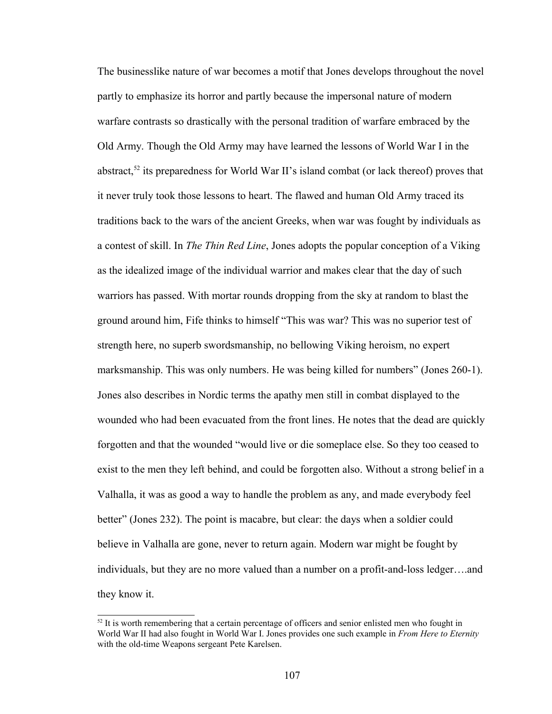The businesslike nature of war becomes a motif that Jones develops throughout the novel partly to emphasize its horror and partly because the impersonal nature of modern warfare contrasts so drastically with the personal tradition of warfare embraced by the Old Army. Though the Old Army may have learned the lessons of World War I in the abstract,<sup>[52](#page-114-0)</sup> its preparedness for World War II's island combat (or lack thereof) proves that it never truly took those lessons to heart. The flawed and human Old Army traced its traditions back to the wars of the ancient Greeks, when war was fought by individuals as a contest of skill. In *The Thin Red Line*, Jones adopts the popular conception of a Viking as the idealized image of the individual warrior and makes clear that the day of such warriors has passed. With mortar rounds dropping from the sky at random to blast the ground around him, Fife thinks to himself "This was war? This was no superior test of strength here, no superb swordsmanship, no bellowing Viking heroism, no expert marksmanship. This was only numbers. He was being killed for numbers" (Jones 260-1). Jones also describes in Nordic terms the apathy men still in combat displayed to the wounded who had been evacuated from the front lines. He notes that the dead are quickly forgotten and that the wounded "would live or die someplace else. So they too ceased to exist to the men they left behind, and could be forgotten also. Without a strong belief in a Valhalla, it was as good a way to handle the problem as any, and made everybody feel better" (Jones 232). The point is macabre, but clear: the days when a soldier could believe in Valhalla are gone, never to return again. Modern war might be fought by individuals, but they are no more valued than a number on a profit-and-loss ledger….and they know it.

<span id="page-114-0"></span> $52$  It is worth remembering that a certain percentage of officers and senior enlisted men who fought in World War II had also fought in World War I. Jones provides one such example in *From Here to Eternity* with the old-time Weapons sergeant Pete Karelsen.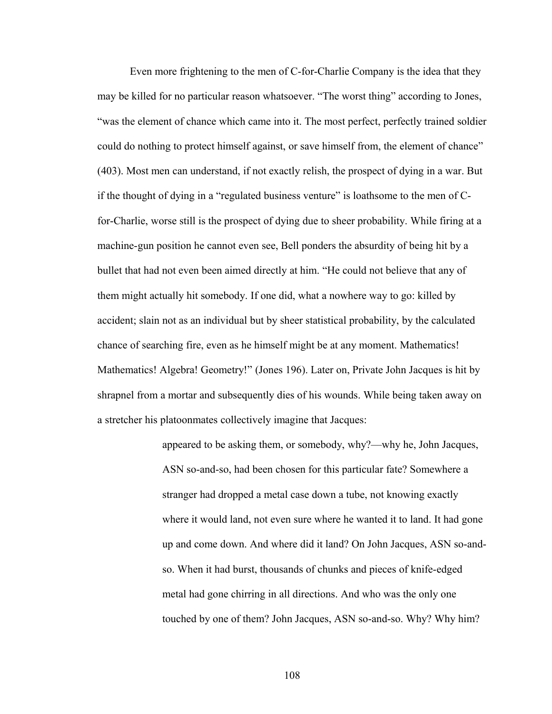Even more frightening to the men of C-for-Charlie Company is the idea that they may be killed for no particular reason whatsoever. "The worst thing" according to Jones, "was the element of chance which came into it. The most perfect, perfectly trained soldier could do nothing to protect himself against, or save himself from, the element of chance" (403). Most men can understand, if not exactly relish, the prospect of dying in a war. But if the thought of dying in a "regulated business venture" is loathsome to the men of Cfor-Charlie, worse still is the prospect of dying due to sheer probability. While firing at a machine-gun position he cannot even see, Bell ponders the absurdity of being hit by a bullet that had not even been aimed directly at him. "He could not believe that any of them might actually hit somebody. If one did, what a nowhere way to go: killed by accident; slain not as an individual but by sheer statistical probability, by the calculated chance of searching fire, even as he himself might be at any moment. Mathematics! Mathematics! Algebra! Geometry!" (Jones 196). Later on, Private John Jacques is hit by shrapnel from a mortar and subsequently dies of his wounds. While being taken away on a stretcher his platoonmates collectively imagine that Jacques:

> appeared to be asking them, or somebody, why?—why he, John Jacques, ASN so-and-so, had been chosen for this particular fate? Somewhere a stranger had dropped a metal case down a tube, not knowing exactly where it would land, not even sure where he wanted it to land. It had gone up and come down. And where did it land? On John Jacques, ASN so-andso. When it had burst, thousands of chunks and pieces of knife-edged metal had gone chirring in all directions. And who was the only one touched by one of them? John Jacques, ASN so-and-so. Why? Why him?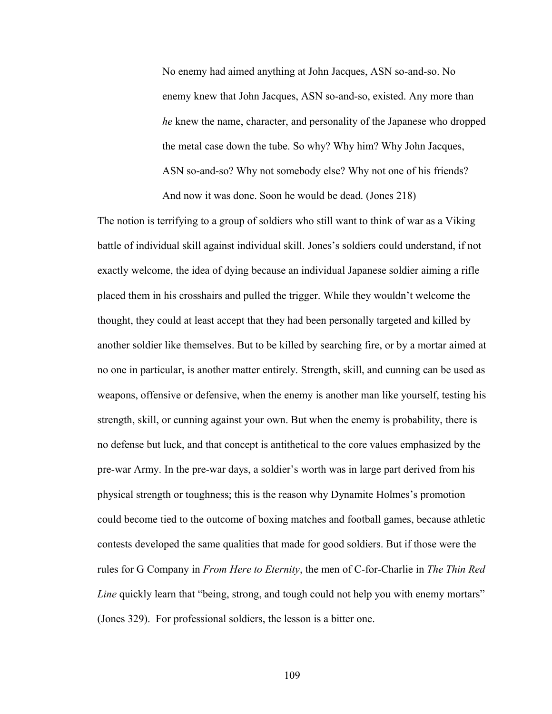No enemy had aimed anything at John Jacques, ASN so-and-so. No enemy knew that John Jacques, ASN so-and-so, existed. Any more than *he* knew the name, character, and personality of the Japanese who dropped the metal case down the tube. So why? Why him? Why John Jacques, ASN so-and-so? Why not somebody else? Why not one of his friends? And now it was done. Soon he would be dead. (Jones 218)

The notion is terrifying to a group of soldiers who still want to think of war as a Viking battle of individual skill against individual skill. Jones's soldiers could understand, if not exactly welcome, the idea of dying because an individual Japanese soldier aiming a rifle placed them in his crosshairs and pulled the trigger. While they wouldn't welcome the thought, they could at least accept that they had been personally targeted and killed by another soldier like themselves. But to be killed by searching fire, or by a mortar aimed at no one in particular, is another matter entirely. Strength, skill, and cunning can be used as weapons, offensive or defensive, when the enemy is another man like yourself, testing his strength, skill, or cunning against your own. But when the enemy is probability, there is no defense but luck, and that concept is antithetical to the core values emphasized by the pre-war Army. In the pre-war days, a soldier's worth was in large part derived from his physical strength or toughness; this is the reason why Dynamite Holmes's promotion could become tied to the outcome of boxing matches and football games, because athletic contests developed the same qualities that made for good soldiers. But if those were the rules for G Company in *From Here to Eternity*, the men of C-for-Charlie in *The Thin Red Line* quickly learn that "being, strong, and tough could not help you with enemy mortars" (Jones 329). For professional soldiers, the lesson is a bitter one.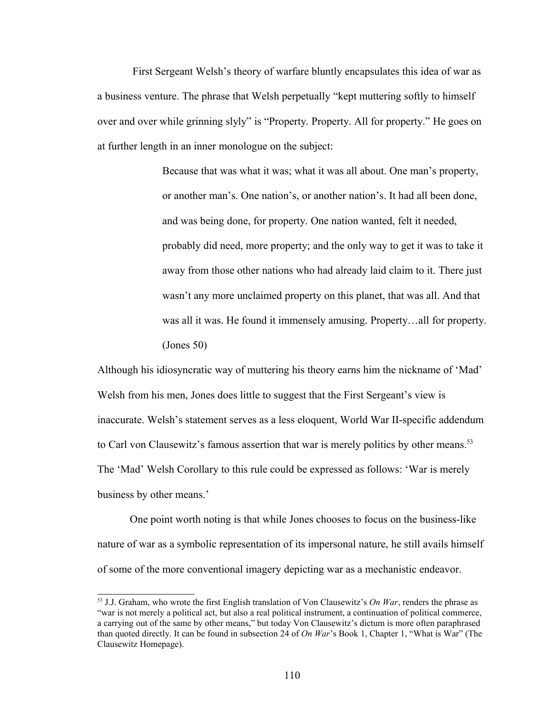First Sergeant Welsh's theory of warfare bluntly encapsulates this idea of war as a business venture. The phrase that Welsh perpetually "kept muttering softly to himself over and over while grinning slyly" is "Property. Property. All for property." He goes on at further length in an inner monologue on the subject:

> Because that was what it was; what it was all about. One man's property, or another man's. One nation's, or another nation's. It had all been done, and was being done, for property. One nation wanted, felt it needed, probably did need, more property; and the only way to get it was to take it away from those other nations who had already laid claim to it. There just wasn't any more unclaimed property on this planet, that was all. And that was all it was. He found it immensely amusing. Property…all for property. (Jones 50)

Although his idiosyncratic way of muttering his theory earns him the nickname of 'Mad' Welsh from his men, Jones does little to suggest that the First Sergeant's view is inaccurate. Welsh's statement serves as a less eloquent, World War II-specific addendum to Carl von Clausewitz's famous assertion that war is merely politics by other means.<sup>[53](#page-117-0)</sup> The 'Mad' Welsh Corollary to this rule could be expressed as follows: 'War is merely business by other means.'

One point worth noting is that while Jones chooses to focus on the business-like nature of war as a symbolic representation of its impersonal nature, he still avails himself of some of the more conventional imagery depicting war as a mechanistic endeavor.

<span id="page-117-0"></span><sup>53</sup> J.J. Graham, who wrote the first English translation of Von Clausewitz's *On War*, renders the phrase as "war is not merely a political act, but also a real political instrument, a continuation of political commerce, a carrying out of the same by other means," but today Von Clausewitz's dictum is more often paraphrased than quoted directly. It can be found in subsection 24 of *On War*'s Book 1, Chapter 1, "What is War" (The Clausewitz Homepage).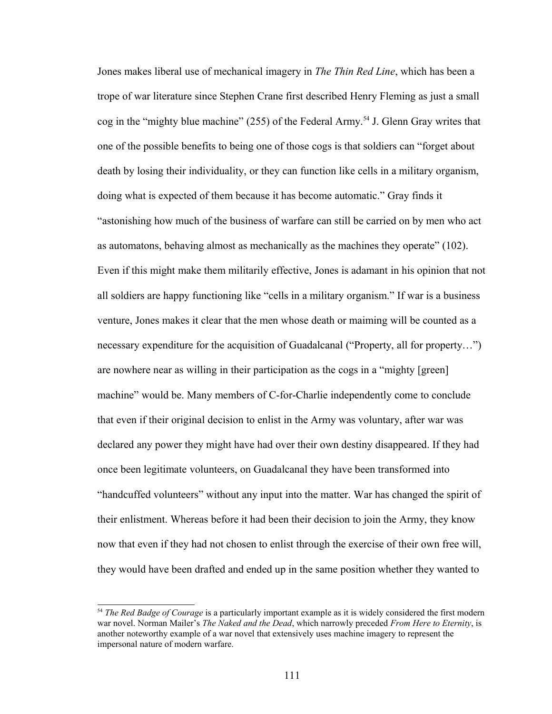Jones makes liberal use of mechanical imagery in *The Thin Red Line*, which has been a trope of war literature since Stephen Crane first described Henry Fleming as just a small cog in the "mighty blue machine" (255) of the Federal Army.<sup>[54](#page-118-0)</sup> J. Glenn Gray writes that one of the possible benefits to being one of those cogs is that soldiers can "forget about death by losing their individuality, or they can function like cells in a military organism, doing what is expected of them because it has become automatic." Gray finds it "astonishing how much of the business of warfare can still be carried on by men who act as automatons, behaving almost as mechanically as the machines they operate" (102). Even if this might make them militarily effective, Jones is adamant in his opinion that not all soldiers are happy functioning like "cells in a military organism." If war is a business venture, Jones makes it clear that the men whose death or maiming will be counted as a necessary expenditure for the acquisition of Guadalcanal ("Property, all for property…") are nowhere near as willing in their participation as the cogs in a "mighty [green] machine" would be. Many members of C-for-Charlie independently come to conclude that even if their original decision to enlist in the Army was voluntary, after war was declared any power they might have had over their own destiny disappeared. If they had once been legitimate volunteers, on Guadalcanal they have been transformed into "handcuffed volunteers" without any input into the matter. War has changed the spirit of their enlistment. Whereas before it had been their decision to join the Army, they know now that even if they had not chosen to enlist through the exercise of their own free will, they would have been drafted and ended up in the same position whether they wanted to

<span id="page-118-0"></span><sup>54</sup> *The Red Badge of Courage* is a particularly important example as it is widely considered the first modern war novel. Norman Mailer's *The Naked and the Dead*, which narrowly preceded *From Here to Eternity*, is another noteworthy example of a war novel that extensively uses machine imagery to represent the impersonal nature of modern warfare.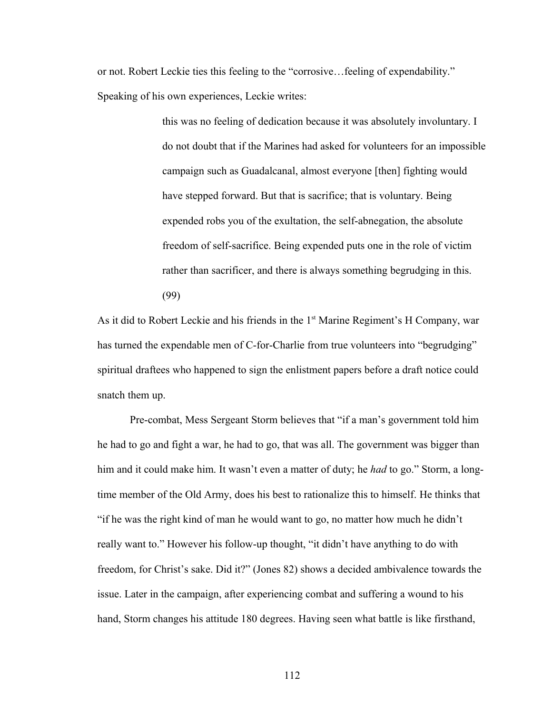or not. Robert Leckie ties this feeling to the "corrosive…feeling of expendability." Speaking of his own experiences, Leckie writes:

> this was no feeling of dedication because it was absolutely involuntary. I do not doubt that if the Marines had asked for volunteers for an impossible campaign such as Guadalcanal, almost everyone [then] fighting would have stepped forward. But that is sacrifice; that is voluntary. Being expended robs you of the exultation, the self-abnegation, the absolute freedom of self-sacrifice. Being expended puts one in the role of victim rather than sacrificer, and there is always something begrudging in this. (99)

As it did to Robert Leckie and his friends in the 1<sup>st</sup> Marine Regiment's H Company, war has turned the expendable men of C-for-Charlie from true volunteers into "begrudging" spiritual draftees who happened to sign the enlistment papers before a draft notice could snatch them up.

Pre-combat, Mess Sergeant Storm believes that "if a man's government told him he had to go and fight a war, he had to go, that was all. The government was bigger than him and it could make him. It wasn't even a matter of duty; he *had* to go." Storm, a longtime member of the Old Army, does his best to rationalize this to himself. He thinks that "if he was the right kind of man he would want to go, no matter how much he didn't really want to." However his follow-up thought, "it didn't have anything to do with freedom, for Christ's sake. Did it?" (Jones 82) shows a decided ambivalence towards the issue. Later in the campaign, after experiencing combat and suffering a wound to his hand, Storm changes his attitude 180 degrees. Having seen what battle is like firsthand,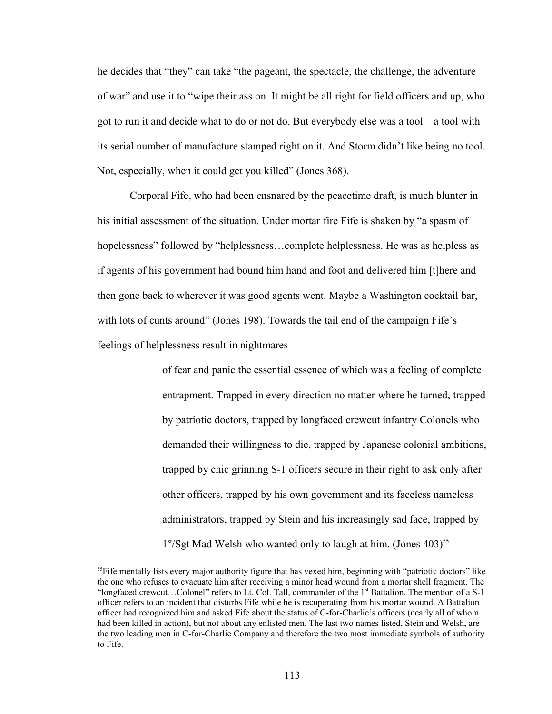he decides that "they" can take "the pageant, the spectacle, the challenge, the adventure of war" and use it to "wipe their ass on. It might be all right for field officers and up, who got to run it and decide what to do or not do. But everybody else was a tool—a tool with its serial number of manufacture stamped right on it. And Storm didn't like being no tool. Not, especially, when it could get you killed" (Jones 368).

Corporal Fife, who had been ensnared by the peacetime draft, is much blunter in his initial assessment of the situation. Under mortar fire Fife is shaken by "a spasm of hopelessness" followed by "helplessness…complete helplessness. He was as helpless as if agents of his government had bound him hand and foot and delivered him [t]here and then gone back to wherever it was good agents went. Maybe a Washington cocktail bar, with lots of cunts around" (Jones 198). Towards the tail end of the campaign Fife's feelings of helplessness result in nightmares

> of fear and panic the essential essence of which was a feeling of complete entrapment. Trapped in every direction no matter where he turned, trapped by patriotic doctors, trapped by longfaced crewcut infantry Colonels who demanded their willingness to die, trapped by Japanese colonial ambitions, trapped by chic grinning S-1 officers secure in their right to ask only after other officers, trapped by his own government and its faceless nameless administrators, trapped by Stein and his increasingly sad face, trapped by 1<sup>st</sup>/Sgt Mad Welsh who wanted only to laugh at him. (Jones 403)<sup>[55](#page-120-0)</sup>

<span id="page-120-0"></span><sup>&</sup>lt;sup>55</sup>Fife mentally lists every major authority figure that has vexed him, beginning with "patriotic doctors" like the one who refuses to evacuate him after receiving a minor head wound from a mortar shell fragment. The "longfaced crewcut...Colonel" refers to Lt. Col. Tall, commander of the  $1<sup>st</sup>$  Battalion. The mention of a S-1 officer refers to an incident that disturbs Fife while he is recuperating from his mortar wound. A Battalion officer had recognized him and asked Fife about the status of C-for-Charlie's officers (nearly all of whom had been killed in action), but not about any enlisted men. The last two names listed, Stein and Welsh, are the two leading men in C-for-Charlie Company and therefore the two most immediate symbols of authority to Fife.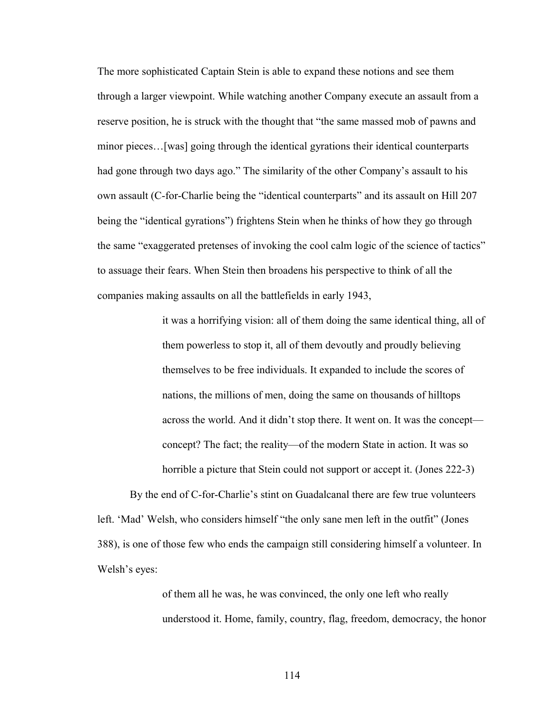The more sophisticated Captain Stein is able to expand these notions and see them through a larger viewpoint. While watching another Company execute an assault from a reserve position, he is struck with the thought that "the same massed mob of pawns and minor pieces…[was] going through the identical gyrations their identical counterparts had gone through two days ago." The similarity of the other Company's assault to his own assault (C-for-Charlie being the "identical counterparts" and its assault on Hill 207 being the "identical gyrations") frightens Stein when he thinks of how they go through the same "exaggerated pretenses of invoking the cool calm logic of the science of tactics" to assuage their fears. When Stein then broadens his perspective to think of all the companies making assaults on all the battlefields in early 1943,

> it was a horrifying vision: all of them doing the same identical thing, all of them powerless to stop it, all of them devoutly and proudly believing themselves to be free individuals. It expanded to include the scores of nations, the millions of men, doing the same on thousands of hilltops across the world. And it didn't stop there. It went on. It was the concept concept? The fact; the reality—of the modern State in action. It was so horrible a picture that Stein could not support or accept it. (Jones 222-3)

By the end of C-for-Charlie's stint on Guadalcanal there are few true volunteers left. 'Mad' Welsh, who considers himself "the only sane men left in the outfit" (Jones 388), is one of those few who ends the campaign still considering himself a volunteer. In Welsh's eyes:

> of them all he was, he was convinced, the only one left who really understood it. Home, family, country, flag, freedom, democracy, the honor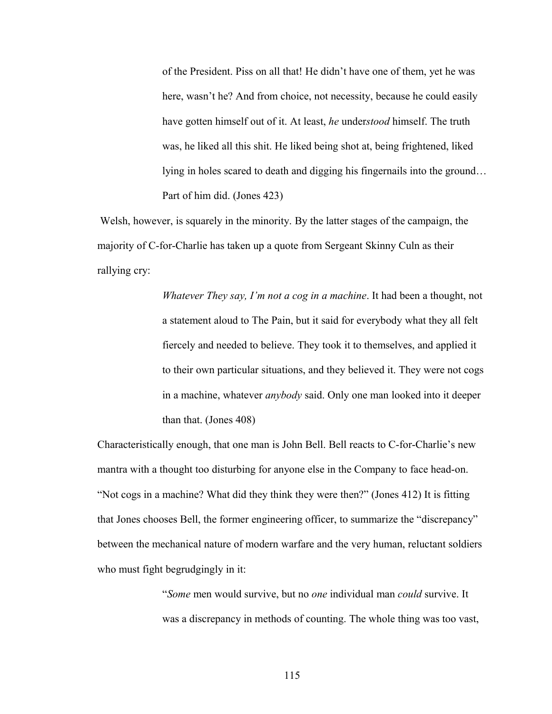of the President. Piss on all that! He didn't have one of them, yet he was here, wasn't he? And from choice, not necessity, because he could easily have gotten himself out of it. At least, *he* under*stood* himself. The truth was, he liked all this shit. He liked being shot at, being frightened, liked lying in holes scared to death and digging his fingernails into the ground… Part of him did. (Jones 423)

 Welsh, however, is squarely in the minority. By the latter stages of the campaign, the majority of C-for-Charlie has taken up a quote from Sergeant Skinny Culn as their rallying cry:

> *Whatever They say, I'm not a cog in a machine*. It had been a thought, not a statement aloud to The Pain, but it said for everybody what they all felt fiercely and needed to believe. They took it to themselves, and applied it to their own particular situations, and they believed it. They were not cogs in a machine, whatever *anybody* said. Only one man looked into it deeper than that. (Jones 408)

Characteristically enough, that one man is John Bell. Bell reacts to C-for-Charlie's new mantra with a thought too disturbing for anyone else in the Company to face head-on. "Not cogs in a machine? What did they think they were then?" (Jones 412) It is fitting that Jones chooses Bell, the former engineering officer, to summarize the "discrepancy" between the mechanical nature of modern warfare and the very human, reluctant soldiers who must fight begrudgingly in it:

> "*Some* men would survive, but no *one* individual man *could* survive. It was a discrepancy in methods of counting. The whole thing was too vast,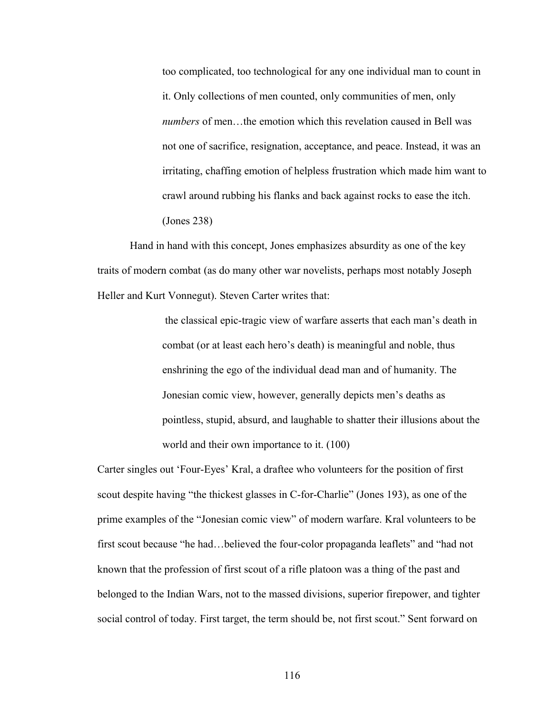too complicated, too technological for any one individual man to count in it. Only collections of men counted, only communities of men, only *numbers* of men…the emotion which this revelation caused in Bell was not one of sacrifice, resignation, acceptance, and peace. Instead, it was an irritating, chaffing emotion of helpless frustration which made him want to crawl around rubbing his flanks and back against rocks to ease the itch. (Jones 238)

Hand in hand with this concept, Jones emphasizes absurdity as one of the key traits of modern combat (as do many other war novelists, perhaps most notably Joseph Heller and Kurt Vonnegut). Steven Carter writes that:

> the classical epic-tragic view of warfare asserts that each man's death in combat (or at least each hero's death) is meaningful and noble, thus enshrining the ego of the individual dead man and of humanity. The Jonesian comic view, however, generally depicts men's deaths as pointless, stupid, absurd, and laughable to shatter their illusions about the world and their own importance to it. (100)

Carter singles out 'Four-Eyes' Kral, a draftee who volunteers for the position of first scout despite having "the thickest glasses in C-for-Charlie" (Jones 193), as one of the prime examples of the "Jonesian comic view" of modern warfare. Kral volunteers to be first scout because "he had…believed the four-color propaganda leaflets" and "had not known that the profession of first scout of a rifle platoon was a thing of the past and belonged to the Indian Wars, not to the massed divisions, superior firepower, and tighter social control of today. First target, the term should be, not first scout." Sent forward on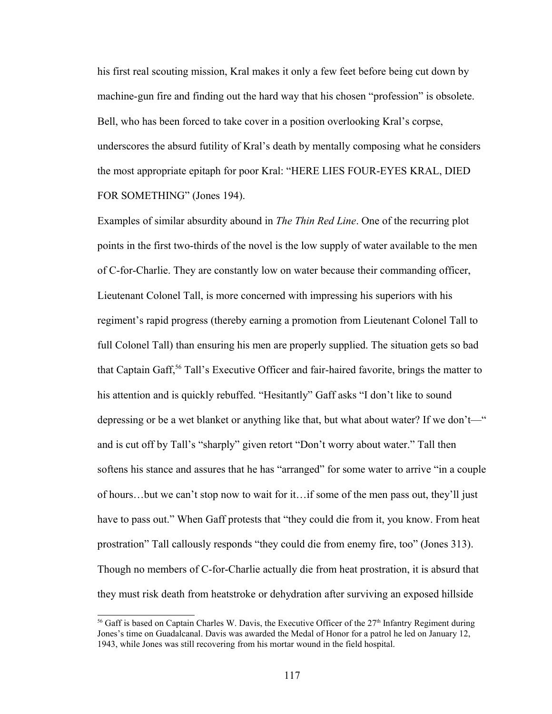his first real scouting mission, Kral makes it only a few feet before being cut down by machine-gun fire and finding out the hard way that his chosen "profession" is obsolete. Bell, who has been forced to take cover in a position overlooking Kral's corpse, underscores the absurd futility of Kral's death by mentally composing what he considers the most appropriate epitaph for poor Kral: "HERE LIES FOUR-EYES KRAL, DIED FOR SOMETHING" (Jones 194).

Examples of similar absurdity abound in *The Thin Red Line*. One of the recurring plot points in the first two-thirds of the novel is the low supply of water available to the men of C-for-Charlie. They are constantly low on water because their commanding officer, Lieutenant Colonel Tall, is more concerned with impressing his superiors with his regiment's rapid progress (thereby earning a promotion from Lieutenant Colonel Tall to full Colonel Tall) than ensuring his men are properly supplied. The situation gets so bad that Captain Gaff,<sup>[56](#page-124-0)</sup> Tall's Executive Officer and fair-haired favorite, brings the matter to his attention and is quickly rebuffed. "Hesitantly" Gaff asks "I don't like to sound depressing or be a wet blanket or anything like that, but what about water? If we don't—" and is cut off by Tall's "sharply" given retort "Don't worry about water." Tall then softens his stance and assures that he has "arranged" for some water to arrive "in a couple of hours…but we can't stop now to wait for it…if some of the men pass out, they'll just have to pass out." When Gaff protests that "they could die from it, you know. From heat prostration" Tall callously responds "they could die from enemy fire, too" (Jones 313). Though no members of C-for-Charlie actually die from heat prostration, it is absurd that they must risk death from heatstroke or dehydration after surviving an exposed hillside

<span id="page-124-0"></span><sup>&</sup>lt;sup>56</sup> Gaff is based on Captain Charles W. Davis, the Executive Officer of the  $27<sup>th</sup>$  Infantry Regiment during Jones's time on Guadalcanal. Davis was awarded the Medal of Honor for a patrol he led on January 12, 1943, while Jones was still recovering from his mortar wound in the field hospital.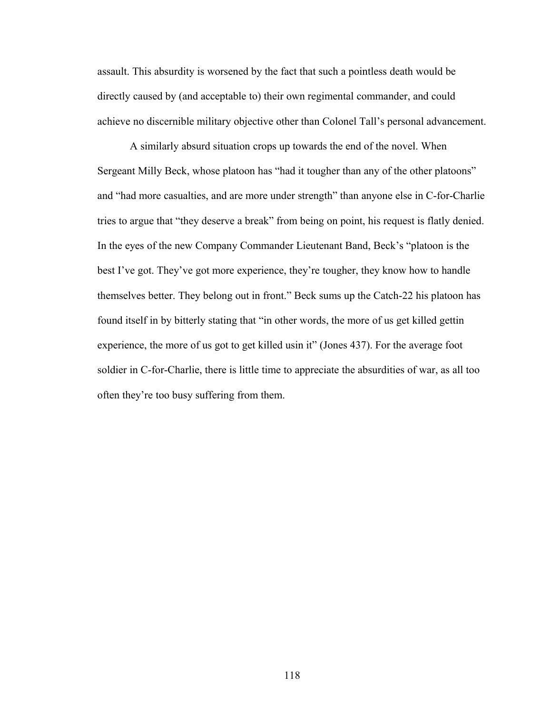assault. This absurdity is worsened by the fact that such a pointless death would be directly caused by (and acceptable to) their own regimental commander, and could achieve no discernible military objective other than Colonel Tall's personal advancement.

A similarly absurd situation crops up towards the end of the novel. When Sergeant Milly Beck, whose platoon has "had it tougher than any of the other platoons" and "had more casualties, and are more under strength" than anyone else in C-for-Charlie tries to argue that "they deserve a break" from being on point, his request is flatly denied. In the eyes of the new Company Commander Lieutenant Band, Beck's "platoon is the best I've got. They've got more experience, they're tougher, they know how to handle themselves better. They belong out in front." Beck sums up the Catch-22 his platoon has found itself in by bitterly stating that "in other words, the more of us get killed gettin experience, the more of us got to get killed usin it" (Jones 437). For the average foot soldier in C-for-Charlie, there is little time to appreciate the absurdities of war, as all too often they're too busy suffering from them.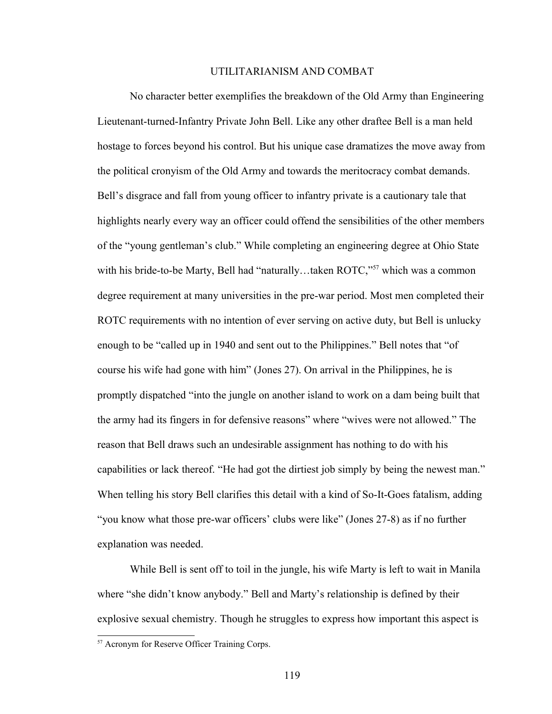## UTILITARIANISM AND COMBAT

No character better exemplifies the breakdown of the Old Army than Engineering Lieutenant-turned-Infantry Private John Bell. Like any other draftee Bell is a man held hostage to forces beyond his control. But his unique case dramatizes the move away from the political cronyism of the Old Army and towards the meritocracy combat demands. Bell's disgrace and fall from young officer to infantry private is a cautionary tale that highlights nearly every way an officer could offend the sensibilities of the other members of the "young gentleman's club." While completing an engineering degree at Ohio State with his bride-to-be Marty, Bell had "naturally...taken ROTC,"<sup>[57](#page-126-0)</sup> which was a common degree requirement at many universities in the pre-war period. Most men completed their ROTC requirements with no intention of ever serving on active duty, but Bell is unlucky enough to be "called up in 1940 and sent out to the Philippines." Bell notes that "of course his wife had gone with him" (Jones 27). On arrival in the Philippines, he is promptly dispatched "into the jungle on another island to work on a dam being built that the army had its fingers in for defensive reasons" where "wives were not allowed." The reason that Bell draws such an undesirable assignment has nothing to do with his capabilities or lack thereof. "He had got the dirtiest job simply by being the newest man." When telling his story Bell clarifies this detail with a kind of So-It-Goes fatalism, adding "you know what those pre-war officers' clubs were like" (Jones 27-8) as if no further explanation was needed.

While Bell is sent off to toil in the jungle, his wife Marty is left to wait in Manila where "she didn't know anybody." Bell and Marty's relationship is defined by their explosive sexual chemistry. Though he struggles to express how important this aspect is

<span id="page-126-0"></span><sup>&</sup>lt;sup>57</sup> Acronym for Reserve Officer Training Corps.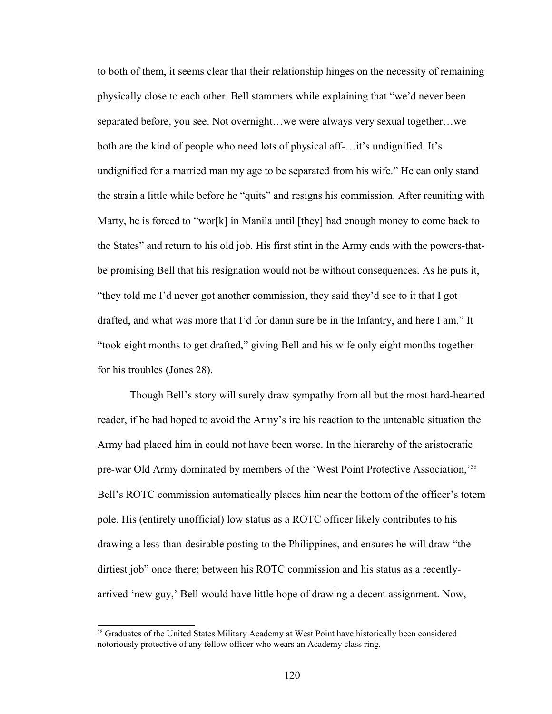to both of them, it seems clear that their relationship hinges on the necessity of remaining physically close to each other. Bell stammers while explaining that "we'd never been separated before, you see. Not overnight…we were always very sexual together…we both are the kind of people who need lots of physical aff-…it's undignified. It's undignified for a married man my age to be separated from his wife." He can only stand the strain a little while before he "quits" and resigns his commission. After reuniting with Marty, he is forced to "wor[k] in Manila until [they] had enough money to come back to the States" and return to his old job. His first stint in the Army ends with the powers-thatbe promising Bell that his resignation would not be without consequences. As he puts it, "they told me I'd never got another commission, they said they'd see to it that I got drafted, and what was more that I'd for damn sure be in the Infantry, and here I am." It "took eight months to get drafted," giving Bell and his wife only eight months together for his troubles (Jones 28).

Though Bell's story will surely draw sympathy from all but the most hard-hearted reader, if he had hoped to avoid the Army's ire his reaction to the untenable situation the Army had placed him in could not have been worse. In the hierarchy of the aristocratic pre-war Old Army dominated by members of the 'West Point Protective Association,'[58](#page-127-0) Bell's ROTC commission automatically places him near the bottom of the officer's totem pole. His (entirely unofficial) low status as a ROTC officer likely contributes to his drawing a less-than-desirable posting to the Philippines, and ensures he will draw "the dirtiest job" once there; between his ROTC commission and his status as a recentlyarrived 'new guy,' Bell would have little hope of drawing a decent assignment. Now,

<span id="page-127-0"></span><sup>58</sup> Graduates of the United States Military Academy at West Point have historically been considered notoriously protective of any fellow officer who wears an Academy class ring.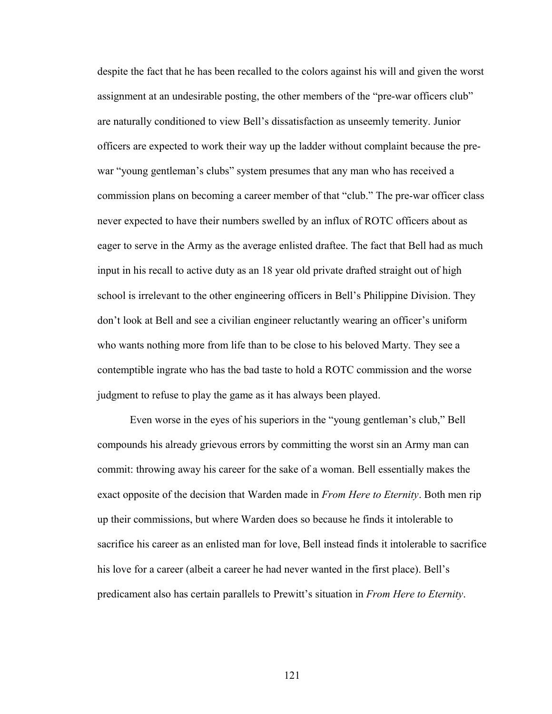despite the fact that he has been recalled to the colors against his will and given the worst assignment at an undesirable posting, the other members of the "pre-war officers club" are naturally conditioned to view Bell's dissatisfaction as unseemly temerity. Junior officers are expected to work their way up the ladder without complaint because the prewar "young gentleman's clubs" system presumes that any man who has received a commission plans on becoming a career member of that "club." The pre-war officer class never expected to have their numbers swelled by an influx of ROTC officers about as eager to serve in the Army as the average enlisted draftee. The fact that Bell had as much input in his recall to active duty as an 18 year old private drafted straight out of high school is irrelevant to the other engineering officers in Bell's Philippine Division. They don't look at Bell and see a civilian engineer reluctantly wearing an officer's uniform who wants nothing more from life than to be close to his beloved Marty. They see a contemptible ingrate who has the bad taste to hold a ROTC commission and the worse judgment to refuse to play the game as it has always been played.

Even worse in the eyes of his superiors in the "young gentleman's club," Bell compounds his already grievous errors by committing the worst sin an Army man can commit: throwing away his career for the sake of a woman. Bell essentially makes the exact opposite of the decision that Warden made in *From Here to Eternity*. Both men rip up their commissions, but where Warden does so because he finds it intolerable to sacrifice his career as an enlisted man for love, Bell instead finds it intolerable to sacrifice his love for a career (albeit a career he had never wanted in the first place). Bell's predicament also has certain parallels to Prewitt's situation in *From Here to Eternity*.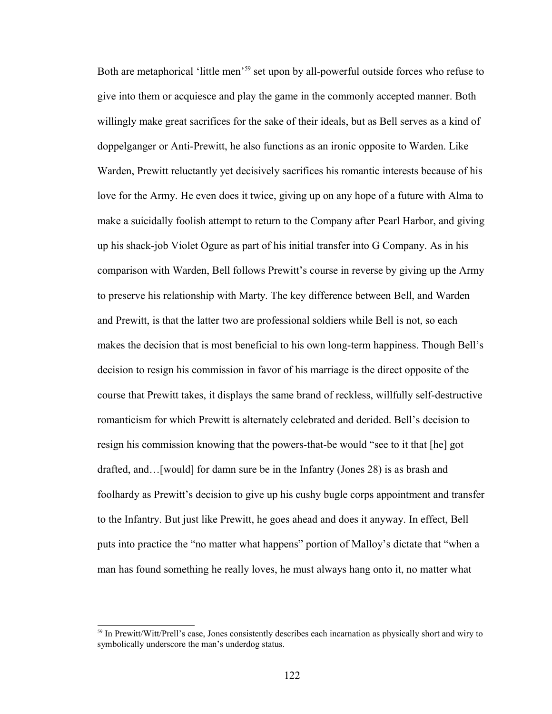Both are metaphorical 'little men'[59](#page-129-0) set upon by all-powerful outside forces who refuse to give into them or acquiesce and play the game in the commonly accepted manner. Both willingly make great sacrifices for the sake of their ideals, but as Bell serves as a kind of doppelganger or Anti-Prewitt, he also functions as an ironic opposite to Warden. Like Warden, Prewitt reluctantly yet decisively sacrifices his romantic interests because of his love for the Army. He even does it twice, giving up on any hope of a future with Alma to make a suicidally foolish attempt to return to the Company after Pearl Harbor, and giving up his shack-job Violet Ogure as part of his initial transfer into G Company. As in his comparison with Warden, Bell follows Prewitt's course in reverse by giving up the Army to preserve his relationship with Marty. The key difference between Bell, and Warden and Prewitt, is that the latter two are professional soldiers while Bell is not, so each makes the decision that is most beneficial to his own long-term happiness. Though Bell's decision to resign his commission in favor of his marriage is the direct opposite of the course that Prewitt takes, it displays the same brand of reckless, willfully self-destructive romanticism for which Prewitt is alternately celebrated and derided. Bell's decision to resign his commission knowing that the powers-that-be would "see to it that [he] got drafted, and…[would] for damn sure be in the Infantry (Jones 28) is as brash and foolhardy as Prewitt's decision to give up his cushy bugle corps appointment and transfer to the Infantry. But just like Prewitt, he goes ahead and does it anyway. In effect, Bell puts into practice the "no matter what happens" portion of Malloy's dictate that "when a man has found something he really loves, he must always hang onto it, no matter what

<span id="page-129-0"></span><sup>&</sup>lt;sup>59</sup> In Prewitt/Witt/Prell's case, Jones consistently describes each incarnation as physically short and wiry to symbolically underscore the man's underdog status.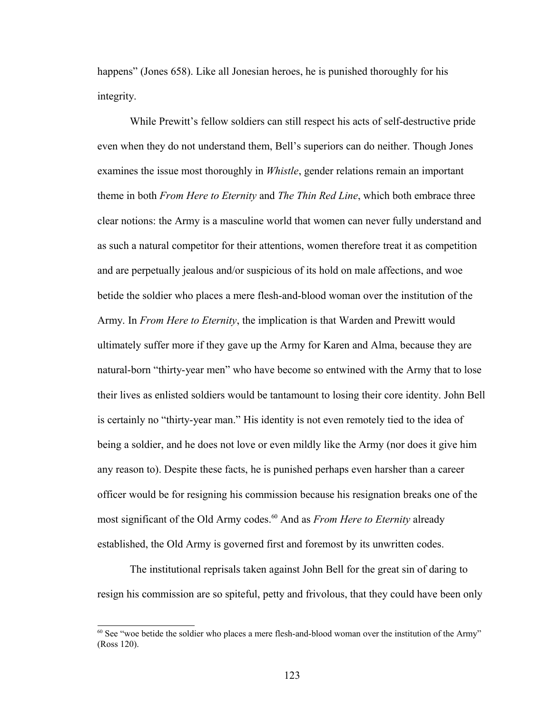happens" (Jones 658). Like all Jonesian heroes, he is punished thoroughly for his integrity.

While Prewitt's fellow soldiers can still respect his acts of self-destructive pride even when they do not understand them, Bell's superiors can do neither. Though Jones examines the issue most thoroughly in *Whistle*, gender relations remain an important theme in both *From Here to Eternity* and *The Thin Red Line*, which both embrace three clear notions: the Army is a masculine world that women can never fully understand and as such a natural competitor for their attentions, women therefore treat it as competition and are perpetually jealous and/or suspicious of its hold on male affections, and woe betide the soldier who places a mere flesh-and-blood woman over the institution of the Army. In *From Here to Eternity*, the implication is that Warden and Prewitt would ultimately suffer more if they gave up the Army for Karen and Alma, because they are natural-born "thirty-year men" who have become so entwined with the Army that to lose their lives as enlisted soldiers would be tantamount to losing their core identity. John Bell is certainly no "thirty-year man." His identity is not even remotely tied to the idea of being a soldier, and he does not love or even mildly like the Army (nor does it give him any reason to). Despite these facts, he is punished perhaps even harsher than a career officer would be for resigning his commission because his resignation breaks one of the most significant of the Old Army codes.<sup>[60](#page-130-0)</sup> And as *From Here to Eternity* already established, the Old Army is governed first and foremost by its unwritten codes.

The institutional reprisals taken against John Bell for the great sin of daring to resign his commission are so spiteful, petty and frivolous, that they could have been only

<span id="page-130-0"></span><sup>&</sup>lt;sup>60</sup> See "woe betide the soldier who places a mere flesh-and-blood woman over the institution of the Army" (Ross 120).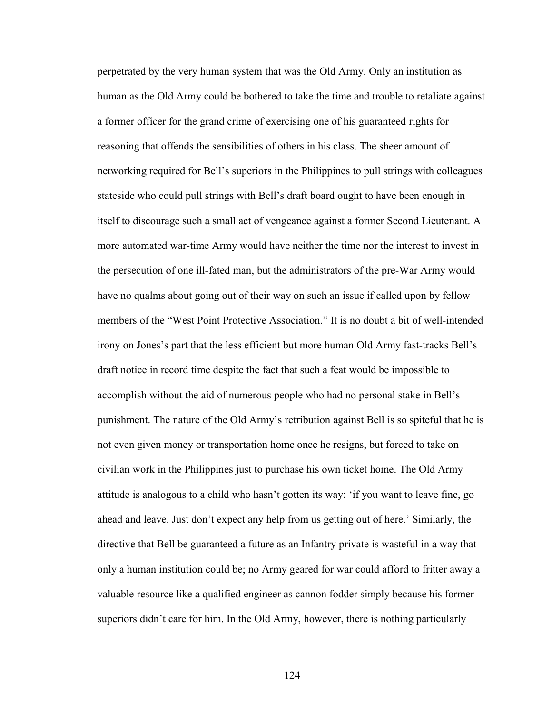perpetrated by the very human system that was the Old Army. Only an institution as human as the Old Army could be bothered to take the time and trouble to retaliate against a former officer for the grand crime of exercising one of his guaranteed rights for reasoning that offends the sensibilities of others in his class. The sheer amount of networking required for Bell's superiors in the Philippines to pull strings with colleagues stateside who could pull strings with Bell's draft board ought to have been enough in itself to discourage such a small act of vengeance against a former Second Lieutenant. A more automated war-time Army would have neither the time nor the interest to invest in the persecution of one ill-fated man, but the administrators of the pre-War Army would have no qualms about going out of their way on such an issue if called upon by fellow members of the "West Point Protective Association." It is no doubt a bit of well-intended irony on Jones's part that the less efficient but more human Old Army fast-tracks Bell's draft notice in record time despite the fact that such a feat would be impossible to accomplish without the aid of numerous people who had no personal stake in Bell's punishment. The nature of the Old Army's retribution against Bell is so spiteful that he is not even given money or transportation home once he resigns, but forced to take on civilian work in the Philippines just to purchase his own ticket home. The Old Army attitude is analogous to a child who hasn't gotten its way: 'if you want to leave fine, go ahead and leave. Just don't expect any help from us getting out of here.' Similarly, the directive that Bell be guaranteed a future as an Infantry private is wasteful in a way that only a human institution could be; no Army geared for war could afford to fritter away a valuable resource like a qualified engineer as cannon fodder simply because his former superiors didn't care for him. In the Old Army, however, there is nothing particularly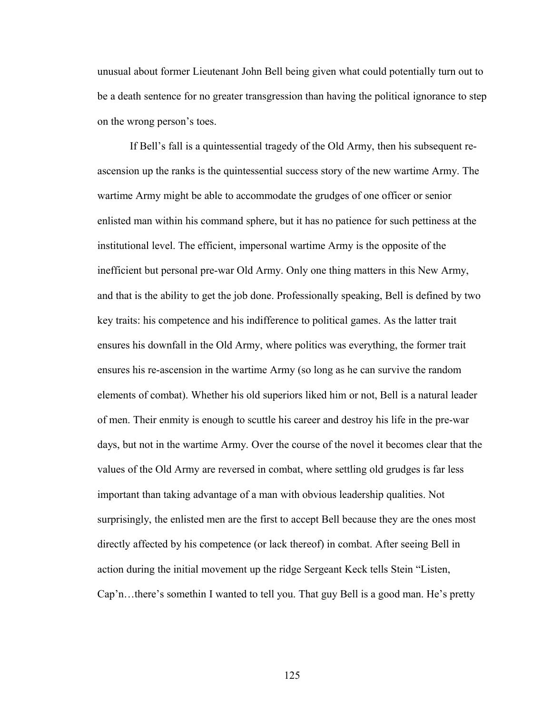unusual about former Lieutenant John Bell being given what could potentially turn out to be a death sentence for no greater transgression than having the political ignorance to step on the wrong person's toes.

If Bell's fall is a quintessential tragedy of the Old Army, then his subsequent reascension up the ranks is the quintessential success story of the new wartime Army. The wartime Army might be able to accommodate the grudges of one officer or senior enlisted man within his command sphere, but it has no patience for such pettiness at the institutional level. The efficient, impersonal wartime Army is the opposite of the inefficient but personal pre-war Old Army. Only one thing matters in this New Army, and that is the ability to get the job done. Professionally speaking, Bell is defined by two key traits: his competence and his indifference to political games. As the latter trait ensures his downfall in the Old Army, where politics was everything, the former trait ensures his re-ascension in the wartime Army (so long as he can survive the random elements of combat). Whether his old superiors liked him or not, Bell is a natural leader of men. Their enmity is enough to scuttle his career and destroy his life in the pre-war days, but not in the wartime Army. Over the course of the novel it becomes clear that the values of the Old Army are reversed in combat, where settling old grudges is far less important than taking advantage of a man with obvious leadership qualities. Not surprisingly, the enlisted men are the first to accept Bell because they are the ones most directly affected by his competence (or lack thereof) in combat. After seeing Bell in action during the initial movement up the ridge Sergeant Keck tells Stein "Listen, Cap'n…there's somethin I wanted to tell you. That guy Bell is a good man. He's pretty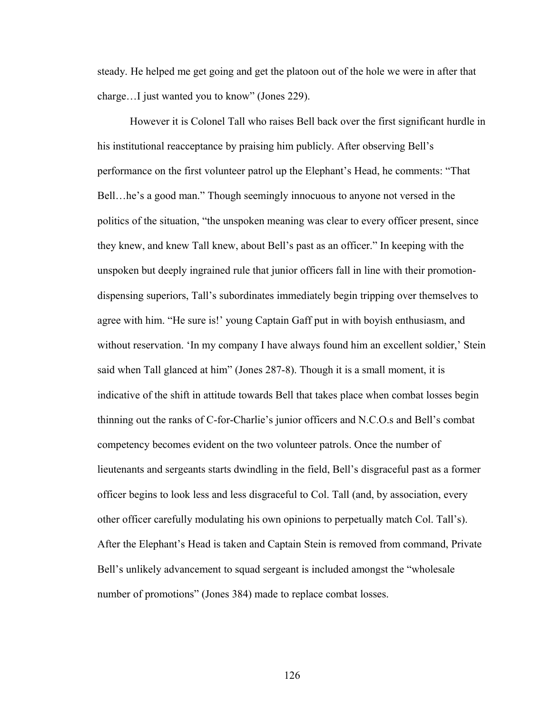steady. He helped me get going and get the platoon out of the hole we were in after that charge…I just wanted you to know" (Jones 229).

However it is Colonel Tall who raises Bell back over the first significant hurdle in his institutional reacceptance by praising him publicly. After observing Bell's performance on the first volunteer patrol up the Elephant's Head, he comments: "That Bell…he's a good man." Though seemingly innocuous to anyone not versed in the politics of the situation, "the unspoken meaning was clear to every officer present, since they knew, and knew Tall knew, about Bell's past as an officer." In keeping with the unspoken but deeply ingrained rule that junior officers fall in line with their promotiondispensing superiors, Tall's subordinates immediately begin tripping over themselves to agree with him. "He sure is!' young Captain Gaff put in with boyish enthusiasm, and without reservation. 'In my company I have always found him an excellent soldier,' Stein said when Tall glanced at him" (Jones 287-8). Though it is a small moment, it is indicative of the shift in attitude towards Bell that takes place when combat losses begin thinning out the ranks of C-for-Charlie's junior officers and N.C.O.s and Bell's combat competency becomes evident on the two volunteer patrols. Once the number of lieutenants and sergeants starts dwindling in the field, Bell's disgraceful past as a former officer begins to look less and less disgraceful to Col. Tall (and, by association, every other officer carefully modulating his own opinions to perpetually match Col. Tall's). After the Elephant's Head is taken and Captain Stein is removed from command, Private Bell's unlikely advancement to squad sergeant is included amongst the "wholesale number of promotions" (Jones 384) made to replace combat losses.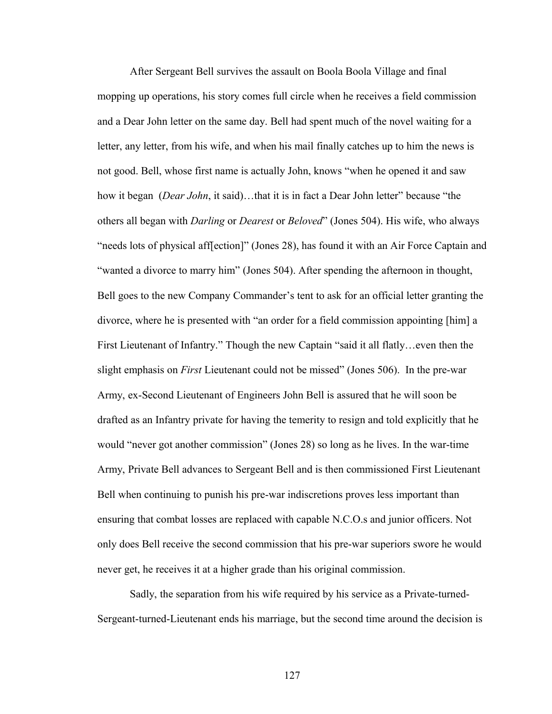After Sergeant Bell survives the assault on Boola Boola Village and final mopping up operations, his story comes full circle when he receives a field commission and a Dear John letter on the same day. Bell had spent much of the novel waiting for a letter, any letter, from his wife, and when his mail finally catches up to him the news is not good. Bell, whose first name is actually John, knows "when he opened it and saw how it began (*Dear John*, it said)...that it is in fact a Dear John letter" because "the others all began with *Darling* or *Dearest* or *Beloved*" (Jones 504). His wife, who always "needs lots of physical aff[ection]" (Jones 28), has found it with an Air Force Captain and "wanted a divorce to marry him" (Jones 504). After spending the afternoon in thought, Bell goes to the new Company Commander's tent to ask for an official letter granting the divorce, where he is presented with "an order for a field commission appointing [him] a First Lieutenant of Infantry." Though the new Captain "said it all flatly…even then the slight emphasis on *First* Lieutenant could not be missed" (Jones 506). In the pre-war Army, ex-Second Lieutenant of Engineers John Bell is assured that he will soon be drafted as an Infantry private for having the temerity to resign and told explicitly that he would "never got another commission" (Jones 28) so long as he lives. In the war-time Army, Private Bell advances to Sergeant Bell and is then commissioned First Lieutenant Bell when continuing to punish his pre-war indiscretions proves less important than ensuring that combat losses are replaced with capable N.C.O.s and junior officers. Not only does Bell receive the second commission that his pre-war superiors swore he would never get, he receives it at a higher grade than his original commission.

Sadly, the separation from his wife required by his service as a Private-turned-Sergeant-turned-Lieutenant ends his marriage, but the second time around the decision is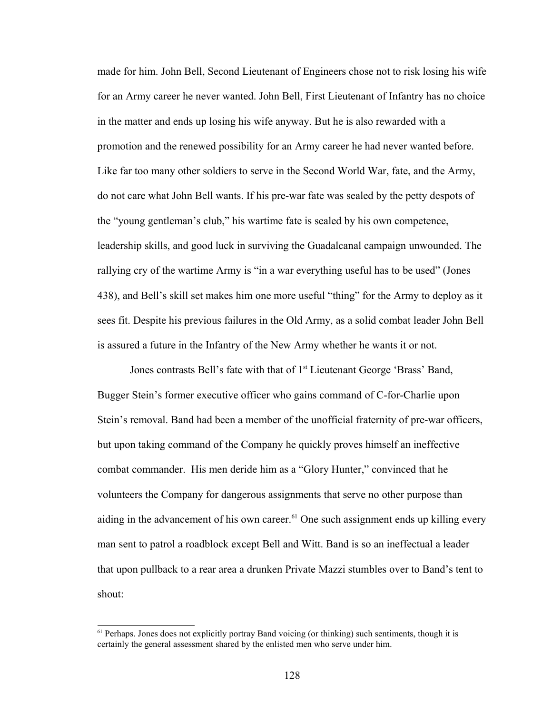made for him. John Bell, Second Lieutenant of Engineers chose not to risk losing his wife for an Army career he never wanted. John Bell, First Lieutenant of Infantry has no choice in the matter and ends up losing his wife anyway. But he is also rewarded with a promotion and the renewed possibility for an Army career he had never wanted before. Like far too many other soldiers to serve in the Second World War, fate, and the Army, do not care what John Bell wants. If his pre-war fate was sealed by the petty despots of the "young gentleman's club," his wartime fate is sealed by his own competence, leadership skills, and good luck in surviving the Guadalcanal campaign unwounded. The rallying cry of the wartime Army is "in a war everything useful has to be used" (Jones 438), and Bell's skill set makes him one more useful "thing" for the Army to deploy as it sees fit. Despite his previous failures in the Old Army, as a solid combat leader John Bell is assured a future in the Infantry of the New Army whether he wants it or not.

Jones contrasts Bell's fate with that of 1<sup>st</sup> Lieutenant George 'Brass' Band, Bugger Stein's former executive officer who gains command of C-for-Charlie upon Stein's removal. Band had been a member of the unofficial fraternity of pre-war officers, but upon taking command of the Company he quickly proves himself an ineffective combat commander. His men deride him as a "Glory Hunter," convinced that he volunteers the Company for dangerous assignments that serve no other purpose than aiding in the advancement of his own career.<sup>[61](#page-135-0)</sup> One such assignment ends up killing every man sent to patrol a roadblock except Bell and Witt. Band is so an ineffectual a leader that upon pullback to a rear area a drunken Private Mazzi stumbles over to Band's tent to shout:

<span id="page-135-0"></span> $<sup>61</sup>$  Perhaps. Jones does not explicitly portray Band voicing (or thinking) such sentiments, though it is</sup> certainly the general assessment shared by the enlisted men who serve under him.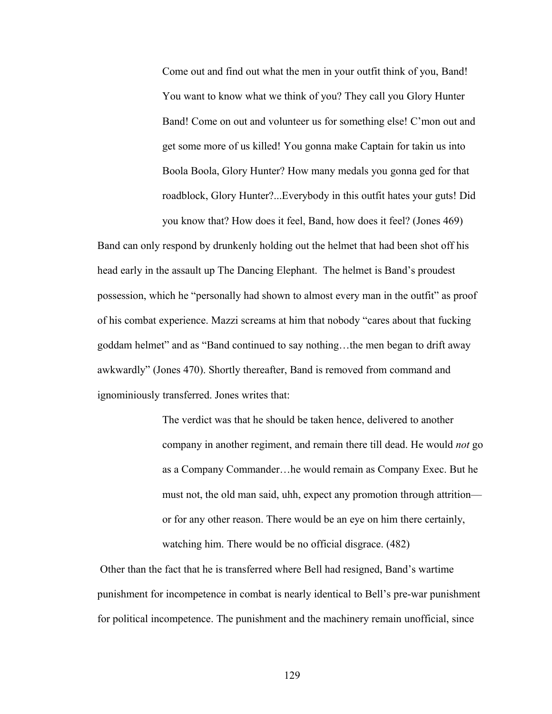Come out and find out what the men in your outfit think of you, Band! You want to know what we think of you? They call you Glory Hunter Band! Come on out and volunteer us for something else! C'mon out and get some more of us killed! You gonna make Captain for takin us into Boola Boola, Glory Hunter? How many medals you gonna ged for that roadblock, Glory Hunter?...Everybody in this outfit hates your guts! Did you know that? How does it feel, Band, how does it feel? (Jones 469)

Band can only respond by drunkenly holding out the helmet that had been shot off his head early in the assault up The Dancing Elephant. The helmet is Band's proudest possession, which he "personally had shown to almost every man in the outfit" as proof of his combat experience. Mazzi screams at him that nobody "cares about that fucking goddam helmet" and as "Band continued to say nothing…the men began to drift away awkwardly" (Jones 470). Shortly thereafter, Band is removed from command and ignominiously transferred. Jones writes that:

> The verdict was that he should be taken hence, delivered to another company in another regiment, and remain there till dead. He would *not* go as a Company Commander…he would remain as Company Exec. But he must not, the old man said, uhh, expect any promotion through attrition or for any other reason. There would be an eye on him there certainly, watching him. There would be no official disgrace. (482)

 Other than the fact that he is transferred where Bell had resigned, Band's wartime punishment for incompetence in combat is nearly identical to Bell's pre-war punishment for political incompetence. The punishment and the machinery remain unofficial, since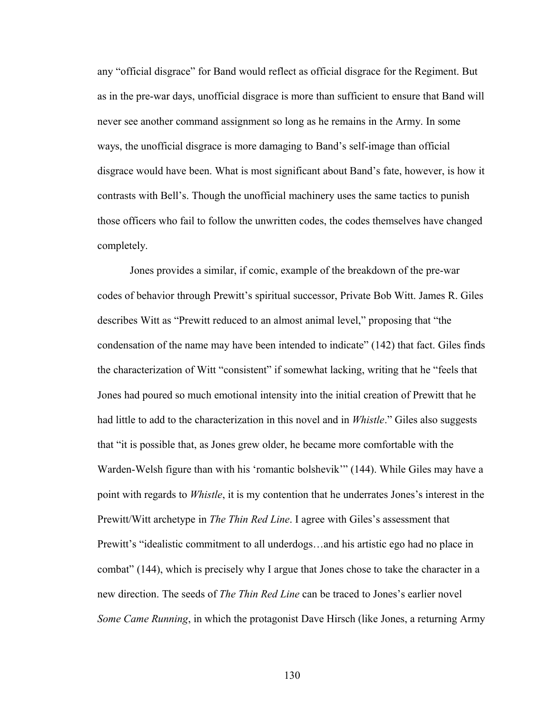any "official disgrace" for Band would reflect as official disgrace for the Regiment. But as in the pre-war days, unofficial disgrace is more than sufficient to ensure that Band will never see another command assignment so long as he remains in the Army. In some ways, the unofficial disgrace is more damaging to Band's self-image than official disgrace would have been. What is most significant about Band's fate, however, is how it contrasts with Bell's. Though the unofficial machinery uses the same tactics to punish those officers who fail to follow the unwritten codes, the codes themselves have changed completely.

Jones provides a similar, if comic, example of the breakdown of the pre-war codes of behavior through Prewitt's spiritual successor, Private Bob Witt. James R. Giles describes Witt as "Prewitt reduced to an almost animal level," proposing that "the condensation of the name may have been intended to indicate" (142) that fact. Giles finds the characterization of Witt "consistent" if somewhat lacking, writing that he "feels that Jones had poured so much emotional intensity into the initial creation of Prewitt that he had little to add to the characterization in this novel and in *Whistle*." Giles also suggests that "it is possible that, as Jones grew older, he became more comfortable with the Warden-Welsh figure than with his 'romantic bolshevik'" (144). While Giles may have a point with regards to *Whistle*, it is my contention that he underrates Jones's interest in the Prewitt/Witt archetype in *The Thin Red Line*. I agree with Giles's assessment that Prewitt's "idealistic commitment to all underdogs…and his artistic ego had no place in combat" (144), which is precisely why I argue that Jones chose to take the character in a new direction. The seeds of *The Thin Red Line* can be traced to Jones's earlier novel *Some Came Running*, in which the protagonist Dave Hirsch (like Jones, a returning Army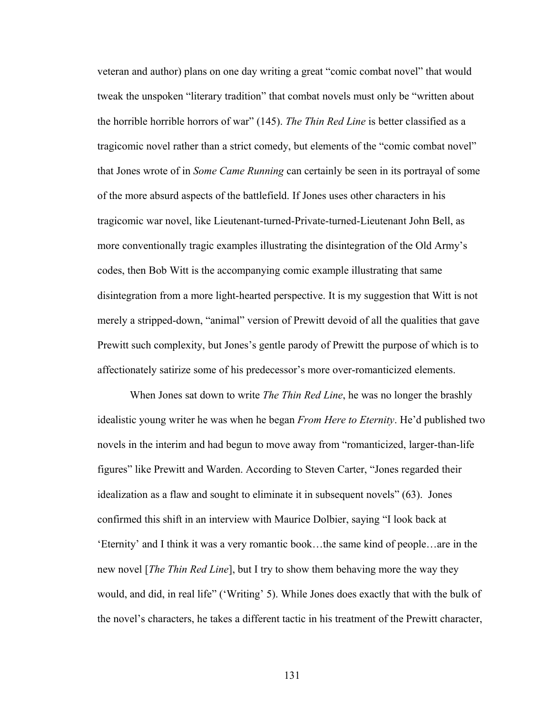veteran and author) plans on one day writing a great "comic combat novel" that would tweak the unspoken "literary tradition" that combat novels must only be "written about the horrible horrible horrors of war" (145). *The Thin Red Line* is better classified as a tragicomic novel rather than a strict comedy, but elements of the "comic combat novel" that Jones wrote of in *Some Came Running* can certainly be seen in its portrayal of some of the more absurd aspects of the battlefield. If Jones uses other characters in his tragicomic war novel, like Lieutenant-turned-Private-turned-Lieutenant John Bell, as more conventionally tragic examples illustrating the disintegration of the Old Army's codes, then Bob Witt is the accompanying comic example illustrating that same disintegration from a more light-hearted perspective. It is my suggestion that Witt is not merely a stripped-down, "animal" version of Prewitt devoid of all the qualities that gave Prewitt such complexity, but Jones's gentle parody of Prewitt the purpose of which is to affectionately satirize some of his predecessor's more over-romanticized elements.

When Jones sat down to write *The Thin Red Line*, he was no longer the brashly idealistic young writer he was when he began *From Here to Eternity*. He'd published two novels in the interim and had begun to move away from "romanticized, larger-than-life figures" like Prewitt and Warden. According to Steven Carter, "Jones regarded their idealization as a flaw and sought to eliminate it in subsequent novels" (63). Jones confirmed this shift in an interview with Maurice Dolbier, saying "I look back at 'Eternity' and I think it was a very romantic book…the same kind of people…are in the new novel [*The Thin Red Line*], but I try to show them behaving more the way they would, and did, in real life" ('Writing' 5). While Jones does exactly that with the bulk of the novel's characters, he takes a different tactic in his treatment of the Prewitt character,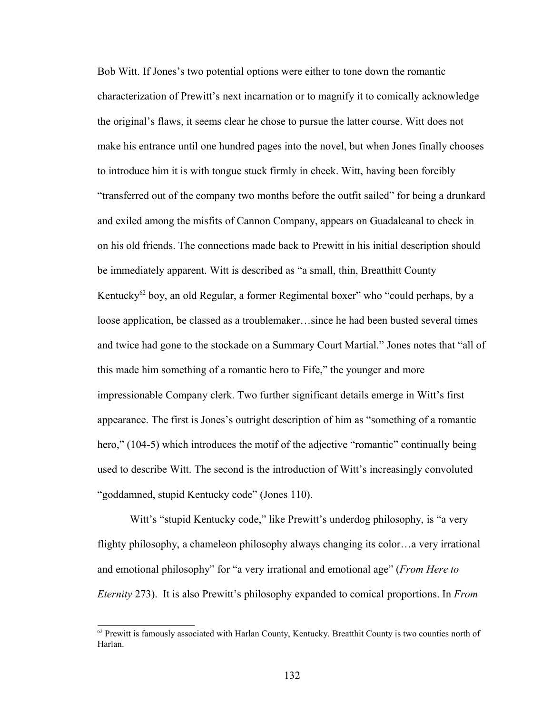Bob Witt. If Jones's two potential options were either to tone down the romantic characterization of Prewitt's next incarnation or to magnify it to comically acknowledge the original's flaws, it seems clear he chose to pursue the latter course. Witt does not make his entrance until one hundred pages into the novel, but when Jones finally chooses to introduce him it is with tongue stuck firmly in cheek. Witt, having been forcibly "transferred out of the company two months before the outfit sailed" for being a drunkard and exiled among the misfits of Cannon Company, appears on Guadalcanal to check in on his old friends. The connections made back to Prewitt in his initial description should be immediately apparent. Witt is described as "a small, thin, Breatthitt County Kentucky<sup>[62](#page-139-0)</sup> boy, an old Regular, a former Regimental boxer" who "could perhaps, by a loose application, be classed as a troublemaker…since he had been busted several times and twice had gone to the stockade on a Summary Court Martial." Jones notes that "all of this made him something of a romantic hero to Fife," the younger and more impressionable Company clerk. Two further significant details emerge in Witt's first appearance. The first is Jones's outright description of him as "something of a romantic hero," (104-5) which introduces the motif of the adjective "romantic" continually being used to describe Witt. The second is the introduction of Witt's increasingly convoluted "goddamned, stupid Kentucky code" (Jones 110).

Witt's "stupid Kentucky code," like Prewitt's underdog philosophy, is "a very flighty philosophy, a chameleon philosophy always changing its color…a very irrational and emotional philosophy" for "a very irrational and emotional age" (*From Here to Eternity* 273). It is also Prewitt's philosophy expanded to comical proportions. In *From*

<span id="page-139-0"></span><sup>62</sup> Prewitt is famously associated with Harlan County, Kentucky. Breatthit County is two counties north of Harlan.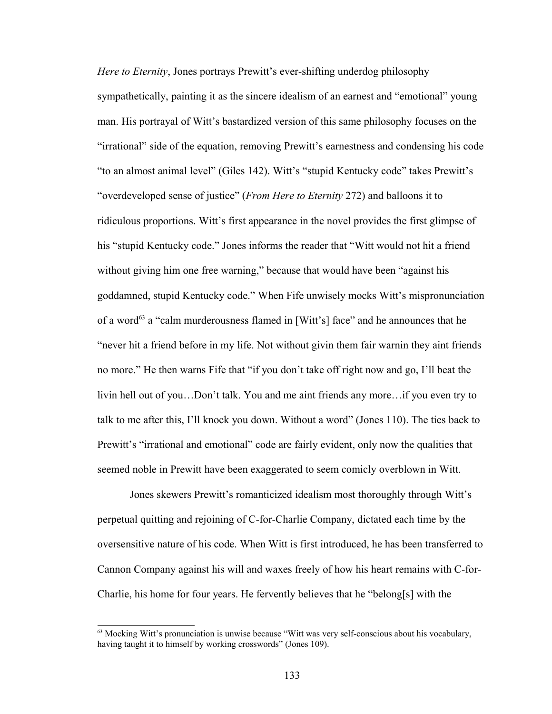*Here to Eternity*, Jones portrays Prewitt's ever-shifting underdog philosophy sympathetically, painting it as the sincere idealism of an earnest and "emotional" young man. His portrayal of Witt's bastardized version of this same philosophy focuses on the "irrational" side of the equation, removing Prewitt's earnestness and condensing his code "to an almost animal level" (Giles 142). Witt's "stupid Kentucky code" takes Prewitt's "overdeveloped sense of justice" (*From Here to Eternity* 272) and balloons it to ridiculous proportions. Witt's first appearance in the novel provides the first glimpse of his "stupid Kentucky code." Jones informs the reader that "Witt would not hit a friend without giving him one free warning," because that would have been "against his goddamned, stupid Kentucky code." When Fife unwisely mocks Witt's mispronunciation of a word<sup>[63](#page-140-0)</sup> a "calm murderousness flamed in [Witt's] face" and he announces that he "never hit a friend before in my life. Not without givin them fair warnin they aint friends no more." He then warns Fife that "if you don't take off right now and go, I'll beat the livin hell out of you…Don't talk. You and me aint friends any more…if you even try to talk to me after this, I'll knock you down. Without a word" (Jones 110). The ties back to Prewitt's "irrational and emotional" code are fairly evident, only now the qualities that seemed noble in Prewitt have been exaggerated to seem comicly overblown in Witt.

Jones skewers Prewitt's romanticized idealism most thoroughly through Witt's perpetual quitting and rejoining of C-for-Charlie Company, dictated each time by the oversensitive nature of his code. When Witt is first introduced, he has been transferred to Cannon Company against his will and waxes freely of how his heart remains with C-for-Charlie, his home for four years. He fervently believes that he "belong[s] with the

<span id="page-140-0"></span><sup>63</sup> Mocking Witt's pronunciation is unwise because "Witt was very self-conscious about his vocabulary, having taught it to himself by working crosswords" (Jones 109).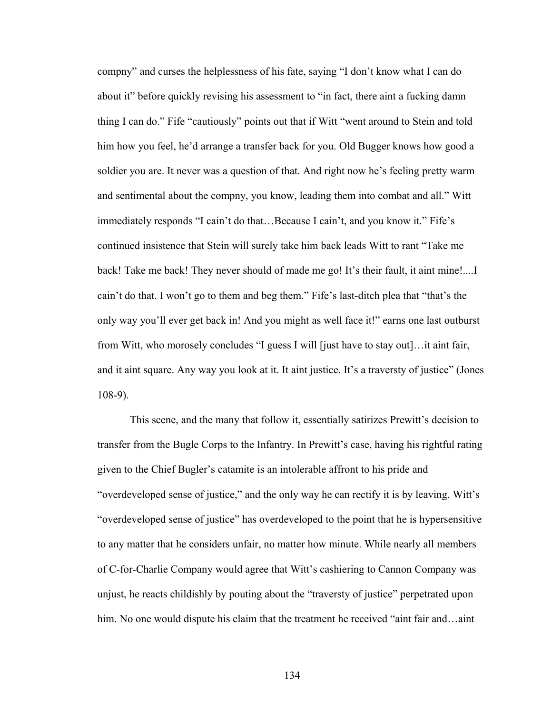compny" and curses the helplessness of his fate, saying "I don't know what I can do about it" before quickly revising his assessment to "in fact, there aint a fucking damn thing I can do." Fife "cautiously" points out that if Witt "went around to Stein and told him how you feel, he'd arrange a transfer back for you. Old Bugger knows how good a soldier you are. It never was a question of that. And right now he's feeling pretty warm and sentimental about the compny, you know, leading them into combat and all." Witt immediately responds "I cain't do that…Because I cain't, and you know it." Fife's continued insistence that Stein will surely take him back leads Witt to rant "Take me back! Take me back! They never should of made me go! It's their fault, it aint mine!..... cain't do that. I won't go to them and beg them." Fife's last-ditch plea that "that's the only way you'll ever get back in! And you might as well face it!" earns one last outburst from Witt, who morosely concludes "I guess I will [just have to stay out]…it aint fair, and it aint square. Any way you look at it. It aint justice. It's a traversty of justice" (Jones 108-9).

This scene, and the many that follow it, essentially satirizes Prewitt's decision to transfer from the Bugle Corps to the Infantry. In Prewitt's case, having his rightful rating given to the Chief Bugler's catamite is an intolerable affront to his pride and "overdeveloped sense of justice," and the only way he can rectify it is by leaving. Witt's "overdeveloped sense of justice" has overdeveloped to the point that he is hypersensitive to any matter that he considers unfair, no matter how minute. While nearly all members of C-for-Charlie Company would agree that Witt's cashiering to Cannon Company was unjust, he reacts childishly by pouting about the "traversty of justice" perpetrated upon him. No one would dispute his claim that the treatment he received "aint fair and...aint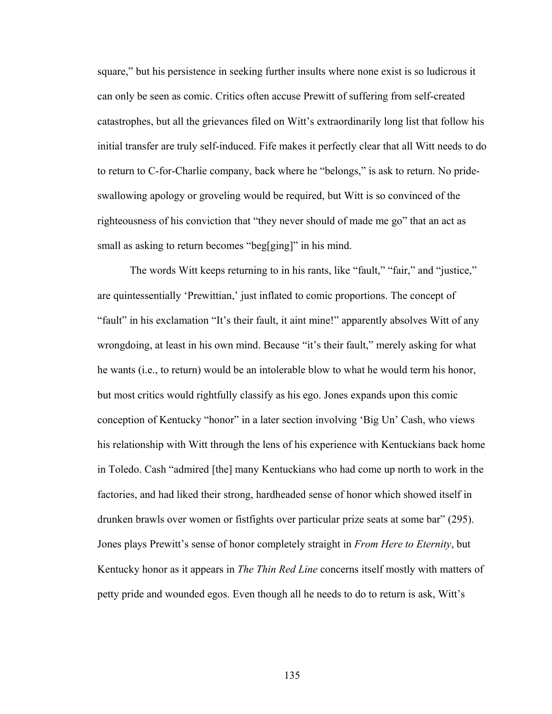square," but his persistence in seeking further insults where none exist is so ludicrous it can only be seen as comic. Critics often accuse Prewitt of suffering from self-created catastrophes, but all the grievances filed on Witt's extraordinarily long list that follow his initial transfer are truly self-induced. Fife makes it perfectly clear that all Witt needs to do to return to C-for-Charlie company, back where he "belongs," is ask to return. No prideswallowing apology or groveling would be required, but Witt is so convinced of the righteousness of his conviction that "they never should of made me go" that an act as small as asking to return becomes "beg[ging]" in his mind.

The words Witt keeps returning to in his rants, like "fault," "fair," and "justice," are quintessentially 'Prewittian,' just inflated to comic proportions. The concept of "fault" in his exclamation "It's their fault, it aint mine!" apparently absolves Witt of any wrongdoing, at least in his own mind. Because "it's their fault," merely asking for what he wants (i.e., to return) would be an intolerable blow to what he would term his honor, but most critics would rightfully classify as his ego. Jones expands upon this comic conception of Kentucky "honor" in a later section involving 'Big Un' Cash, who views his relationship with Witt through the lens of his experience with Kentuckians back home in Toledo. Cash "admired [the] many Kentuckians who had come up north to work in the factories, and had liked their strong, hardheaded sense of honor which showed itself in drunken brawls over women or fistfights over particular prize seats at some bar" (295). Jones plays Prewitt's sense of honor completely straight in *From Here to Eternity*, but Kentucky honor as it appears in *The Thin Red Line* concerns itself mostly with matters of petty pride and wounded egos. Even though all he needs to do to return is ask, Witt's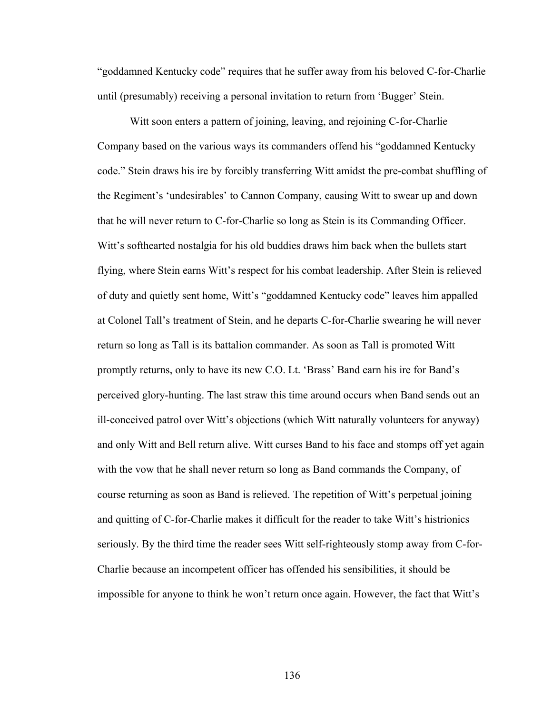"goddamned Kentucky code" requires that he suffer away from his beloved C-for-Charlie until (presumably) receiving a personal invitation to return from 'Bugger' Stein.

Witt soon enters a pattern of joining, leaving, and rejoining C-for-Charlie Company based on the various ways its commanders offend his "goddamned Kentucky code." Stein draws his ire by forcibly transferring Witt amidst the pre-combat shuffling of the Regiment's 'undesirables' to Cannon Company, causing Witt to swear up and down that he will never return to C-for-Charlie so long as Stein is its Commanding Officer. Witt's softhearted nostalgia for his old buddies draws him back when the bullets start flying, where Stein earns Witt's respect for his combat leadership. After Stein is relieved of duty and quietly sent home, Witt's "goddamned Kentucky code" leaves him appalled at Colonel Tall's treatment of Stein, and he departs C-for-Charlie swearing he will never return so long as Tall is its battalion commander. As soon as Tall is promoted Witt promptly returns, only to have its new C.O. Lt. 'Brass' Band earn his ire for Band's perceived glory-hunting. The last straw this time around occurs when Band sends out an ill-conceived patrol over Witt's objections (which Witt naturally volunteers for anyway) and only Witt and Bell return alive. Witt curses Band to his face and stomps off yet again with the vow that he shall never return so long as Band commands the Company, of course returning as soon as Band is relieved. The repetition of Witt's perpetual joining and quitting of C-for-Charlie makes it difficult for the reader to take Witt's histrionics seriously. By the third time the reader sees Witt self-righteously stomp away from C-for-Charlie because an incompetent officer has offended his sensibilities, it should be impossible for anyone to think he won't return once again. However, the fact that Witt's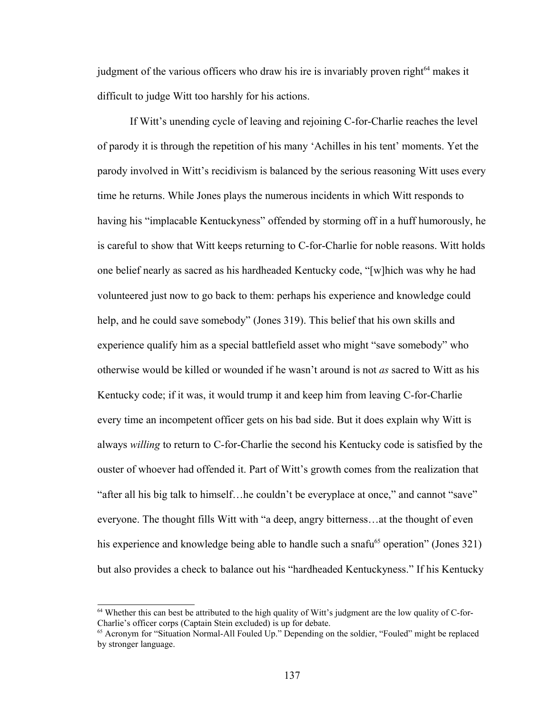judgment of the various officers who draw his ire is invariably proven right $^{64}$  $^{64}$  $^{64}$  makes it difficult to judge Witt too harshly for his actions.

If Witt's unending cycle of leaving and rejoining C-for-Charlie reaches the level of parody it is through the repetition of his many 'Achilles in his tent' moments. Yet the parody involved in Witt's recidivism is balanced by the serious reasoning Witt uses every time he returns. While Jones plays the numerous incidents in which Witt responds to having his "implacable Kentuckyness" offended by storming off in a huff humorously, he is careful to show that Witt keeps returning to C-for-Charlie for noble reasons. Witt holds one belief nearly as sacred as his hardheaded Kentucky code, "[w]hich was why he had volunteered just now to go back to them: perhaps his experience and knowledge could help, and he could save somebody" (Jones 319). This belief that his own skills and experience qualify him as a special battlefield asset who might "save somebody" who otherwise would be killed or wounded if he wasn't around is not *as* sacred to Witt as his Kentucky code; if it was, it would trump it and keep him from leaving C-for-Charlie every time an incompetent officer gets on his bad side. But it does explain why Witt is always *willing* to return to C-for-Charlie the second his Kentucky code is satisfied by the ouster of whoever had offended it. Part of Witt's growth comes from the realization that "after all his big talk to himself…he couldn't be everyplace at once," and cannot "save" everyone. The thought fills Witt with "a deep, angry bitterness…at the thought of even his experience and knowledge being able to handle such a snafu<sup>[65](#page-144-1)</sup> operation" (Jones 321) but also provides a check to balance out his "hardheaded Kentuckyness." If his Kentucky

<span id="page-144-0"></span><sup>64</sup> Whether this can best be attributed to the high quality of Witt's judgment are the low quality of C-for-Charlie's officer corps (Captain Stein excluded) is up for debate.

<span id="page-144-1"></span><sup>65</sup> Acronym for "Situation Normal-All Fouled Up." Depending on the soldier, "Fouled" might be replaced by stronger language.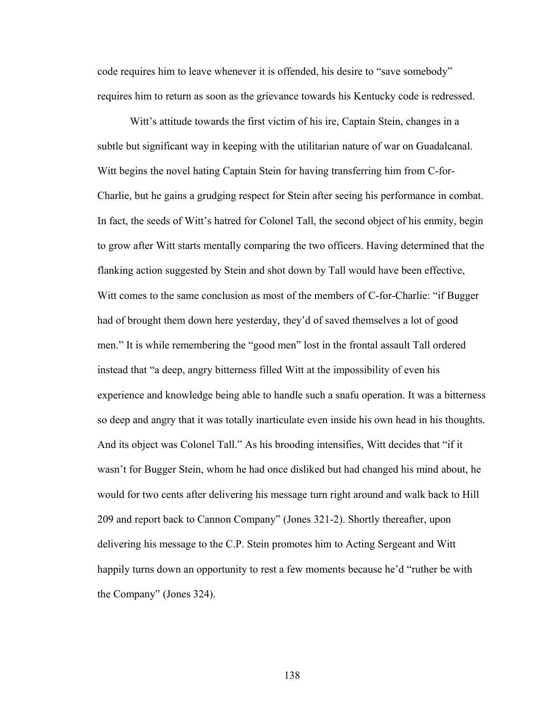code requires him to leave whenever it is offended, his desire to "save somebody" requires him to return as soon as the grievance towards his Kentucky code is redressed.

Witt's attitude towards the first victim of his ire, Captain Stein, changes in a subtle but significant way in keeping with the utilitarian nature of war on Guadalcanal. Witt begins the novel hating Captain Stein for having transferring him from C-for-Charlie, but he gains a grudging respect for Stein after seeing his performance in combat. In fact, the seeds of Witt's hatred for Colonel Tall, the second object of his enmity, begin to grow after Witt starts mentally comparing the two officers. Having determined that the flanking action suggested by Stein and shot down by Tall would have been effective, Witt comes to the same conclusion as most of the members of C-for-Charlie: "if Bugger had of brought them down here yesterday, they'd of saved themselves a lot of good men." It is while remembering the "good men" lost in the frontal assault Tall ordered instead that "a deep, angry bitterness filled Witt at the impossibility of even his experience and knowledge being able to handle such a snafu operation. It was a bitterness so deep and angry that it was totally inarticulate even inside his own head in his thoughts. And its object was Colonel Tall." As his brooding intensifies, Witt decides that "if it wasn't for Bugger Stein, whom he had once disliked but had changed his mind about, he would for two cents after delivering his message turn right around and walk back to Hill 209 and report back to Cannon Company" (Jones 321-2). Shortly thereafter, upon delivering his message to the C.P. Stein promotes him to Acting Sergeant and Witt happily turns down an opportunity to rest a few moments because he'd "ruther be with the Company" (Jones 324).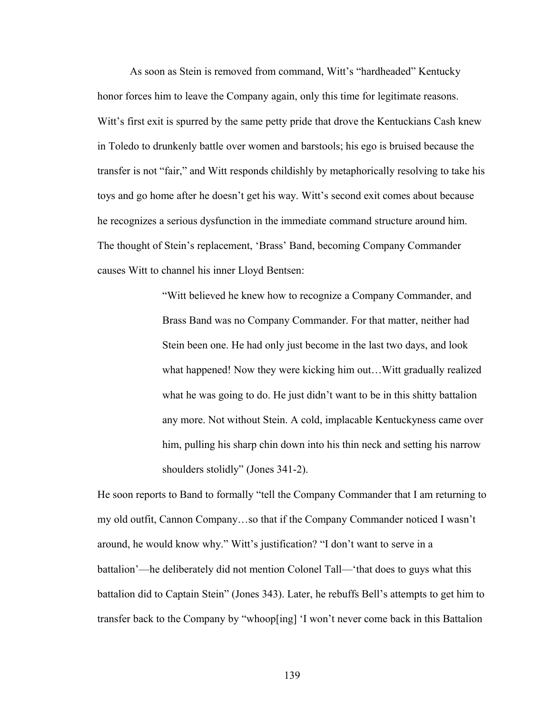As soon as Stein is removed from command, Witt's "hardheaded" Kentucky honor forces him to leave the Company again, only this time for legitimate reasons. Witt's first exit is spurred by the same petty pride that drove the Kentuckians Cash knew in Toledo to drunkenly battle over women and barstools; his ego is bruised because the transfer is not "fair," and Witt responds childishly by metaphorically resolving to take his toys and go home after he doesn't get his way. Witt's second exit comes about because he recognizes a serious dysfunction in the immediate command structure around him. The thought of Stein's replacement, 'Brass' Band, becoming Company Commander causes Witt to channel his inner Lloyd Bentsen:

> "Witt believed he knew how to recognize a Company Commander, and Brass Band was no Company Commander. For that matter, neither had Stein been one. He had only just become in the last two days, and look what happened! Now they were kicking him out... Witt gradually realized what he was going to do. He just didn't want to be in this shitty battalion any more. Not without Stein. A cold, implacable Kentuckyness came over him, pulling his sharp chin down into his thin neck and setting his narrow shoulders stolidly" (Jones 341-2).

He soon reports to Band to formally "tell the Company Commander that I am returning to my old outfit, Cannon Company…so that if the Company Commander noticed I wasn't around, he would know why." Witt's justification? "I don't want to serve in a battalion'—he deliberately did not mention Colonel Tall—'that does to guys what this battalion did to Captain Stein" (Jones 343). Later, he rebuffs Bell's attempts to get him to transfer back to the Company by "whoop[ing] 'I won't never come back in this Battalion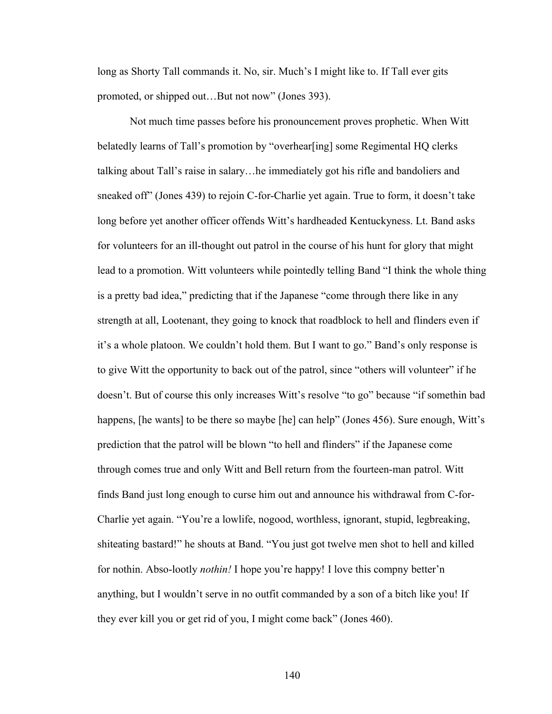long as Shorty Tall commands it. No, sir. Much's I might like to. If Tall ever gits promoted, or shipped out…But not now" (Jones 393).

Not much time passes before his pronouncement proves prophetic. When Witt belatedly learns of Tall's promotion by "overhear[ing] some Regimental HQ clerks talking about Tall's raise in salary…he immediately got his rifle and bandoliers and sneaked off" (Jones 439) to rejoin C-for-Charlie yet again. True to form, it doesn't take long before yet another officer offends Witt's hardheaded Kentuckyness. Lt. Band asks for volunteers for an ill-thought out patrol in the course of his hunt for glory that might lead to a promotion. Witt volunteers while pointedly telling Band "I think the whole thing is a pretty bad idea," predicting that if the Japanese "come through there like in any strength at all, Lootenant, they going to knock that roadblock to hell and flinders even if it's a whole platoon. We couldn't hold them. But I want to go." Band's only response is to give Witt the opportunity to back out of the patrol, since "others will volunteer" if he doesn't. But of course this only increases Witt's resolve "to go" because "if somethin bad happens, [he wants] to be there so maybe [he] can help" (Jones 456). Sure enough, Witt's prediction that the patrol will be blown "to hell and flinders" if the Japanese come through comes true and only Witt and Bell return from the fourteen-man patrol. Witt finds Band just long enough to curse him out and announce his withdrawal from C-for-Charlie yet again. "You're a lowlife, nogood, worthless, ignorant, stupid, legbreaking, shiteating bastard!" he shouts at Band. "You just got twelve men shot to hell and killed for nothin. Abso-lootly *nothin!* I hope you're happy! I love this compny better'n anything, but I wouldn't serve in no outfit commanded by a son of a bitch like you! If they ever kill you or get rid of you, I might come back" (Jones 460).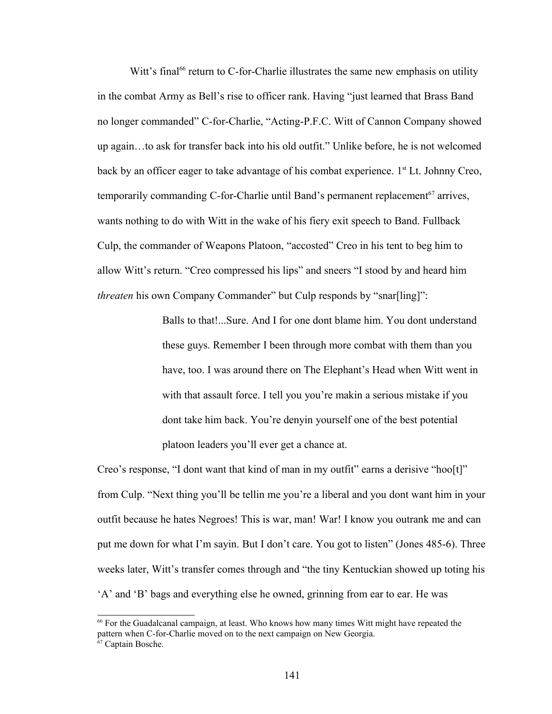Witt's final<sup>[66](#page-148-0)</sup> return to C-for-Charlie illustrates the same new emphasis on utility in the combat Army as Bell's rise to officer rank. Having "just learned that Brass Band no longer commanded" C-for-Charlie, "Acting-P.F.C. Witt of Cannon Company showed up again…to ask for transfer back into his old outfit." Unlike before, he is not welcomed back by an officer eager to take advantage of his combat experience.  $1<sup>st</sup>$  Lt. Johnny Creo, temporarily commanding C-for-Charlie until Band's permanent replacement<sup>[67](#page-148-1)</sup> arrives, wants nothing to do with Witt in the wake of his fiery exit speech to Band. Fullback Culp, the commander of Weapons Platoon, "accosted" Creo in his tent to beg him to allow Witt's return. "Creo compressed his lips" and sneers "I stood by and heard him *threaten* his own Company Commander" but Culp responds by "snar[ling]":

> Balls to that!...Sure. And I for one dont blame him. You dont understand these guys. Remember I been through more combat with them than you have, too. I was around there on The Elephant's Head when Witt went in with that assault force. I tell you you're makin a serious mistake if you dont take him back. You're denyin yourself one of the best potential platoon leaders you'll ever get a chance at.

Creo's response, "I dont want that kind of man in my outfit" earns a derisive "hoo[t]" from Culp. "Next thing you'll be tellin me you're a liberal and you dont want him in your outfit because he hates Negroes! This is war, man! War! I know you outrank me and can put me down for what I'm sayin. But I don't care. You got to listen" (Jones 485-6). Three weeks later, Witt's transfer comes through and "the tiny Kentuckian showed up toting his 'A' and 'B' bags and everything else he owned, grinning from ear to ear. He was

<span id="page-148-0"></span><sup>66</sup> For the Guadalcanal campaign, at least. Who knows how many times Witt might have repeated the pattern when C-for-Charlie moved on to the next campaign on New Georgia.

<span id="page-148-1"></span><sup>67</sup> Captain Bosche.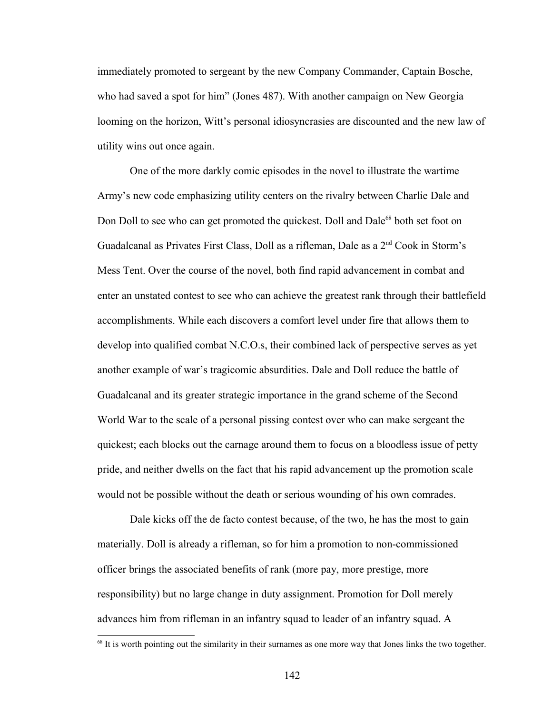immediately promoted to sergeant by the new Company Commander, Captain Bosche, who had saved a spot for him" (Jones 487). With another campaign on New Georgia looming on the horizon, Witt's personal idiosyncrasies are discounted and the new law of utility wins out once again.

One of the more darkly comic episodes in the novel to illustrate the wartime Army's new code emphasizing utility centers on the rivalry between Charlie Dale and Don Doll to see who can get promoted the quickest. Doll and Dale<sup>[68](#page-149-0)</sup> both set foot on Guadalcanal as Privates First Class, Doll as a rifleman, Dale as a 2nd Cook in Storm's Mess Tent. Over the course of the novel, both find rapid advancement in combat and enter an unstated contest to see who can achieve the greatest rank through their battlefield accomplishments. While each discovers a comfort level under fire that allows them to develop into qualified combat N.C.O.s, their combined lack of perspective serves as yet another example of war's tragicomic absurdities. Dale and Doll reduce the battle of Guadalcanal and its greater strategic importance in the grand scheme of the Second World War to the scale of a personal pissing contest over who can make sergeant the quickest; each blocks out the carnage around them to focus on a bloodless issue of petty pride, and neither dwells on the fact that his rapid advancement up the promotion scale would not be possible without the death or serious wounding of his own comrades.

Dale kicks off the de facto contest because, of the two, he has the most to gain materially. Doll is already a rifleman, so for him a promotion to non-commissioned officer brings the associated benefits of rank (more pay, more prestige, more responsibility) but no large change in duty assignment. Promotion for Doll merely advances him from rifleman in an infantry squad to leader of an infantry squad. A

<span id="page-149-0"></span><sup>&</sup>lt;sup>68</sup> It is worth pointing out the similarity in their surnames as one more way that Jones links the two together.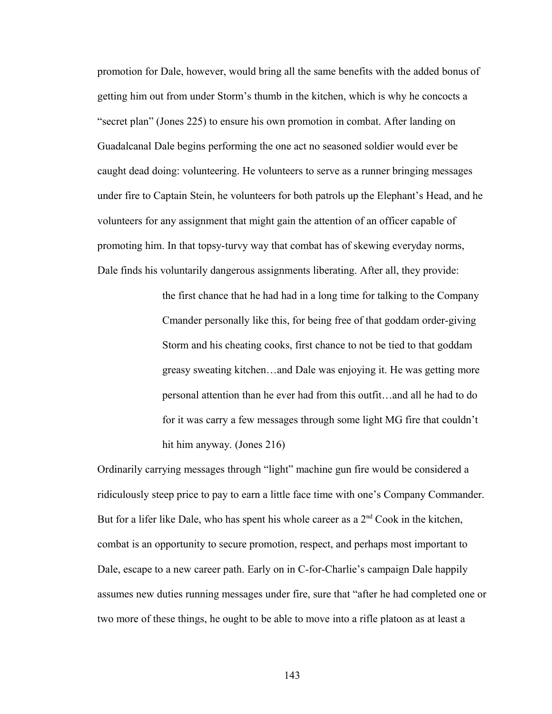promotion for Dale, however, would bring all the same benefits with the added bonus of getting him out from under Storm's thumb in the kitchen, which is why he concocts a "secret plan" (Jones 225) to ensure his own promotion in combat. After landing on Guadalcanal Dale begins performing the one act no seasoned soldier would ever be caught dead doing: volunteering. He volunteers to serve as a runner bringing messages under fire to Captain Stein, he volunteers for both patrols up the Elephant's Head, and he volunteers for any assignment that might gain the attention of an officer capable of promoting him. In that topsy-turvy way that combat has of skewing everyday norms, Dale finds his voluntarily dangerous assignments liberating. After all, they provide:

> the first chance that he had had in a long time for talking to the Company Cmander personally like this, for being free of that goddam order-giving Storm and his cheating cooks, first chance to not be tied to that goddam greasy sweating kitchen…and Dale was enjoying it. He was getting more personal attention than he ever had from this outfit…and all he had to do for it was carry a few messages through some light MG fire that couldn't hit him anyway. (Jones 216)

Ordinarily carrying messages through "light" machine gun fire would be considered a ridiculously steep price to pay to earn a little face time with one's Company Commander. But for a lifer like Dale, who has spent his whole career as a  $2<sup>nd</sup>$  Cook in the kitchen, combat is an opportunity to secure promotion, respect, and perhaps most important to Dale, escape to a new career path. Early on in C-for-Charlie's campaign Dale happily assumes new duties running messages under fire, sure that "after he had completed one or two more of these things, he ought to be able to move into a rifle platoon as at least a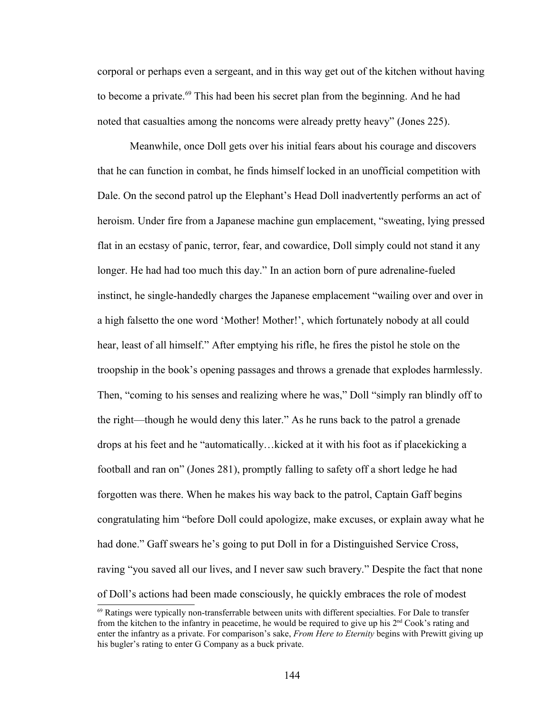corporal or perhaps even a sergeant, and in this way get out of the kitchen without having to become a private.<sup>[69](#page-151-0)</sup> This had been his secret plan from the beginning. And he had noted that casualties among the noncoms were already pretty heavy" (Jones 225).

Meanwhile, once Doll gets over his initial fears about his courage and discovers that he can function in combat, he finds himself locked in an unofficial competition with Dale. On the second patrol up the Elephant's Head Doll inadvertently performs an act of heroism. Under fire from a Japanese machine gun emplacement, "sweating, lying pressed flat in an ecstasy of panic, terror, fear, and cowardice, Doll simply could not stand it any longer. He had had too much this day." In an action born of pure adrenaline-fueled instinct, he single-handedly charges the Japanese emplacement "wailing over and over in a high falsetto the one word 'Mother! Mother!', which fortunately nobody at all could hear, least of all himself." After emptying his rifle, he fires the pistol he stole on the troopship in the book's opening passages and throws a grenade that explodes harmlessly. Then, "coming to his senses and realizing where he was," Doll "simply ran blindly off to the right—though he would deny this later." As he runs back to the patrol a grenade drops at his feet and he "automatically…kicked at it with his foot as if placekicking a football and ran on" (Jones 281), promptly falling to safety off a short ledge he had forgotten was there. When he makes his way back to the patrol, Captain Gaff begins congratulating him "before Doll could apologize, make excuses, or explain away what he had done." Gaff swears he's going to put Doll in for a Distinguished Service Cross, raving "you saved all our lives, and I never saw such bravery." Despite the fact that none of Doll's actions had been made consciously, he quickly embraces the role of modest

<span id="page-151-0"></span><sup>69</sup> Ratings were typically non-transferrable between units with different specialties. For Dale to transfer from the kitchen to the infantry in peacetime, he would be required to give up his 2<sup>nd</sup> Cook's rating and enter the infantry as a private. For comparison's sake, *From Here to Eternity* begins with Prewitt giving up his bugler's rating to enter G Company as a buck private.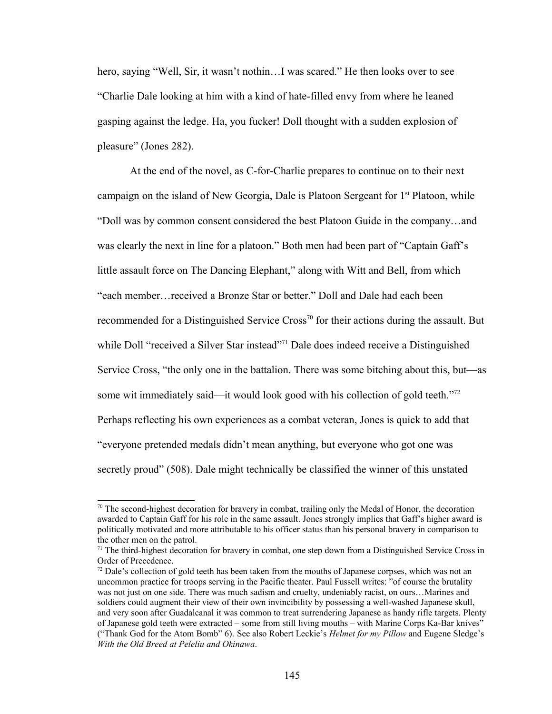hero, saying "Well, Sir, it wasn't nothin...I was scared." He then looks over to see "Charlie Dale looking at him with a kind of hate-filled envy from where he leaned gasping against the ledge. Ha, you fucker! Doll thought with a sudden explosion of pleasure" (Jones 282).

At the end of the novel, as C-for-Charlie prepares to continue on to their next campaign on the island of New Georgia, Dale is Platoon Sergeant for  $1<sup>st</sup>$  Platoon, while "Doll was by common consent considered the best Platoon Guide in the company…and was clearly the next in line for a platoon." Both men had been part of "Captain Gaff's little assault force on The Dancing Elephant," along with Witt and Bell, from which "each member…received a Bronze Star or better." Doll and Dale had each been recommended for a Distinguished Service Cross<sup>[70](#page-152-0)</sup> for their actions during the assault. But while Doll "received a Silver Star instead"<sup>[71](#page-152-1)</sup> Dale does indeed receive a Distinguished Service Cross, "the only one in the battalion. There was some bitching about this, but—as some wit immediately said—it would look good with his collection of gold teeth."<sup>[72](#page-152-2)</sup> Perhaps reflecting his own experiences as a combat veteran, Jones is quick to add that "everyone pretended medals didn't mean anything, but everyone who got one was secretly proud" (508). Dale might technically be classified the winner of this unstated

<span id="page-152-0"></span> $70$  The second-highest decoration for bravery in combat, trailing only the Medal of Honor, the decoration awarded to Captain Gaff for his role in the same assault. Jones strongly implies that Gaff's higher award is politically motivated and more attributable to his officer status than his personal bravery in comparison to the other men on the patrol.

<span id="page-152-1"></span><sup>&</sup>lt;sup>71</sup> The third-highest decoration for bravery in combat, one step down from a Distinguished Service Cross in Order of Precedence.

<span id="page-152-2"></span> $<sup>72</sup>$  Dale's collection of gold teeth has been taken from the mouths of Japanese corpses, which was not an</sup> uncommon practice for troops serving in the Pacific theater. Paul Fussell writes: "of course the brutality was not just on one side. There was much sadism and cruelty, undeniably racist, on ours...Marines and soldiers could augment their view of their own invincibility by possessing a well-washed Japanese skull, and very soon after Guadalcanal it was common to treat surrendering Japanese as handy rifle targets. Plenty of Japanese gold teeth were extracted – some from still living mouths – with Marine Corps Ka-Bar knives" ("Thank God for the Atom Bomb" 6). See also Robert Leckie's *Helmet for my Pillow* and Eugene Sledge's *With the Old Breed at Peleliu and Okinawa*.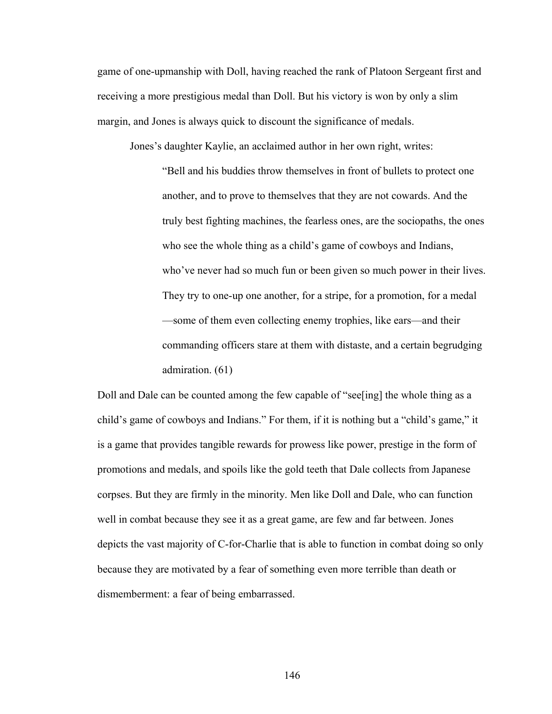game of one-upmanship with Doll, having reached the rank of Platoon Sergeant first and receiving a more prestigious medal than Doll. But his victory is won by only a slim margin, and Jones is always quick to discount the significance of medals.

Jones's daughter Kaylie, an acclaimed author in her own right, writes:

"Bell and his buddies throw themselves in front of bullets to protect one another, and to prove to themselves that they are not cowards. And the truly best fighting machines, the fearless ones, are the sociopaths, the ones who see the whole thing as a child's game of cowboys and Indians, who've never had so much fun or been given so much power in their lives. They try to one-up one another, for a stripe, for a promotion, for a medal —some of them even collecting enemy trophies, like ears—and their commanding officers stare at them with distaste, and a certain begrudging admiration. (61)

Doll and Dale can be counted among the few capable of "see[ing] the whole thing as a child's game of cowboys and Indians." For them, if it is nothing but a "child's game," it is a game that provides tangible rewards for prowess like power, prestige in the form of promotions and medals, and spoils like the gold teeth that Dale collects from Japanese corpses. But they are firmly in the minority. Men like Doll and Dale, who can function well in combat because they see it as a great game, are few and far between. Jones depicts the vast majority of C-for-Charlie that is able to function in combat doing so only because they are motivated by a fear of something even more terrible than death or dismemberment: a fear of being embarrassed.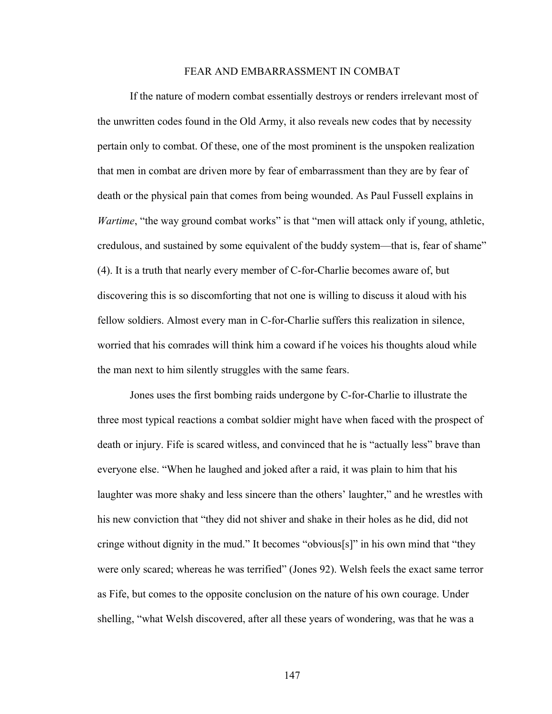## FEAR AND EMBARRASSMENT IN COMBAT

If the nature of modern combat essentially destroys or renders irrelevant most of the unwritten codes found in the Old Army, it also reveals new codes that by necessity pertain only to combat. Of these, one of the most prominent is the unspoken realization that men in combat are driven more by fear of embarrassment than they are by fear of death or the physical pain that comes from being wounded. As Paul Fussell explains in *Wartime*, "the way ground combat works" is that "men will attack only if young, athletic, credulous, and sustained by some equivalent of the buddy system—that is, fear of shame" (4). It is a truth that nearly every member of C-for-Charlie becomes aware of, but discovering this is so discomforting that not one is willing to discuss it aloud with his fellow soldiers. Almost every man in C-for-Charlie suffers this realization in silence, worried that his comrades will think him a coward if he voices his thoughts aloud while the man next to him silently struggles with the same fears.

Jones uses the first bombing raids undergone by C-for-Charlie to illustrate the three most typical reactions a combat soldier might have when faced with the prospect of death or injury. Fife is scared witless, and convinced that he is "actually less" brave than everyone else. "When he laughed and joked after a raid, it was plain to him that his laughter was more shaky and less sincere than the others' laughter," and he wrestles with his new conviction that "they did not shiver and shake in their holes as he did, did not cringe without dignity in the mud." It becomes "obvious[s]" in his own mind that "they were only scared; whereas he was terrified" (Jones 92). Welsh feels the exact same terror as Fife, but comes to the opposite conclusion on the nature of his own courage. Under shelling, "what Welsh discovered, after all these years of wondering, was that he was a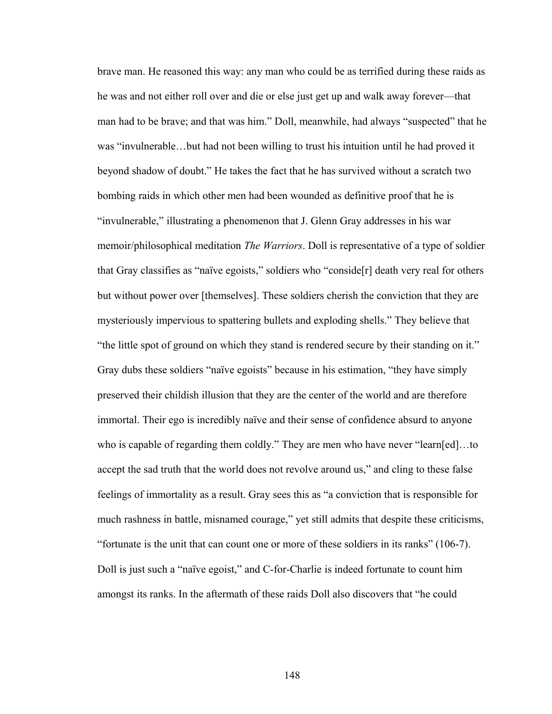brave man. He reasoned this way: any man who could be as terrified during these raids as he was and not either roll over and die or else just get up and walk away forever—that man had to be brave; and that was him." Doll, meanwhile, had always "suspected" that he was "invulnerable…but had not been willing to trust his intuition until he had proved it beyond shadow of doubt." He takes the fact that he has survived without a scratch two bombing raids in which other men had been wounded as definitive proof that he is "invulnerable," illustrating a phenomenon that J. Glenn Gray addresses in his war memoir/philosophical meditation *The Warriors*. Doll is representative of a type of soldier that Gray classifies as "naïve egoists," soldiers who "conside[r] death very real for others but without power over [themselves]. These soldiers cherish the conviction that they are mysteriously impervious to spattering bullets and exploding shells." They believe that "the little spot of ground on which they stand is rendered secure by their standing on it." Gray dubs these soldiers "naïve egoists" because in his estimation, "they have simply preserved their childish illusion that they are the center of the world and are therefore immortal. Their ego is incredibly naïve and their sense of confidence absurd to anyone who is capable of regarding them coldly." They are men who have never "learn[ed]...to accept the sad truth that the world does not revolve around us," and cling to these false feelings of immortality as a result. Gray sees this as "a conviction that is responsible for much rashness in battle, misnamed courage," yet still admits that despite these criticisms, "fortunate is the unit that can count one or more of these soldiers in its ranks" (106-7). Doll is just such a "naïve egoist," and C-for-Charlie is indeed fortunate to count him amongst its ranks. In the aftermath of these raids Doll also discovers that "he could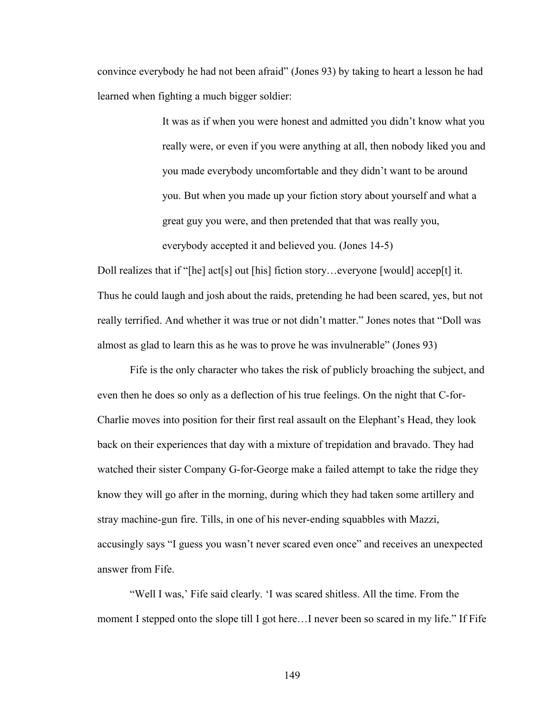convince everybody he had not been afraid" (Jones 93) by taking to heart a lesson he had learned when fighting a much bigger soldier:

> It was as if when you were honest and admitted you didn't know what you really were, or even if you were anything at all, then nobody liked you and you made everybody uncomfortable and they didn't want to be around you. But when you made up your fiction story about yourself and what a great guy you were, and then pretended that that was really you, everybody accepted it and believed you. (Jones 14-5)

Doll realizes that if "[he] act[s] out [his] fiction story...everyone [would] accep[t] it. Thus he could laugh and josh about the raids, pretending he had been scared, yes, but not really terrified. And whether it was true or not didn't matter." Jones notes that "Doll was almost as glad to learn this as he was to prove he was invulnerable" (Jones 93)

Fife is the only character who takes the risk of publicly broaching the subject, and even then he does so only as a deflection of his true feelings. On the night that C-for-Charlie moves into position for their first real assault on the Elephant's Head, they look back on their experiences that day with a mixture of trepidation and bravado. They had watched their sister Company G-for-George make a failed attempt to take the ridge they know they will go after in the morning, during which they had taken some artillery and stray machine-gun fire. Tills, in one of his never-ending squabbles with Mazzi, accusingly says "I guess you wasn't never scared even once" and receives an unexpected answer from Fife.

"Well I was,' Fife said clearly. 'I was scared shitless. All the time. From the moment I stepped onto the slope till I got here…I never been so scared in my life." If Fife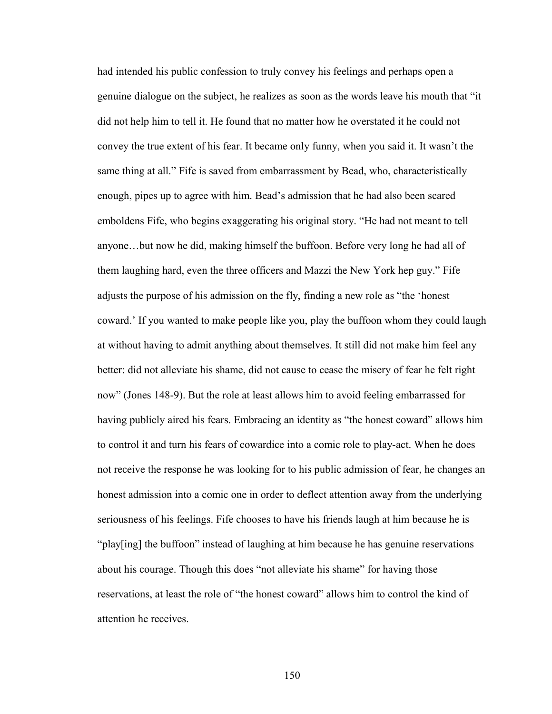had intended his public confession to truly convey his feelings and perhaps open a genuine dialogue on the subject, he realizes as soon as the words leave his mouth that "it did not help him to tell it. He found that no matter how he overstated it he could not convey the true extent of his fear. It became only funny, when you said it. It wasn't the same thing at all." Fife is saved from embarrassment by Bead, who, characteristically enough, pipes up to agree with him. Bead's admission that he had also been scared emboldens Fife, who begins exaggerating his original story. "He had not meant to tell anyone…but now he did, making himself the buffoon. Before very long he had all of them laughing hard, even the three officers and Mazzi the New York hep guy." Fife adjusts the purpose of his admission on the fly, finding a new role as "the 'honest coward.' If you wanted to make people like you, play the buffoon whom they could laugh at without having to admit anything about themselves. It still did not make him feel any better: did not alleviate his shame, did not cause to cease the misery of fear he felt right now" (Jones 148-9). But the role at least allows him to avoid feeling embarrassed for having publicly aired his fears. Embracing an identity as "the honest coward" allows him to control it and turn his fears of cowardice into a comic role to play-act. When he does not receive the response he was looking for to his public admission of fear, he changes an honest admission into a comic one in order to deflect attention away from the underlying seriousness of his feelings. Fife chooses to have his friends laugh at him because he is "play[ing] the buffoon" instead of laughing at him because he has genuine reservations about his courage. Though this does "not alleviate his shame" for having those reservations, at least the role of "the honest coward" allows him to control the kind of attention he receives.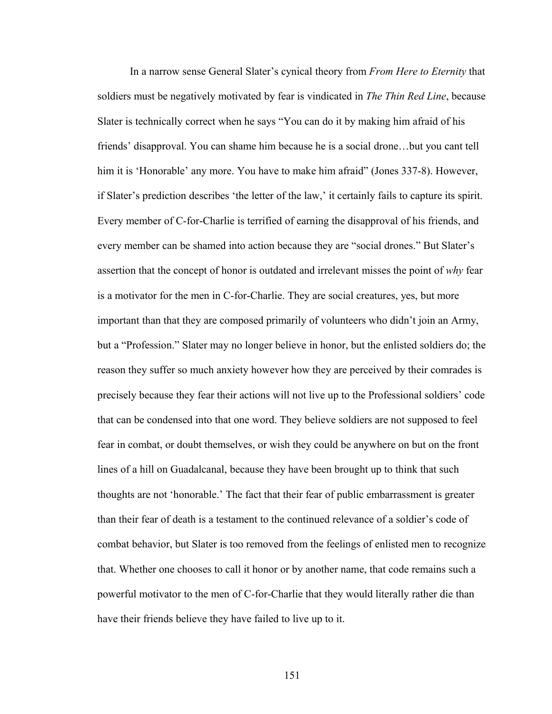In a narrow sense General Slater's cynical theory from *From Here to Eternity* that soldiers must be negatively motivated by fear is vindicated in *The Thin Red Line*, because Slater is technically correct when he says "You can do it by making him afraid of his friends' disapproval. You can shame him because he is a social drone…but you cant tell him it is 'Honorable' any more. You have to make him afraid" (Jones 337-8). However, if Slater's prediction describes 'the letter of the law,' it certainly fails to capture its spirit. Every member of C-for-Charlie is terrified of earning the disapproval of his friends, and every member can be shamed into action because they are "social drones." But Slater's assertion that the concept of honor is outdated and irrelevant misses the point of *why* fear is a motivator for the men in C-for-Charlie. They are social creatures, yes, but more important than that they are composed primarily of volunteers who didn't join an Army, but a "Profession." Slater may no longer believe in honor, but the enlisted soldiers do; the reason they suffer so much anxiety however how they are perceived by their comrades is precisely because they fear their actions will not live up to the Professional soldiers' code that can be condensed into that one word. They believe soldiers are not supposed to feel fear in combat, or doubt themselves, or wish they could be anywhere on but on the front lines of a hill on Guadalcanal, because they have been brought up to think that such thoughts are not 'honorable.' The fact that their fear of public embarrassment is greater than their fear of death is a testament to the continued relevance of a soldier's code of combat behavior, but Slater is too removed from the feelings of enlisted men to recognize that. Whether one chooses to call it honor or by another name, that code remains such a powerful motivator to the men of C-for-Charlie that they would literally rather die than have their friends believe they have failed to live up to it.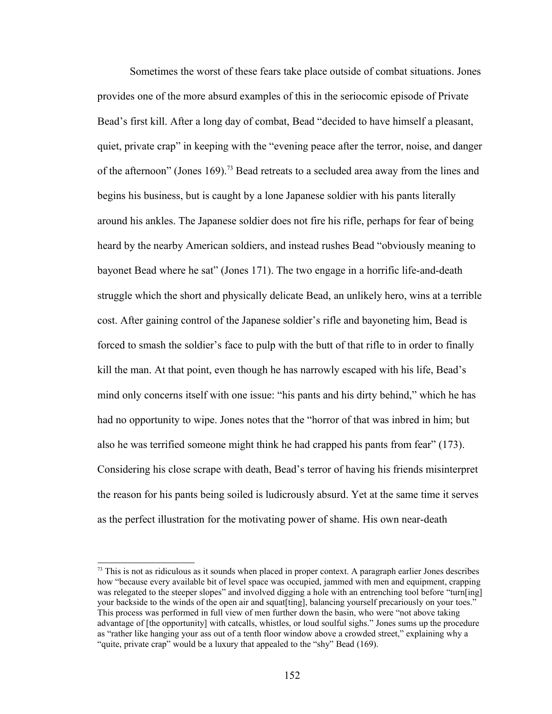Sometimes the worst of these fears take place outside of combat situations. Jones provides one of the more absurd examples of this in the seriocomic episode of Private Bead's first kill. After a long day of combat, Bead "decided to have himself a pleasant, quiet, private crap" in keeping with the "evening peace after the terror, noise, and danger of the afternoon" (Jones 169).<sup>[73](#page-159-0)</sup> Bead retreats to a secluded area away from the lines and begins his business, but is caught by a lone Japanese soldier with his pants literally around his ankles. The Japanese soldier does not fire his rifle, perhaps for fear of being heard by the nearby American soldiers, and instead rushes Bead "obviously meaning to bayonet Bead where he sat" (Jones 171). The two engage in a horrific life-and-death struggle which the short and physically delicate Bead, an unlikely hero, wins at a terrible cost. After gaining control of the Japanese soldier's rifle and bayoneting him, Bead is forced to smash the soldier's face to pulp with the butt of that rifle to in order to finally kill the man. At that point, even though he has narrowly escaped with his life, Bead's mind only concerns itself with one issue: "his pants and his dirty behind," which he has had no opportunity to wipe. Jones notes that the "horror of that was inbred in him; but also he was terrified someone might think he had crapped his pants from fear" (173). Considering his close scrape with death, Bead's terror of having his friends misinterpret the reason for his pants being soiled is ludicrously absurd. Yet at the same time it serves as the perfect illustration for the motivating power of shame. His own near-death

<span id="page-159-0"></span> $73$  This is not as ridiculous as it sounds when placed in proper context. A paragraph earlier Jones describes how "because every available bit of level space was occupied, jammed with men and equipment, crapping was relegated to the steeper slopes" and involved digging a hole with an entrenching tool before "turn[ing] your backside to the winds of the open air and squate thing, balancing yourself precariously on your toes." This process was performed in full view of men further down the basin, who were "not above taking advantage of [the opportunity] with catcalls, whistles, or loud soulful sighs." Jones sums up the procedure as "rather like hanging your ass out of a tenth floor window above a crowded street," explaining why a "quite, private crap" would be a luxury that appealed to the "shy" Bead (169).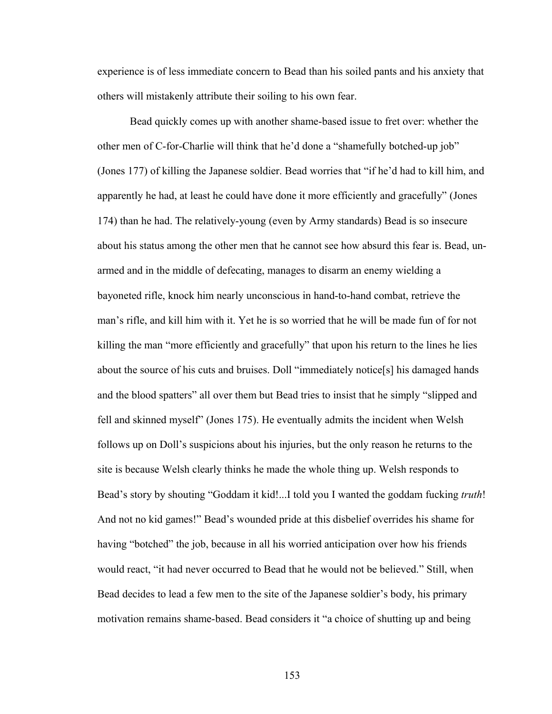experience is of less immediate concern to Bead than his soiled pants and his anxiety that others will mistakenly attribute their soiling to his own fear.

Bead quickly comes up with another shame-based issue to fret over: whether the other men of C-for-Charlie will think that he'd done a "shamefully botched-up job" (Jones 177) of killing the Japanese soldier. Bead worries that "if he'd had to kill him, and apparently he had, at least he could have done it more efficiently and gracefully" (Jones 174) than he had. The relatively-young (even by Army standards) Bead is so insecure about his status among the other men that he cannot see how absurd this fear is. Bead, unarmed and in the middle of defecating, manages to disarm an enemy wielding a bayoneted rifle, knock him nearly unconscious in hand-to-hand combat, retrieve the man's rifle, and kill him with it. Yet he is so worried that he will be made fun of for not killing the man "more efficiently and gracefully" that upon his return to the lines he lies about the source of his cuts and bruises. Doll "immediately notice[s] his damaged hands and the blood spatters" all over them but Bead tries to insist that he simply "slipped and fell and skinned myself" (Jones 175). He eventually admits the incident when Welsh follows up on Doll's suspicions about his injuries, but the only reason he returns to the site is because Welsh clearly thinks he made the whole thing up. Welsh responds to Bead's story by shouting "Goddam it kid!...I told you I wanted the goddam fucking *truth*! And not no kid games!" Bead's wounded pride at this disbelief overrides his shame for having "botched" the job, because in all his worried anticipation over how his friends would react, "it had never occurred to Bead that he would not be believed." Still, when Bead decides to lead a few men to the site of the Japanese soldier's body, his primary motivation remains shame-based. Bead considers it "a choice of shutting up and being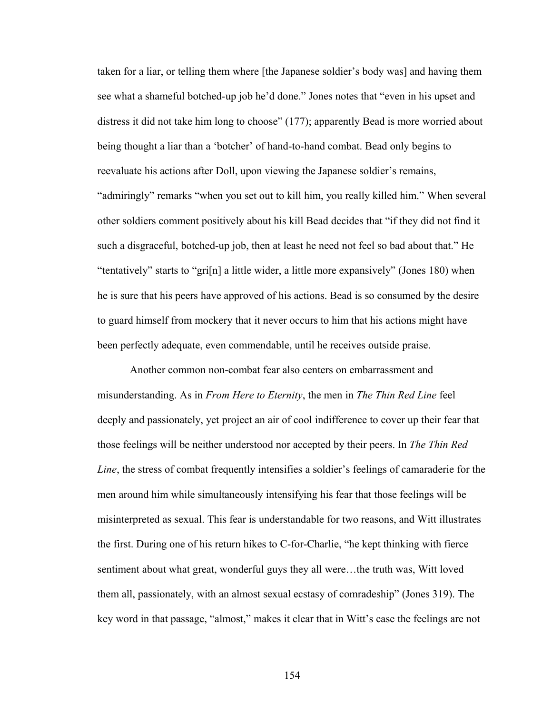taken for a liar, or telling them where [the Japanese soldier's body was] and having them see what a shameful botched-up job he'd done." Jones notes that "even in his upset and distress it did not take him long to choose" (177); apparently Bead is more worried about being thought a liar than a 'botcher' of hand-to-hand combat. Bead only begins to reevaluate his actions after Doll, upon viewing the Japanese soldier's remains, "admiringly" remarks "when you set out to kill him, you really killed him." When several other soldiers comment positively about his kill Bead decides that "if they did not find it such a disgraceful, botched-up job, then at least he need not feel so bad about that." He "tentatively" starts to "gri[n] a little wider, a little more expansively" (Jones 180) when he is sure that his peers have approved of his actions. Bead is so consumed by the desire to guard himself from mockery that it never occurs to him that his actions might have been perfectly adequate, even commendable, until he receives outside praise.

Another common non-combat fear also centers on embarrassment and misunderstanding. As in *From Here to Eternity*, the men in *The Thin Red Line* feel deeply and passionately, yet project an air of cool indifference to cover up their fear that those feelings will be neither understood nor accepted by their peers. In *The Thin Red Line*, the stress of combat frequently intensifies a soldier's feelings of camaraderie for the men around him while simultaneously intensifying his fear that those feelings will be misinterpreted as sexual. This fear is understandable for two reasons, and Witt illustrates the first. During one of his return hikes to C-for-Charlie, "he kept thinking with fierce sentiment about what great, wonderful guys they all were…the truth was, Witt loved them all, passionately, with an almost sexual ecstasy of comradeship" (Jones 319). The key word in that passage, "almost," makes it clear that in Witt's case the feelings are not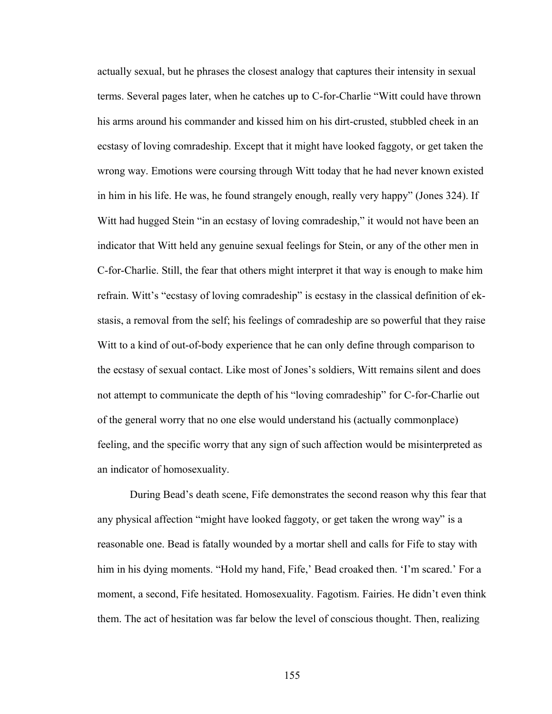actually sexual, but he phrases the closest analogy that captures their intensity in sexual terms. Several pages later, when he catches up to C-for-Charlie "Witt could have thrown his arms around his commander and kissed him on his dirt-crusted, stubbled cheek in an ecstasy of loving comradeship. Except that it might have looked faggoty, or get taken the wrong way. Emotions were coursing through Witt today that he had never known existed in him in his life. He was, he found strangely enough, really very happy" (Jones 324). If Witt had hugged Stein "in an ecstasy of loving comradeship," it would not have been an indicator that Witt held any genuine sexual feelings for Stein, or any of the other men in C-for-Charlie. Still, the fear that others might interpret it that way is enough to make him refrain. Witt's "ecstasy of loving comradeship" is ecstasy in the classical definition of ekstasis, a removal from the self; his feelings of comradeship are so powerful that they raise Witt to a kind of out-of-body experience that he can only define through comparison to the ecstasy of sexual contact. Like most of Jones's soldiers, Witt remains silent and does not attempt to communicate the depth of his "loving comradeship" for C-for-Charlie out of the general worry that no one else would understand his (actually commonplace) feeling, and the specific worry that any sign of such affection would be misinterpreted as an indicator of homosexuality.

During Bead's death scene, Fife demonstrates the second reason why this fear that any physical affection "might have looked faggoty, or get taken the wrong way" is a reasonable one. Bead is fatally wounded by a mortar shell and calls for Fife to stay with him in his dying moments. "Hold my hand, Fife,' Bead croaked then. 'I'm scared.' For a moment, a second, Fife hesitated. Homosexuality. Fagotism. Fairies. He didn't even think them. The act of hesitation was far below the level of conscious thought. Then, realizing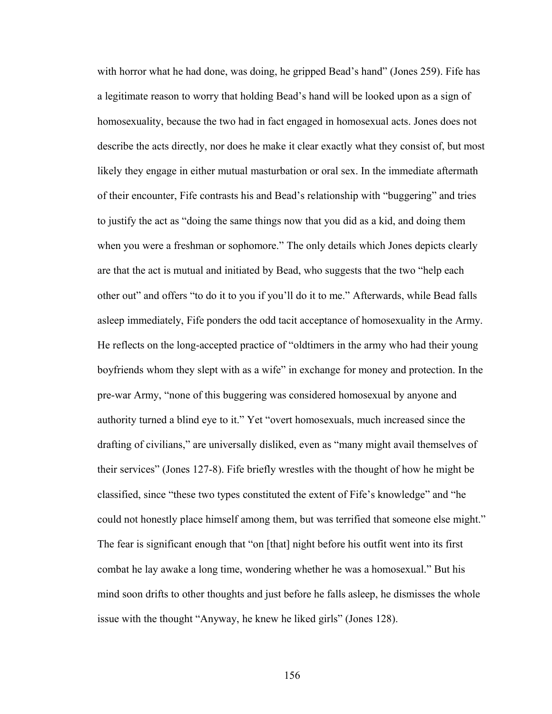with horror what he had done, was doing, he gripped Bead's hand" (Jones 259). Fife has a legitimate reason to worry that holding Bead's hand will be looked upon as a sign of homosexuality, because the two had in fact engaged in homosexual acts. Jones does not describe the acts directly, nor does he make it clear exactly what they consist of, but most likely they engage in either mutual masturbation or oral sex. In the immediate aftermath of their encounter, Fife contrasts his and Bead's relationship with "buggering" and tries to justify the act as "doing the same things now that you did as a kid, and doing them when you were a freshman or sophomore." The only details which Jones depicts clearly are that the act is mutual and initiated by Bead, who suggests that the two "help each other out" and offers "to do it to you if you'll do it to me." Afterwards, while Bead falls asleep immediately, Fife ponders the odd tacit acceptance of homosexuality in the Army. He reflects on the long-accepted practice of "oldtimers in the army who had their young boyfriends whom they slept with as a wife" in exchange for money and protection. In the pre-war Army, "none of this buggering was considered homosexual by anyone and authority turned a blind eye to it." Yet "overt homosexuals, much increased since the drafting of civilians," are universally disliked, even as "many might avail themselves of their services" (Jones 127-8). Fife briefly wrestles with the thought of how he might be classified, since "these two types constituted the extent of Fife's knowledge" and "he could not honestly place himself among them, but was terrified that someone else might." The fear is significant enough that "on [that] night before his outfit went into its first combat he lay awake a long time, wondering whether he was a homosexual." But his mind soon drifts to other thoughts and just before he falls asleep, he dismisses the whole issue with the thought "Anyway, he knew he liked girls" (Jones 128).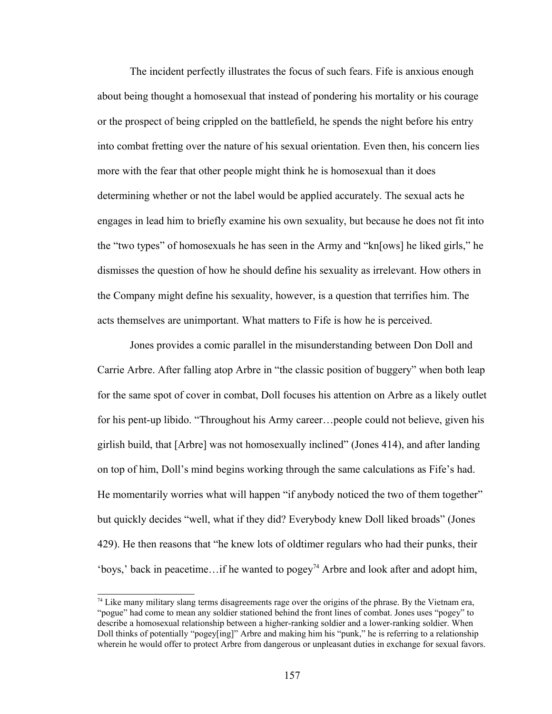The incident perfectly illustrates the focus of such fears. Fife is anxious enough about being thought a homosexual that instead of pondering his mortality or his courage or the prospect of being crippled on the battlefield, he spends the night before his entry into combat fretting over the nature of his sexual orientation. Even then, his concern lies more with the fear that other people might think he is homosexual than it does determining whether or not the label would be applied accurately. The sexual acts he engages in lead him to briefly examine his own sexuality, but because he does not fit into the "two types" of homosexuals he has seen in the Army and "kn[ows] he liked girls," he dismisses the question of how he should define his sexuality as irrelevant. How others in the Company might define his sexuality, however, is a question that terrifies him. The acts themselves are unimportant. What matters to Fife is how he is perceived.

Jones provides a comic parallel in the misunderstanding between Don Doll and Carrie Arbre. After falling atop Arbre in "the classic position of buggery" when both leap for the same spot of cover in combat, Doll focuses his attention on Arbre as a likely outlet for his pent-up libido. "Throughout his Army career…people could not believe, given his girlish build, that [Arbre] was not homosexually inclined" (Jones 414), and after landing on top of him, Doll's mind begins working through the same calculations as Fife's had. He momentarily worries what will happen "if anybody noticed the two of them together" but quickly decides "well, what if they did? Everybody knew Doll liked broads" (Jones 429). He then reasons that "he knew lots of oldtimer regulars who had their punks, their 'boys,' back in peacetime...if he wanted to pogey<sup>[74](#page-164-0)</sup> Arbre and look after and adopt him,

<span id="page-164-0"></span><sup>&</sup>lt;sup>74</sup> Like many military slang terms disagreements rage over the origins of the phrase. By the Vietnam era, "pogue" had come to mean any soldier stationed behind the front lines of combat. Jones uses "pogey" to describe a homosexual relationship between a higher-ranking soldier and a lower-ranking soldier. When Doll thinks of potentially "pogey[ing]" Arbre and making him his "punk," he is referring to a relationship wherein he would offer to protect Arbre from dangerous or unpleasant duties in exchange for sexual favors.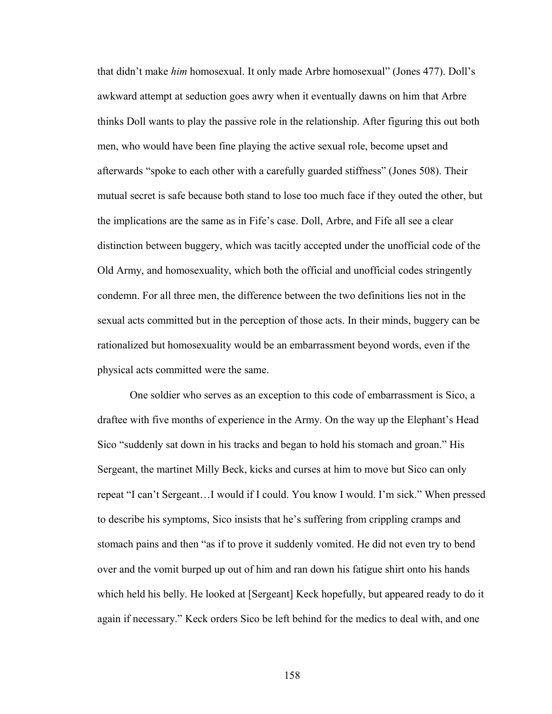that didn't make *him* homosexual. It only made Arbre homosexual" (Jones 477). Doll's awkward attempt at seduction goes awry when it eventually dawns on him that Arbre thinks Doll wants to play the passive role in the relationship. After figuring this out both men, who would have been fine playing the active sexual role, become upset and afterwards "spoke to each other with a carefully guarded stiffness" (Jones 508). Their mutual secret is safe because both stand to lose too much face if they outed the other, but the implications are the same as in Fife's case. Doll, Arbre, and Fife all see a clear distinction between buggery, which was tacitly accepted under the unofficial code of the Old Army, and homosexuality, which both the official and unofficial codes stringently condemn. For all three men, the difference between the two definitions lies not in the sexual acts committed but in the perception of those acts. In their minds, buggery can be rationalized but homosexuality would be an embarrassment beyond words, even if the physical acts committed were the same.

One soldier who serves as an exception to this code of embarrassment is Sico, a draftee with five months of experience in the Army. On the way up the Elephant's Head Sico "suddenly sat down in his tracks and began to hold his stomach and groan." His Sergeant, the martinet Milly Beck, kicks and curses at him to move but Sico can only repeat "I can't Sergeant…I would if I could. You know I would. I'm sick." When pressed to describe his symptoms, Sico insists that he's suffering from crippling cramps and stomach pains and then "as if to prove it suddenly vomited. He did not even try to bend over and the vomit burped up out of him and ran down his fatigue shirt onto his hands which held his belly. He looked at [Sergeant] Keck hopefully, but appeared ready to do it again if necessary." Keck orders Sico be left behind for the medics to deal with, and one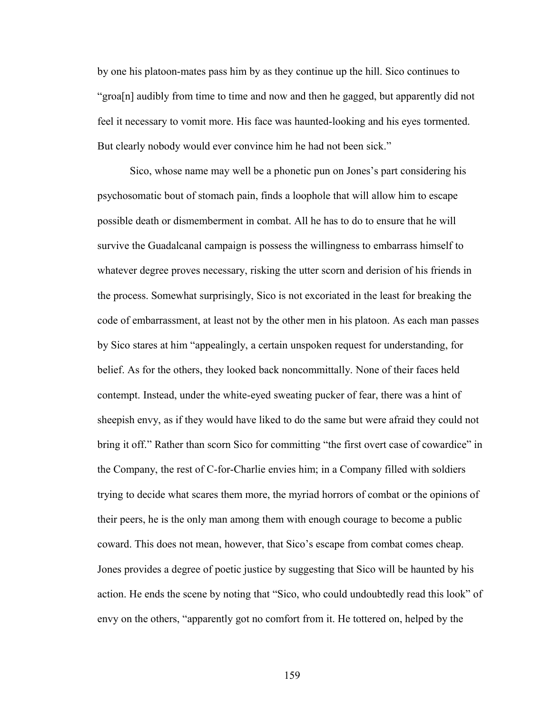by one his platoon-mates pass him by as they continue up the hill. Sico continues to "groa[n] audibly from time to time and now and then he gagged, but apparently did not feel it necessary to vomit more. His face was haunted-looking and his eyes tormented. But clearly nobody would ever convince him he had not been sick."

Sico, whose name may well be a phonetic pun on Jones's part considering his psychosomatic bout of stomach pain, finds a loophole that will allow him to escape possible death or dismemberment in combat. All he has to do to ensure that he will survive the Guadalcanal campaign is possess the willingness to embarrass himself to whatever degree proves necessary, risking the utter scorn and derision of his friends in the process. Somewhat surprisingly, Sico is not excoriated in the least for breaking the code of embarrassment, at least not by the other men in his platoon. As each man passes by Sico stares at him "appealingly, a certain unspoken request for understanding, for belief. As for the others, they looked back noncommittally. None of their faces held contempt. Instead, under the white-eyed sweating pucker of fear, there was a hint of sheepish envy, as if they would have liked to do the same but were afraid they could not bring it off." Rather than scorn Sico for committing "the first overt case of cowardice" in the Company, the rest of C-for-Charlie envies him; in a Company filled with soldiers trying to decide what scares them more, the myriad horrors of combat or the opinions of their peers, he is the only man among them with enough courage to become a public coward. This does not mean, however, that Sico's escape from combat comes cheap. Jones provides a degree of poetic justice by suggesting that Sico will be haunted by his action. He ends the scene by noting that "Sico, who could undoubtedly read this look" of envy on the others, "apparently got no comfort from it. He tottered on, helped by the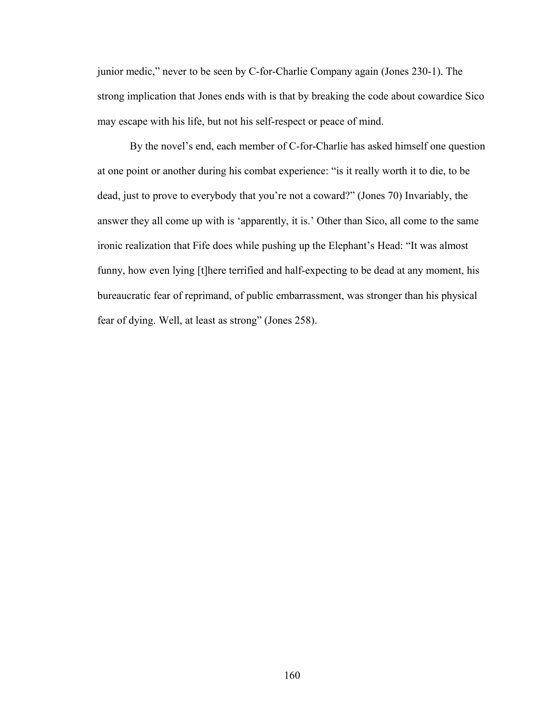junior medic," never to be seen by C-for-Charlie Company again (Jones 230-1). The strong implication that Jones ends with is that by breaking the code about cowardice Sico may escape with his life, but not his self-respect or peace of mind.

By the novel's end, each member of C-for-Charlie has asked himself one question at one point or another during his combat experience: "is it really worth it to die, to be dead, just to prove to everybody that you're not a coward?" (Jones 70) Invariably, the answer they all come up with is 'apparently, it is.' Other than Sico, all come to the same ironic realization that Fife does while pushing up the Elephant's Head: "It was almost funny, how even lying [t]here terrified and half-expecting to be dead at any moment, his bureaucratic fear of reprimand, of public embarrassment, was stronger than his physical fear of dying. Well, at least as strong" (Jones 258).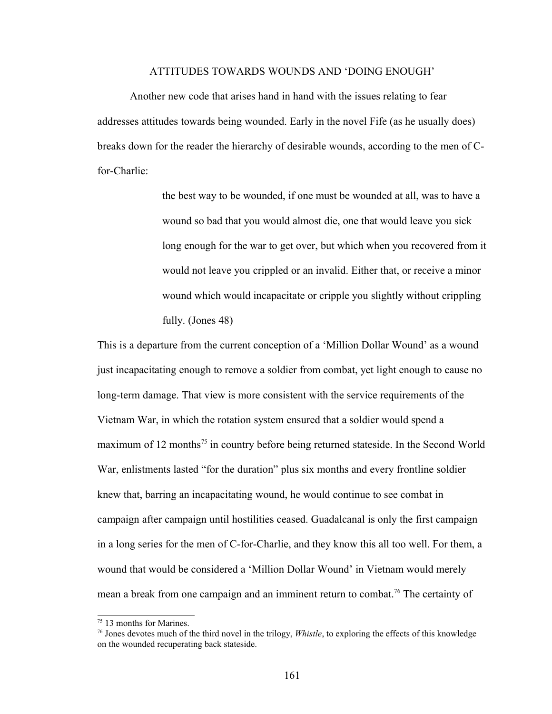## ATTITUDES TOWARDS WOUNDS AND 'DOING ENOUGH'

Another new code that arises hand in hand with the issues relating to fear addresses attitudes towards being wounded. Early in the novel Fife (as he usually does) breaks down for the reader the hierarchy of desirable wounds, according to the men of Cfor-Charlie:

> the best way to be wounded, if one must be wounded at all, was to have a wound so bad that you would almost die, one that would leave you sick long enough for the war to get over, but which when you recovered from it would not leave you crippled or an invalid. Either that, or receive a minor wound which would incapacitate or cripple you slightly without crippling fully. (Jones 48)

This is a departure from the current conception of a 'Million Dollar Wound' as a wound just incapacitating enough to remove a soldier from combat, yet light enough to cause no long-term damage. That view is more consistent with the service requirements of the Vietnam War, in which the rotation system ensured that a soldier would spend a maximum of 12 months<sup>[75](#page-168-0)</sup> in country before being returned stateside. In the Second World War, enlistments lasted "for the duration" plus six months and every frontline soldier knew that, barring an incapacitating wound, he would continue to see combat in campaign after campaign until hostilities ceased. Guadalcanal is only the first campaign in a long series for the men of C-for-Charlie, and they know this all too well. For them, a wound that would be considered a 'Million Dollar Wound' in Vietnam would merely mean a break from one campaign and an imminent return to combat.<sup>[76](#page-168-1)</sup> The certainty of

<span id="page-168-0"></span><sup>75</sup> 13 months for Marines.

<span id="page-168-1"></span><sup>76</sup> Jones devotes much of the third novel in the trilogy, *Whistle*, to exploring the effects of this knowledge on the wounded recuperating back stateside.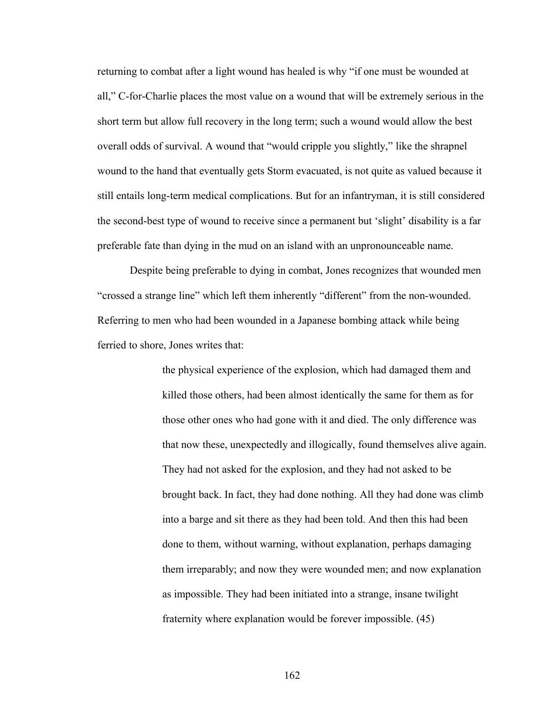returning to combat after a light wound has healed is why "if one must be wounded at all," C-for-Charlie places the most value on a wound that will be extremely serious in the short term but allow full recovery in the long term; such a wound would allow the best overall odds of survival. A wound that "would cripple you slightly," like the shrapnel wound to the hand that eventually gets Storm evacuated, is not quite as valued because it still entails long-term medical complications. But for an infantryman, it is still considered the second-best type of wound to receive since a permanent but 'slight' disability is a far preferable fate than dying in the mud on an island with an unpronounceable name.

Despite being preferable to dying in combat, Jones recognizes that wounded men "crossed a strange line" which left them inherently "different" from the non-wounded. Referring to men who had been wounded in a Japanese bombing attack while being ferried to shore, Jones writes that:

> the physical experience of the explosion, which had damaged them and killed those others, had been almost identically the same for them as for those other ones who had gone with it and died. The only difference was that now these, unexpectedly and illogically, found themselves alive again. They had not asked for the explosion, and they had not asked to be brought back. In fact, they had done nothing. All they had done was climb into a barge and sit there as they had been told. And then this had been done to them, without warning, without explanation, perhaps damaging them irreparably; and now they were wounded men; and now explanation as impossible. They had been initiated into a strange, insane twilight fraternity where explanation would be forever impossible. (45)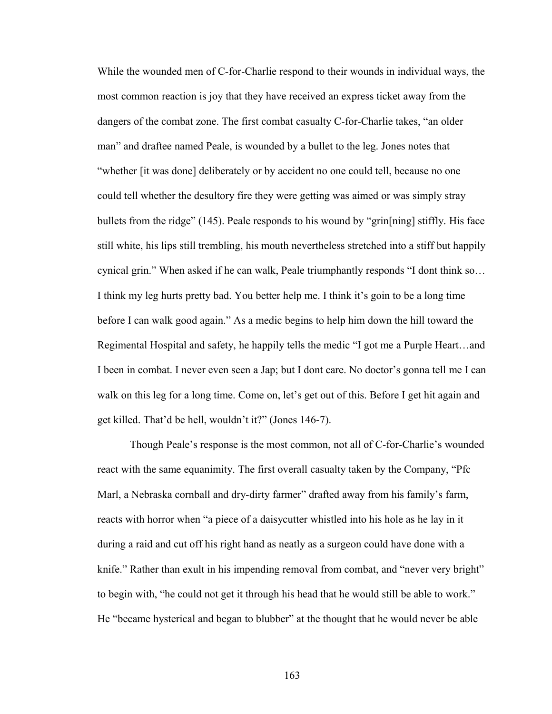While the wounded men of C-for-Charlie respond to their wounds in individual ways, the most common reaction is joy that they have received an express ticket away from the dangers of the combat zone. The first combat casualty C-for-Charlie takes, "an older man" and draftee named Peale, is wounded by a bullet to the leg. Jones notes that "whether [it was done] deliberately or by accident no one could tell, because no one could tell whether the desultory fire they were getting was aimed or was simply stray bullets from the ridge" (145). Peale responds to his wound by "grin[ning] stiffly. His face still white, his lips still trembling, his mouth nevertheless stretched into a stiff but happily cynical grin." When asked if he can walk, Peale triumphantly responds "I dont think so… I think my leg hurts pretty bad. You better help me. I think it's goin to be a long time before I can walk good again." As a medic begins to help him down the hill toward the Regimental Hospital and safety, he happily tells the medic "I got me a Purple Heart…and I been in combat. I never even seen a Jap; but I dont care. No doctor's gonna tell me I can walk on this leg for a long time. Come on, let's get out of this. Before I get hit again and get killed. That'd be hell, wouldn't it?" (Jones 146-7).

Though Peale's response is the most common, not all of C-for-Charlie's wounded react with the same equanimity. The first overall casualty taken by the Company, "Pfc Marl, a Nebraska cornball and dry-dirty farmer" drafted away from his family's farm, reacts with horror when "a piece of a daisycutter whistled into his hole as he lay in it during a raid and cut off his right hand as neatly as a surgeon could have done with a knife." Rather than exult in his impending removal from combat, and "never very bright" to begin with, "he could not get it through his head that he would still be able to work." He "became hysterical and began to blubber" at the thought that he would never be able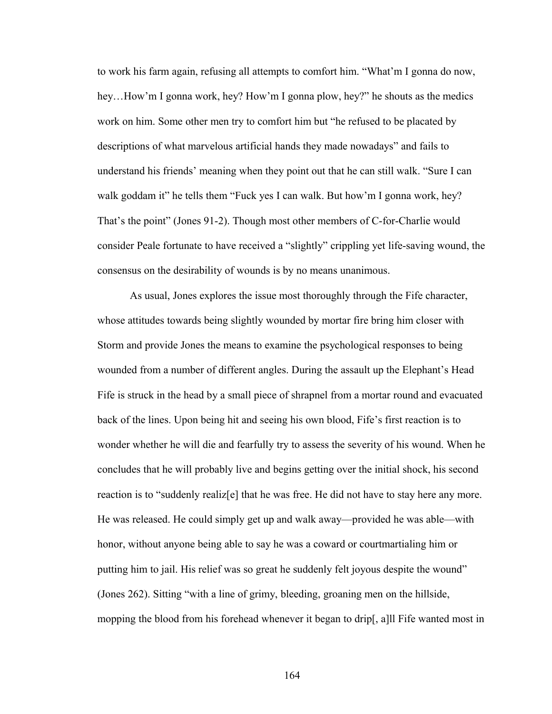to work his farm again, refusing all attempts to comfort him. "What'm I gonna do now, hey…How'm I gonna work, hey? How'm I gonna plow, hey?" he shouts as the medics work on him. Some other men try to comfort him but "he refused to be placated by descriptions of what marvelous artificial hands they made nowadays" and fails to understand his friends' meaning when they point out that he can still walk. "Sure I can walk goddam it" he tells them "Fuck yes I can walk. But how'm I gonna work, hey? That's the point" (Jones 91-2). Though most other members of C-for-Charlie would consider Peale fortunate to have received a "slightly" crippling yet life-saving wound, the consensus on the desirability of wounds is by no means unanimous.

As usual, Jones explores the issue most thoroughly through the Fife character, whose attitudes towards being slightly wounded by mortar fire bring him closer with Storm and provide Jones the means to examine the psychological responses to being wounded from a number of different angles. During the assault up the Elephant's Head Fife is struck in the head by a small piece of shrapnel from a mortar round and evacuated back of the lines. Upon being hit and seeing his own blood, Fife's first reaction is to wonder whether he will die and fearfully try to assess the severity of his wound. When he concludes that he will probably live and begins getting over the initial shock, his second reaction is to "suddenly realiz[e] that he was free. He did not have to stay here any more. He was released. He could simply get up and walk away—provided he was able—with honor, without anyone being able to say he was a coward or courtmartialing him or putting him to jail. His relief was so great he suddenly felt joyous despite the wound" (Jones 262). Sitting "with a line of grimy, bleeding, groaning men on the hillside, mopping the blood from his forehead whenever it began to drip[, a]ll Fife wanted most in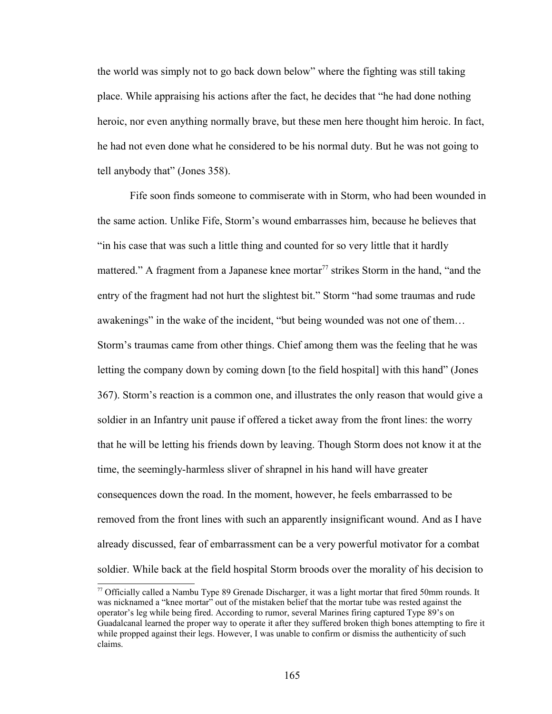the world was simply not to go back down below" where the fighting was still taking place. While appraising his actions after the fact, he decides that "he had done nothing heroic, nor even anything normally brave, but these men here thought him heroic. In fact, he had not even done what he considered to be his normal duty. But he was not going to tell anybody that" (Jones 358).

Fife soon finds someone to commiserate with in Storm, who had been wounded in the same action. Unlike Fife, Storm's wound embarrasses him, because he believes that "in his case that was such a little thing and counted for so very little that it hardly mattered." A fragment from a Japanese knee mortar<sup> $77$ </sup> strikes Storm in the hand, "and the entry of the fragment had not hurt the slightest bit." Storm "had some traumas and rude awakenings" in the wake of the incident, "but being wounded was not one of them… Storm's traumas came from other things. Chief among them was the feeling that he was letting the company down by coming down [to the field hospital] with this hand" (Jones 367). Storm's reaction is a common one, and illustrates the only reason that would give a soldier in an Infantry unit pause if offered a ticket away from the front lines: the worry that he will be letting his friends down by leaving. Though Storm does not know it at the time, the seemingly-harmless sliver of shrapnel in his hand will have greater consequences down the road. In the moment, however, he feels embarrassed to be removed from the front lines with such an apparently insignificant wound. And as I have already discussed, fear of embarrassment can be a very powerful motivator for a combat soldier. While back at the field hospital Storm broods over the morality of his decision to

<span id="page-172-0"></span><sup>77</sup> Officially called a Nambu Type 89 Grenade Discharger, it was a light mortar that fired 50mm rounds. It was nicknamed a "knee mortar" out of the mistaken belief that the mortar tube was rested against the operator's leg while being fired. According to rumor, several Marines firing captured Type 89's on Guadalcanal learned the proper way to operate it after they suffered broken thigh bones attempting to fire it while propped against their legs. However, I was unable to confirm or dismiss the authenticity of such claims.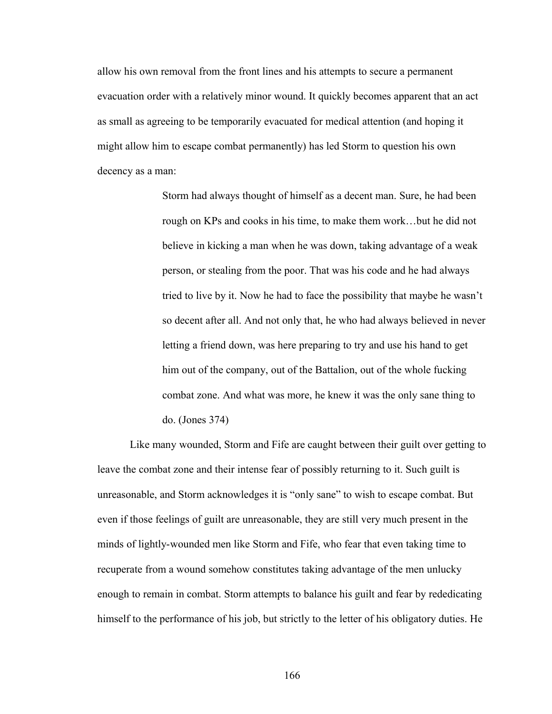allow his own removal from the front lines and his attempts to secure a permanent evacuation order with a relatively minor wound. It quickly becomes apparent that an act as small as agreeing to be temporarily evacuated for medical attention (and hoping it might allow him to escape combat permanently) has led Storm to question his own decency as a man:

> Storm had always thought of himself as a decent man. Sure, he had been rough on KPs and cooks in his time, to make them work...but he did not believe in kicking a man when he was down, taking advantage of a weak person, or stealing from the poor. That was his code and he had always tried to live by it. Now he had to face the possibility that maybe he wasn't so decent after all. And not only that, he who had always believed in never letting a friend down, was here preparing to try and use his hand to get him out of the company, out of the Battalion, out of the whole fucking combat zone. And what was more, he knew it was the only sane thing to do. (Jones 374)

Like many wounded, Storm and Fife are caught between their guilt over getting to leave the combat zone and their intense fear of possibly returning to it. Such guilt is unreasonable, and Storm acknowledges it is "only sane" to wish to escape combat. But even if those feelings of guilt are unreasonable, they are still very much present in the minds of lightly-wounded men like Storm and Fife, who fear that even taking time to recuperate from a wound somehow constitutes taking advantage of the men unlucky enough to remain in combat. Storm attempts to balance his guilt and fear by rededicating himself to the performance of his job, but strictly to the letter of his obligatory duties. He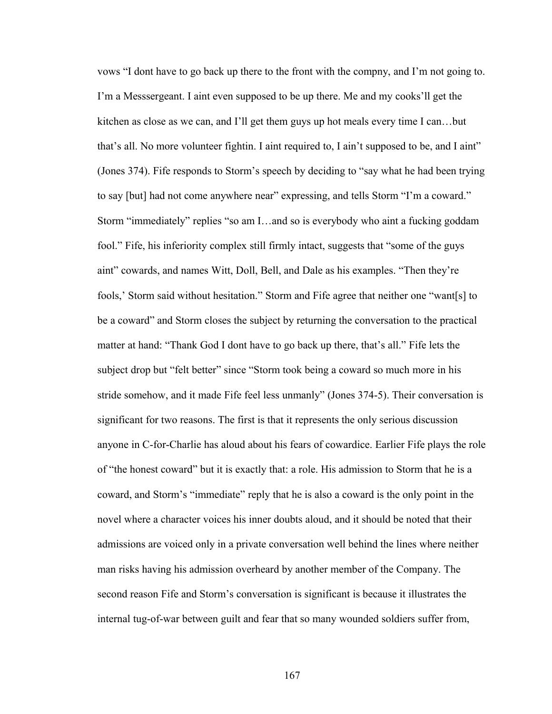vows "I dont have to go back up there to the front with the compny, and I'm not going to. I'm a Messsergeant. I aint even supposed to be up there. Me and my cooks'll get the kitchen as close as we can, and I'll get them guys up hot meals every time I can…but that's all. No more volunteer fightin. I aint required to, I ain't supposed to be, and I aint" (Jones 374). Fife responds to Storm's speech by deciding to "say what he had been trying to say [but] had not come anywhere near" expressing, and tells Storm "I'm a coward." Storm "immediately" replies "so am I…and so is everybody who aint a fucking goddam fool." Fife, his inferiority complex still firmly intact, suggests that "some of the guys aint" cowards, and names Witt, Doll, Bell, and Dale as his examples. "Then they're fools,' Storm said without hesitation." Storm and Fife agree that neither one "want[s] to be a coward" and Storm closes the subject by returning the conversation to the practical matter at hand: "Thank God I dont have to go back up there, that's all." Fife lets the subject drop but "felt better" since "Storm took being a coward so much more in his stride somehow, and it made Fife feel less unmanly" (Jones 374-5). Their conversation is significant for two reasons. The first is that it represents the only serious discussion anyone in C-for-Charlie has aloud about his fears of cowardice. Earlier Fife plays the role of "the honest coward" but it is exactly that: a role. His admission to Storm that he is a coward, and Storm's "immediate" reply that he is also a coward is the only point in the novel where a character voices his inner doubts aloud, and it should be noted that their admissions are voiced only in a private conversation well behind the lines where neither man risks having his admission overheard by another member of the Company. The second reason Fife and Storm's conversation is significant is because it illustrates the internal tug-of-war between guilt and fear that so many wounded soldiers suffer from,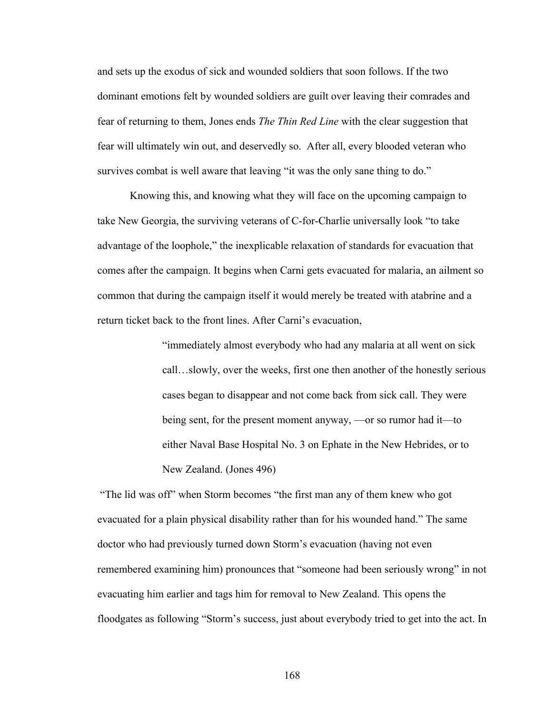and sets up the exodus of sick and wounded soldiers that soon follows. If the two dominant emotions felt by wounded soldiers are guilt over leaving their comrades and fear of returning to them, Jones ends *The Thin Red Line* with the clear suggestion that fear will ultimately win out, and deservedly so. After all, every blooded veteran who survives combat is well aware that leaving "it was the only sane thing to do."

Knowing this, and knowing what they will face on the upcoming campaign to take New Georgia, the surviving veterans of C-for-Charlie universally look "to take advantage of the loophole," the inexplicable relaxation of standards for evacuation that comes after the campaign. It begins when Carni gets evacuated for malaria, an ailment so common that during the campaign itself it would merely be treated with atabrine and a return ticket back to the front lines. After Carni's evacuation,

> "immediately almost everybody who had any malaria at all went on sick call…slowly, over the weeks, first one then another of the honestly serious cases began to disappear and not come back from sick call. They were being sent, for the present moment anyway, —or so rumor had it—to either Naval Base Hospital No. 3 on Ephate in the New Hebrides, or to New Zealand. (Jones 496)

 "The lid was off" when Storm becomes "the first man any of them knew who got evacuated for a plain physical disability rather than for his wounded hand." The same doctor who had previously turned down Storm's evacuation (having not even remembered examining him) pronounces that "someone had been seriously wrong" in not evacuating him earlier and tags him for removal to New Zealand. This opens the floodgates as following "Storm's success, just about everybody tried to get into the act. In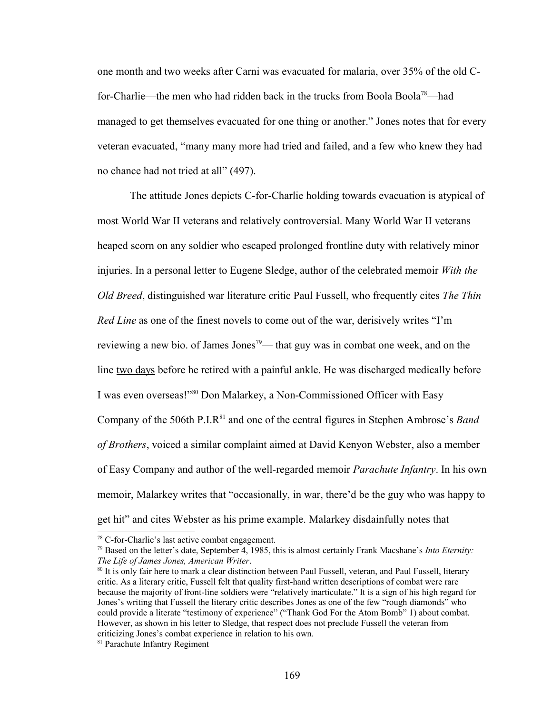one month and two weeks after Carni was evacuated for malaria, over 35% of the old C-for-Charlie—the men who had ridden back in the trucks from Boola Boola<sup>[78](#page-176-0)</sup>—had managed to get themselves evacuated for one thing or another." Jones notes that for every veteran evacuated, "many many more had tried and failed, and a few who knew they had no chance had not tried at all" (497).

The attitude Jones depicts C-for-Charlie holding towards evacuation is atypical of most World War II veterans and relatively controversial. Many World War II veterans heaped scorn on any soldier who escaped prolonged frontline duty with relatively minor injuries. In a personal letter to Eugene Sledge, author of the celebrated memoir *With the Old Breed*, distinguished war literature critic Paul Fussell, who frequently cites *The Thin Red Line* as one of the finest novels to come out of the war, derisively writes "I'm reviewing a new bio. of James Jones<sup>[79](#page-176-1)</sup>— that guy was in combat one week, and on the line two days before he retired with a painful ankle. He was discharged medically before I was even overseas!"<sup>[80](#page-176-2)</sup> Don Malarkey, a Non-Commissioned Officer with Easy Company of the 506th P.I.R<sup>[81](#page-176-3)</sup> and one of the central figures in Stephen Ambrose's *Band of Brothers*, voiced a similar complaint aimed at David Kenyon Webster, also a member of Easy Company and author of the well-regarded memoir *Parachute Infantry*. In his own memoir, Malarkey writes that "occasionally, in war, there'd be the guy who was happy to get hit" and cites Webster as his prime example. Malarkey disdainfully notes that

<span id="page-176-0"></span><sup>78</sup> C-for-Charlie's last active combat engagement.

<span id="page-176-1"></span><sup>79</sup> Based on the letter's date, September 4, 1985, this is almost certainly Frank Macshane's *Into Eternity: The Life of James Jones, American Writer*.

<span id="page-176-2"></span><sup>80</sup> It is only fair here to mark a clear distinction between Paul Fussell, veteran, and Paul Fussell, literary critic. As a literary critic, Fussell felt that quality first-hand written descriptions of combat were rare because the majority of front-line soldiers were "relatively inarticulate." It is a sign of his high regard for Jones's writing that Fussell the literary critic describes Jones as one of the few "rough diamonds" who could provide a literate "testimony of experience" ("Thank God For the Atom Bomb" 1) about combat. However, as shown in his letter to Sledge, that respect does not preclude Fussell the veteran from criticizing Jones's combat experience in relation to his own.

<span id="page-176-3"></span><sup>81</sup> Parachute Infantry Regiment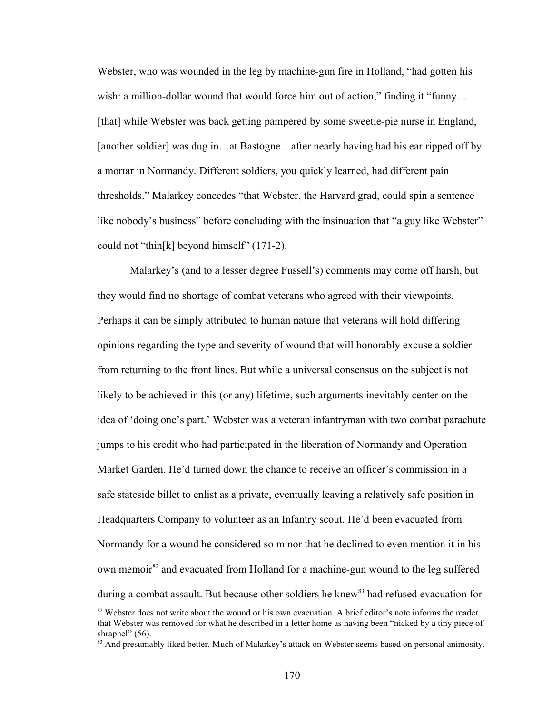Webster, who was wounded in the leg by machine-gun fire in Holland, "had gotten his wish: a million-dollar wound that would force him out of action," finding it "funny... [that] while Webster was back getting pampered by some sweetie-pie nurse in England, [another soldier] was dug in…at Bastogne…after nearly having had his ear ripped off by a mortar in Normandy. Different soldiers, you quickly learned, had different pain thresholds." Malarkey concedes "that Webster, the Harvard grad, could spin a sentence like nobody's business" before concluding with the insinuation that "a guy like Webster" could not "thin[k] beyond himself" (171-2).

Malarkey's (and to a lesser degree Fussell's) comments may come off harsh, but they would find no shortage of combat veterans who agreed with their viewpoints. Perhaps it can be simply attributed to human nature that veterans will hold differing opinions regarding the type and severity of wound that will honorably excuse a soldier from returning to the front lines. But while a universal consensus on the subject is not likely to be achieved in this (or any) lifetime, such arguments inevitably center on the idea of 'doing one's part.' Webster was a veteran infantryman with two combat parachute jumps to his credit who had participated in the liberation of Normandy and Operation Market Garden. He'd turned down the chance to receive an officer's commission in a safe stateside billet to enlist as a private, eventually leaving a relatively safe position in Headquarters Company to volunteer as an Infantry scout. He'd been evacuated from Normandy for a wound he considered so minor that he declined to even mention it in his own memoir<sup>[82](#page-177-0)</sup> and evacuated from Holland for a machine-gun wound to the leg suffered during a combat assault. But because other soldiers he knew<sup>[83](#page-177-1)</sup> had refused evacuation for

<span id="page-177-0"></span><sup>&</sup>lt;sup>82</sup> Webster does not write about the wound or his own evacuation. A brief editor's note informs the reader that Webster was removed for what he described in a letter home as having been "nicked by a tiny piece of shrapnel" (56).

<span id="page-177-1"></span><sup>&</sup>lt;sup>83</sup> And presumably liked better. Much of Malarkey's attack on Webster seems based on personal animosity.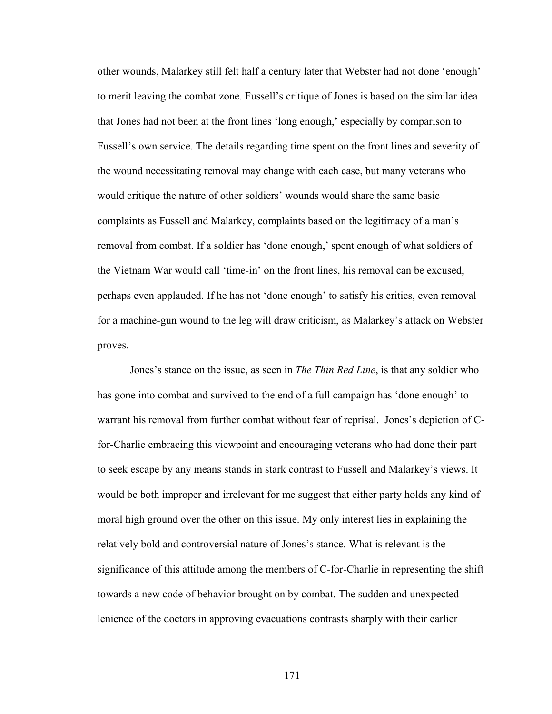other wounds, Malarkey still felt half a century later that Webster had not done 'enough' to merit leaving the combat zone. Fussell's critique of Jones is based on the similar idea that Jones had not been at the front lines 'long enough,' especially by comparison to Fussell's own service. The details regarding time spent on the front lines and severity of the wound necessitating removal may change with each case, but many veterans who would critique the nature of other soldiers' wounds would share the same basic complaints as Fussell and Malarkey, complaints based on the legitimacy of a man's removal from combat. If a soldier has 'done enough,' spent enough of what soldiers of the Vietnam War would call 'time-in' on the front lines, his removal can be excused, perhaps even applauded. If he has not 'done enough' to satisfy his critics, even removal for a machine-gun wound to the leg will draw criticism, as Malarkey's attack on Webster proves.

Jones's stance on the issue, as seen in *The Thin Red Line*, is that any soldier who has gone into combat and survived to the end of a full campaign has 'done enough' to warrant his removal from further combat without fear of reprisal. Jones's depiction of Cfor-Charlie embracing this viewpoint and encouraging veterans who had done their part to seek escape by any means stands in stark contrast to Fussell and Malarkey's views. It would be both improper and irrelevant for me suggest that either party holds any kind of moral high ground over the other on this issue. My only interest lies in explaining the relatively bold and controversial nature of Jones's stance. What is relevant is the significance of this attitude among the members of C-for-Charlie in representing the shift towards a new code of behavior brought on by combat. The sudden and unexpected lenience of the doctors in approving evacuations contrasts sharply with their earlier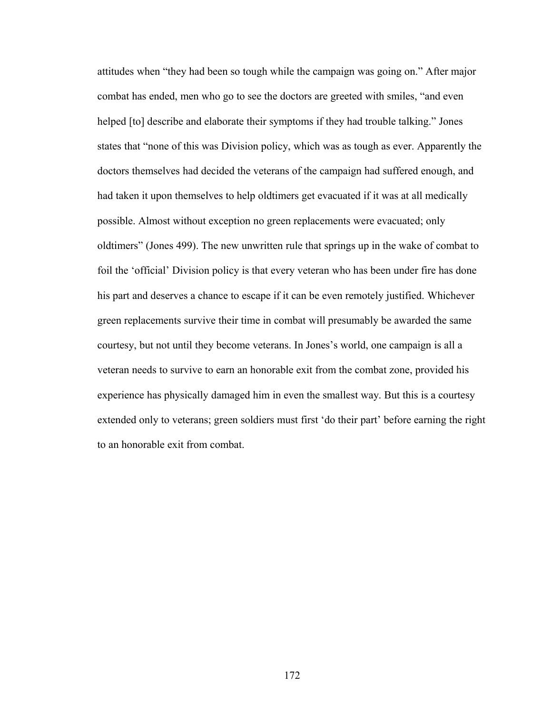attitudes when "they had been so tough while the campaign was going on." After major combat has ended, men who go to see the doctors are greeted with smiles, "and even helped [to] describe and elaborate their symptoms if they had trouble talking." Jones states that "none of this was Division policy, which was as tough as ever. Apparently the doctors themselves had decided the veterans of the campaign had suffered enough, and had taken it upon themselves to help oldtimers get evacuated if it was at all medically possible. Almost without exception no green replacements were evacuated; only oldtimers" (Jones 499). The new unwritten rule that springs up in the wake of combat to foil the 'official' Division policy is that every veteran who has been under fire has done his part and deserves a chance to escape if it can be even remotely justified. Whichever green replacements survive their time in combat will presumably be awarded the same courtesy, but not until they become veterans. In Jones's world, one campaign is all a veteran needs to survive to earn an honorable exit from the combat zone, provided his experience has physically damaged him in even the smallest way. But this is a courtesy extended only to veterans; green soldiers must first 'do their part' before earning the right to an honorable exit from combat.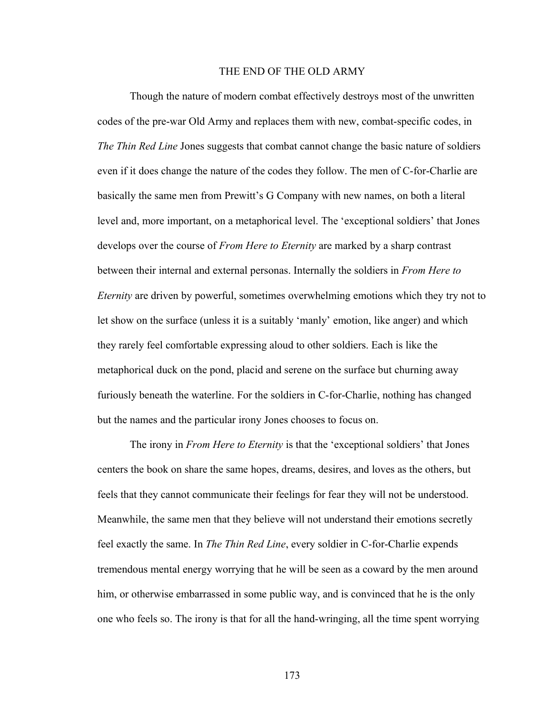# THE END OF THE OLD ARMY

Though the nature of modern combat effectively destroys most of the unwritten codes of the pre-war Old Army and replaces them with new, combat-specific codes, in *The Thin Red Line* Jones suggests that combat cannot change the basic nature of soldiers even if it does change the nature of the codes they follow. The men of C-for-Charlie are basically the same men from Prewitt's G Company with new names, on both a literal level and, more important, on a metaphorical level. The 'exceptional soldiers' that Jones develops over the course of *From Here to Eternity* are marked by a sharp contrast between their internal and external personas. Internally the soldiers in *From Here to Eternity* are driven by powerful, sometimes overwhelming emotions which they try not to let show on the surface (unless it is a suitably 'manly' emotion, like anger) and which they rarely feel comfortable expressing aloud to other soldiers. Each is like the metaphorical duck on the pond, placid and serene on the surface but churning away furiously beneath the waterline. For the soldiers in C-for-Charlie, nothing has changed but the names and the particular irony Jones chooses to focus on.

The irony in *From Here to Eternity* is that the 'exceptional soldiers' that Jones centers the book on share the same hopes, dreams, desires, and loves as the others, but feels that they cannot communicate their feelings for fear they will not be understood. Meanwhile, the same men that they believe will not understand their emotions secretly feel exactly the same. In *The Thin Red Line*, every soldier in C-for-Charlie expends tremendous mental energy worrying that he will be seen as a coward by the men around him, or otherwise embarrassed in some public way, and is convinced that he is the only one who feels so. The irony is that for all the hand-wringing, all the time spent worrying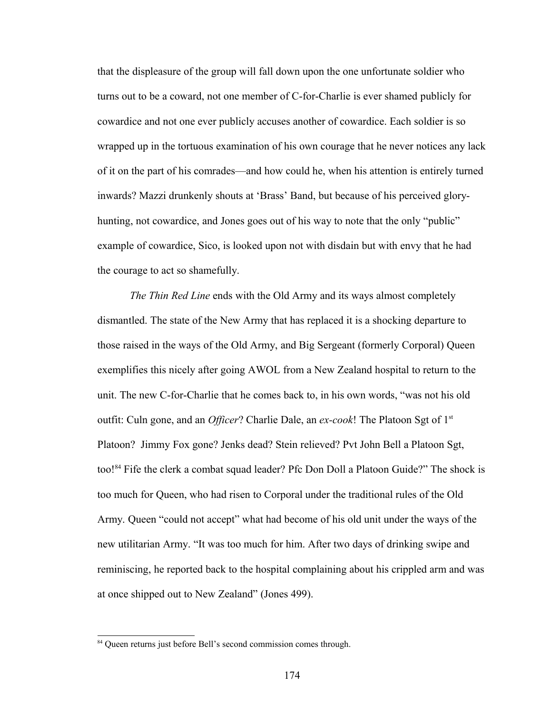that the displeasure of the group will fall down upon the one unfortunate soldier who turns out to be a coward, not one member of C-for-Charlie is ever shamed publicly for cowardice and not one ever publicly accuses another of cowardice. Each soldier is so wrapped up in the tortuous examination of his own courage that he never notices any lack of it on the part of his comrades—and how could he, when his attention is entirely turned inwards? Mazzi drunkenly shouts at 'Brass' Band, but because of his perceived gloryhunting, not cowardice, and Jones goes out of his way to note that the only "public" example of cowardice, Sico, is looked upon not with disdain but with envy that he had the courage to act so shamefully.

*The Thin Red Line* ends with the Old Army and its ways almost completely dismantled. The state of the New Army that has replaced it is a shocking departure to those raised in the ways of the Old Army, and Big Sergeant (formerly Corporal) Queen exemplifies this nicely after going AWOL from a New Zealand hospital to return to the unit. The new C-for-Charlie that he comes back to, in his own words, "was not his old outfit: Culn gone, and an *Officer*? Charlie Dale, an *ex-cook*! The Platoon Sgt of 1st Platoon? Jimmy Fox gone? Jenks dead? Stein relieved? Pvt John Bell a Platoon Sgt, too![84](#page-181-0) Fife the clerk a combat squad leader? Pfc Don Doll a Platoon Guide?" The shock is too much for Queen, who had risen to Corporal under the traditional rules of the Old Army. Queen "could not accept" what had become of his old unit under the ways of the new utilitarian Army. "It was too much for him. After two days of drinking swipe and reminiscing, he reported back to the hospital complaining about his crippled arm and was at once shipped out to New Zealand" (Jones 499).

<span id="page-181-0"></span><sup>&</sup>lt;sup>84</sup> Queen returns just before Bell's second commission comes through.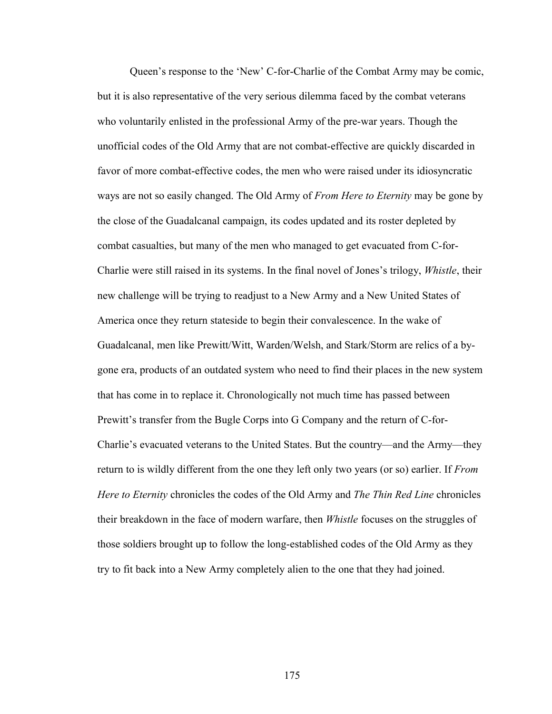Queen's response to the 'New' C-for-Charlie of the Combat Army may be comic, but it is also representative of the very serious dilemma faced by the combat veterans who voluntarily enlisted in the professional Army of the pre-war years. Though the unofficial codes of the Old Army that are not combat-effective are quickly discarded in favor of more combat-effective codes, the men who were raised under its idiosyncratic ways are not so easily changed. The Old Army of *From Here to Eternity* may be gone by the close of the Guadalcanal campaign, its codes updated and its roster depleted by combat casualties, but many of the men who managed to get evacuated from C-for-Charlie were still raised in its systems. In the final novel of Jones's trilogy, *Whistle*, their new challenge will be trying to readjust to a New Army and a New United States of America once they return stateside to begin their convalescence. In the wake of Guadalcanal, men like Prewitt/Witt, Warden/Welsh, and Stark/Storm are relics of a bygone era, products of an outdated system who need to find their places in the new system that has come in to replace it. Chronologically not much time has passed between Prewitt's transfer from the Bugle Corps into G Company and the return of C-for-Charlie's evacuated veterans to the United States. But the country—and the Army—they return to is wildly different from the one they left only two years (or so) earlier. If *From Here to Eternity* chronicles the codes of the Old Army and *The Thin Red Line* chronicles their breakdown in the face of modern warfare, then *Whistle* focuses on the struggles of those soldiers brought up to follow the long-established codes of the Old Army as they try to fit back into a New Army completely alien to the one that they had joined.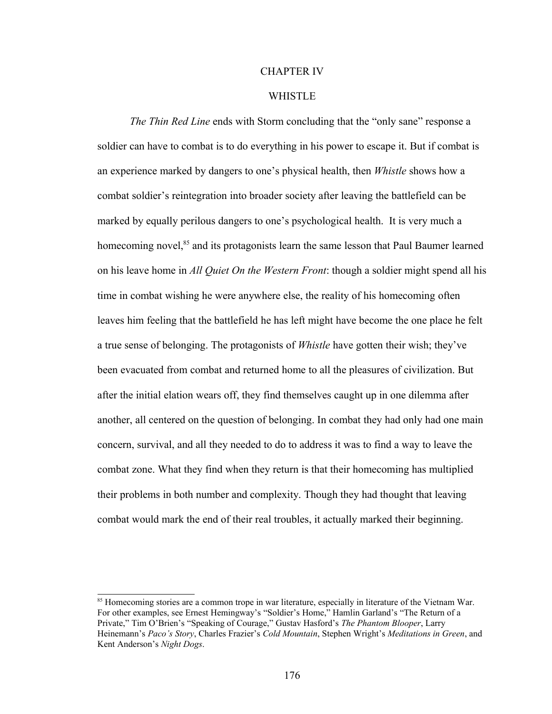#### CHAPTER IV

# WHISTLE

*The Thin Red Line* ends with Storm concluding that the "only sane" response a soldier can have to combat is to do everything in his power to escape it. But if combat is an experience marked by dangers to one's physical health, then *Whistle* shows how a combat soldier's reintegration into broader society after leaving the battlefield can be marked by equally perilous dangers to one's psychological health. It is very much a homecoming novel,<sup>[85](#page-183-0)</sup> and its protagonists learn the same lesson that Paul Baumer learned on his leave home in *All Quiet On the Western Front*: though a soldier might spend all his time in combat wishing he were anywhere else, the reality of his homecoming often leaves him feeling that the battlefield he has left might have become the one place he felt a true sense of belonging. The protagonists of *Whistle* have gotten their wish; they've been evacuated from combat and returned home to all the pleasures of civilization. But after the initial elation wears off, they find themselves caught up in one dilemma after another, all centered on the question of belonging. In combat they had only had one main concern, survival, and all they needed to do to address it was to find a way to leave the combat zone. What they find when they return is that their homecoming has multiplied their problems in both number and complexity. Though they had thought that leaving combat would mark the end of their real troubles, it actually marked their beginning.

<span id="page-183-0"></span><sup>85</sup> Homecoming stories are a common trope in war literature, especially in literature of the Vietnam War. For other examples, see Ernest Hemingway's "Soldier's Home," Hamlin Garland's "The Return of a Private," Tim O'Brien's "Speaking of Courage," Gustav Hasford's *The Phantom Blooper*, Larry Heinemann's *Paco's Story*, Charles Frazier's *Cold Mountain*, Stephen Wright's *Meditations in Green*, and Kent Anderson's *Night Dogs*.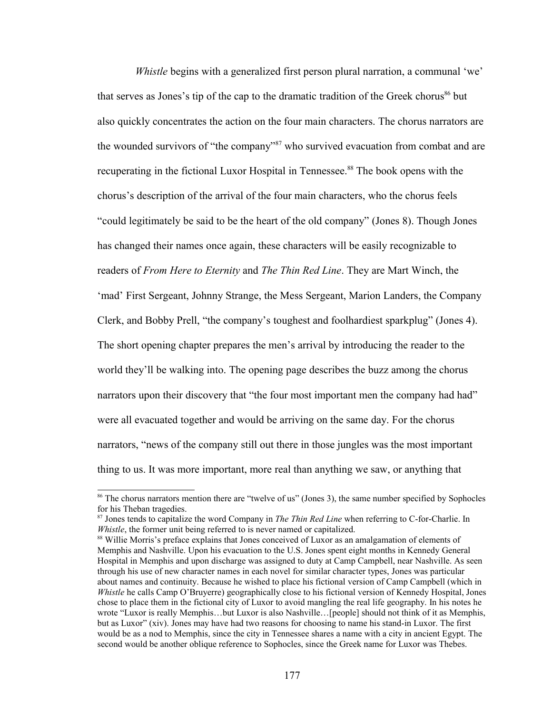*Whistle* begins with a generalized first person plural narration, a communal 'we' that serves as Jones's tip of the cap to the dramatic tradition of the Greek chorus<sup>[86](#page-184-0)</sup> but also quickly concentrates the action on the four main characters. The chorus narrators are the wounded survivors of "the company"<sup>[87](#page-184-1)</sup> who survived evacuation from combat and are recuperating in the fictional Luxor Hospital in Tennessee.<sup>[88](#page-184-2)</sup> The book opens with the chorus's description of the arrival of the four main characters, who the chorus feels "could legitimately be said to be the heart of the old company" (Jones 8). Though Jones has changed their names once again, these characters will be easily recognizable to readers of *From Here to Eternity* and *The Thin Red Line*. They are Mart Winch, the 'mad' First Sergeant, Johnny Strange, the Mess Sergeant, Marion Landers, the Company Clerk, and Bobby Prell, "the company's toughest and foolhardiest sparkplug" (Jones 4). The short opening chapter prepares the men's arrival by introducing the reader to the world they'll be walking into. The opening page describes the buzz among the chorus narrators upon their discovery that "the four most important men the company had had" were all evacuated together and would be arriving on the same day. For the chorus narrators, "news of the company still out there in those jungles was the most important thing to us. It was more important, more real than anything we saw, or anything that

<span id="page-184-0"></span><sup>86</sup> The chorus narrators mention there are "twelve of us" (Jones 3), the same number specified by Sophocles for his Theban tragedies.

<span id="page-184-1"></span><sup>87</sup> Jones tends to capitalize the word Company in *The Thin Red Line* when referring to C-for-Charlie. In *Whistle*, the former unit being referred to is never named or capitalized.

<span id="page-184-2"></span><sup>88</sup> Willie Morris's preface explains that Jones conceived of Luxor as an amalgamation of elements of Memphis and Nashville. Upon his evacuation to the U.S. Jones spent eight months in Kennedy General Hospital in Memphis and upon discharge was assigned to duty at Camp Campbell, near Nashville. As seen through his use of new character names in each novel for similar character types, Jones was particular about names and continuity. Because he wished to place his fictional version of Camp Campbell (which in *Whistle* he calls Camp O'Bruyerre) geographically close to his fictional version of Kennedy Hospital, Jones chose to place them in the fictional city of Luxor to avoid mangling the real life geography. In his notes he wrote "Luxor is really Memphis…but Luxor is also Nashville…[people] should not think of it as Memphis, but as Luxor" (xiv). Jones may have had two reasons for choosing to name his stand-in Luxor. The first would be as a nod to Memphis, since the city in Tennessee shares a name with a city in ancient Egypt. The second would be another oblique reference to Sophocles, since the Greek name for Luxor was Thebes.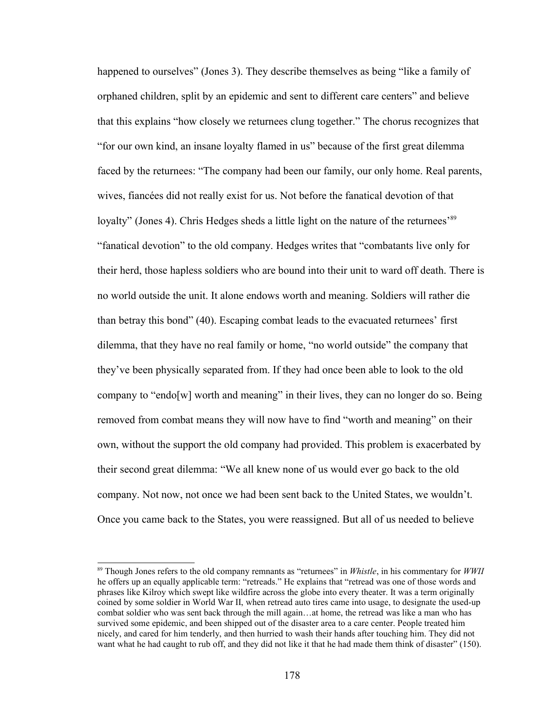happened to ourselves" (Jones 3). They describe themselves as being "like a family of orphaned children, split by an epidemic and sent to different care centers" and believe that this explains "how closely we returnees clung together." The chorus recognizes that "for our own kind, an insane loyalty flamed in us" because of the first great dilemma faced by the returnees: "The company had been our family, our only home. Real parents, wives, fiancées did not really exist for us. Not before the fanatical devotion of that loyalty" (Jones 4). Chris Hedges sheds a little light on the nature of the returnees'<sup>[89](#page-185-0)</sup> "fanatical devotion" to the old company. Hedges writes that "combatants live only for their herd, those hapless soldiers who are bound into their unit to ward off death. There is no world outside the unit. It alone endows worth and meaning. Soldiers will rather die than betray this bond" (40). Escaping combat leads to the evacuated returnees' first dilemma, that they have no real family or home, "no world outside" the company that they've been physically separated from. If they had once been able to look to the old company to "endo[w] worth and meaning" in their lives, they can no longer do so. Being removed from combat means they will now have to find "worth and meaning" on their own, without the support the old company had provided. This problem is exacerbated by their second great dilemma: "We all knew none of us would ever go back to the old company. Not now, not once we had been sent back to the United States, we wouldn't. Once you came back to the States, you were reassigned. But all of us needed to believe

<span id="page-185-0"></span><sup>89</sup> Though Jones refers to the old company remnants as "returnees" in *Whistle*, in his commentary for *WWII* he offers up an equally applicable term: "retreads." He explains that "retread was one of those words and phrases like Kilroy which swept like wildfire across the globe into every theater. It was a term originally coined by some soldier in World War II, when retread auto tires came into usage, to designate the used-up combat soldier who was sent back through the mill again…at home, the retread was like a man who has survived some epidemic, and been shipped out of the disaster area to a care center. People treated him nicely, and cared for him tenderly, and then hurried to wash their hands after touching him. They did not want what he had caught to rub off, and they did not like it that he had made them think of disaster" (150).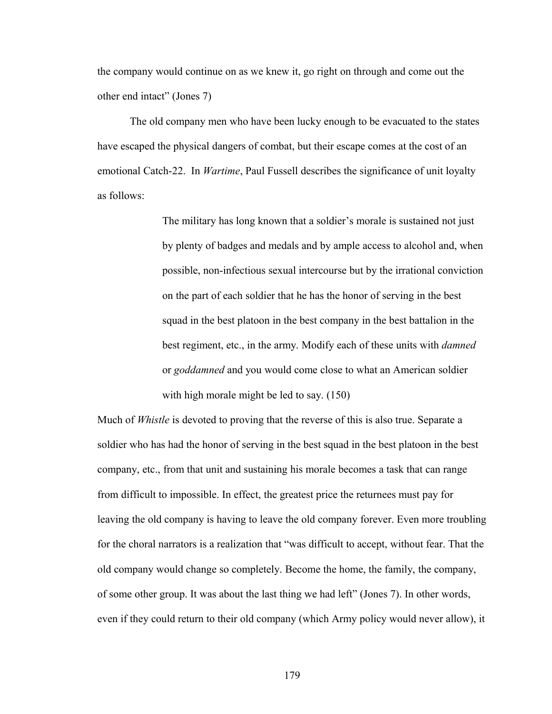the company would continue on as we knew it, go right on through and come out the other end intact" (Jones 7)

The old company men who have been lucky enough to be evacuated to the states have escaped the physical dangers of combat, but their escape comes at the cost of an emotional Catch-22. In *Wartime*, Paul Fussell describes the significance of unit loyalty as follows:

> The military has long known that a soldier's morale is sustained not just by plenty of badges and medals and by ample access to alcohol and, when possible, non-infectious sexual intercourse but by the irrational conviction on the part of each soldier that he has the honor of serving in the best squad in the best platoon in the best company in the best battalion in the best regiment, etc., in the army. Modify each of these units with *damned* or *goddamned* and you would come close to what an American soldier with high morale might be led to say.  $(150)$

Much of *Whistle* is devoted to proving that the reverse of this is also true. Separate a soldier who has had the honor of serving in the best squad in the best platoon in the best company, etc., from that unit and sustaining his morale becomes a task that can range from difficult to impossible. In effect, the greatest price the returnees must pay for leaving the old company is having to leave the old company forever. Even more troubling for the choral narrators is a realization that "was difficult to accept, without fear. That the old company would change so completely. Become the home, the family, the company, of some other group. It was about the last thing we had left" (Jones 7). In other words, even if they could return to their old company (which Army policy would never allow), it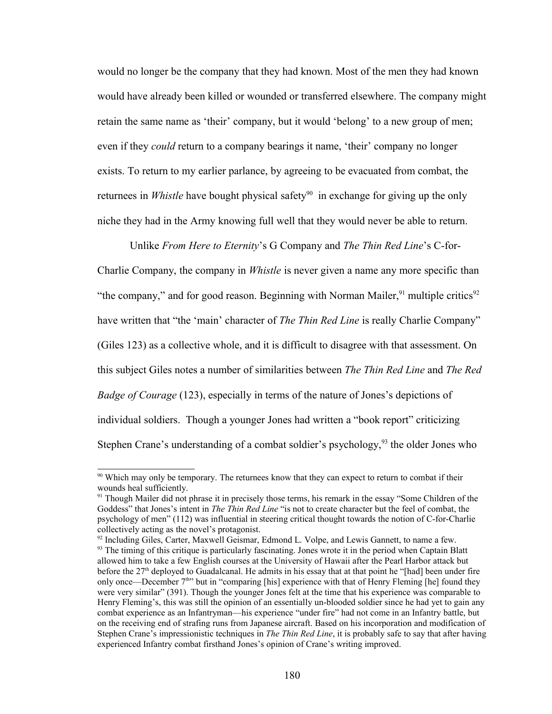would no longer be the company that they had known. Most of the men they had known would have already been killed or wounded or transferred elsewhere. The company might retain the same name as 'their' company, but it would 'belong' to a new group of men; even if they *could* return to a company bearings it name, 'their' company no longer exists. To return to my earlier parlance, by agreeing to be evacuated from combat, the returnees in *Whistle* have bought physical safety<sup>[90](#page-187-0)</sup> in exchange for giving up the only niche they had in the Army knowing full well that they would never be able to return.

Unlike *From Here to Eternity*'s G Company and *The Thin Red Line*'s C-for-Charlie Company, the company in *Whistle* is never given a name any more specific than "the company," and for good reason. Beginning with Norman Mailer,  $91$  multiple critics<sup>[92](#page-187-2)</sup> have written that "the 'main' character of *The Thin Red Line* is really Charlie Company" (Giles 123) as a collective whole, and it is difficult to disagree with that assessment. On this subject Giles notes a number of similarities between *The Thin Red Line* and *The Red Badge of Courage* (123), especially in terms of the nature of Jones's depictions of individual soldiers. Though a younger Jones had written a "book report" criticizing Stephen Crane's understanding of a combat soldier's psychology,  $93$  the older Jones who

<span id="page-187-0"></span><sup>&</sup>lt;sup>90</sup> Which may only be temporary. The returnees know that they can expect to return to combat if their wounds heal sufficiently.

<span id="page-187-1"></span><sup>&</sup>lt;sup>91</sup> Though Mailer did not phrase it in precisely those terms, his remark in the essay "Some Children of the Goddess" that Jones's intent in *The Thin Red Line* "is not to create character but the feel of combat, the psychology of men" (112) was influential in steering critical thought towards the notion of C-for-Charlie collectively acting as the novel's protagonist.

<span id="page-187-2"></span> $92$  Including Giles, Carter, Maxwell Geismar, Edmond L. Volpe, and Lewis Gannett, to name a few.

<span id="page-187-3"></span><sup>&</sup>lt;sup>93</sup> The timing of this critique is particularly fascinating. Jones wrote it in the period when Captain Blatt allowed him to take a few English courses at the University of Hawaii after the Pearl Harbor attack but before the  $27<sup>th</sup>$  deployed to Guadalcanal. He admits in his essay that at that point he "[had] been under fire only once—December  $7<sup>th</sup>$  but in "comparing [his] experience with that of Henry Fleming [he] found they were very similar" (391). Though the younger Jones felt at the time that his experience was comparable to Henry Fleming's, this was still the opinion of an essentially un-blooded soldier since he had yet to gain any combat experience as an Infantryman—his experience "under fire" had not come in an Infantry battle, but on the receiving end of strafing runs from Japanese aircraft. Based on his incorporation and modification of Stephen Crane's impressionistic techniques in *The Thin Red Line*, it is probably safe to say that after having experienced Infantry combat firsthand Jones's opinion of Crane's writing improved.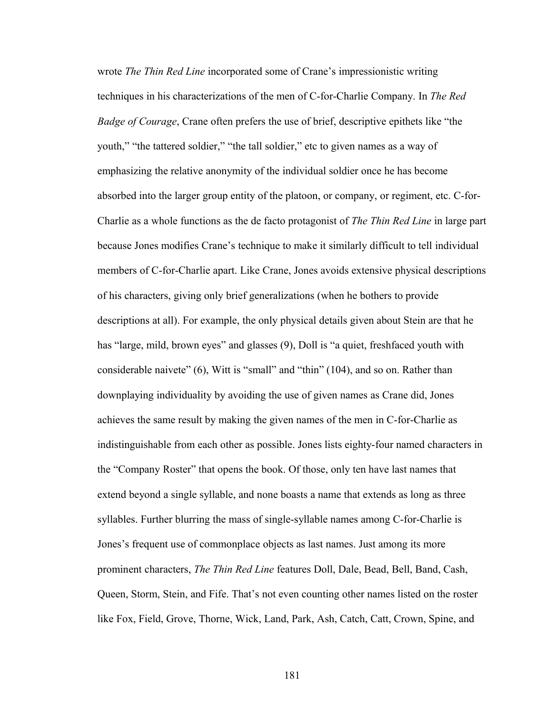wrote *The Thin Red Line* incorporated some of Crane's impressionistic writing techniques in his characterizations of the men of C-for-Charlie Company. In *The Red Badge of Courage*, Crane often prefers the use of brief, descriptive epithets like "the youth," "the tattered soldier," "the tall soldier," etc to given names as a way of emphasizing the relative anonymity of the individual soldier once he has become absorbed into the larger group entity of the platoon, or company, or regiment, etc. C-for-Charlie as a whole functions as the de facto protagonist of *The Thin Red Line* in large part because Jones modifies Crane's technique to make it similarly difficult to tell individual members of C-for-Charlie apart. Like Crane, Jones avoids extensive physical descriptions of his characters, giving only brief generalizations (when he bothers to provide descriptions at all). For example, the only physical details given about Stein are that he has "large, mild, brown eyes" and glasses (9), Doll is "a quiet, freshfaced youth with considerable naivete" (6), Witt is "small" and "thin" (104), and so on. Rather than downplaying individuality by avoiding the use of given names as Crane did, Jones achieves the same result by making the given names of the men in C-for-Charlie as indistinguishable from each other as possible. Jones lists eighty-four named characters in the "Company Roster" that opens the book. Of those, only ten have last names that extend beyond a single syllable, and none boasts a name that extends as long as three syllables. Further blurring the mass of single-syllable names among C-for-Charlie is Jones's frequent use of commonplace objects as last names. Just among its more prominent characters, *The Thin Red Line* features Doll, Dale, Bead, Bell, Band, Cash, Queen, Storm, Stein, and Fife. That's not even counting other names listed on the roster like Fox, Field, Grove, Thorne, Wick, Land, Park, Ash, Catch, Catt, Crown, Spine, and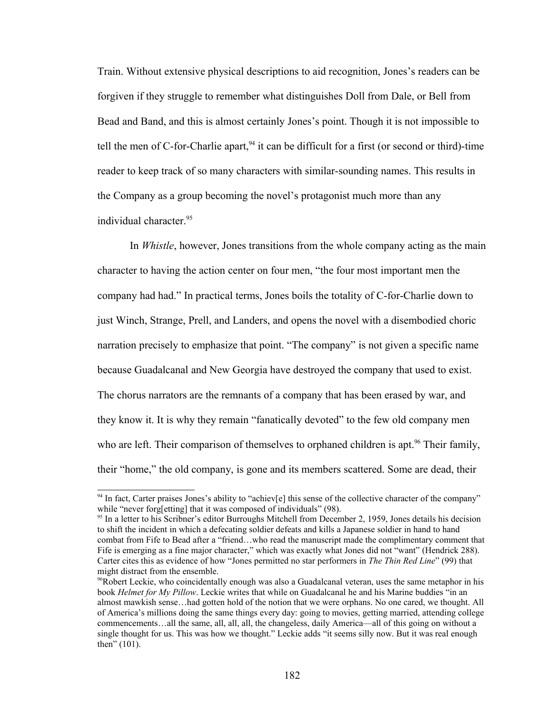Train. Without extensive physical descriptions to aid recognition, Jones's readers can be forgiven if they struggle to remember what distinguishes Doll from Dale, or Bell from Bead and Band, and this is almost certainly Jones's point. Though it is not impossible to tell the men of C-for-Charlie apart,  $94$  it can be difficult for a first (or second or third)-time reader to keep track of so many characters with similar-sounding names. This results in the Company as a group becoming the novel's protagonist much more than any individual character.<sup>[95](#page-189-1)</sup>

In *Whistle*, however, Jones transitions from the whole company acting as the main character to having the action center on four men, "the four most important men the company had had." In practical terms, Jones boils the totality of C-for-Charlie down to just Winch, Strange, Prell, and Landers, and opens the novel with a disembodied choric narration precisely to emphasize that point. "The company" is not given a specific name because Guadalcanal and New Georgia have destroyed the company that used to exist. The chorus narrators are the remnants of a company that has been erased by war, and they know it. It is why they remain "fanatically devoted" to the few old company men who are left. Their comparison of themselves to orphaned children is apt.<sup>[96](#page-189-2)</sup> Their family, their "home," the old company, is gone and its members scattered. Some are dead, their

<span id="page-189-0"></span><sup>&</sup>lt;sup>94</sup> In fact, Carter praises Jones's ability to "achiev[e] this sense of the collective character of the company" while "never forg[etting] that it was composed of individuals" (98).

<span id="page-189-1"></span><sup>&</sup>lt;sup>95</sup> In a letter to his Scribner's editor Burroughs Mitchell from December 2, 1959, Jones details his decision to shift the incident in which a defecating soldier defeats and kills a Japanese soldier in hand to hand combat from Fife to Bead after a "friend…who read the manuscript made the complimentary comment that Fife is emerging as a fine major character," which was exactly what Jones did not "want" (Hendrick 288). Carter cites this as evidence of how "Jones permitted no star performers in *The Thin Red Line*" (99) that might distract from the ensemble.

<span id="page-189-2"></span><sup>&</sup>lt;sup>96</sup>Robert Leckie, who coincidentally enough was also a Guadalcanal veteran, uses the same metaphor in his book *Helmet for My Pillow*. Leckie writes that while on Guadalcanal he and his Marine buddies "in an almost mawkish sense…had gotten hold of the notion that we were orphans. No one cared, we thought. All of America's millions doing the same things every day: going to movies, getting married, attending college commencements…all the same, all, all, all, the changeless, daily America—all of this going on without a single thought for us. This was how we thought." Leckie adds "it seems silly now. But it was real enough then" (101).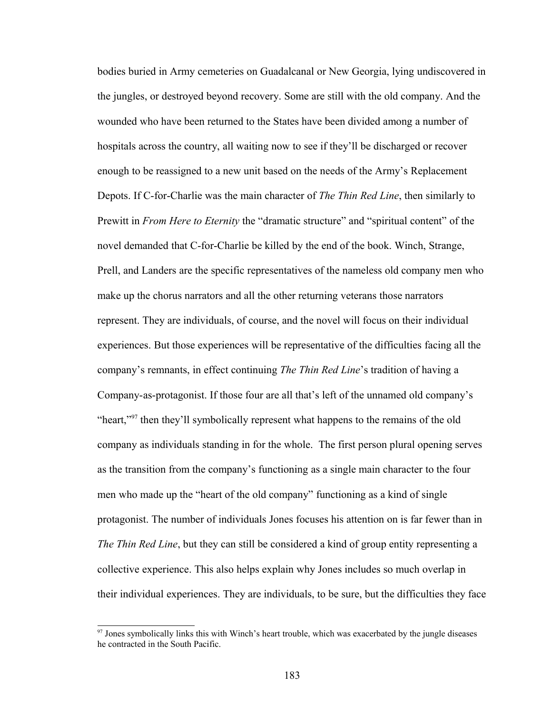bodies buried in Army cemeteries on Guadalcanal or New Georgia, lying undiscovered in the jungles, or destroyed beyond recovery. Some are still with the old company. And the wounded who have been returned to the States have been divided among a number of hospitals across the country, all waiting now to see if they'll be discharged or recover enough to be reassigned to a new unit based on the needs of the Army's Replacement Depots. If C-for-Charlie was the main character of *The Thin Red Line*, then similarly to Prewitt in *From Here to Eternity* the "dramatic structure" and "spiritual content" of the novel demanded that C-for-Charlie be killed by the end of the book. Winch, Strange, Prell, and Landers are the specific representatives of the nameless old company men who make up the chorus narrators and all the other returning veterans those narrators represent. They are individuals, of course, and the novel will focus on their individual experiences. But those experiences will be representative of the difficulties facing all the company's remnants, in effect continuing *The Thin Red Line*'s tradition of having a Company-as-protagonist. If those four are all that's left of the unnamed old company's "heart,"<sup>[97](#page-190-0)</sup> then they'll symbolically represent what happens to the remains of the old company as individuals standing in for the whole. The first person plural opening serves as the transition from the company's functioning as a single main character to the four men who made up the "heart of the old company" functioning as a kind of single protagonist. The number of individuals Jones focuses his attention on is far fewer than in *The Thin Red Line*, but they can still be considered a kind of group entity representing a collective experience. This also helps explain why Jones includes so much overlap in their individual experiences. They are individuals, to be sure, but the difficulties they face

<span id="page-190-0"></span> $97$  Jones symbolically links this with Winch's heart trouble, which was exacerbated by the jungle diseases he contracted in the South Pacific.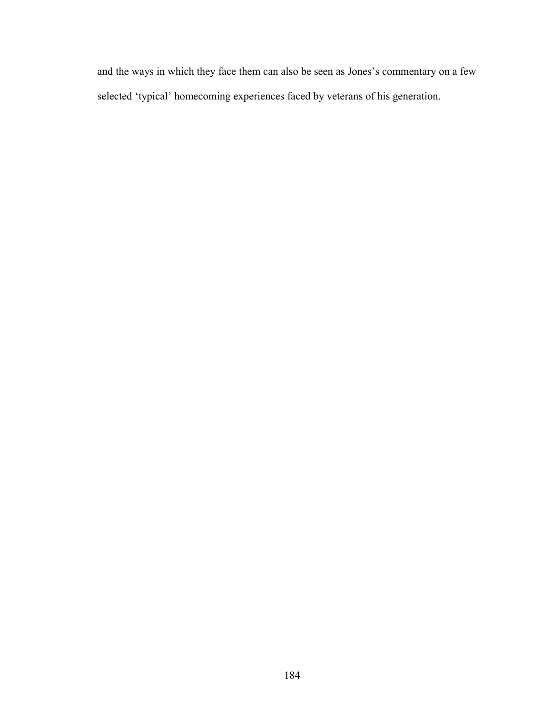and the ways in which they face them can also be seen as Jones's commentary on a few selected 'typical' homecoming experiences faced by veterans of his generation.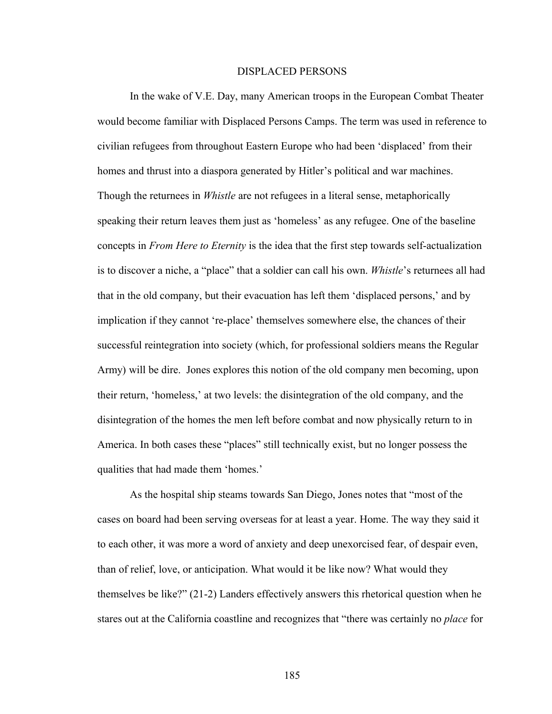#### DISPLACED PERSONS

In the wake of V.E. Day, many American troops in the European Combat Theater would become familiar with Displaced Persons Camps. The term was used in reference to civilian refugees from throughout Eastern Europe who had been 'displaced' from their homes and thrust into a diaspora generated by Hitler's political and war machines. Though the returnees in *Whistle* are not refugees in a literal sense, metaphorically speaking their return leaves them just as 'homeless' as any refugee. One of the baseline concepts in *From Here to Eternity* is the idea that the first step towards self-actualization is to discover a niche, a "place" that a soldier can call his own. *Whistle*'s returnees all had that in the old company, but their evacuation has left them 'displaced persons,' and by implication if they cannot 're-place' themselves somewhere else, the chances of their successful reintegration into society (which, for professional soldiers means the Regular Army) will be dire. Jones explores this notion of the old company men becoming, upon their return, 'homeless,' at two levels: the disintegration of the old company, and the disintegration of the homes the men left before combat and now physically return to in America. In both cases these "places" still technically exist, but no longer possess the qualities that had made them 'homes.'

As the hospital ship steams towards San Diego, Jones notes that "most of the cases on board had been serving overseas for at least a year. Home. The way they said it to each other, it was more a word of anxiety and deep unexorcised fear, of despair even, than of relief, love, or anticipation. What would it be like now? What would they themselves be like?" (21-2) Landers effectively answers this rhetorical question when he stares out at the California coastline and recognizes that "there was certainly no *place* for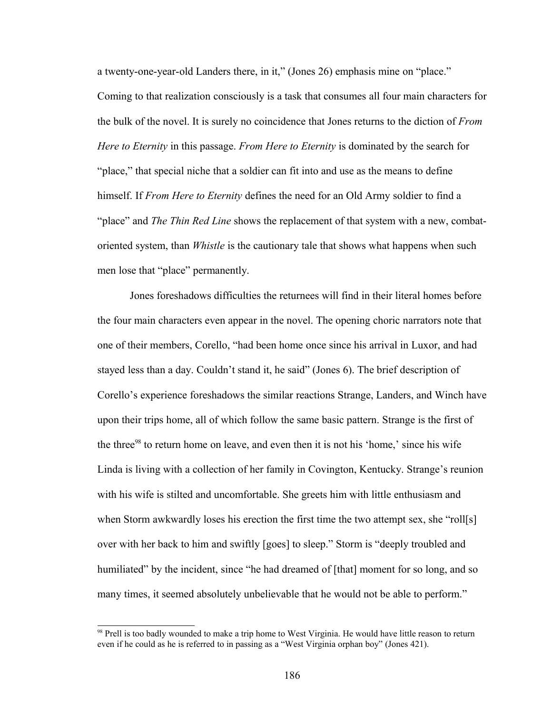a twenty-one-year-old Landers there, in it," (Jones 26) emphasis mine on "place." Coming to that realization consciously is a task that consumes all four main characters for the bulk of the novel. It is surely no coincidence that Jones returns to the diction of *From Here to Eternity* in this passage. *From Here to Eternity* is dominated by the search for "place," that special niche that a soldier can fit into and use as the means to define himself. If *From Here to Eternity* defines the need for an Old Army soldier to find a "place" and *The Thin Red Line* shows the replacement of that system with a new, combatoriented system, than *Whistle* is the cautionary tale that shows what happens when such men lose that "place" permanently.

Jones foreshadows difficulties the returnees will find in their literal homes before the four main characters even appear in the novel. The opening choric narrators note that one of their members, Corello, "had been home once since his arrival in Luxor, and had stayed less than a day. Couldn't stand it, he said" (Jones 6). The brief description of Corello's experience foreshadows the similar reactions Strange, Landers, and Winch have upon their trips home, all of which follow the same basic pattern. Strange is the first of the three<sup>[98](#page-193-0)</sup> to return home on leave, and even then it is not his 'home,' since his wife Linda is living with a collection of her family in Covington, Kentucky. Strange's reunion with his wife is stilted and uncomfortable. She greets him with little enthusiasm and when Storm awkwardly loses his erection the first time the two attempt sex, she "roll[s] over with her back to him and swiftly [goes] to sleep." Storm is "deeply troubled and humiliated" by the incident, since "he had dreamed of [that] moment for so long, and so many times, it seemed absolutely unbelievable that he would not be able to perform."

<span id="page-193-0"></span><sup>&</sup>lt;sup>98</sup> Prell is too badly wounded to make a trip home to West Virginia. He would have little reason to return even if he could as he is referred to in passing as a "West Virginia orphan boy" (Jones 421).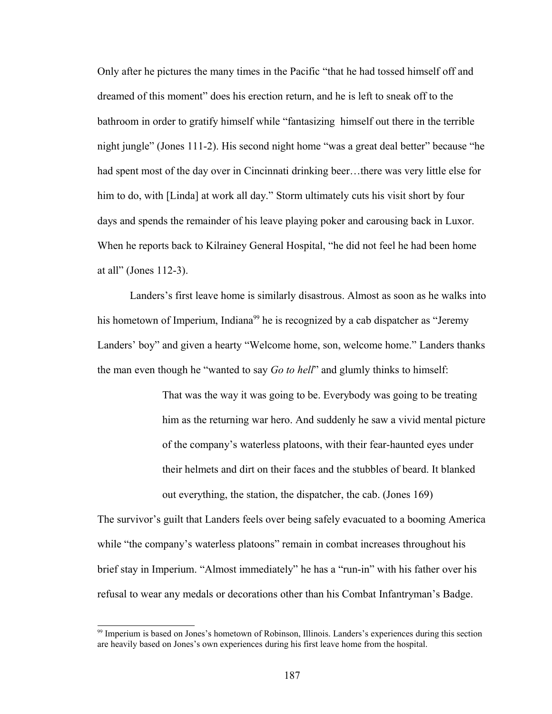Only after he pictures the many times in the Pacific "that he had tossed himself off and dreamed of this moment" does his erection return, and he is left to sneak off to the bathroom in order to gratify himself while "fantasizing himself out there in the terrible night jungle" (Jones 111-2). His second night home "was a great deal better" because "he had spent most of the day over in Cincinnati drinking beer...there was very little else for him to do, with [Linda] at work all day." Storm ultimately cuts his visit short by four days and spends the remainder of his leave playing poker and carousing back in Luxor. When he reports back to Kilrainey General Hospital, "he did not feel he had been home at all" (Jones 112-3).

Landers's first leave home is similarly disastrous. Almost as soon as he walks into his hometown of Imperium, Indiana<sup>[99](#page-194-0)</sup> he is recognized by a cab dispatcher as "Jeremy" Landers' boy" and given a hearty "Welcome home, son, welcome home." Landers thanks the man even though he "wanted to say *Go to hell*" and glumly thinks to himself:

> That was the way it was going to be. Everybody was going to be treating him as the returning war hero. And suddenly he saw a vivid mental picture of the company's waterless platoons, with their fear-haunted eyes under their helmets and dirt on their faces and the stubbles of beard. It blanked out everything, the station, the dispatcher, the cab. (Jones 169)

The survivor's guilt that Landers feels over being safely evacuated to a booming America while "the company's waterless platoons" remain in combat increases throughout his brief stay in Imperium. "Almost immediately" he has a "run-in" with his father over his refusal to wear any medals or decorations other than his Combat Infantryman's Badge.

<span id="page-194-0"></span><sup>99</sup> Imperium is based on Jones's hometown of Robinson, Illinois. Landers's experiences during this section are heavily based on Jones's own experiences during his first leave home from the hospital.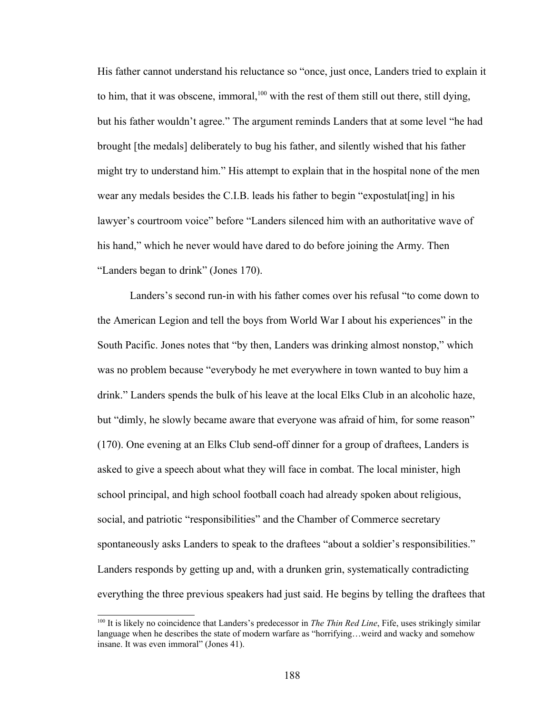His father cannot understand his reluctance so "once, just once, Landers tried to explain it to him, that it was obscene, immoral,<sup>[100](#page-195-0)</sup> with the rest of them still out there, still dying, but his father wouldn't agree." The argument reminds Landers that at some level "he had brought [the medals] deliberately to bug his father, and silently wished that his father might try to understand him." His attempt to explain that in the hospital none of the men wear any medals besides the C.I.B. leads his father to begin "expostulat[ing] in his lawyer's courtroom voice" before "Landers silenced him with an authoritative wave of his hand," which he never would have dared to do before joining the Army. Then "Landers began to drink" (Jones 170).

Landers's second run-in with his father comes over his refusal "to come down to the American Legion and tell the boys from World War I about his experiences" in the South Pacific. Jones notes that "by then, Landers was drinking almost nonstop," which was no problem because "everybody he met everywhere in town wanted to buy him a drink." Landers spends the bulk of his leave at the local Elks Club in an alcoholic haze, but "dimly, he slowly became aware that everyone was afraid of him, for some reason" (170). One evening at an Elks Club send-off dinner for a group of draftees, Landers is asked to give a speech about what they will face in combat. The local minister, high school principal, and high school football coach had already spoken about religious, social, and patriotic "responsibilities" and the Chamber of Commerce secretary spontaneously asks Landers to speak to the draftees "about a soldier's responsibilities." Landers responds by getting up and, with a drunken grin, systematically contradicting everything the three previous speakers had just said. He begins by telling the draftees that

<span id="page-195-0"></span><sup>&</sup>lt;sup>100</sup> It is likely no coincidence that Landers's predecessor in *The Thin Red Line*, Fife, uses strikingly similar language when he describes the state of modern warfare as "horrifying…weird and wacky and somehow insane. It was even immoral" (Jones 41).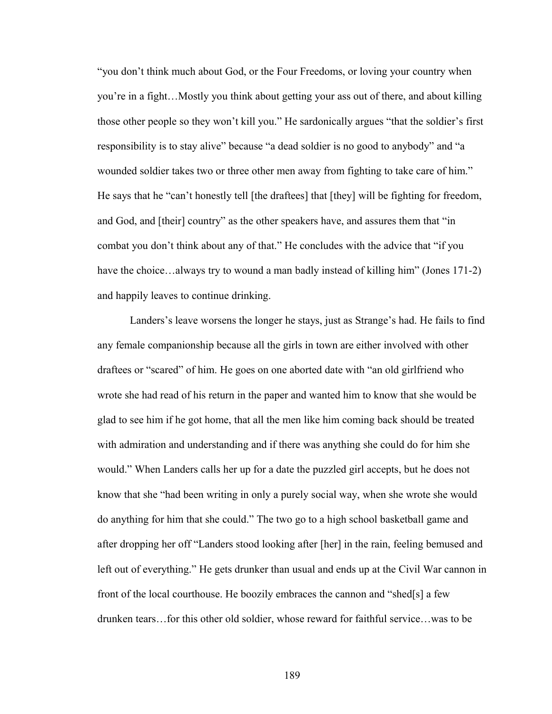"you don't think much about God, or the Four Freedoms, or loving your country when you're in a fight…Mostly you think about getting your ass out of there, and about killing those other people so they won't kill you." He sardonically argues "that the soldier's first responsibility is to stay alive" because "a dead soldier is no good to anybody" and "a wounded soldier takes two or three other men away from fighting to take care of him." He says that he "can't honestly tell [the draftees] that [they] will be fighting for freedom, and God, and [their] country" as the other speakers have, and assures them that "in combat you don't think about any of that." He concludes with the advice that "if you have the choice...always try to wound a man badly instead of killing him" (Jones 171-2) and happily leaves to continue drinking.

Landers's leave worsens the longer he stays, just as Strange's had. He fails to find any female companionship because all the girls in town are either involved with other draftees or "scared" of him. He goes on one aborted date with "an old girlfriend who wrote she had read of his return in the paper and wanted him to know that she would be glad to see him if he got home, that all the men like him coming back should be treated with admiration and understanding and if there was anything she could do for him she would." When Landers calls her up for a date the puzzled girl accepts, but he does not know that she "had been writing in only a purely social way, when she wrote she would do anything for him that she could." The two go to a high school basketball game and after dropping her off "Landers stood looking after [her] in the rain, feeling bemused and left out of everything." He gets drunker than usual and ends up at the Civil War cannon in front of the local courthouse. He boozily embraces the cannon and "shed[s] a few drunken tears…for this other old soldier, whose reward for faithful service…was to be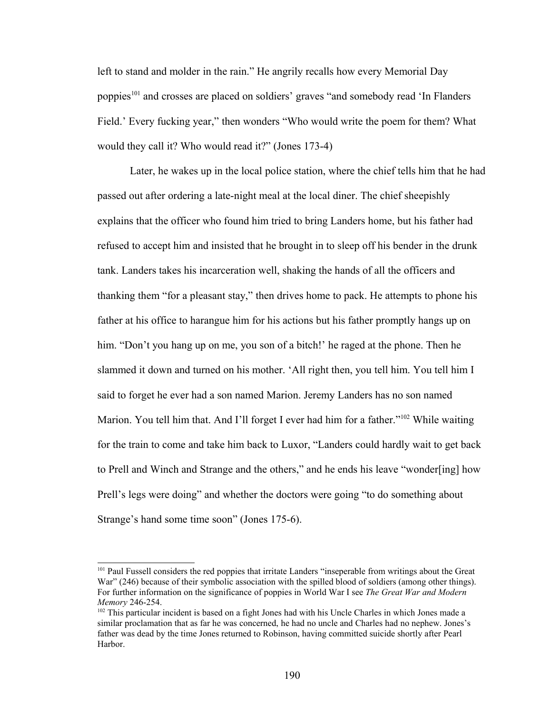left to stand and molder in the rain." He angrily recalls how every Memorial Day poppies<sup>[101](#page-197-0)</sup> and crosses are placed on soldiers' graves "and somebody read 'In Flanders' Field.' Every fucking year," then wonders "Who would write the poem for them? What would they call it? Who would read it?" (Jones 173-4)

Later, he wakes up in the local police station, where the chief tells him that he had passed out after ordering a late-night meal at the local diner. The chief sheepishly explains that the officer who found him tried to bring Landers home, but his father had refused to accept him and insisted that he brought in to sleep off his bender in the drunk tank. Landers takes his incarceration well, shaking the hands of all the officers and thanking them "for a pleasant stay," then drives home to pack. He attempts to phone his father at his office to harangue him for his actions but his father promptly hangs up on him. "Don't you hang up on me, you son of a bitch!' he raged at the phone. Then he slammed it down and turned on his mother. 'All right then, you tell him. You tell him I said to forget he ever had a son named Marion. Jeremy Landers has no son named Marion. You tell him that. And I'll forget I ever had him for a father."<sup>[102](#page-197-1)</sup> While waiting for the train to come and take him back to Luxor, "Landers could hardly wait to get back to Prell and Winch and Strange and the others," and he ends his leave "wonder[ing] how Prell's legs were doing" and whether the doctors were going "to do something about Strange's hand some time soon" (Jones 175-6).

<span id="page-197-0"></span><sup>&</sup>lt;sup>101</sup> Paul Fussell considers the red poppies that irritate Landers "inseperable from writings about the Great War" (246) because of their symbolic association with the spilled blood of soldiers (among other things). For further information on the significance of poppies in World War I see *The Great War and Modern Memory* 246-254.

<span id="page-197-1"></span><sup>&</sup>lt;sup>102</sup> This particular incident is based on a fight Jones had with his Uncle Charles in which Jones made a similar proclamation that as far he was concerned, he had no uncle and Charles had no nephew. Jones's father was dead by the time Jones returned to Robinson, having committed suicide shortly after Pearl Harbor.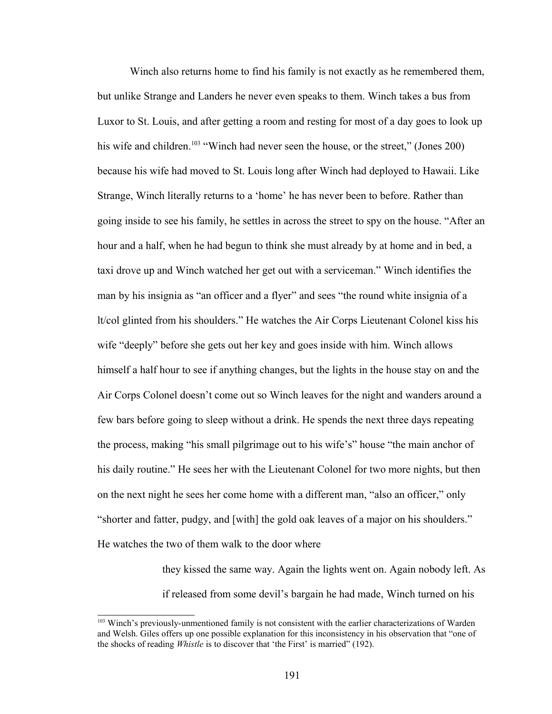Winch also returns home to find his family is not exactly as he remembered them, but unlike Strange and Landers he never even speaks to them. Winch takes a bus from Luxor to St. Louis, and after getting a room and resting for most of a day goes to look up his wife and children.<sup>[103](#page-198-0)</sup> "Winch had never seen the house, or the street," (Jones 200) because his wife had moved to St. Louis long after Winch had deployed to Hawaii. Like Strange, Winch literally returns to a 'home' he has never been to before. Rather than going inside to see his family, he settles in across the street to spy on the house. "After an hour and a half, when he had begun to think she must already by at home and in bed, a taxi drove up and Winch watched her get out with a serviceman." Winch identifies the man by his insignia as "an officer and a flyer" and sees "the round white insignia of a lt/col glinted from his shoulders." He watches the Air Corps Lieutenant Colonel kiss his wife "deeply" before she gets out her key and goes inside with him. Winch allows himself a half hour to see if anything changes, but the lights in the house stay on and the Air Corps Colonel doesn't come out so Winch leaves for the night and wanders around a few bars before going to sleep without a drink. He spends the next three days repeating the process, making "his small pilgrimage out to his wife's" house "the main anchor of his daily routine." He sees her with the Lieutenant Colonel for two more nights, but then on the next night he sees her come home with a different man, "also an officer," only "shorter and fatter, pudgy, and [with] the gold oak leaves of a major on his shoulders." He watches the two of them walk to the door where

> they kissed the same way. Again the lights went on. Again nobody left. As if released from some devil's bargain he had made, Winch turned on his

<span id="page-198-0"></span><sup>&</sup>lt;sup>103</sup> Winch's previously-unmentioned family is not consistent with the earlier characterizations of Warden and Welsh. Giles offers up one possible explanation for this inconsistency in his observation that "one of the shocks of reading *Whistle* is to discover that 'the First' is married" (192).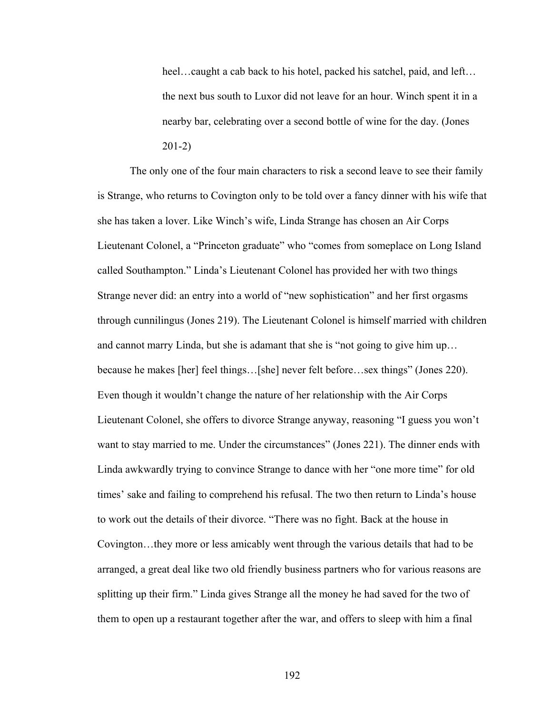heel…caught a cab back to his hotel, packed his satchel, paid, and left… the next bus south to Luxor did not leave for an hour. Winch spent it in a nearby bar, celebrating over a second bottle of wine for the day. (Jones 201-2)

The only one of the four main characters to risk a second leave to see their family is Strange, who returns to Covington only to be told over a fancy dinner with his wife that she has taken a lover. Like Winch's wife, Linda Strange has chosen an Air Corps Lieutenant Colonel, a "Princeton graduate" who "comes from someplace on Long Island called Southampton." Linda's Lieutenant Colonel has provided her with two things Strange never did: an entry into a world of "new sophistication" and her first orgasms through cunnilingus (Jones 219). The Lieutenant Colonel is himself married with children and cannot marry Linda, but she is adamant that she is "not going to give him up… because he makes [her] feel things…[she] never felt before…sex things" (Jones 220). Even though it wouldn't change the nature of her relationship with the Air Corps Lieutenant Colonel, she offers to divorce Strange anyway, reasoning "I guess you won't want to stay married to me. Under the circumstances" (Jones 221). The dinner ends with Linda awkwardly trying to convince Strange to dance with her "one more time" for old times' sake and failing to comprehend his refusal. The two then return to Linda's house to work out the details of their divorce. "There was no fight. Back at the house in Covington…they more or less amicably went through the various details that had to be arranged, a great deal like two old friendly business partners who for various reasons are splitting up their firm." Linda gives Strange all the money he had saved for the two of them to open up a restaurant together after the war, and offers to sleep with him a final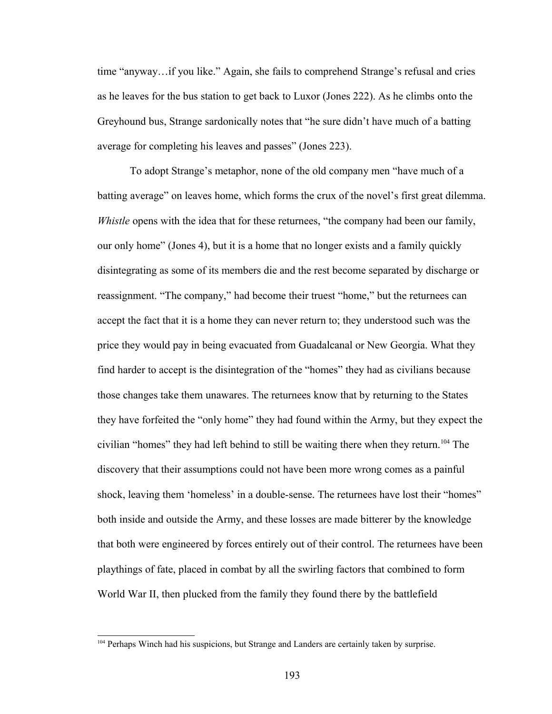time "anyway…if you like." Again, she fails to comprehend Strange's refusal and cries as he leaves for the bus station to get back to Luxor (Jones 222). As he climbs onto the Greyhound bus, Strange sardonically notes that "he sure didn't have much of a batting average for completing his leaves and passes" (Jones 223).

To adopt Strange's metaphor, none of the old company men "have much of a batting average" on leaves home, which forms the crux of the novel's first great dilemma. *Whistle* opens with the idea that for these returnees, "the company had been our family, our only home" (Jones 4), but it is a home that no longer exists and a family quickly disintegrating as some of its members die and the rest become separated by discharge or reassignment. "The company," had become their truest "home," but the returnees can accept the fact that it is a home they can never return to; they understood such was the price they would pay in being evacuated from Guadalcanal or New Georgia. What they find harder to accept is the disintegration of the "homes" they had as civilians because those changes take them unawares. The returnees know that by returning to the States they have forfeited the "only home" they had found within the Army, but they expect the civilian "homes" they had left behind to still be waiting there when they return.<sup>[104](#page-200-0)</sup> The discovery that their assumptions could not have been more wrong comes as a painful shock, leaving them 'homeless' in a double-sense. The returnees have lost their "homes" both inside and outside the Army, and these losses are made bitterer by the knowledge that both were engineered by forces entirely out of their control. The returnees have been playthings of fate, placed in combat by all the swirling factors that combined to form World War II, then plucked from the family they found there by the battlefield

<span id="page-200-0"></span><sup>&</sup>lt;sup>104</sup> Perhaps Winch had his suspicions, but Strange and Landers are certainly taken by surprise.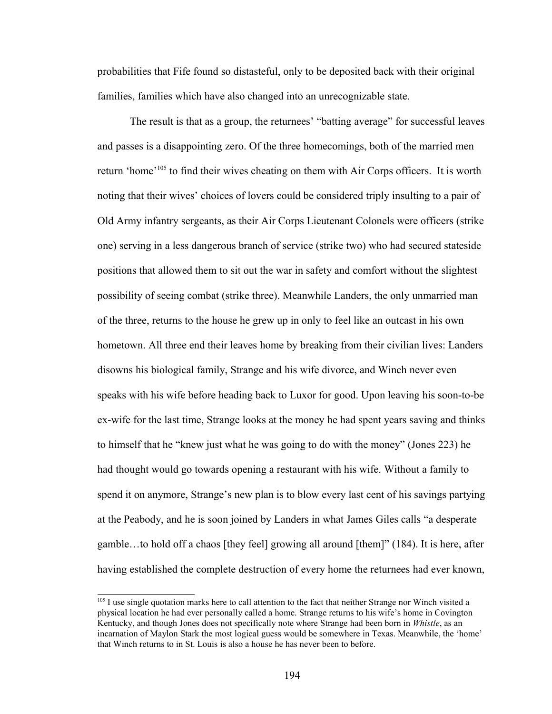probabilities that Fife found so distasteful, only to be deposited back with their original families, families which have also changed into an unrecognizable state.

The result is that as a group, the returnees' "batting average" for successful leaves and passes is a disappointing zero. Of the three homecomings, both of the married men return 'home'[105](#page-201-0) to find their wives cheating on them with Air Corps officers. It is worth noting that their wives' choices of lovers could be considered triply insulting to a pair of Old Army infantry sergeants, as their Air Corps Lieutenant Colonels were officers (strike one) serving in a less dangerous branch of service (strike two) who had secured stateside positions that allowed them to sit out the war in safety and comfort without the slightest possibility of seeing combat (strike three). Meanwhile Landers, the only unmarried man of the three, returns to the house he grew up in only to feel like an outcast in his own hometown. All three end their leaves home by breaking from their civilian lives: Landers disowns his biological family, Strange and his wife divorce, and Winch never even speaks with his wife before heading back to Luxor for good. Upon leaving his soon-to-be ex-wife for the last time, Strange looks at the money he had spent years saving and thinks to himself that he "knew just what he was going to do with the money" (Jones 223) he had thought would go towards opening a restaurant with his wife. Without a family to spend it on anymore, Strange's new plan is to blow every last cent of his savings partying at the Peabody, and he is soon joined by Landers in what James Giles calls "a desperate gamble…to hold off a chaos [they feel] growing all around [them]" (184). It is here, after having established the complete destruction of every home the returnees had ever known,

<span id="page-201-0"></span><sup>&</sup>lt;sup>105</sup> I use single quotation marks here to call attention to the fact that neither Strange nor Winch visited a physical location he had ever personally called a home. Strange returns to his wife's home in Covington Kentucky, and though Jones does not specifically note where Strange had been born in *Whistle*, as an incarnation of Maylon Stark the most logical guess would be somewhere in Texas. Meanwhile, the 'home' that Winch returns to in St. Louis is also a house he has never been to before.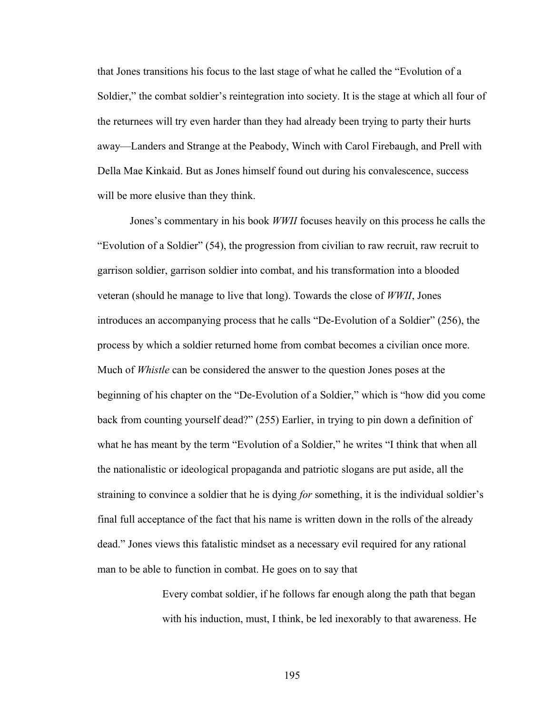that Jones transitions his focus to the last stage of what he called the "Evolution of a Soldier," the combat soldier's reintegration into society. It is the stage at which all four of the returnees will try even harder than they had already been trying to party their hurts away—Landers and Strange at the Peabody, Winch with Carol Firebaugh, and Prell with Della Mae Kinkaid. But as Jones himself found out during his convalescence, success will be more elusive than they think.

Jones's commentary in his book *WWII* focuses heavily on this process he calls the "Evolution of a Soldier" (54), the progression from civilian to raw recruit, raw recruit to garrison soldier, garrison soldier into combat, and his transformation into a blooded veteran (should he manage to live that long). Towards the close of *WWII*, Jones introduces an accompanying process that he calls "De-Evolution of a Soldier" (256), the process by which a soldier returned home from combat becomes a civilian once more. Much of *Whistle* can be considered the answer to the question Jones poses at the beginning of his chapter on the "De-Evolution of a Soldier," which is "how did you come back from counting yourself dead?" (255) Earlier, in trying to pin down a definition of what he has meant by the term "Evolution of a Soldier," he writes "I think that when all the nationalistic or ideological propaganda and patriotic slogans are put aside, all the straining to convince a soldier that he is dying *for* something, it is the individual soldier's final full acceptance of the fact that his name is written down in the rolls of the already dead." Jones views this fatalistic mindset as a necessary evil required for any rational man to be able to function in combat. He goes on to say that

> Every combat soldier, if he follows far enough along the path that began with his induction, must, I think, be led inexorably to that awareness. He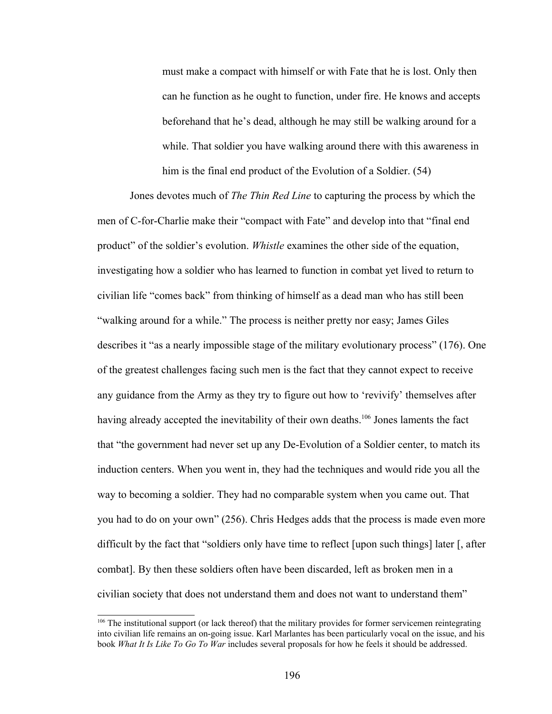must make a compact with himself or with Fate that he is lost. Only then can he function as he ought to function, under fire. He knows and accepts beforehand that he's dead, although he may still be walking around for a while. That soldier you have walking around there with this awareness in him is the final end product of the Evolution of a Soldier. (54)

Jones devotes much of *The Thin Red Line* to capturing the process by which the men of C-for-Charlie make their "compact with Fate" and develop into that "final end product" of the soldier's evolution. *Whistle* examines the other side of the equation, investigating how a soldier who has learned to function in combat yet lived to return to civilian life "comes back" from thinking of himself as a dead man who has still been "walking around for a while." The process is neither pretty nor easy; James Giles describes it "as a nearly impossible stage of the military evolutionary process" (176). One of the greatest challenges facing such men is the fact that they cannot expect to receive any guidance from the Army as they try to figure out how to 'revivify' themselves after having already accepted the inevitability of their own deaths.<sup>[106](#page-203-0)</sup> Jones laments the fact that "the government had never set up any De-Evolution of a Soldier center, to match its induction centers. When you went in, they had the techniques and would ride you all the way to becoming a soldier. They had no comparable system when you came out. That you had to do on your own" (256). Chris Hedges adds that the process is made even more difficult by the fact that "soldiers only have time to reflect [upon such things] later [, after combat]. By then these soldiers often have been discarded, left as broken men in a civilian society that does not understand them and does not want to understand them"

<span id="page-203-0"></span><sup>&</sup>lt;sup>106</sup> The institutional support (or lack thereof) that the military provides for former servicemen reintegrating into civilian life remains an on-going issue. Karl Marlantes has been particularly vocal on the issue, and his book *What It Is Like To Go To War* includes several proposals for how he feels it should be addressed.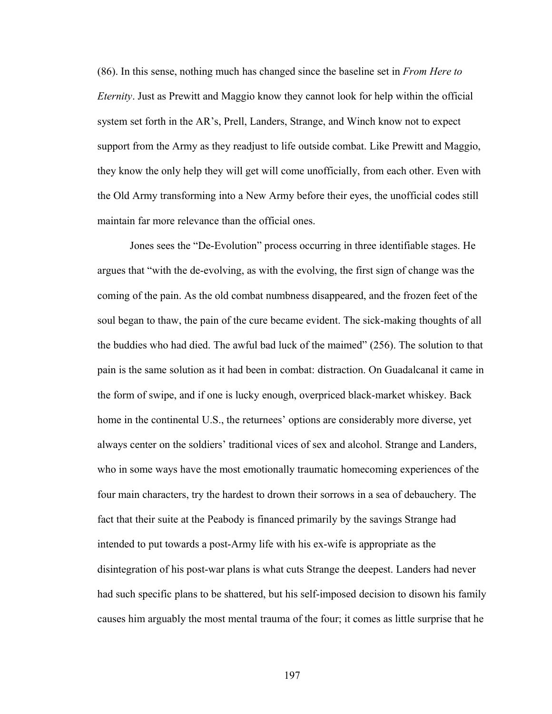(86). In this sense, nothing much has changed since the baseline set in *From Here to Eternity*. Just as Prewitt and Maggio know they cannot look for help within the official system set forth in the AR's, Prell, Landers, Strange, and Winch know not to expect support from the Army as they readjust to life outside combat. Like Prewitt and Maggio, they know the only help they will get will come unofficially, from each other. Even with the Old Army transforming into a New Army before their eyes, the unofficial codes still maintain far more relevance than the official ones.

Jones sees the "De-Evolution" process occurring in three identifiable stages. He argues that "with the de-evolving, as with the evolving, the first sign of change was the coming of the pain. As the old combat numbness disappeared, and the frozen feet of the soul began to thaw, the pain of the cure became evident. The sick-making thoughts of all the buddies who had died. The awful bad luck of the maimed" (256). The solution to that pain is the same solution as it had been in combat: distraction. On Guadalcanal it came in the form of swipe, and if one is lucky enough, overpriced black-market whiskey. Back home in the continental U.S., the returnees' options are considerably more diverse, yet always center on the soldiers' traditional vices of sex and alcohol. Strange and Landers, who in some ways have the most emotionally traumatic homecoming experiences of the four main characters, try the hardest to drown their sorrows in a sea of debauchery. The fact that their suite at the Peabody is financed primarily by the savings Strange had intended to put towards a post-Army life with his ex-wife is appropriate as the disintegration of his post-war plans is what cuts Strange the deepest. Landers had never had such specific plans to be shattered, but his self-imposed decision to disown his family causes him arguably the most mental trauma of the four; it comes as little surprise that he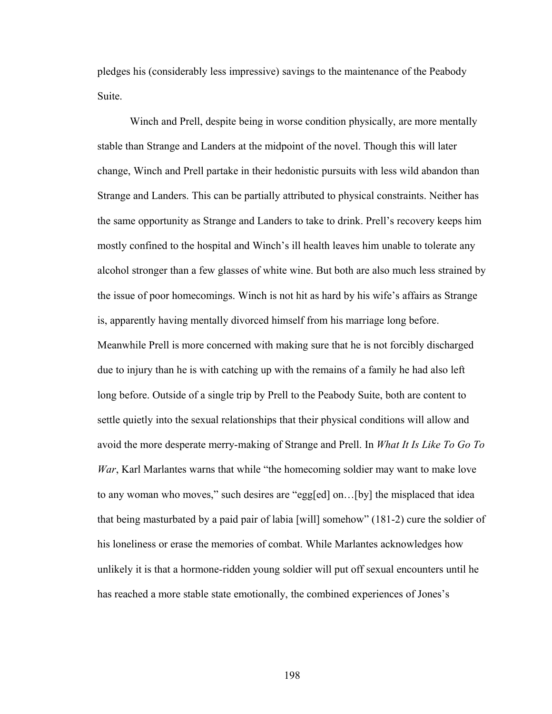pledges his (considerably less impressive) savings to the maintenance of the Peabody Suite.

Winch and Prell, despite being in worse condition physically, are more mentally stable than Strange and Landers at the midpoint of the novel. Though this will later change, Winch and Prell partake in their hedonistic pursuits with less wild abandon than Strange and Landers. This can be partially attributed to physical constraints. Neither has the same opportunity as Strange and Landers to take to drink. Prell's recovery keeps him mostly confined to the hospital and Winch's ill health leaves him unable to tolerate any alcohol stronger than a few glasses of white wine. But both are also much less strained by the issue of poor homecomings. Winch is not hit as hard by his wife's affairs as Strange is, apparently having mentally divorced himself from his marriage long before. Meanwhile Prell is more concerned with making sure that he is not forcibly discharged due to injury than he is with catching up with the remains of a family he had also left long before. Outside of a single trip by Prell to the Peabody Suite, both are content to settle quietly into the sexual relationships that their physical conditions will allow and avoid the more desperate merry-making of Strange and Prell. In *What It Is Like To Go To War*, Karl Marlantes warns that while "the homecoming soldier may want to make love to any woman who moves," such desires are "egg[ed] on…[by] the misplaced that idea that being masturbated by a paid pair of labia [will] somehow" (181-2) cure the soldier of his loneliness or erase the memories of combat. While Marlantes acknowledges how unlikely it is that a hormone-ridden young soldier will put off sexual encounters until he has reached a more stable state emotionally, the combined experiences of Jones's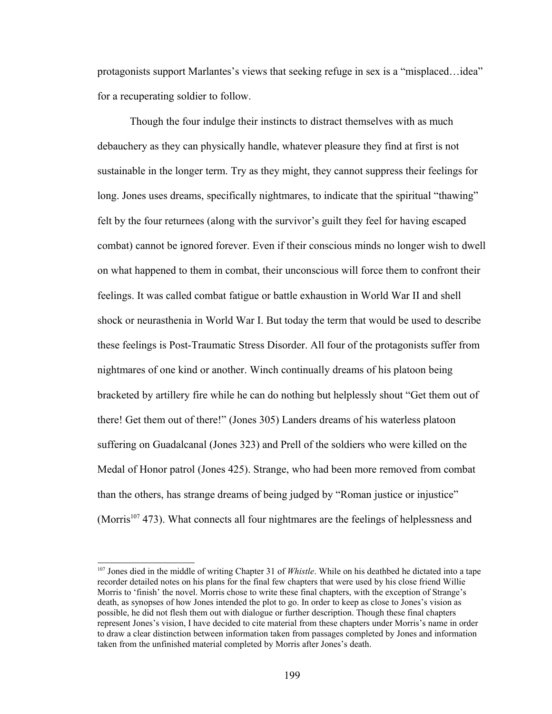protagonists support Marlantes's views that seeking refuge in sex is a "misplaced…idea" for a recuperating soldier to follow.

Though the four indulge their instincts to distract themselves with as much debauchery as they can physically handle, whatever pleasure they find at first is not sustainable in the longer term. Try as they might, they cannot suppress their feelings for long. Jones uses dreams, specifically nightmares, to indicate that the spiritual "thawing" felt by the four returnees (along with the survivor's guilt they feel for having escaped combat) cannot be ignored forever. Even if their conscious minds no longer wish to dwell on what happened to them in combat, their unconscious will force them to confront their feelings. It was called combat fatigue or battle exhaustion in World War II and shell shock or neurasthenia in World War I. But today the term that would be used to describe these feelings is Post-Traumatic Stress Disorder. All four of the protagonists suffer from nightmares of one kind or another. Winch continually dreams of his platoon being bracketed by artillery fire while he can do nothing but helplessly shout "Get them out of there! Get them out of there!" (Jones 305) Landers dreams of his waterless platoon suffering on Guadalcanal (Jones 323) and Prell of the soldiers who were killed on the Medal of Honor patrol (Jones 425). Strange, who had been more removed from combat than the others, has strange dreams of being judged by "Roman justice or injustice" (Morris<sup>[107](#page-206-0)</sup> 473). What connects all four nightmares are the feelings of helplessness and

<span id="page-206-0"></span><sup>107</sup> Jones died in the middle of writing Chapter 31 of *Whistle*. While on his deathbed he dictated into a tape recorder detailed notes on his plans for the final few chapters that were used by his close friend Willie Morris to 'finish' the novel. Morris chose to write these final chapters, with the exception of Strange's death, as synopses of how Jones intended the plot to go. In order to keep as close to Jones's vision as possible, he did not flesh them out with dialogue or further description. Though these final chapters represent Jones's vision, I have decided to cite material from these chapters under Morris's name in order to draw a clear distinction between information taken from passages completed by Jones and information taken from the unfinished material completed by Morris after Jones's death.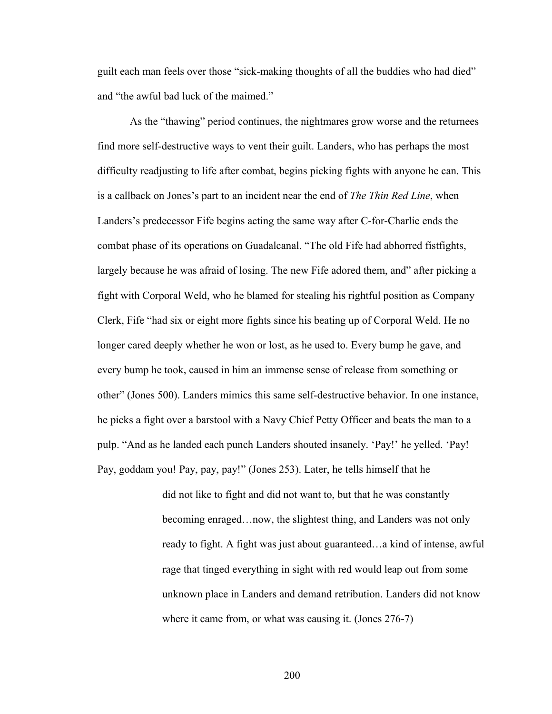guilt each man feels over those "sick-making thoughts of all the buddies who had died" and "the awful bad luck of the maimed."

As the "thawing" period continues, the nightmares grow worse and the returnees find more self-destructive ways to vent their guilt. Landers, who has perhaps the most difficulty readjusting to life after combat, begins picking fights with anyone he can. This is a callback on Jones's part to an incident near the end of *The Thin Red Line*, when Landers's predecessor Fife begins acting the same way after C-for-Charlie ends the combat phase of its operations on Guadalcanal. "The old Fife had abhorred fistfights, largely because he was afraid of losing. The new Fife adored them, and" after picking a fight with Corporal Weld, who he blamed for stealing his rightful position as Company Clerk, Fife "had six or eight more fights since his beating up of Corporal Weld. He no longer cared deeply whether he won or lost, as he used to. Every bump he gave, and every bump he took, caused in him an immense sense of release from something or other" (Jones 500). Landers mimics this same self-destructive behavior. In one instance, he picks a fight over a barstool with a Navy Chief Petty Officer and beats the man to a pulp. "And as he landed each punch Landers shouted insanely. 'Pay!' he yelled. 'Pay! Pay, goddam you! Pay, pay, pay!" (Jones 253). Later, he tells himself that he

> did not like to fight and did not want to, but that he was constantly becoming enraged…now, the slightest thing, and Landers was not only ready to fight. A fight was just about guaranteed…a kind of intense, awful rage that tinged everything in sight with red would leap out from some unknown place in Landers and demand retribution. Landers did not know where it came from, or what was causing it. (Jones 276-7)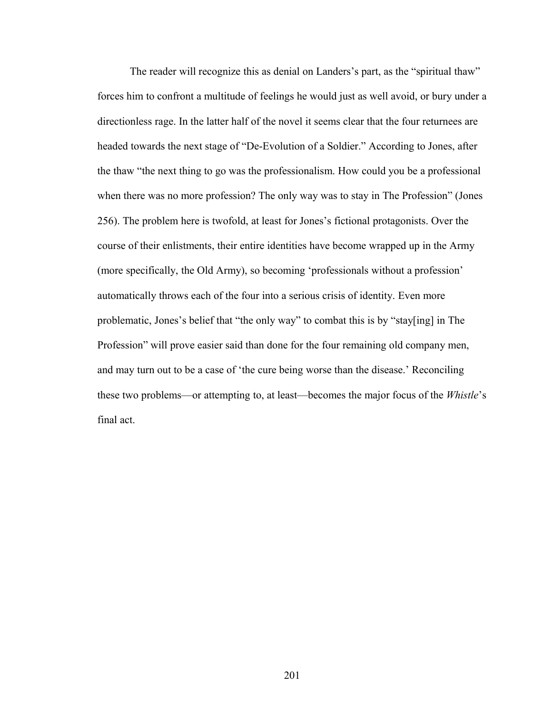The reader will recognize this as denial on Landers's part, as the "spiritual thaw" forces him to confront a multitude of feelings he would just as well avoid, or bury under a directionless rage. In the latter half of the novel it seems clear that the four returnees are headed towards the next stage of "De-Evolution of a Soldier." According to Jones, after the thaw "the next thing to go was the professionalism. How could you be a professional when there was no more profession? The only way was to stay in The Profession" (Jones 256). The problem here is twofold, at least for Jones's fictional protagonists. Over the course of their enlistments, their entire identities have become wrapped up in the Army (more specifically, the Old Army), so becoming 'professionals without a profession' automatically throws each of the four into a serious crisis of identity. Even more problematic, Jones's belief that "the only way" to combat this is by "stay[ing] in The Profession" will prove easier said than done for the four remaining old company men, and may turn out to be a case of 'the cure being worse than the disease.' Reconciling these two problems—or attempting to, at least—becomes the major focus of the *Whistle*'s final act.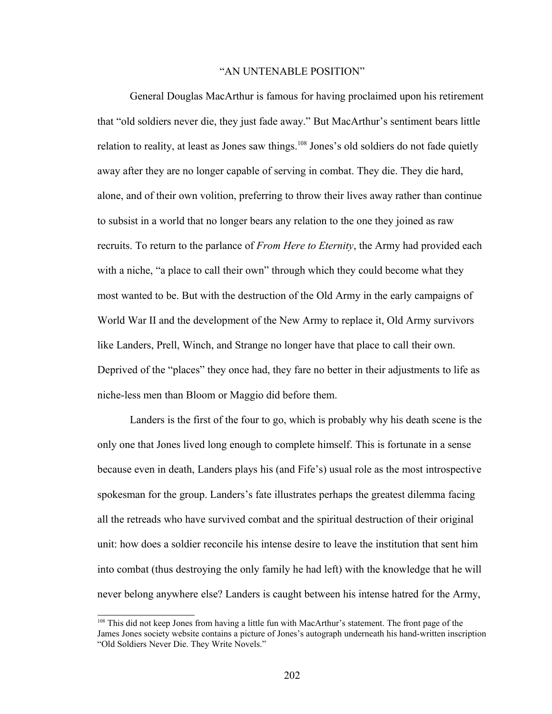### "AN UNTENABLE POSITION"

General Douglas MacArthur is famous for having proclaimed upon his retirement that "old soldiers never die, they just fade away." But MacArthur's sentiment bears little relation to reality, at least as Jones saw things.<sup>[108](#page-209-0)</sup> Jones's old soldiers do not fade quietly away after they are no longer capable of serving in combat. They die. They die hard, alone, and of their own volition, preferring to throw their lives away rather than continue to subsist in a world that no longer bears any relation to the one they joined as raw recruits. To return to the parlance of *From Here to Eternity*, the Army had provided each with a niche, "a place to call their own" through which they could become what they most wanted to be. But with the destruction of the Old Army in the early campaigns of World War II and the development of the New Army to replace it, Old Army survivors like Landers, Prell, Winch, and Strange no longer have that place to call their own. Deprived of the "places" they once had, they fare no better in their adjustments to life as niche-less men than Bloom or Maggio did before them.

Landers is the first of the four to go, which is probably why his death scene is the only one that Jones lived long enough to complete himself. This is fortunate in a sense because even in death, Landers plays his (and Fife's) usual role as the most introspective spokesman for the group. Landers's fate illustrates perhaps the greatest dilemma facing all the retreads who have survived combat and the spiritual destruction of their original unit: how does a soldier reconcile his intense desire to leave the institution that sent him into combat (thus destroying the only family he had left) with the knowledge that he will never belong anywhere else? Landers is caught between his intense hatred for the Army,

<span id="page-209-0"></span><sup>&</sup>lt;sup>108</sup> This did not keep Jones from having a little fun with MacArthur's statement. The front page of the James Jones society website contains a picture of Jones's autograph underneath his hand-written inscription "Old Soldiers Never Die. They Write Novels."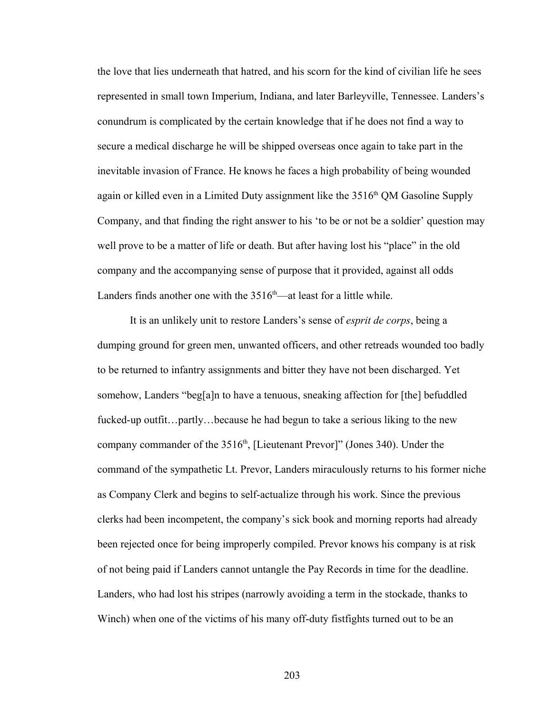the love that lies underneath that hatred, and his scorn for the kind of civilian life he sees represented in small town Imperium, Indiana, and later Barleyville, Tennessee. Landers's conundrum is complicated by the certain knowledge that if he does not find a way to secure a medical discharge he will be shipped overseas once again to take part in the inevitable invasion of France. He knows he faces a high probability of being wounded again or killed even in a Limited Duty assignment like the  $3516<sup>th</sup>$  QM Gasoline Supply Company, and that finding the right answer to his 'to be or not be a soldier' question may well prove to be a matter of life or death. But after having lost his "place" in the old company and the accompanying sense of purpose that it provided, against all odds Landers finds another one with the  $3516<sup>th</sup>$ —at least for a little while.

It is an unlikely unit to restore Landers's sense of *esprit de corps*, being a dumping ground for green men, unwanted officers, and other retreads wounded too badly to be returned to infantry assignments and bitter they have not been discharged. Yet somehow, Landers "beg[a]n to have a tenuous, sneaking affection for [the] befuddled fucked-up outfit…partly…because he had begun to take a serious liking to the new company commander of the  $3516<sup>th</sup>$ , [Lieutenant Prevor]" (Jones 340). Under the command of the sympathetic Lt. Prevor, Landers miraculously returns to his former niche as Company Clerk and begins to self-actualize through his work. Since the previous clerks had been incompetent, the company's sick book and morning reports had already been rejected once for being improperly compiled. Prevor knows his company is at risk of not being paid if Landers cannot untangle the Pay Records in time for the deadline. Landers, who had lost his stripes (narrowly avoiding a term in the stockade, thanks to Winch) when one of the victims of his many off-duty fistfights turned out to be an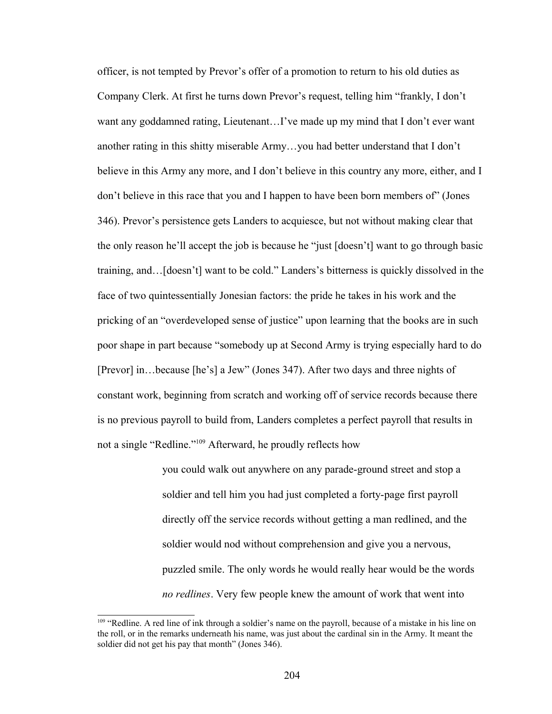officer, is not tempted by Prevor's offer of a promotion to return to his old duties as Company Clerk. At first he turns down Prevor's request, telling him "frankly, I don't want any goddamned rating, Lieutenant…I've made up my mind that I don't ever want another rating in this shitty miserable Army…you had better understand that I don't believe in this Army any more, and I don't believe in this country any more, either, and I don't believe in this race that you and I happen to have been born members of" (Jones 346). Prevor's persistence gets Landers to acquiesce, but not without making clear that the only reason he'll accept the job is because he "just [doesn't] want to go through basic training, and…[doesn't] want to be cold." Landers's bitterness is quickly dissolved in the face of two quintessentially Jonesian factors: the pride he takes in his work and the pricking of an "overdeveloped sense of justice" upon learning that the books are in such poor shape in part because "somebody up at Second Army is trying especially hard to do [Prevor] in…because [he's] a Jew" (Jones 347). After two days and three nights of constant work, beginning from scratch and working off of service records because there is no previous payroll to build from, Landers completes a perfect payroll that results in not a single "Redline."[109](#page-211-0) Afterward, he proudly reflects how

> you could walk out anywhere on any parade-ground street and stop a soldier and tell him you had just completed a forty-page first payroll directly off the service records without getting a man redlined, and the soldier would nod without comprehension and give you a nervous, puzzled smile. The only words he would really hear would be the words *no redlines*. Very few people knew the amount of work that went into

<span id="page-211-0"></span><sup>&</sup>lt;sup>109</sup> "Redline. A red line of ink through a soldier's name on the payroll, because of a mistake in his line on the roll, or in the remarks underneath his name, was just about the cardinal sin in the Army. It meant the soldier did not get his pay that month" (Jones 346).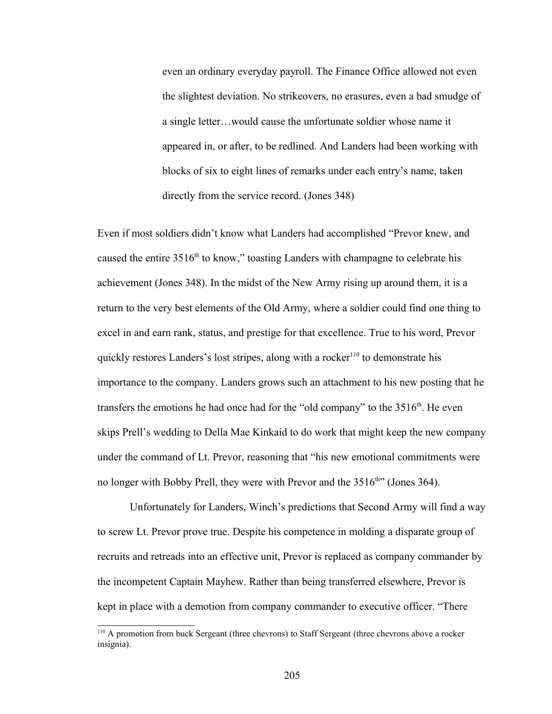even an ordinary everyday payroll. The Finance Office allowed not even the slightest deviation. No strikeovers, no erasures, even a bad smudge of a single letter…would cause the unfortunate soldier whose name it appeared in, or after, to be redlined. And Landers had been working with blocks of six to eight lines of remarks under each entry's name, taken directly from the service record. (Jones 348)

Even if most soldiers didn't know what Landers had accomplished "Prevor knew, and caused the entire  $3516<sup>th</sup>$  to know," toasting Landers with champagne to celebrate his achievement (Jones 348). In the midst of the New Army rising up around them, it is a return to the very best elements of the Old Army, where a soldier could find one thing to excel in and earn rank, status, and prestige for that excellence. True to his word, Prevor quickly restores Landers's lost stripes, along with a rocker<sup>[110](#page-212-0)</sup> to demonstrate his importance to the company. Landers grows such an attachment to his new posting that he transfers the emotions he had once had for the "old company" to the  $3516<sup>th</sup>$ . He even skips Prell's wedding to Della Mae Kinkaid to do work that might keep the new company under the command of Lt. Prevor, reasoning that "his new emotional commitments were no longer with Bobby Prell, they were with Prevor and the  $3516<sup>th</sup>$  (Jones 364).

Unfortunately for Landers, Winch's predictions that Second Army will find a way to screw Lt. Prevor prove true. Despite his competence in molding a disparate group of recruits and retreads into an effective unit, Prevor is replaced as company commander by the incompetent Captain Mayhew. Rather than being transferred elsewhere, Prevor is kept in place with a demotion from company commander to executive officer. "There

<span id="page-212-0"></span><sup>&</sup>lt;sup>110</sup> A promotion from buck Sergeant (three chevrons) to Staff Sergeant (three chevrons above a rocker insignia).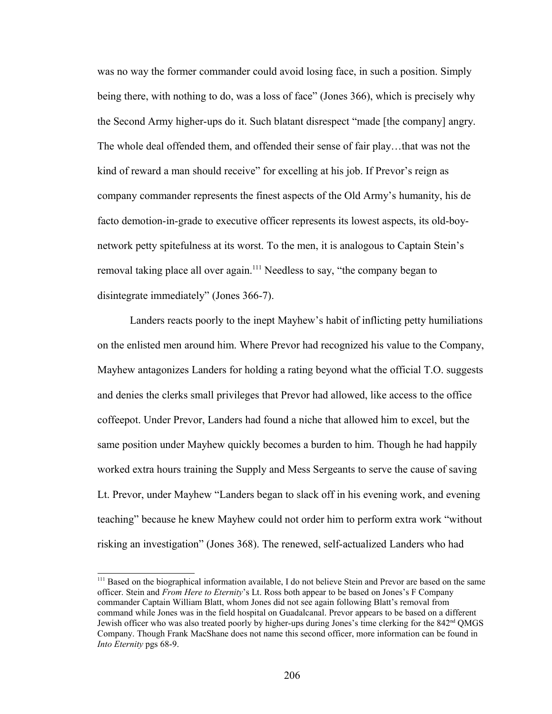was no way the former commander could avoid losing face, in such a position. Simply being there, with nothing to do, was a loss of face" (Jones 366), which is precisely why the Second Army higher-ups do it. Such blatant disrespect "made [the company] angry. The whole deal offended them, and offended their sense of fair play…that was not the kind of reward a man should receive" for excelling at his job. If Prevor's reign as company commander represents the finest aspects of the Old Army's humanity, his de facto demotion-in-grade to executive officer represents its lowest aspects, its old-boynetwork petty spitefulness at its worst. To the men, it is analogous to Captain Stein's removal taking place all over again.<sup>[111](#page-213-0)</sup> Needless to say, "the company began to disintegrate immediately" (Jones 366-7).

Landers reacts poorly to the inept Mayhew's habit of inflicting petty humiliations on the enlisted men around him. Where Prevor had recognized his value to the Company, Mayhew antagonizes Landers for holding a rating beyond what the official T.O. suggests and denies the clerks small privileges that Prevor had allowed, like access to the office coffeepot. Under Prevor, Landers had found a niche that allowed him to excel, but the same position under Mayhew quickly becomes a burden to him. Though he had happily worked extra hours training the Supply and Mess Sergeants to serve the cause of saving Lt. Prevor, under Mayhew "Landers began to slack off in his evening work, and evening teaching" because he knew Mayhew could not order him to perform extra work "without risking an investigation" (Jones 368). The renewed, self-actualized Landers who had

<span id="page-213-0"></span><sup>&</sup>lt;sup>111</sup> Based on the biographical information available, I do not believe Stein and Prevor are based on the same officer. Stein and *From Here to Eternity*'s Lt. Ross both appear to be based on Jones's F Company commander Captain William Blatt, whom Jones did not see again following Blatt's removal from command while Jones was in the field hospital on Guadalcanal. Prevor appears to be based on a different Jewish officer who was also treated poorly by higher-ups during Jones's time clerking for the 842nd QMGS Company. Though Frank MacShane does not name this second officer, more information can be found in *Into Eternity* pgs 68-9.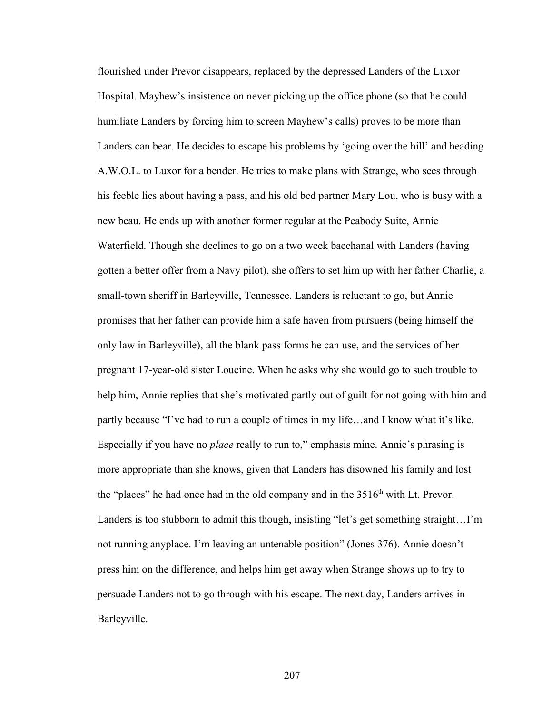flourished under Prevor disappears, replaced by the depressed Landers of the Luxor Hospital. Mayhew's insistence on never picking up the office phone (so that he could humiliate Landers by forcing him to screen Mayhew's calls) proves to be more than Landers can bear. He decides to escape his problems by 'going over the hill' and heading A.W.O.L. to Luxor for a bender. He tries to make plans with Strange, who sees through his feeble lies about having a pass, and his old bed partner Mary Lou, who is busy with a new beau. He ends up with another former regular at the Peabody Suite, Annie Waterfield. Though she declines to go on a two week bacchanal with Landers (having gotten a better offer from a Navy pilot), she offers to set him up with her father Charlie, a small-town sheriff in Barleyville, Tennessee. Landers is reluctant to go, but Annie promises that her father can provide him a safe haven from pursuers (being himself the only law in Barleyville), all the blank pass forms he can use, and the services of her pregnant 17-year-old sister Loucine. When he asks why she would go to such trouble to help him, Annie replies that she's motivated partly out of guilt for not going with him and partly because "I've had to run a couple of times in my life…and I know what it's like. Especially if you have no *place* really to run to," emphasis mine. Annie's phrasing is more appropriate than she knows, given that Landers has disowned his family and lost the "places" he had once had in the old company and in the  $3516<sup>th</sup>$  with Lt. Prevor. Landers is too stubborn to admit this though, insisting "let's get something straight…I'm not running anyplace. I'm leaving an untenable position" (Jones 376). Annie doesn't press him on the difference, and helps him get away when Strange shows up to try to persuade Landers not to go through with his escape. The next day, Landers arrives in Barleyville.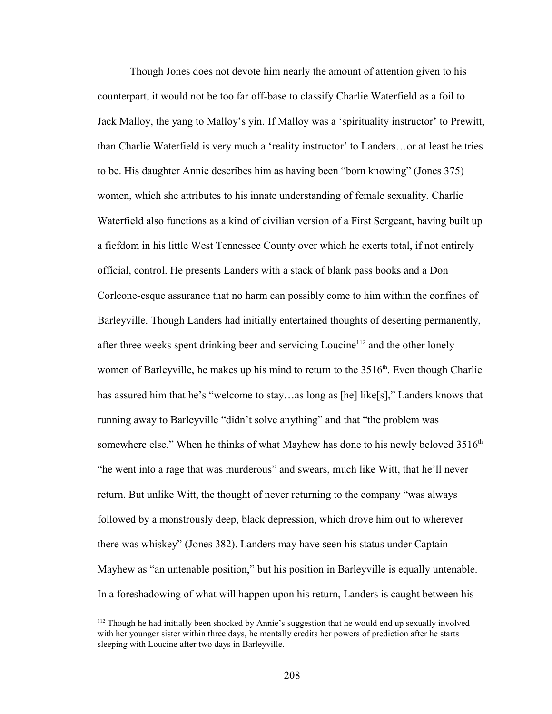Though Jones does not devote him nearly the amount of attention given to his counterpart, it would not be too far off-base to classify Charlie Waterfield as a foil to Jack Malloy, the yang to Malloy's yin. If Malloy was a 'spirituality instructor' to Prewitt, than Charlie Waterfield is very much a 'reality instructor' to Landers…or at least he tries to be. His daughter Annie describes him as having been "born knowing" (Jones 375) women, which she attributes to his innate understanding of female sexuality. Charlie Waterfield also functions as a kind of civilian version of a First Sergeant, having built up a fiefdom in his little West Tennessee County over which he exerts total, if not entirely official, control. He presents Landers with a stack of blank pass books and a Don Corleone-esque assurance that no harm can possibly come to him within the confines of Barleyville. Though Landers had initially entertained thoughts of deserting permanently, after three weeks spent drinking beer and servicing Loucine<sup>[112](#page-215-0)</sup> and the other lonely women of Barleyville, he makes up his mind to return to the  $3516<sup>th</sup>$ . Even though Charlie has assured him that he's "welcome to stay...as long as [he] like[s]," Landers knows that running away to Barleyville "didn't solve anything" and that "the problem was somewhere else." When he thinks of what Mayhew has done to his newly beloved  $3516<sup>th</sup>$ "he went into a rage that was murderous" and swears, much like Witt, that he'll never return. But unlike Witt, the thought of never returning to the company "was always followed by a monstrously deep, black depression, which drove him out to wherever there was whiskey" (Jones 382). Landers may have seen his status under Captain Mayhew as "an untenable position," but his position in Barleyville is equally untenable. In a foreshadowing of what will happen upon his return, Landers is caught between his

<span id="page-215-0"></span><sup>&</sup>lt;sup>112</sup> Though he had initially been shocked by Annie's suggestion that he would end up sexually involved with her younger sister within three days, he mentally credits her powers of prediction after he starts sleeping with Loucine after two days in Barleyville.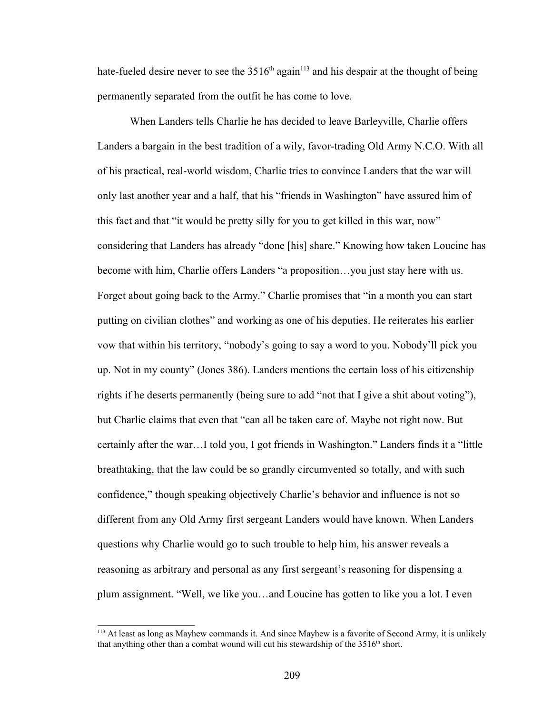hate-fueled desire never to see the  $3516<sup>th</sup>$  again<sup>[113](#page-216-0)</sup> and his despair at the thought of being permanently separated from the outfit he has come to love.

When Landers tells Charlie he has decided to leave Barleyville, Charlie offers Landers a bargain in the best tradition of a wily, favor-trading Old Army N.C.O. With all of his practical, real-world wisdom, Charlie tries to convince Landers that the war will only last another year and a half, that his "friends in Washington" have assured him of this fact and that "it would be pretty silly for you to get killed in this war, now" considering that Landers has already "done [his] share." Knowing how taken Loucine has become with him, Charlie offers Landers "a proposition…you just stay here with us. Forget about going back to the Army." Charlie promises that "in a month you can start putting on civilian clothes" and working as one of his deputies. He reiterates his earlier vow that within his territory, "nobody's going to say a word to you. Nobody'll pick you up. Not in my county" (Jones 386). Landers mentions the certain loss of his citizenship rights if he deserts permanently (being sure to add "not that I give a shit about voting"), but Charlie claims that even that "can all be taken care of. Maybe not right now. But certainly after the war…I told you, I got friends in Washington." Landers finds it a "little breathtaking, that the law could be so grandly circumvented so totally, and with such confidence," though speaking objectively Charlie's behavior and influence is not so different from any Old Army first sergeant Landers would have known. When Landers questions why Charlie would go to such trouble to help him, his answer reveals a reasoning as arbitrary and personal as any first sergeant's reasoning for dispensing a plum assignment. "Well, we like you…and Loucine has gotten to like you a lot. I even

<span id="page-216-0"></span><sup>&</sup>lt;sup>113</sup> At least as long as Mayhew commands it. And since Mayhew is a favorite of Second Army, it is unlikely that anything other than a combat wound will cut his stewardship of the  $3516<sup>th</sup>$  short.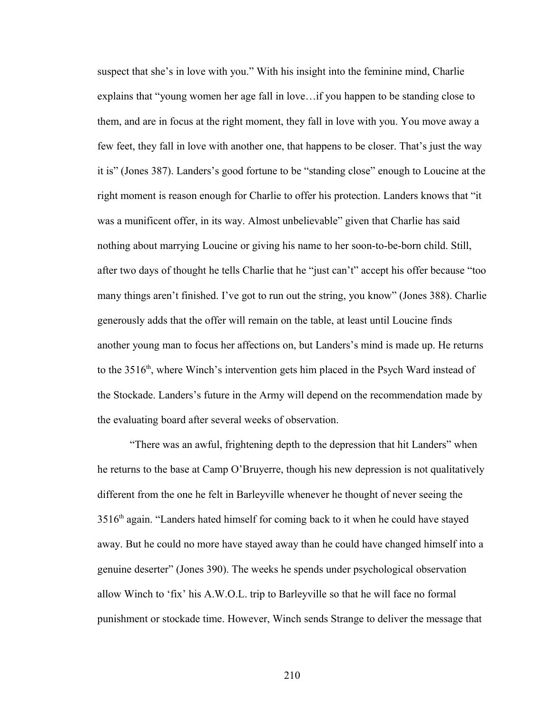suspect that she's in love with you." With his insight into the feminine mind, Charlie explains that "young women her age fall in love…if you happen to be standing close to them, and are in focus at the right moment, they fall in love with you. You move away a few feet, they fall in love with another one, that happens to be closer. That's just the way it is" (Jones 387). Landers's good fortune to be "standing close" enough to Loucine at the right moment is reason enough for Charlie to offer his protection. Landers knows that "it was a munificent offer, in its way. Almost unbelievable" given that Charlie has said nothing about marrying Loucine or giving his name to her soon-to-be-born child. Still, after two days of thought he tells Charlie that he "just can't" accept his offer because "too many things aren't finished. I've got to run out the string, you know" (Jones 388). Charlie generously adds that the offer will remain on the table, at least until Loucine finds another young man to focus her affections on, but Landers's mind is made up. He returns to the 3516<sup>th</sup>, where Winch's intervention gets him placed in the Psych Ward instead of the Stockade. Landers's future in the Army will depend on the recommendation made by the evaluating board after several weeks of observation.

"There was an awful, frightening depth to the depression that hit Landers" when he returns to the base at Camp O'Bruyerre, though his new depression is not qualitatively different from the one he felt in Barleyville whenever he thought of never seeing the 3516<sup>th</sup> again. "Landers hated himself for coming back to it when he could have stayed away. But he could no more have stayed away than he could have changed himself into a genuine deserter" (Jones 390). The weeks he spends under psychological observation allow Winch to 'fix' his A.W.O.L. trip to Barleyville so that he will face no formal punishment or stockade time. However, Winch sends Strange to deliver the message that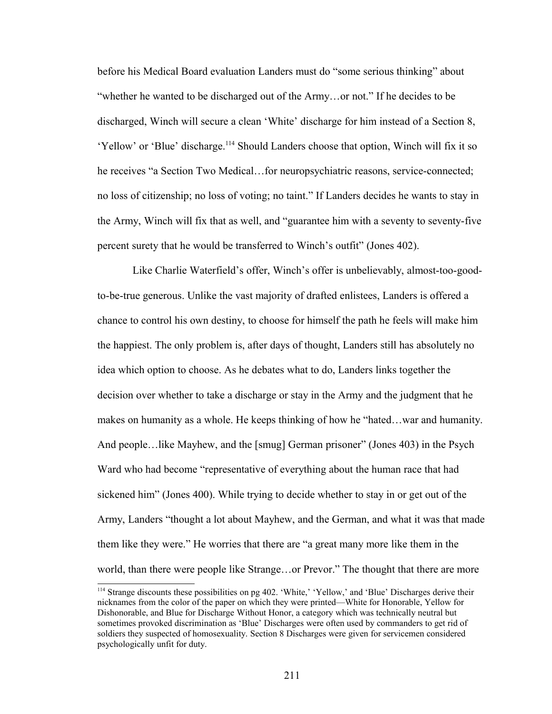before his Medical Board evaluation Landers must do "some serious thinking" about "whether he wanted to be discharged out of the Army…or not." If he decides to be discharged, Winch will secure a clean 'White' discharge for him instead of a Section 8, 'Yellow' or 'Blue' discharge.[114](#page-218-0) Should Landers choose that option, Winch will fix it so he receives "a Section Two Medical…for neuropsychiatric reasons, service-connected; no loss of citizenship; no loss of voting; no taint." If Landers decides he wants to stay in the Army, Winch will fix that as well, and "guarantee him with a seventy to seventy-five percent surety that he would be transferred to Winch's outfit" (Jones 402).

 Like Charlie Waterfield's offer, Winch's offer is unbelievably, almost-too-goodto-be-true generous. Unlike the vast majority of drafted enlistees, Landers is offered a chance to control his own destiny, to choose for himself the path he feels will make him the happiest. The only problem is, after days of thought, Landers still has absolutely no idea which option to choose. As he debates what to do, Landers links together the decision over whether to take a discharge or stay in the Army and the judgment that he makes on humanity as a whole. He keeps thinking of how he "hated…war and humanity. And people…like Mayhew, and the [smug] German prisoner" (Jones 403) in the Psych Ward who had become "representative of everything about the human race that had sickened him" (Jones 400). While trying to decide whether to stay in or get out of the Army, Landers "thought a lot about Mayhew, and the German, and what it was that made them like they were." He worries that there are "a great many more like them in the world, than there were people like Strange…or Prevor." The thought that there are more

<span id="page-218-0"></span><sup>114</sup> Strange discounts these possibilities on pg 402. 'White,' 'Yellow,' and 'Blue' Discharges derive their nicknames from the color of the paper on which they were printed—White for Honorable, Yellow for Dishonorable, and Blue for Discharge Without Honor, a category which was technically neutral but sometimes provoked discrimination as 'Blue' Discharges were often used by commanders to get rid of soldiers they suspected of homosexuality. Section 8 Discharges were given for servicemen considered psychologically unfit for duty.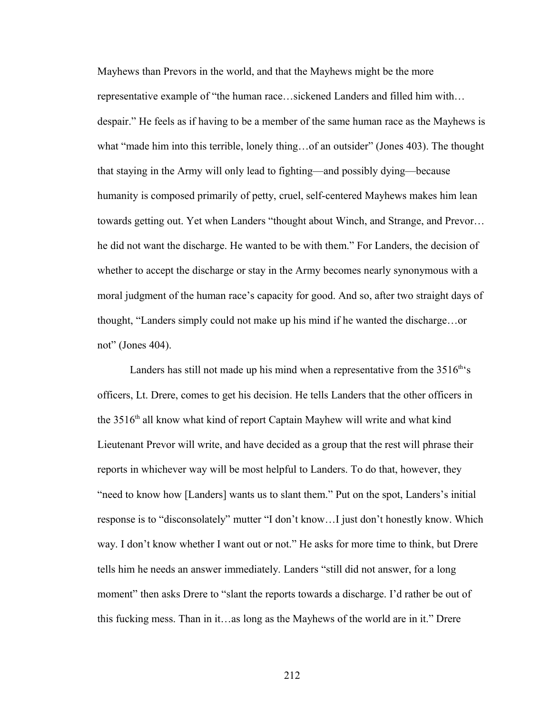Mayhews than Prevors in the world, and that the Mayhews might be the more representative example of "the human race…sickened Landers and filled him with… despair." He feels as if having to be a member of the same human race as the Mayhews is what "made him into this terrible, lonely thing... of an outsider" (Jones 403). The thought that staying in the Army will only lead to fighting—and possibly dying—because humanity is composed primarily of petty, cruel, self-centered Mayhews makes him lean towards getting out. Yet when Landers "thought about Winch, and Strange, and Prevor… he did not want the discharge. He wanted to be with them." For Landers, the decision of whether to accept the discharge or stay in the Army becomes nearly synonymous with a moral judgment of the human race's capacity for good. And so, after two straight days of thought, "Landers simply could not make up his mind if he wanted the discharge…or not" (Jones 404).

Landers has still not made up his mind when a representative from the  $3516<sup>th</sup>$ 's officers, Lt. Drere, comes to get his decision. He tells Landers that the other officers in the  $3516<sup>th</sup>$  all know what kind of report Captain Mayhew will write and what kind Lieutenant Prevor will write, and have decided as a group that the rest will phrase their reports in whichever way will be most helpful to Landers. To do that, however, they "need to know how [Landers] wants us to slant them." Put on the spot, Landers's initial response is to "disconsolately" mutter "I don't know…I just don't honestly know. Which way. I don't know whether I want out or not." He asks for more time to think, but Drere tells him he needs an answer immediately. Landers "still did not answer, for a long moment" then asks Drere to "slant the reports towards a discharge. I'd rather be out of this fucking mess. Than in it…as long as the Mayhews of the world are in it." Drere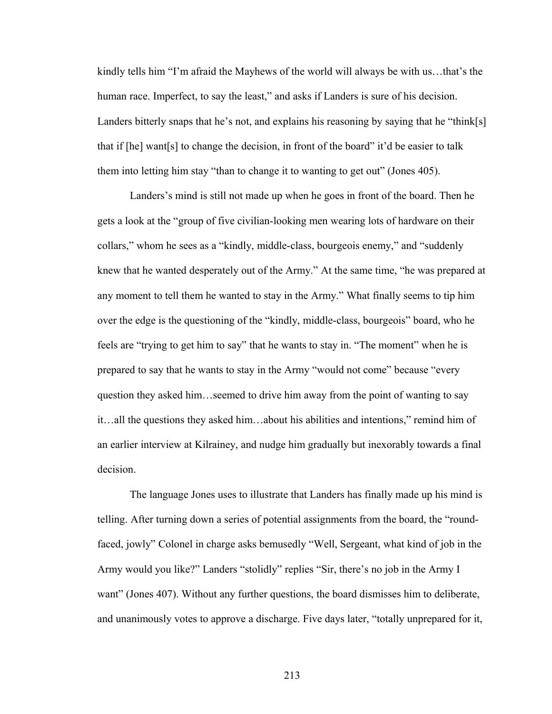kindly tells him "I'm afraid the Mayhews of the world will always be with us…that's the human race. Imperfect, to say the least," and asks if Landers is sure of his decision. Landers bitterly snaps that he's not, and explains his reasoning by saying that he "think[s] that if [he] want[s] to change the decision, in front of the board" it'd be easier to talk them into letting him stay "than to change it to wanting to get out" (Jones 405).

Landers's mind is still not made up when he goes in front of the board. Then he gets a look at the "group of five civilian-looking men wearing lots of hardware on their collars," whom he sees as a "kindly, middle-class, bourgeois enemy," and "suddenly knew that he wanted desperately out of the Army." At the same time, "he was prepared at any moment to tell them he wanted to stay in the Army." What finally seems to tip him over the edge is the questioning of the "kindly, middle-class, bourgeois" board, who he feels are "trying to get him to say" that he wants to stay in. "The moment" when he is prepared to say that he wants to stay in the Army "would not come" because "every question they asked him…seemed to drive him away from the point of wanting to say it…all the questions they asked him…about his abilities and intentions," remind him of an earlier interview at Kilrainey, and nudge him gradually but inexorably towards a final decision.

The language Jones uses to illustrate that Landers has finally made up his mind is telling. After turning down a series of potential assignments from the board, the "roundfaced, jowly" Colonel in charge asks bemusedly "Well, Sergeant, what kind of job in the Army would you like?" Landers "stolidly" replies "Sir, there's no job in the Army I want" (Jones 407). Without any further questions, the board dismisses him to deliberate, and unanimously votes to approve a discharge. Five days later, "totally unprepared for it,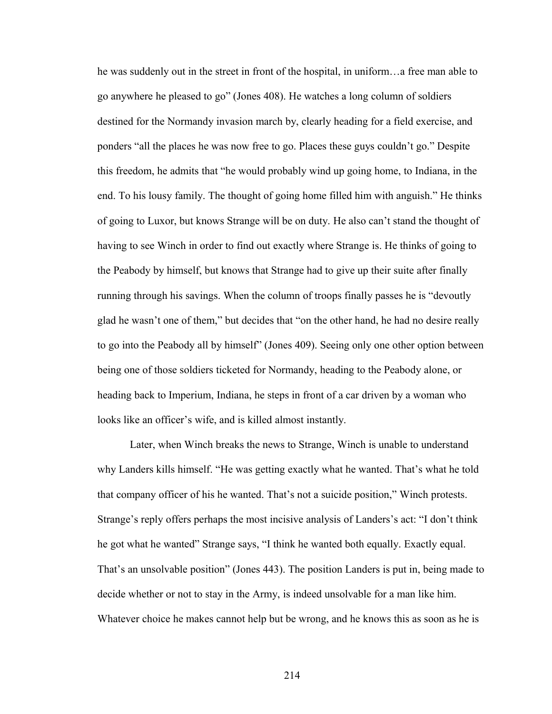he was suddenly out in the street in front of the hospital, in uniform…a free man able to go anywhere he pleased to go" (Jones 408). He watches a long column of soldiers destined for the Normandy invasion march by, clearly heading for a field exercise, and ponders "all the places he was now free to go. Places these guys couldn't go." Despite this freedom, he admits that "he would probably wind up going home, to Indiana, in the end. To his lousy family. The thought of going home filled him with anguish." He thinks of going to Luxor, but knows Strange will be on duty. He also can't stand the thought of having to see Winch in order to find out exactly where Strange is. He thinks of going to the Peabody by himself, but knows that Strange had to give up their suite after finally running through his savings. When the column of troops finally passes he is "devoutly glad he wasn't one of them," but decides that "on the other hand, he had no desire really to go into the Peabody all by himself" (Jones 409). Seeing only one other option between being one of those soldiers ticketed for Normandy, heading to the Peabody alone, or heading back to Imperium, Indiana, he steps in front of a car driven by a woman who looks like an officer's wife, and is killed almost instantly.

Later, when Winch breaks the news to Strange, Winch is unable to understand why Landers kills himself. "He was getting exactly what he wanted. That's what he told that company officer of his he wanted. That's not a suicide position," Winch protests. Strange's reply offers perhaps the most incisive analysis of Landers's act: "I don't think he got what he wanted" Strange says, "I think he wanted both equally. Exactly equal. That's an unsolvable position" (Jones 443). The position Landers is put in, being made to decide whether or not to stay in the Army, is indeed unsolvable for a man like him. Whatever choice he makes cannot help but be wrong, and he knows this as soon as he is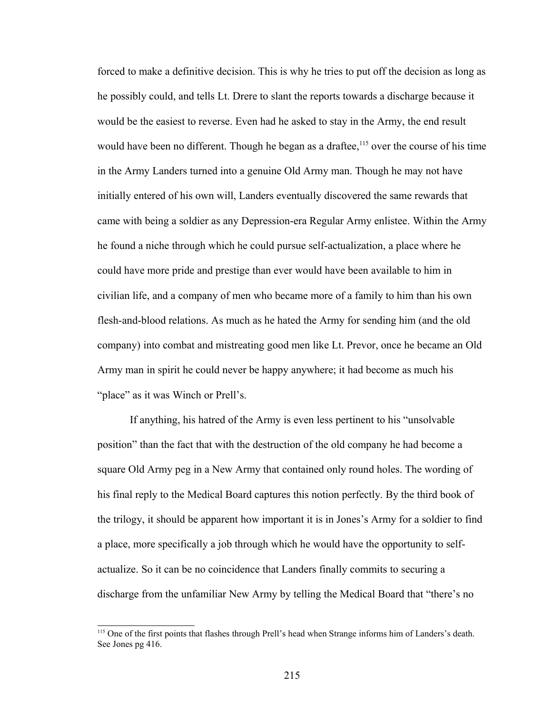forced to make a definitive decision. This is why he tries to put off the decision as long as he possibly could, and tells Lt. Drere to slant the reports towards a discharge because it would be the easiest to reverse. Even had he asked to stay in the Army, the end result would have been no different. Though he began as a draftee,  $115$  over the course of his time in the Army Landers turned into a genuine Old Army man. Though he may not have initially entered of his own will, Landers eventually discovered the same rewards that came with being a soldier as any Depression-era Regular Army enlistee. Within the Army he found a niche through which he could pursue self-actualization, a place where he could have more pride and prestige than ever would have been available to him in civilian life, and a company of men who became more of a family to him than his own flesh-and-blood relations. As much as he hated the Army for sending him (and the old company) into combat and mistreating good men like Lt. Prevor, once he became an Old Army man in spirit he could never be happy anywhere; it had become as much his "place" as it was Winch or Prell's.

If anything, his hatred of the Army is even less pertinent to his "unsolvable position" than the fact that with the destruction of the old company he had become a square Old Army peg in a New Army that contained only round holes. The wording of his final reply to the Medical Board captures this notion perfectly. By the third book of the trilogy, it should be apparent how important it is in Jones's Army for a soldier to find a place, more specifically a job through which he would have the opportunity to selfactualize. So it can be no coincidence that Landers finally commits to securing a discharge from the unfamiliar New Army by telling the Medical Board that "there's no

<span id="page-222-0"></span><sup>115</sup> One of the first points that flashes through Prell's head when Strange informs him of Landers's death. See Jones pg 416.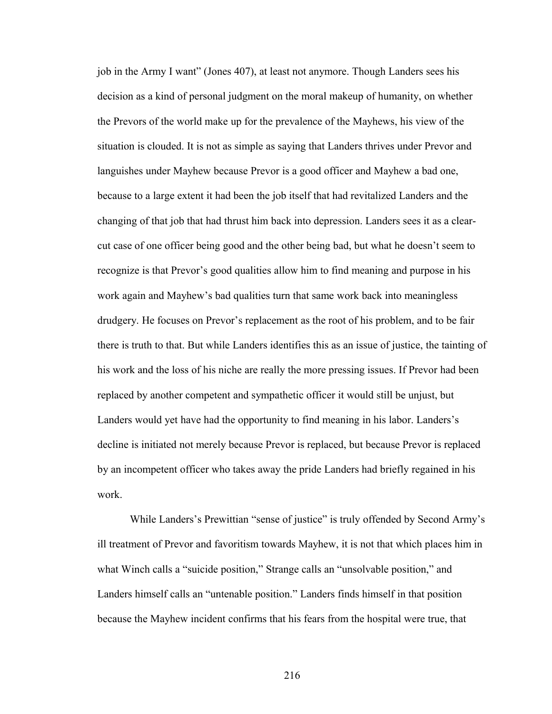job in the Army I want" (Jones 407), at least not anymore. Though Landers sees his decision as a kind of personal judgment on the moral makeup of humanity, on whether the Prevors of the world make up for the prevalence of the Mayhews, his view of the situation is clouded. It is not as simple as saying that Landers thrives under Prevor and languishes under Mayhew because Prevor is a good officer and Mayhew a bad one, because to a large extent it had been the job itself that had revitalized Landers and the changing of that job that had thrust him back into depression. Landers sees it as a clearcut case of one officer being good and the other being bad, but what he doesn't seem to recognize is that Prevor's good qualities allow him to find meaning and purpose in his work again and Mayhew's bad qualities turn that same work back into meaningless drudgery. He focuses on Prevor's replacement as the root of his problem, and to be fair there is truth to that. But while Landers identifies this as an issue of justice, the tainting of his work and the loss of his niche are really the more pressing issues. If Prevor had been replaced by another competent and sympathetic officer it would still be unjust, but Landers would yet have had the opportunity to find meaning in his labor. Landers's decline is initiated not merely because Prevor is replaced, but because Prevor is replaced by an incompetent officer who takes away the pride Landers had briefly regained in his work.

While Landers's Prewittian "sense of justice" is truly offended by Second Army's ill treatment of Prevor and favoritism towards Mayhew, it is not that which places him in what Winch calls a "suicide position," Strange calls an "unsolvable position," and Landers himself calls an "untenable position." Landers finds himself in that position because the Mayhew incident confirms that his fears from the hospital were true, that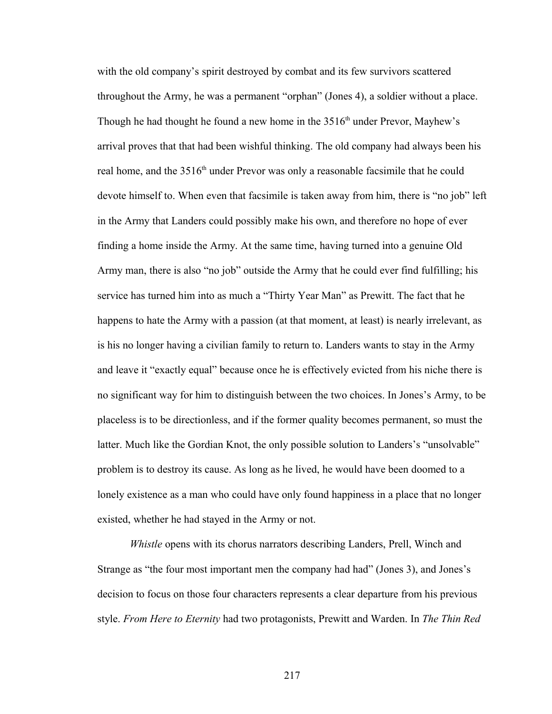with the old company's spirit destroyed by combat and its few survivors scattered throughout the Army, he was a permanent "orphan" (Jones 4), a soldier without a place. Though he had thought he found a new home in the  $3516<sup>th</sup>$  under Prevor, Mayhew's arrival proves that that had been wishful thinking. The old company had always been his real home, and the 3516<sup>th</sup> under Prevor was only a reasonable facsimile that he could devote himself to. When even that facsimile is taken away from him, there is "no job" left in the Army that Landers could possibly make his own, and therefore no hope of ever finding a home inside the Army. At the same time, having turned into a genuine Old Army man, there is also "no job" outside the Army that he could ever find fulfilling; his service has turned him into as much a "Thirty Year Man" as Prewitt. The fact that he happens to hate the Army with a passion (at that moment, at least) is nearly irrelevant, as is his no longer having a civilian family to return to. Landers wants to stay in the Army and leave it "exactly equal" because once he is effectively evicted from his niche there is no significant way for him to distinguish between the two choices. In Jones's Army, to be placeless is to be directionless, and if the former quality becomes permanent, so must the latter. Much like the Gordian Knot, the only possible solution to Landers's "unsolvable" problem is to destroy its cause. As long as he lived, he would have been doomed to a lonely existence as a man who could have only found happiness in a place that no longer existed, whether he had stayed in the Army or not.

*Whistle* opens with its chorus narrators describing Landers, Prell, Winch and Strange as "the four most important men the company had had" (Jones 3), and Jones's decision to focus on those four characters represents a clear departure from his previous style. *From Here to Eternity* had two protagonists, Prewitt and Warden. In *The Thin Red*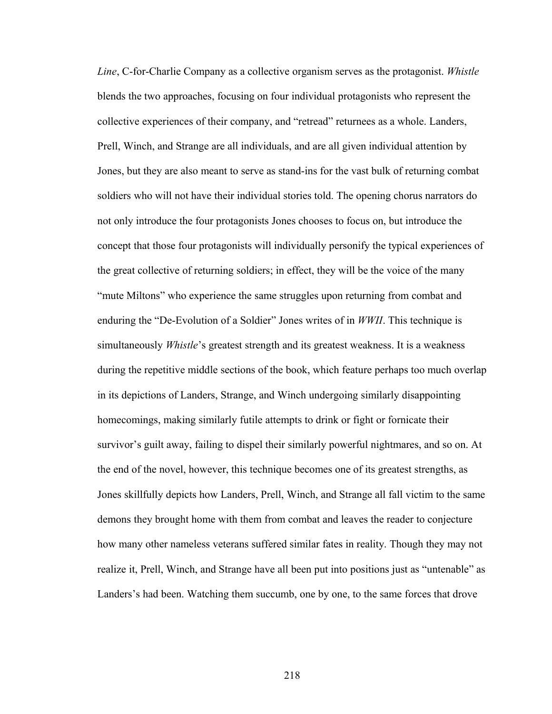*Line*, C-for-Charlie Company as a collective organism serves as the protagonist. *Whistle* blends the two approaches, focusing on four individual protagonists who represent the collective experiences of their company, and "retread" returnees as a whole. Landers, Prell, Winch, and Strange are all individuals, and are all given individual attention by Jones, but they are also meant to serve as stand-ins for the vast bulk of returning combat soldiers who will not have their individual stories told. The opening chorus narrators do not only introduce the four protagonists Jones chooses to focus on, but introduce the concept that those four protagonists will individually personify the typical experiences of the great collective of returning soldiers; in effect, they will be the voice of the many "mute Miltons" who experience the same struggles upon returning from combat and enduring the "De-Evolution of a Soldier" Jones writes of in *WWII*. This technique is simultaneously *Whistle*'s greatest strength and its greatest weakness. It is a weakness during the repetitive middle sections of the book, which feature perhaps too much overlap in its depictions of Landers, Strange, and Winch undergoing similarly disappointing homecomings, making similarly futile attempts to drink or fight or fornicate their survivor's guilt away, failing to dispel their similarly powerful nightmares, and so on. At the end of the novel, however, this technique becomes one of its greatest strengths, as Jones skillfully depicts how Landers, Prell, Winch, and Strange all fall victim to the same demons they brought home with them from combat and leaves the reader to conjecture how many other nameless veterans suffered similar fates in reality. Though they may not realize it, Prell, Winch, and Strange have all been put into positions just as "untenable" as Landers's had been. Watching them succumb, one by one, to the same forces that drove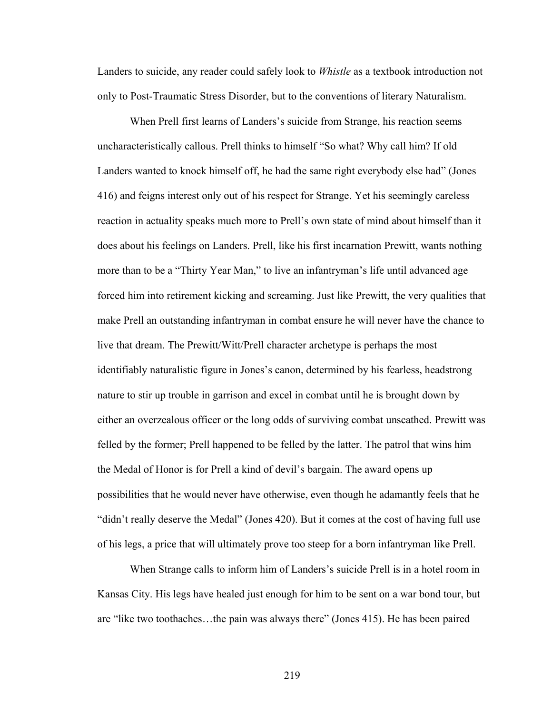Landers to suicide, any reader could safely look to *Whistle* as a textbook introduction not only to Post-Traumatic Stress Disorder, but to the conventions of literary Naturalism.

When Prell first learns of Landers's suicide from Strange, his reaction seems uncharacteristically callous. Prell thinks to himself "So what? Why call him? If old Landers wanted to knock himself off, he had the same right everybody else had" (Jones 416) and feigns interest only out of his respect for Strange. Yet his seemingly careless reaction in actuality speaks much more to Prell's own state of mind about himself than it does about his feelings on Landers. Prell, like his first incarnation Prewitt, wants nothing more than to be a "Thirty Year Man," to live an infantryman's life until advanced age forced him into retirement kicking and screaming. Just like Prewitt, the very qualities that make Prell an outstanding infantryman in combat ensure he will never have the chance to live that dream. The Prewitt/Witt/Prell character archetype is perhaps the most identifiably naturalistic figure in Jones's canon, determined by his fearless, headstrong nature to stir up trouble in garrison and excel in combat until he is brought down by either an overzealous officer or the long odds of surviving combat unscathed. Prewitt was felled by the former; Prell happened to be felled by the latter. The patrol that wins him the Medal of Honor is for Prell a kind of devil's bargain. The award opens up possibilities that he would never have otherwise, even though he adamantly feels that he "didn't really deserve the Medal" (Jones 420). But it comes at the cost of having full use of his legs, a price that will ultimately prove too steep for a born infantryman like Prell.

When Strange calls to inform him of Landers's suicide Prell is in a hotel room in Kansas City. His legs have healed just enough for him to be sent on a war bond tour, but are "like two toothaches…the pain was always there" (Jones 415). He has been paired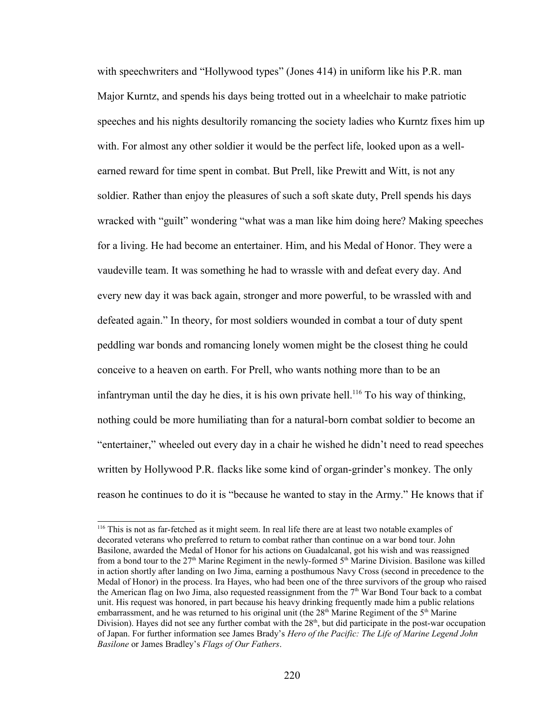with speechwriters and "Hollywood types" (Jones 414) in uniform like his P.R. man Major Kurntz, and spends his days being trotted out in a wheelchair to make patriotic speeches and his nights desultorily romancing the society ladies who Kurntz fixes him up with. For almost any other soldier it would be the perfect life, looked upon as a wellearned reward for time spent in combat. But Prell, like Prewitt and Witt, is not any soldier. Rather than enjoy the pleasures of such a soft skate duty, Prell spends his days wracked with "guilt" wondering "what was a man like him doing here? Making speeches for a living. He had become an entertainer. Him, and his Medal of Honor. They were a vaudeville team. It was something he had to wrassle with and defeat every day. And every new day it was back again, stronger and more powerful, to be wrassled with and defeated again." In theory, for most soldiers wounded in combat a tour of duty spent peddling war bonds and romancing lonely women might be the closest thing he could conceive to a heaven on earth. For Prell, who wants nothing more than to be an infantryman until the day he dies, it is his own private hell.<sup>[116](#page-227-0)</sup> To his way of thinking, nothing could be more humiliating than for a natural-born combat soldier to become an "entertainer," wheeled out every day in a chair he wished he didn't need to read speeches written by Hollywood P.R. flacks like some kind of organ-grinder's monkey. The only reason he continues to do it is "because he wanted to stay in the Army." He knows that if

<span id="page-227-0"></span><sup>&</sup>lt;sup>116</sup> This is not as far-fetched as it might seem. In real life there are at least two notable examples of decorated veterans who preferred to return to combat rather than continue on a war bond tour. John Basilone, awarded the Medal of Honor for his actions on Guadalcanal, got his wish and was reassigned from a bond tour to the 27<sup>th</sup> Marine Regiment in the newly-formed 5<sup>th</sup> Marine Division. Basilone was killed in action shortly after landing on Iwo Jima, earning a posthumous Navy Cross (second in precedence to the Medal of Honor) in the process. Ira Hayes, who had been one of the three survivors of the group who raised the American flag on Iwo Jima, also requested reassignment from the  $7<sup>th</sup>$  War Bond Tour back to a combat unit. His request was honored, in part because his heavy drinking frequently made him a public relations embarrassment, and he was returned to his original unit (the  $28<sup>th</sup>$  Marine Regiment of the  $5<sup>th</sup>$  Marine Division). Hayes did not see any further combat with the  $28<sup>th</sup>$ , but did participate in the post-war occupation of Japan. For further information see James Brady's *Hero of the Pacific: The Life of Marine Legend John Basilone* or James Bradley's *Flags of Our Fathers*.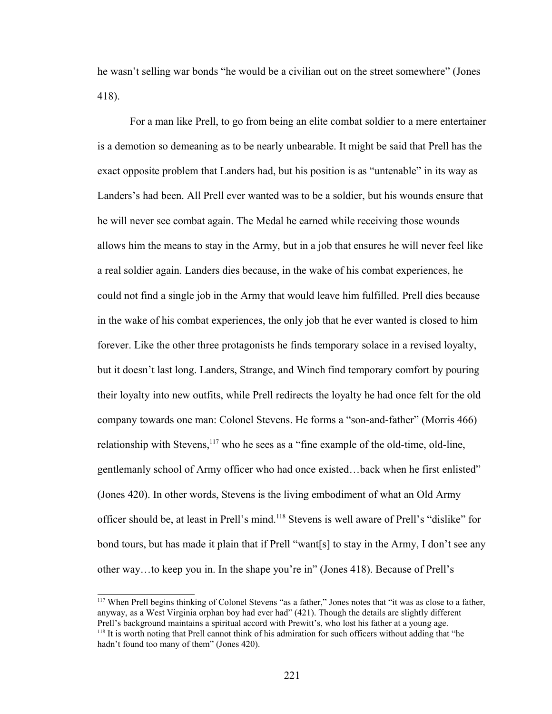he wasn't selling war bonds "he would be a civilian out on the street somewhere" (Jones 418).

For a man like Prell, to go from being an elite combat soldier to a mere entertainer is a demotion so demeaning as to be nearly unbearable. It might be said that Prell has the exact opposite problem that Landers had, but his position is as "untenable" in its way as Landers's had been. All Prell ever wanted was to be a soldier, but his wounds ensure that he will never see combat again. The Medal he earned while receiving those wounds allows him the means to stay in the Army, but in a job that ensures he will never feel like a real soldier again. Landers dies because, in the wake of his combat experiences, he could not find a single job in the Army that would leave him fulfilled. Prell dies because in the wake of his combat experiences, the only job that he ever wanted is closed to him forever. Like the other three protagonists he finds temporary solace in a revised loyalty, but it doesn't last long. Landers, Strange, and Winch find temporary comfort by pouring their loyalty into new outfits, while Prell redirects the loyalty he had once felt for the old company towards one man: Colonel Stevens. He forms a "son-and-father" (Morris 466) relationship with Stevens,  $117$  who he sees as a "fine example of the old-time, old-line, gentlemanly school of Army officer who had once existed…back when he first enlisted" (Jones 420). In other words, Stevens is the living embodiment of what an Old Army officer should be, at least in Prell's mind.[118](#page-228-1) Stevens is well aware of Prell's "dislike" for bond tours, but has made it plain that if Prell "want[s] to stay in the Army, I don't see any other way…to keep you in. In the shape you're in" (Jones 418). Because of Prell's

<span id="page-228-1"></span><span id="page-228-0"></span><sup>117</sup> When Prell begins thinking of Colonel Stevens "as a father," Jones notes that "it was as close to a father, anyway, as a West Virginia orphan boy had ever had" (421). Though the details are slightly different Prell's background maintains a spiritual accord with Prewitt's, who lost his father at a young age. <sup>118</sup> It is worth noting that Prell cannot think of his admiration for such officers without adding that "he hadn't found too many of them" (Jones 420).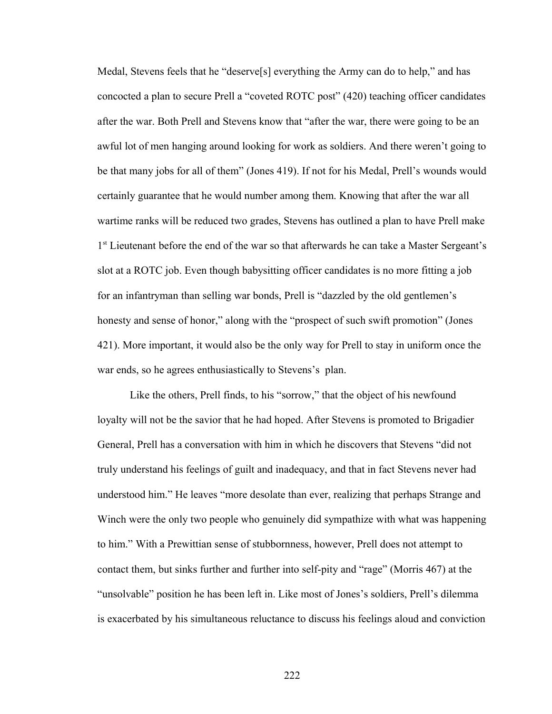Medal, Stevens feels that he "deserve[s] everything the Army can do to help," and has concocted a plan to secure Prell a "coveted ROTC post" (420) teaching officer candidates after the war. Both Prell and Stevens know that "after the war, there were going to be an awful lot of men hanging around looking for work as soldiers. And there weren't going to be that many jobs for all of them" (Jones 419). If not for his Medal, Prell's wounds would certainly guarantee that he would number among them. Knowing that after the war all wartime ranks will be reduced two grades, Stevens has outlined a plan to have Prell make 1<sup>st</sup> Lieutenant before the end of the war so that afterwards he can take a Master Sergeant's slot at a ROTC job. Even though babysitting officer candidates is no more fitting a job for an infantryman than selling war bonds, Prell is "dazzled by the old gentlemen's honesty and sense of honor," along with the "prospect of such swift promotion" (Jones 421). More important, it would also be the only way for Prell to stay in uniform once the war ends, so he agrees enthusiastically to Stevens's plan.

Like the others, Prell finds, to his "sorrow," that the object of his newfound loyalty will not be the savior that he had hoped. After Stevens is promoted to Brigadier General, Prell has a conversation with him in which he discovers that Stevens "did not truly understand his feelings of guilt and inadequacy, and that in fact Stevens never had understood him." He leaves "more desolate than ever, realizing that perhaps Strange and Winch were the only two people who genuinely did sympathize with what was happening to him." With a Prewittian sense of stubbornness, however, Prell does not attempt to contact them, but sinks further and further into self-pity and "rage" (Morris 467) at the "unsolvable" position he has been left in. Like most of Jones's soldiers, Prell's dilemma is exacerbated by his simultaneous reluctance to discuss his feelings aloud and conviction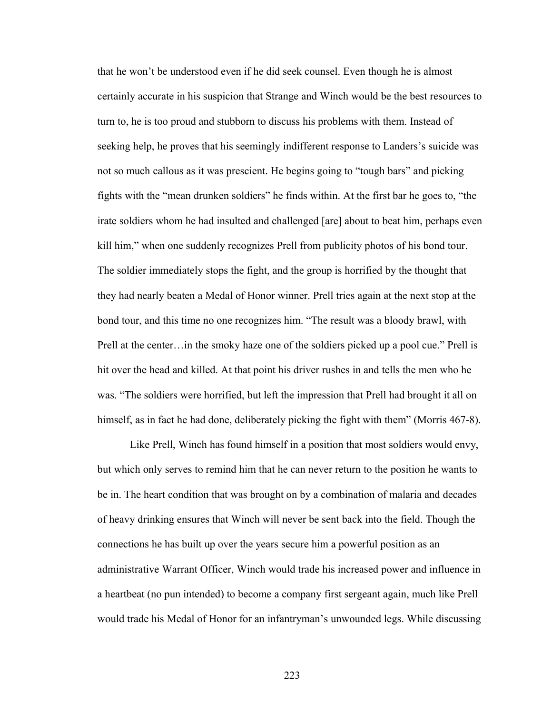that he won't be understood even if he did seek counsel. Even though he is almost certainly accurate in his suspicion that Strange and Winch would be the best resources to turn to, he is too proud and stubborn to discuss his problems with them. Instead of seeking help, he proves that his seemingly indifferent response to Landers's suicide was not so much callous as it was prescient. He begins going to "tough bars" and picking fights with the "mean drunken soldiers" he finds within. At the first bar he goes to, "the irate soldiers whom he had insulted and challenged [are] about to beat him, perhaps even kill him," when one suddenly recognizes Prell from publicity photos of his bond tour. The soldier immediately stops the fight, and the group is horrified by the thought that they had nearly beaten a Medal of Honor winner. Prell tries again at the next stop at the bond tour, and this time no one recognizes him. "The result was a bloody brawl, with Prell at the center…in the smoky haze one of the soldiers picked up a pool cue." Prell is hit over the head and killed. At that point his driver rushes in and tells the men who he was. "The soldiers were horrified, but left the impression that Prell had brought it all on himself, as in fact he had done, deliberately picking the fight with them" (Morris 467-8).

Like Prell, Winch has found himself in a position that most soldiers would envy, but which only serves to remind him that he can never return to the position he wants to be in. The heart condition that was brought on by a combination of malaria and decades of heavy drinking ensures that Winch will never be sent back into the field. Though the connections he has built up over the years secure him a powerful position as an administrative Warrant Officer, Winch would trade his increased power and influence in a heartbeat (no pun intended) to become a company first sergeant again, much like Prell would trade his Medal of Honor for an infantryman's unwounded legs. While discussing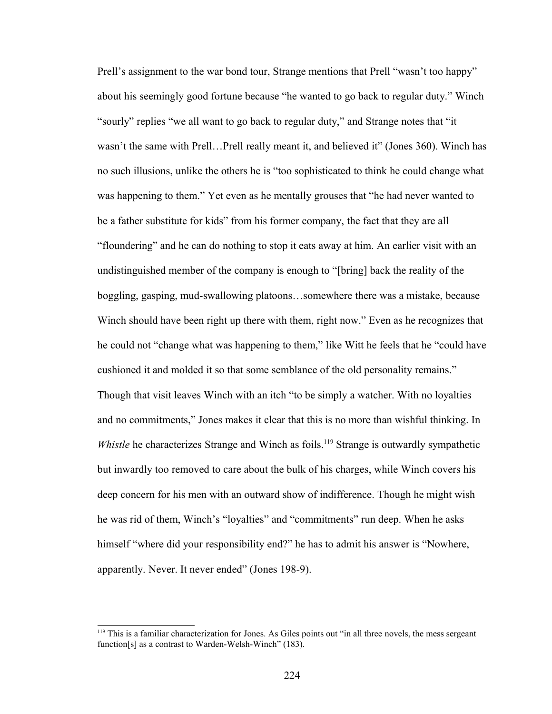Prell's assignment to the war bond tour, Strange mentions that Prell "wasn't too happy" about his seemingly good fortune because "he wanted to go back to regular duty." Winch "sourly" replies "we all want to go back to regular duty," and Strange notes that "it wasn't the same with Prell…Prell really meant it, and believed it" (Jones 360). Winch has no such illusions, unlike the others he is "too sophisticated to think he could change what was happening to them." Yet even as he mentally grouses that "he had never wanted to be a father substitute for kids" from his former company, the fact that they are all "floundering" and he can do nothing to stop it eats away at him. An earlier visit with an undistinguished member of the company is enough to "[bring] back the reality of the boggling, gasping, mud-swallowing platoons…somewhere there was a mistake, because Winch should have been right up there with them, right now." Even as he recognizes that he could not "change what was happening to them," like Witt he feels that he "could have cushioned it and molded it so that some semblance of the old personality remains." Though that visit leaves Winch with an itch "to be simply a watcher. With no loyalties and no commitments," Jones makes it clear that this is no more than wishful thinking. In *Whistle* he characterizes Strange and Winch as foils.<sup>[119](#page-231-0)</sup> Strange is outwardly sympathetic but inwardly too removed to care about the bulk of his charges, while Winch covers his deep concern for his men with an outward show of indifference. Though he might wish he was rid of them, Winch's "loyalties" and "commitments" run deep. When he asks himself "where did your responsibility end?" he has to admit his answer is "Nowhere, apparently. Never. It never ended" (Jones 198-9).

<span id="page-231-0"></span><sup>&</sup>lt;sup>119</sup> This is a familiar characterization for Jones. As Giles points out "in all three novels, the mess sergeant function[s] as a contrast to Warden-Welsh-Winch" (183).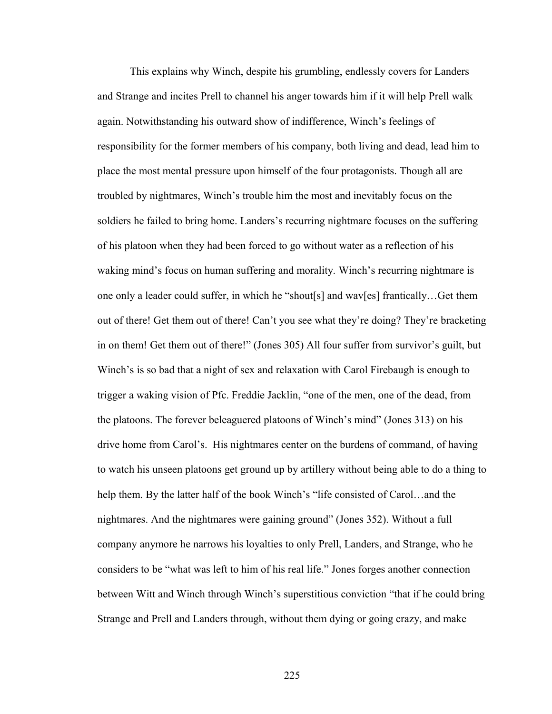This explains why Winch, despite his grumbling, endlessly covers for Landers and Strange and incites Prell to channel his anger towards him if it will help Prell walk again. Notwithstanding his outward show of indifference, Winch's feelings of responsibility for the former members of his company, both living and dead, lead him to place the most mental pressure upon himself of the four protagonists. Though all are troubled by nightmares, Winch's trouble him the most and inevitably focus on the soldiers he failed to bring home. Landers's recurring nightmare focuses on the suffering of his platoon when they had been forced to go without water as a reflection of his waking mind's focus on human suffering and morality. Winch's recurring nightmare is one only a leader could suffer, in which he "shout[s] and wav[es] frantically…Get them out of there! Get them out of there! Can't you see what they're doing? They're bracketing in on them! Get them out of there!" (Jones 305) All four suffer from survivor's guilt, but Winch's is so bad that a night of sex and relaxation with Carol Firebaugh is enough to trigger a waking vision of Pfc. Freddie Jacklin, "one of the men, one of the dead, from the platoons. The forever beleaguered platoons of Winch's mind" (Jones 313) on his drive home from Carol's. His nightmares center on the burdens of command, of having to watch his unseen platoons get ground up by artillery without being able to do a thing to help them. By the latter half of the book Winch's "life consisted of Carol...and the nightmares. And the nightmares were gaining ground" (Jones 352). Without a full company anymore he narrows his loyalties to only Prell, Landers, and Strange, who he considers to be "what was left to him of his real life." Jones forges another connection between Witt and Winch through Winch's superstitious conviction "that if he could bring Strange and Prell and Landers through, without them dying or going crazy, and make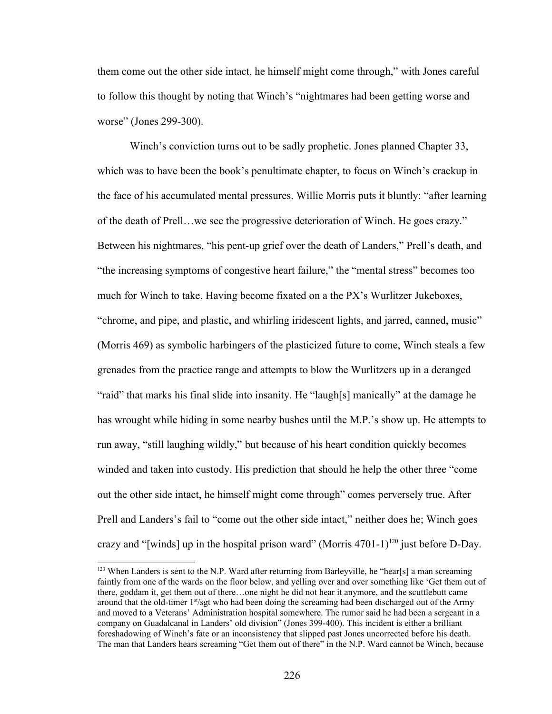them come out the other side intact, he himself might come through," with Jones careful to follow this thought by noting that Winch's "nightmares had been getting worse and worse" (Jones 299-300).

Winch's conviction turns out to be sadly prophetic. Jones planned Chapter 33, which was to have been the book's penultimate chapter, to focus on Winch's crackup in the face of his accumulated mental pressures. Willie Morris puts it bluntly: "after learning of the death of Prell…we see the progressive deterioration of Winch. He goes crazy." Between his nightmares, "his pent-up grief over the death of Landers," Prell's death, and "the increasing symptoms of congestive heart failure," the "mental stress" becomes too much for Winch to take. Having become fixated on a the PX's Wurlitzer Jukeboxes, "chrome, and pipe, and plastic, and whirling iridescent lights, and jarred, canned, music" (Morris 469) as symbolic harbingers of the plasticized future to come, Winch steals a few grenades from the practice range and attempts to blow the Wurlitzers up in a deranged "raid" that marks his final slide into insanity. He "laugh[s] manically" at the damage he has wrought while hiding in some nearby bushes until the M.P.'s show up. He attempts to run away, "still laughing wildly," but because of his heart condition quickly becomes winded and taken into custody. His prediction that should he help the other three "come out the other side intact, he himself might come through" comes perversely true. After Prell and Landers's fail to "come out the other side intact," neither does he; Winch goes crazy and "[winds] up in the hospital prison ward" (Morris 4701-1)<sup>[120](#page-233-0)</sup> just before D-Day.

<span id="page-233-0"></span><sup>&</sup>lt;sup>120</sup> When Landers is sent to the N.P. Ward after returning from Barleyville, he "hear[s] a man screaming faintly from one of the wards on the floor below, and yelling over and over something like 'Get them out of there, goddam it, get them out of there…one night he did not hear it anymore, and the scuttlebutt came around that the old-timer  $1<sup>st</sup>/sgt$  who had been doing the screaming had been discharged out of the Army and moved to a Veterans' Administration hospital somewhere. The rumor said he had been a sergeant in a company on Guadalcanal in Landers' old division" (Jones 399-400). This incident is either a brilliant foreshadowing of Winch's fate or an inconsistency that slipped past Jones uncorrected before his death. The man that Landers hears screaming "Get them out of there" in the N.P. Ward cannot be Winch, because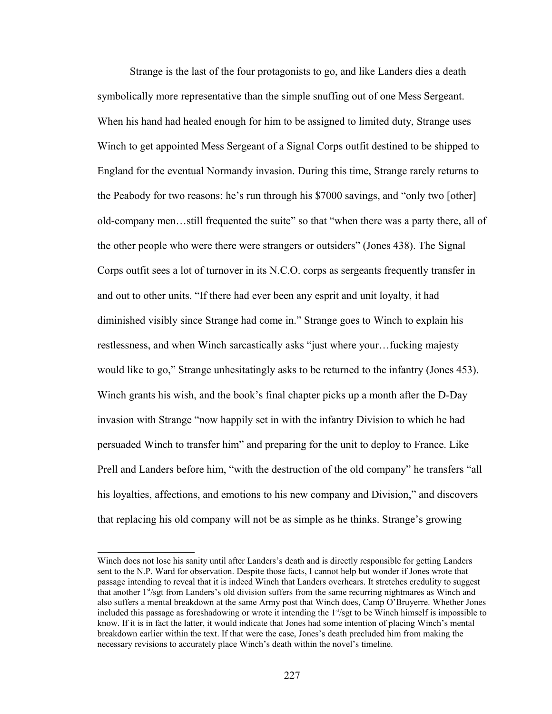Strange is the last of the four protagonists to go, and like Landers dies a death symbolically more representative than the simple snuffing out of one Mess Sergeant. When his hand had healed enough for him to be assigned to limited duty, Strange uses Winch to get appointed Mess Sergeant of a Signal Corps outfit destined to be shipped to England for the eventual Normandy invasion. During this time, Strange rarely returns to the Peabody for two reasons: he's run through his \$7000 savings, and "only two [other] old-company men…still frequented the suite" so that "when there was a party there, all of the other people who were there were strangers or outsiders" (Jones 438). The Signal Corps outfit sees a lot of turnover in its N.C.O. corps as sergeants frequently transfer in and out to other units. "If there had ever been any esprit and unit loyalty, it had diminished visibly since Strange had come in." Strange goes to Winch to explain his restlessness, and when Winch sarcastically asks "just where your…fucking majesty would like to go," Strange unhesitatingly asks to be returned to the infantry (Jones 453). Winch grants his wish, and the book's final chapter picks up a month after the D-Day invasion with Strange "now happily set in with the infantry Division to which he had persuaded Winch to transfer him" and preparing for the unit to deploy to France. Like Prell and Landers before him, "with the destruction of the old company" he transfers "all his loyalties, affections, and emotions to his new company and Division," and discovers that replacing his old company will not be as simple as he thinks. Strange's growing

Winch does not lose his sanity until after Landers's death and is directly responsible for getting Landers sent to the N.P. Ward for observation. Despite those facts, I cannot help but wonder if Jones wrote that passage intending to reveal that it is indeed Winch that Landers overhears. It stretches credulity to suggest that another 1<sup>st</sup>/sgt from Landers's old division suffers from the same recurring nightmares as Winch and also suffers a mental breakdown at the same Army post that Winch does, Camp O'Bruyerre. Whether Jones included this passage as foreshadowing or wrote it intending the  $1<sup>st</sup>/sgt$  to be Winch himself is impossible to know. If it is in fact the latter, it would indicate that Jones had some intention of placing Winch's mental breakdown earlier within the text. If that were the case, Jones's death precluded him from making the necessary revisions to accurately place Winch's death within the novel's timeline.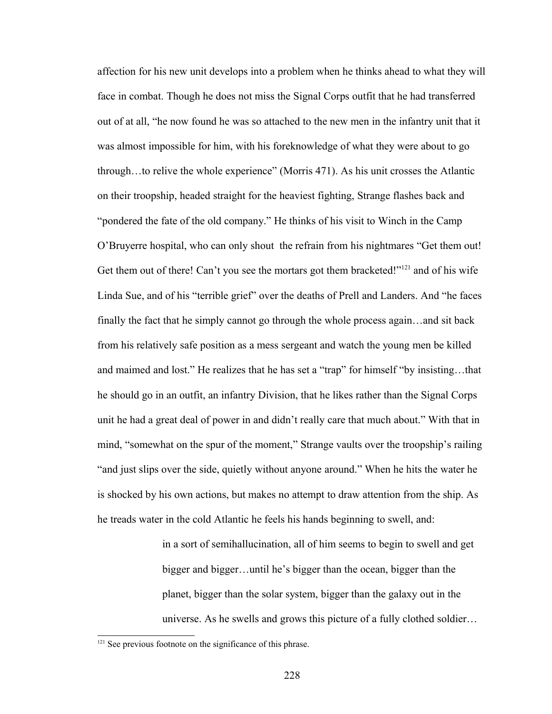affection for his new unit develops into a problem when he thinks ahead to what they will face in combat. Though he does not miss the Signal Corps outfit that he had transferred out of at all, "he now found he was so attached to the new men in the infantry unit that it was almost impossible for him, with his foreknowledge of what they were about to go through…to relive the whole experience" (Morris 471). As his unit crosses the Atlantic on their troopship, headed straight for the heaviest fighting, Strange flashes back and "pondered the fate of the old company." He thinks of his visit to Winch in the Camp O'Bruyerre hospital, who can only shout the refrain from his nightmares "Get them out! Get them out of there! Can't you see the mortars got them bracketed!"<sup>[121](#page-235-0)</sup> and of his wife Linda Sue, and of his "terrible grief" over the deaths of Prell and Landers. And "he faces finally the fact that he simply cannot go through the whole process again…and sit back from his relatively safe position as a mess sergeant and watch the young men be killed and maimed and lost." He realizes that he has set a "trap" for himself "by insisting…that he should go in an outfit, an infantry Division, that he likes rather than the Signal Corps unit he had a great deal of power in and didn't really care that much about." With that in mind, "somewhat on the spur of the moment," Strange vaults over the troopship's railing "and just slips over the side, quietly without anyone around." When he hits the water he is shocked by his own actions, but makes no attempt to draw attention from the ship. As he treads water in the cold Atlantic he feels his hands beginning to swell, and:

> in a sort of semihallucination, all of him seems to begin to swell and get bigger and bigger…until he's bigger than the ocean, bigger than the planet, bigger than the solar system, bigger than the galaxy out in the universe. As he swells and grows this picture of a fully clothed soldier…

<span id="page-235-0"></span><sup>&</sup>lt;sup>121</sup> See previous footnote on the significance of this phrase.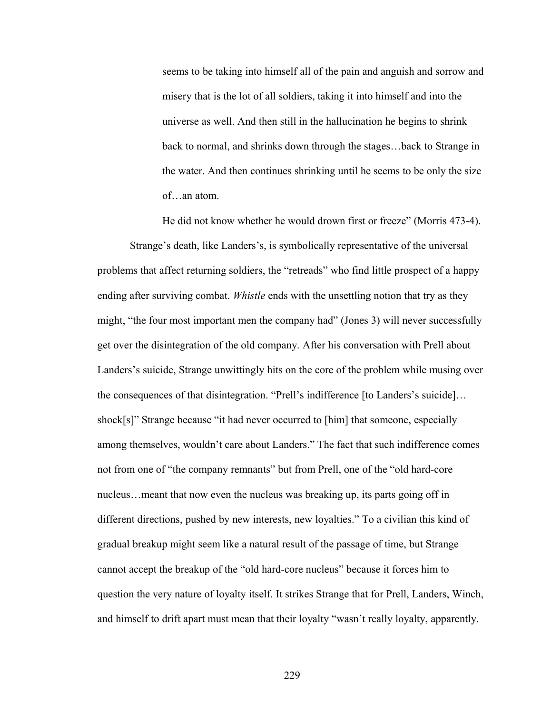seems to be taking into himself all of the pain and anguish and sorrow and misery that is the lot of all soldiers, taking it into himself and into the universe as well. And then still in the hallucination he begins to shrink back to normal, and shrinks down through the stages…back to Strange in the water. And then continues shrinking until he seems to be only the size of…an atom.

He did not know whether he would drown first or freeze" (Morris 473-4).

Strange's death, like Landers's, is symbolically representative of the universal problems that affect returning soldiers, the "retreads" who find little prospect of a happy ending after surviving combat. *Whistle* ends with the unsettling notion that try as they might, "the four most important men the company had" (Jones 3) will never successfully get over the disintegration of the old company. After his conversation with Prell about Landers's suicide, Strange unwittingly hits on the core of the problem while musing over the consequences of that disintegration. "Prell's indifference [to Landers's suicide]… shock[s]" Strange because "it had never occurred to [him] that someone, especially among themselves, wouldn't care about Landers." The fact that such indifference comes not from one of "the company remnants" but from Prell, one of the "old hard-core nucleus…meant that now even the nucleus was breaking up, its parts going off in different directions, pushed by new interests, new loyalties." To a civilian this kind of gradual breakup might seem like a natural result of the passage of time, but Strange cannot accept the breakup of the "old hard-core nucleus" because it forces him to question the very nature of loyalty itself. It strikes Strange that for Prell, Landers, Winch, and himself to drift apart must mean that their loyalty "wasn't really loyalty, apparently.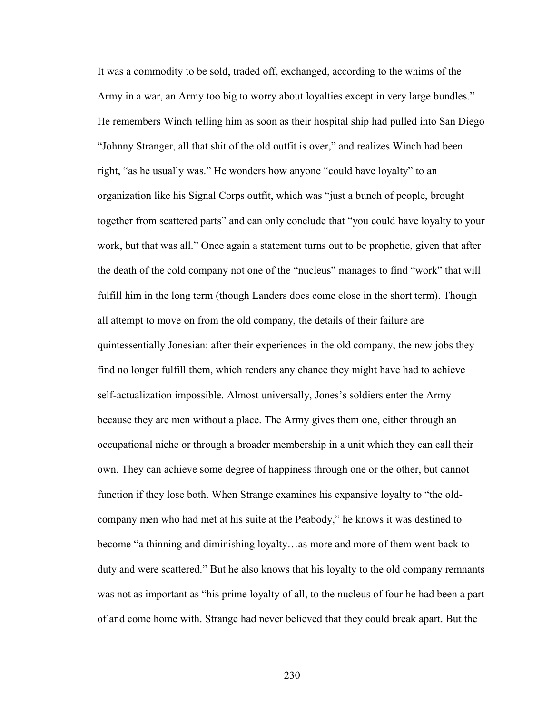It was a commodity to be sold, traded off, exchanged, according to the whims of the Army in a war, an Army too big to worry about loyalties except in very large bundles." He remembers Winch telling him as soon as their hospital ship had pulled into San Diego "Johnny Stranger, all that shit of the old outfit is over," and realizes Winch had been right, "as he usually was." He wonders how anyone "could have loyalty" to an organization like his Signal Corps outfit, which was "just a bunch of people, brought together from scattered parts" and can only conclude that "you could have loyalty to your work, but that was all." Once again a statement turns out to be prophetic, given that after the death of the cold company not one of the "nucleus" manages to find "work" that will fulfill him in the long term (though Landers does come close in the short term). Though all attempt to move on from the old company, the details of their failure are quintessentially Jonesian: after their experiences in the old company, the new jobs they find no longer fulfill them, which renders any chance they might have had to achieve self-actualization impossible. Almost universally, Jones's soldiers enter the Army because they are men without a place. The Army gives them one, either through an occupational niche or through a broader membership in a unit which they can call their own. They can achieve some degree of happiness through one or the other, but cannot function if they lose both. When Strange examines his expansive loyalty to "the oldcompany men who had met at his suite at the Peabody," he knows it was destined to become "a thinning and diminishing loyalty…as more and more of them went back to duty and were scattered." But he also knows that his loyalty to the old company remnants was not as important as "his prime loyalty of all, to the nucleus of four he had been a part of and come home with. Strange had never believed that they could break apart. But the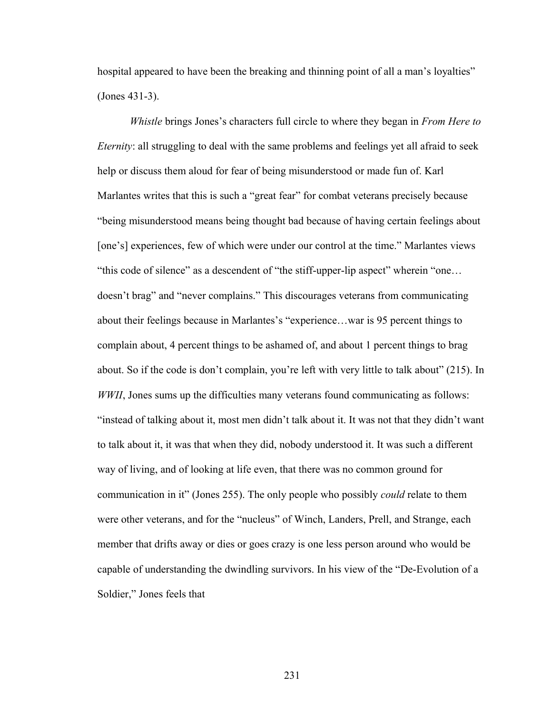hospital appeared to have been the breaking and thinning point of all a man's loyalties" (Jones 431-3).

*Whistle* brings Jones's characters full circle to where they began in *From Here to Eternity*: all struggling to deal with the same problems and feelings yet all afraid to seek help or discuss them aloud for fear of being misunderstood or made fun of. Karl Marlantes writes that this is such a "great fear" for combat veterans precisely because "being misunderstood means being thought bad because of having certain feelings about [one's] experiences, few of which were under our control at the time." Marlantes views "this code of silence" as a descendent of "the stiff-upper-lip aspect" wherein "one… doesn't brag" and "never complains." This discourages veterans from communicating about their feelings because in Marlantes's "experience…war is 95 percent things to complain about, 4 percent things to be ashamed of, and about 1 percent things to brag about. So if the code is don't complain, you're left with very little to talk about" (215). In *WWII*, Jones sums up the difficulties many veterans found communicating as follows: "instead of talking about it, most men didn't talk about it. It was not that they didn't want to talk about it, it was that when they did, nobody understood it. It was such a different way of living, and of looking at life even, that there was no common ground for communication in it" (Jones 255). The only people who possibly *could* relate to them were other veterans, and for the "nucleus" of Winch, Landers, Prell, and Strange, each member that drifts away or dies or goes crazy is one less person around who would be capable of understanding the dwindling survivors. In his view of the "De-Evolution of a Soldier," Jones feels that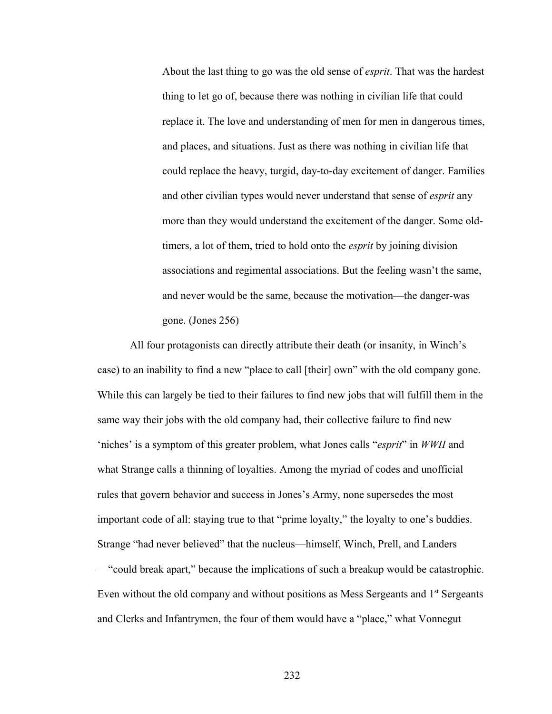About the last thing to go was the old sense of *esprit*. That was the hardest thing to let go of, because there was nothing in civilian life that could replace it. The love and understanding of men for men in dangerous times, and places, and situations. Just as there was nothing in civilian life that could replace the heavy, turgid, day-to-day excitement of danger. Families and other civilian types would never understand that sense of *esprit* any more than they would understand the excitement of the danger. Some oldtimers, a lot of them, tried to hold onto the *esprit* by joining division associations and regimental associations. But the feeling wasn't the same, and never would be the same, because the motivation—the danger-was gone. (Jones 256)

All four protagonists can directly attribute their death (or insanity, in Winch's case) to an inability to find a new "place to call [their] own" with the old company gone. While this can largely be tied to their failures to find new jobs that will fulfill them in the same way their jobs with the old company had, their collective failure to find new 'niches' is a symptom of this greater problem, what Jones calls "*esprit*" in *WWII* and what Strange calls a thinning of loyalties. Among the myriad of codes and unofficial rules that govern behavior and success in Jones's Army, none supersedes the most important code of all: staying true to that "prime loyalty," the loyalty to one's buddies. Strange "had never believed" that the nucleus—himself, Winch, Prell, and Landers —"could break apart," because the implications of such a breakup would be catastrophic. Even without the old company and without positions as Mess Sergeants and  $1<sup>st</sup>$  Sergeants and Clerks and Infantrymen, the four of them would have a "place," what Vonnegut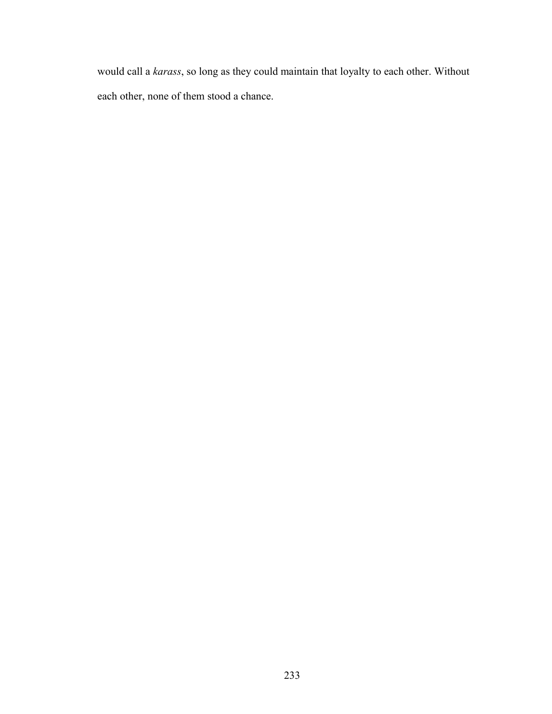would call a *karass*, so long as they could maintain that loyalty to each other. Without each other, none of them stood a chance.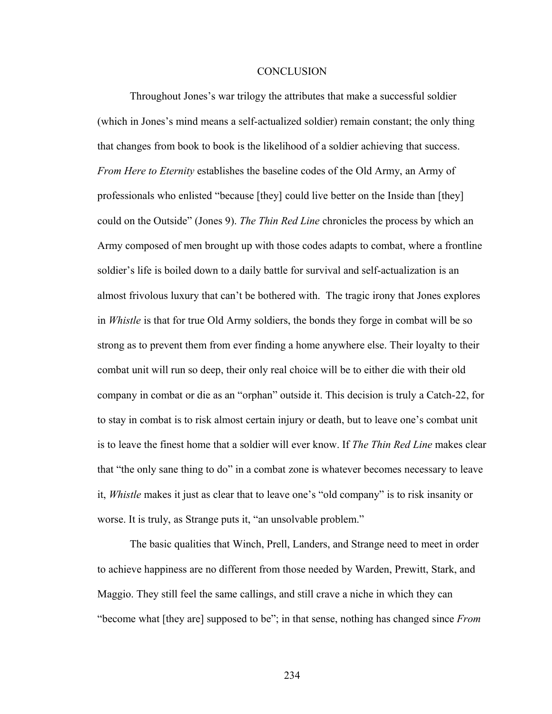#### **CONCLUSION**

Throughout Jones's war trilogy the attributes that make a successful soldier (which in Jones's mind means a self-actualized soldier) remain constant; the only thing that changes from book to book is the likelihood of a soldier achieving that success. *From Here to Eternity* establishes the baseline codes of the Old Army, an Army of professionals who enlisted "because [they] could live better on the Inside than [they] could on the Outside" (Jones 9). *The Thin Red Line* chronicles the process by which an Army composed of men brought up with those codes adapts to combat, where a frontline soldier's life is boiled down to a daily battle for survival and self-actualization is an almost frivolous luxury that can't be bothered with. The tragic irony that Jones explores in *Whistle* is that for true Old Army soldiers, the bonds they forge in combat will be so strong as to prevent them from ever finding a home anywhere else. Their loyalty to their combat unit will run so deep, their only real choice will be to either die with their old company in combat or die as an "orphan" outside it. This decision is truly a Catch-22, for to stay in combat is to risk almost certain injury or death, but to leave one's combat unit is to leave the finest home that a soldier will ever know. If *The Thin Red Line* makes clear that "the only sane thing to do" in a combat zone is whatever becomes necessary to leave it, *Whistle* makes it just as clear that to leave one's "old company" is to risk insanity or worse. It is truly, as Strange puts it, "an unsolvable problem."

The basic qualities that Winch, Prell, Landers, and Strange need to meet in order to achieve happiness are no different from those needed by Warden, Prewitt, Stark, and Maggio. They still feel the same callings, and still crave a niche in which they can "become what [they are] supposed to be"; in that sense, nothing has changed since *From*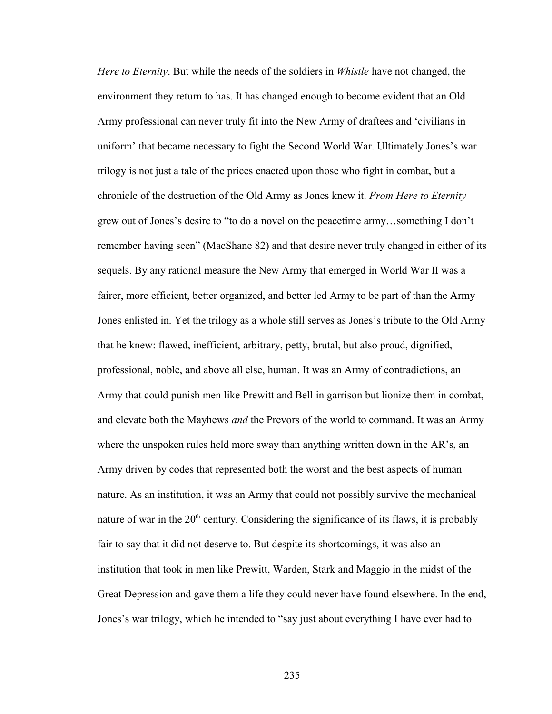*Here to Eternity*. But while the needs of the soldiers in *Whistle* have not changed, the environment they return to has. It has changed enough to become evident that an Old Army professional can never truly fit into the New Army of draftees and 'civilians in uniform' that became necessary to fight the Second World War. Ultimately Jones's war trilogy is not just a tale of the prices enacted upon those who fight in combat, but a chronicle of the destruction of the Old Army as Jones knew it. *From Here to Eternity* grew out of Jones's desire to "to do a novel on the peacetime army…something I don't remember having seen" (MacShane 82) and that desire never truly changed in either of its sequels. By any rational measure the New Army that emerged in World War II was a fairer, more efficient, better organized, and better led Army to be part of than the Army Jones enlisted in. Yet the trilogy as a whole still serves as Jones's tribute to the Old Army that he knew: flawed, inefficient, arbitrary, petty, brutal, but also proud, dignified, professional, noble, and above all else, human. It was an Army of contradictions, an Army that could punish men like Prewitt and Bell in garrison but lionize them in combat, and elevate both the Mayhews *and* the Prevors of the world to command. It was an Army where the unspoken rules held more sway than anything written down in the AR's, an Army driven by codes that represented both the worst and the best aspects of human nature. As an institution, it was an Army that could not possibly survive the mechanical nature of war in the  $20<sup>th</sup>$  century. Considering the significance of its flaws, it is probably fair to say that it did not deserve to. But despite its shortcomings, it was also an institution that took in men like Prewitt, Warden, Stark and Maggio in the midst of the Great Depression and gave them a life they could never have found elsewhere. In the end, Jones's war trilogy, which he intended to "say just about everything I have ever had to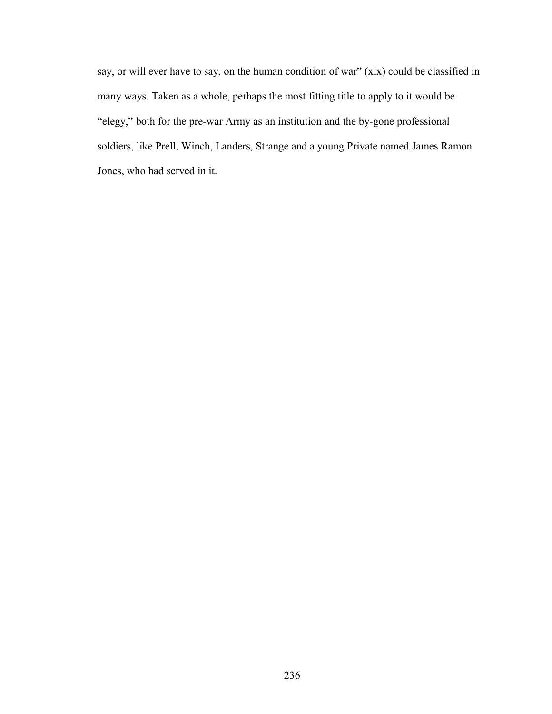say, or will ever have to say, on the human condition of war" (xix) could be classified in many ways. Taken as a whole, perhaps the most fitting title to apply to it would be "elegy," both for the pre-war Army as an institution and the by-gone professional soldiers, like Prell, Winch, Landers, Strange and a young Private named James Ramon Jones, who had served in it.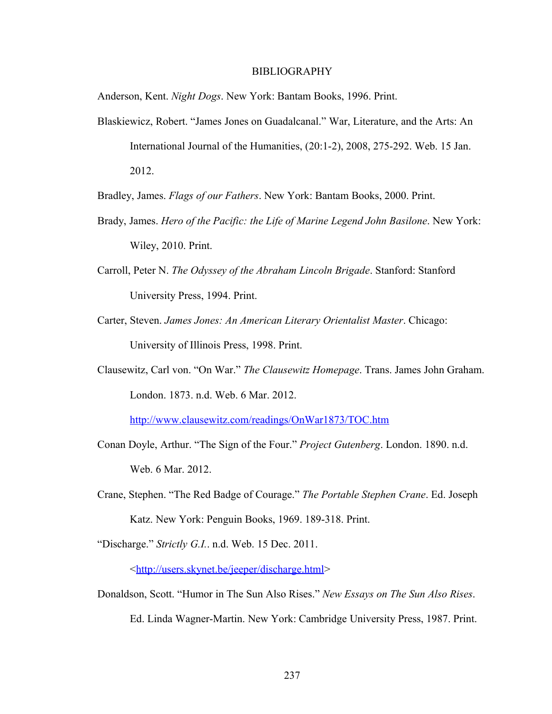#### BIBLIOGRAPHY

Anderson, Kent. *Night Dogs*. New York: Bantam Books, 1996. Print.

Blaskiewicz, Robert. "James Jones on Guadalcanal." War, Literature, and the Arts: An International Journal of the Humanities, (20:1-2), 2008, 275-292. Web. 15 Jan. 2012.

Bradley, James. *Flags of our Fathers*. New York: Bantam Books, 2000. Print.

- Brady, James. *Hero of the Pacific: the Life of Marine Legend John Basilone*. New York: Wiley, 2010. Print.
- Carroll, Peter N. *The Odyssey of the Abraham Lincoln Brigade*. Stanford: Stanford University Press, 1994. Print.
- Carter, Steven. *James Jones: An American Literary Orientalist Master*. Chicago: University of Illinois Press, 1998. Print.
- Clausewitz, Carl von. "On War." *The Clausewitz Homepage*. Trans. James John Graham. London. 1873. n.d. Web. 6 Mar. 2012.

<http://www.clausewitz.com/readings/OnWar1873/TOC.htm>

- Conan Doyle, Arthur. "The Sign of the Four." *Project Gutenberg*. London. 1890. n.d. Web. 6 Mar. 2012.
- Crane, Stephen. "The Red Badge of Courage." *The Portable Stephen Crane*. Ed. Joseph Katz. New York: Penguin Books, 1969. 189-318. Print.
- "Discharge." *Strictly G.I.*. n.d. Web. 15 Dec. 2011.

[<http://users.skynet.be/jeeper/discharge.html>](http://users.skynet.be/jeeper/discharge.html)

Donaldson, Scott. "Humor in The Sun Also Rises." *New Essays on The Sun Also Rises*. Ed. Linda Wagner-Martin. New York: Cambridge University Press, 1987. Print.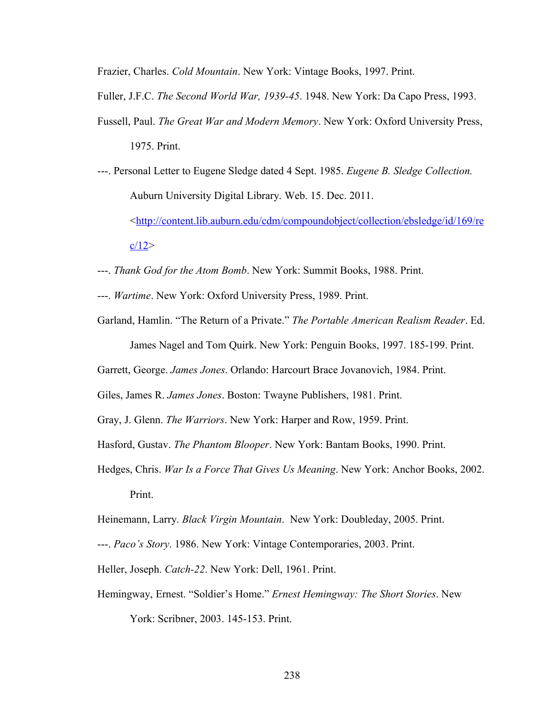Frazier, Charles. *Cold Mountain*. New York: Vintage Books, 1997. Print.

- Fuller, J.F.C. *The Second World War, 1939-45*. 1948. New York: Da Capo Press, 1993.
- Fussell, Paul. *The Great War and Modern Memory*. New York: Oxford University Press, 1975. Print.
- ---. Personal Letter to Eugene Sledge dated 4 Sept. 1985. *Eugene B. Sledge Collection.* Auburn University Digital Library. Web. 15. Dec. 2011. [<http://content.lib.auburn.edu/cdm/compoundobject/collection/ebsledge/id/169/re](http://content.lib.auburn.edu/cdm/compoundobject/collection/ebsledge/id/169/rec/12)

 $c/12$ 

- ---. *Thank God for the Atom Bomb*. New York: Summit Books, 1988. Print.
- ---. *Wartime*. New York: Oxford University Press, 1989. Print.
- Garland, Hamlin. "The Return of a Private." *The Portable American Realism Reader*. Ed. James Nagel and Tom Quirk. New York: Penguin Books, 1997. 185-199. Print.

Garrett, George. *James Jones*. Orlando: Harcourt Brace Jovanovich, 1984. Print.

Giles, James R. *James Jones*. Boston: Twayne Publishers, 1981. Print.

Gray, J. Glenn. *The Warriors*. New York: Harper and Row, 1959. Print.

Hasford, Gustav. *The Phantom Blooper*. New York: Bantam Books, 1990. Print.

Hedges, Chris. *War Is a Force That Gives Us Meaning*. New York: Anchor Books, 2002. Print.

Heinemann, Larry. *Black Virgin Mountain*. New York: Doubleday, 2005. Print.

- ---. *Paco's Story*. 1986. New York: Vintage Contemporaries, 2003. Print.
- Heller, Joseph. *Catch-22*. New York: Dell, 1961. Print.
- Hemingway, Ernest. "Soldier's Home." *Ernest Hemingway: The Short Stories*. New York: Scribner, 2003. 145-153. Print.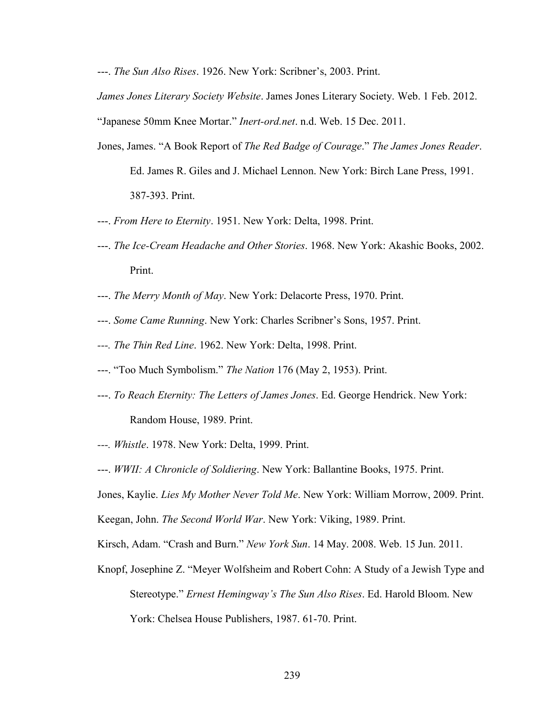---. *The Sun Also Rises*. 1926. New York: Scribner's, 2003. Print.

*James Jones Literary Society Website*. James Jones Literary Society. Web. 1 Feb. 2012.

"Japanese 50mm Knee Mortar." *Inert-ord.net*. n.d. Web. 15 Dec. 2011.

Jones, James. "A Book Report of *The Red Badge of Courage*." *The James Jones Reader*.

Ed. James R. Giles and J. Michael Lennon. New York: Birch Lane Press, 1991. 387-393. Print.

- ---. *From Here to Eternity*. 1951. New York: Delta, 1998. Print.
- ---. *The Ice-Cream Headache and Other Stories*. 1968. New York: Akashic Books, 2002. Print.
- ---. *The Merry Month of May*. New York: Delacorte Press, 1970. Print.
- ---. *Some Came Running*. New York: Charles Scribner's Sons, 1957. Print.
- *---. The Thin Red Line*. 1962. New York: Delta, 1998. Print.
- ---. "Too Much Symbolism." *The Nation* 176 (May 2, 1953). Print.
- ---. *To Reach Eternity: The Letters of James Jones*. Ed. George Hendrick. New York: Random House, 1989. Print.
- *---. Whistle*. 1978. New York: Delta, 1999. Print.
- ---. *WWII: A Chronicle of Soldiering*. New York: Ballantine Books, 1975. Print.
- Jones, Kaylie. *Lies My Mother Never Told Me*. New York: William Morrow, 2009. Print.
- Keegan, John. *The Second World War*. New York: Viking, 1989. Print.
- Kirsch, Adam. "Crash and Burn." *New York Sun*. 14 May. 2008. Web. 15 Jun. 2011.
- Knopf, Josephine Z. "Meyer Wolfsheim and Robert Cohn: A Study of a Jewish Type and Stereotype." *Ernest Hemingway's The Sun Also Rises*. Ed. Harold Bloom. New York: Chelsea House Publishers, 1987. 61-70. Print.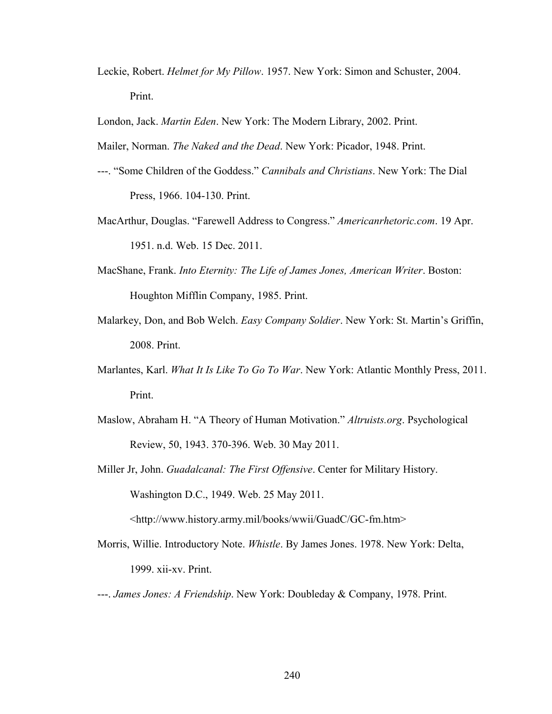Leckie, Robert. *Helmet for My Pillow*. 1957. New York: Simon and Schuster, 2004. Print.

London, Jack. *Martin Eden*. New York: The Modern Library, 2002. Print.

Mailer, Norman. *The Naked and the Dead*. New York: Picador, 1948. Print.

- ---. "Some Children of the Goddess." *Cannibals and Christians*. New York: The Dial Press, 1966. 104-130. Print.
- MacArthur, Douglas. "Farewell Address to Congress." *Americanrhetoric.com*. 19 Apr. 1951. n.d. Web. 15 Dec. 2011.
- MacShane, Frank. *Into Eternity: The Life of James Jones, American Writer*. Boston: Houghton Mifflin Company, 1985. Print.
- Malarkey, Don, and Bob Welch. *Easy Company Soldier*. New York: St. Martin's Griffin, 2008. Print.
- Marlantes, Karl. *What It Is Like To Go To War*. New York: Atlantic Monthly Press, 2011. Print.
- Maslow, Abraham H. "A Theory of Human Motivation." *Altruists.org*. Psychological Review, 50, 1943. 370-396. Web. 30 May 2011.
- Miller Jr, John. *Guadalcanal: The First Offensive*. Center for Military History. Washington D.C., 1949. Web. 25 May 2011.

<http://www.history.army.mil/books/wwii/GuadC/GC-fm.htm>

Morris, Willie. Introductory Note. *Whistle*. By James Jones. 1978. New York: Delta, 1999. xii-xv. Print.

---. *James Jones: A Friendship*. New York: Doubleday & Company, 1978. Print.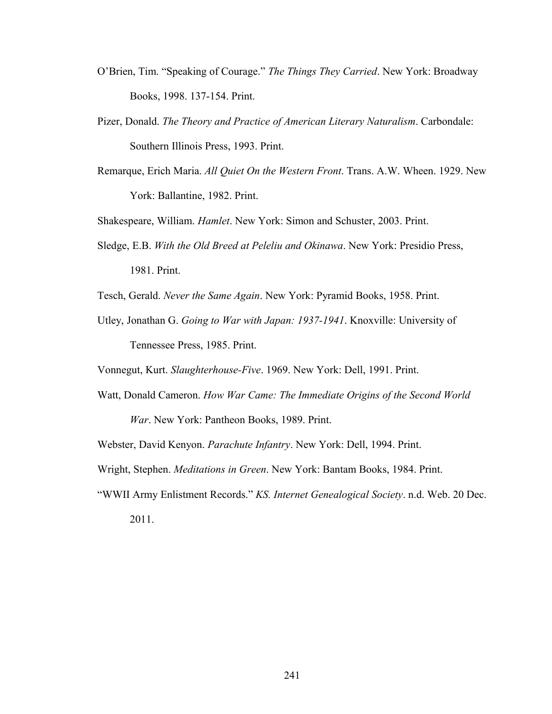- O'Brien, Tim. "Speaking of Courage." *The Things They Carried*. New York: Broadway Books, 1998. 137-154. Print.
- Pizer, Donald. *The Theory and Practice of American Literary Naturalism*. Carbondale: Southern Illinois Press, 1993. Print.
- Remarque, Erich Maria. *All Quiet On the Western Front*. Trans. A.W. Wheen. 1929. New York: Ballantine, 1982. Print.

Shakespeare, William. *Hamlet*. New York: Simon and Schuster, 2003. Print.

- Sledge, E.B. *With the Old Breed at Peleliu and Okinawa*. New York: Presidio Press, 1981. Print.
- Tesch, Gerald. *Never the Same Again*. New York: Pyramid Books, 1958. Print.
- Utley, Jonathan G. *Going to War with Japan: 1937-1941*. Knoxville: University of Tennessee Press, 1985. Print.

Vonnegut, Kurt. *Slaughterhouse-Five*. 1969. New York: Dell, 1991. Print.

Watt, Donald Cameron. *How War Came: The Immediate Origins of the Second World War*. New York: Pantheon Books, 1989. Print.

Webster, David Kenyon. *Parachute Infantry*. New York: Dell, 1994. Print.

Wright, Stephen. *Meditations in Green*. New York: Bantam Books, 1984. Print.

"WWII Army Enlistment Records." *KS. Internet Genealogical Society*. n.d. Web. 20 Dec. 2011.